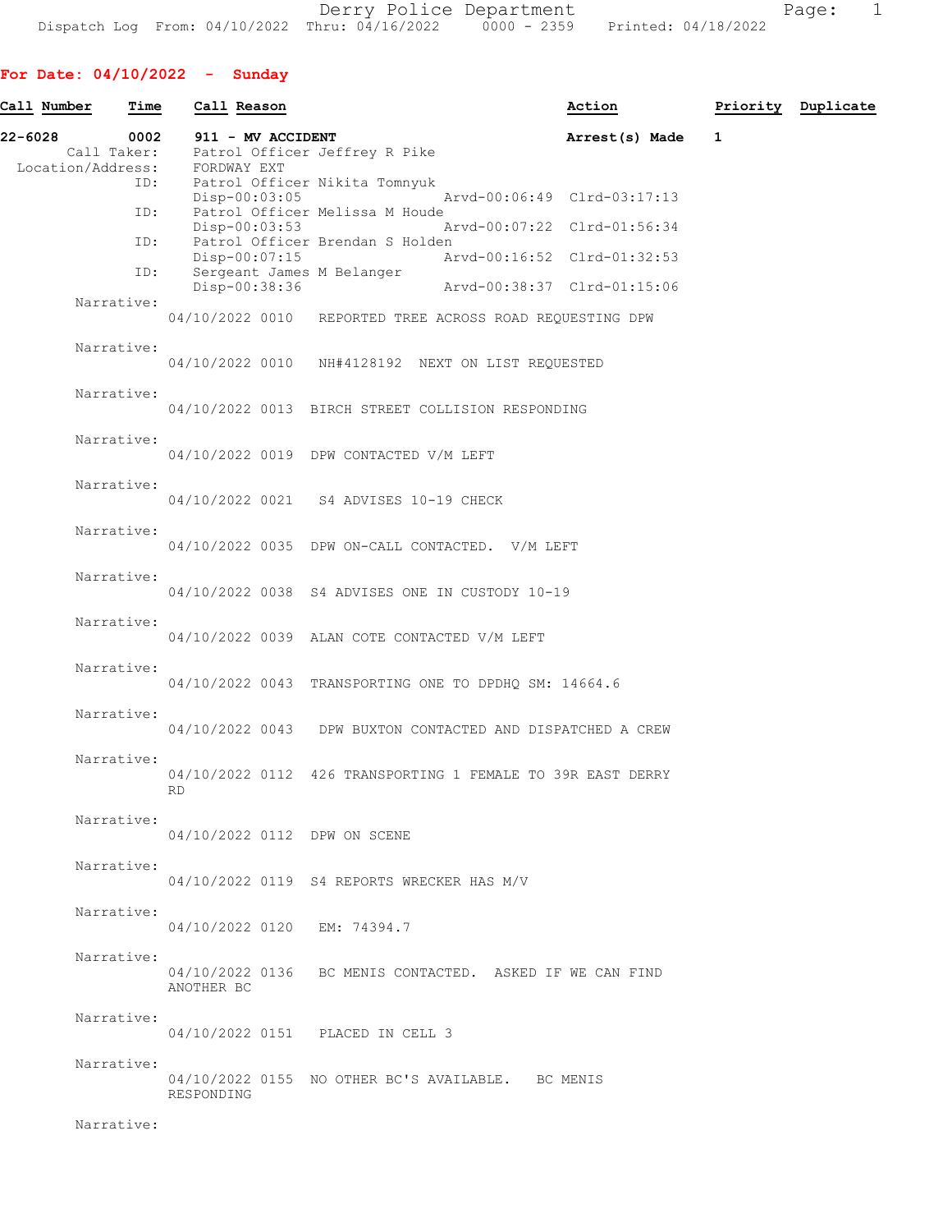Derry Police Department The Page: 1 Dispatch Log From: 04/10/2022 Thru: 04/16/2022 0000 - 2359 Printed: 04/18/2022

# For Date: 04/10/2022 - Sunday

| Call Number                  | Time       |            | Call Reason                      |                                                                 | Action                      |              | Priority Duplicate |
|------------------------------|------------|------------|----------------------------------|-----------------------------------------------------------------|-----------------------------|--------------|--------------------|
| 22-6028<br>Location/Address: | 0002       |            | 911 - MV ACCIDENT<br>FORDWAY EXT | Call Taker: Patrol Officer Jeffrey R Pike                       | Arrest(s) Made              | $\mathbf{1}$ |                    |
|                              | ID:<br>ID: |            | Disp-00:03:05                    | Patrol Officer Nikita Tomnyuk<br>Patrol Officer Melissa M Houde | Arvd-00:06:49 Clrd-03:17:13 |              |                    |
|                              |            |            | Disp-00:03:53                    |                                                                 | Arvd-00:07:22 Clrd-01:56:34 |              |                    |
|                              | ID:        |            | Disp-00:07:15                    | Patrol Officer Brendan S Holden                                 | Arvd-00:16:52 Clrd-01:32:53 |              |                    |
|                              | ID:        |            | Disp-00:38:36                    | Sergeant James M Belanger                                       | Arvd-00:38:37 Clrd-01:15:06 |              |                    |
| Narrative:                   |            |            |                                  | 04/10/2022 0010 REPORTED TREE ACROSS ROAD REQUESTING DPW        |                             |              |                    |
| Narrative:                   |            |            |                                  | 04/10/2022 0010 NH#4128192 NEXT ON LIST REQUESTED               |                             |              |                    |
| Narrative:                   |            |            |                                  | 04/10/2022 0013 BIRCH STREET COLLISION RESPONDING               |                             |              |                    |
| Narrative:                   |            |            |                                  | 04/10/2022 0019 DPW CONTACTED V/M LEFT                          |                             |              |                    |
| Narrative:                   |            |            |                                  | 04/10/2022 0021 S4 ADVISES 10-19 CHECK                          |                             |              |                    |
| Narrative:                   |            |            |                                  | 04/10/2022 0035 DPW ON-CALL CONTACTED. V/M LEFT                 |                             |              |                    |
| Narrative:                   |            |            |                                  | 04/10/2022 0038 S4 ADVISES ONE IN CUSTODY 10-19                 |                             |              |                    |
| Narrative:                   |            |            |                                  | 04/10/2022 0039 ALAN COTE CONTACTED V/M LEFT                    |                             |              |                    |
| Narrative:                   |            |            |                                  | 04/10/2022 0043 TRANSPORTING ONE TO DPDHQ SM: 14664.6           |                             |              |                    |
| Narrative:                   |            |            |                                  | 04/10/2022 0043 DPW BUXTON CONTACTED AND DISPATCHED A CREW      |                             |              |                    |
| Narrative:                   |            | <b>RD</b>  |                                  | 04/10/2022 0112 426 TRANSPORTING 1 FEMALE TO 39R EAST DERRY     |                             |              |                    |
| Narrative:                   |            |            |                                  | 04/10/2022 0112 DPW ON SCENE                                    |                             |              |                    |
| Narrative:                   |            |            |                                  | 04/10/2022 0119 S4 REPORTS WRECKER HAS M/V                      |                             |              |                    |
| Narrative:                   |            |            |                                  | 04/10/2022 0120 EM: 74394.7                                     |                             |              |                    |
| Narrative:                   |            | ANOTHER BC |                                  | 04/10/2022 0136 BC MENIS CONTACTED. ASKED IF WE CAN FIND        |                             |              |                    |
| Narrative:                   |            |            |                                  | 04/10/2022 0151 PLACED IN CELL 3                                |                             |              |                    |
| Narrative:                   |            | RESPONDING |                                  | 04/10/2022 0155 NO OTHER BC'S AVAILABLE. BC MENIS               |                             |              |                    |
| Narrative:                   |            |            |                                  |                                                                 |                             |              |                    |
|                              |            |            |                                  |                                                                 |                             |              |                    |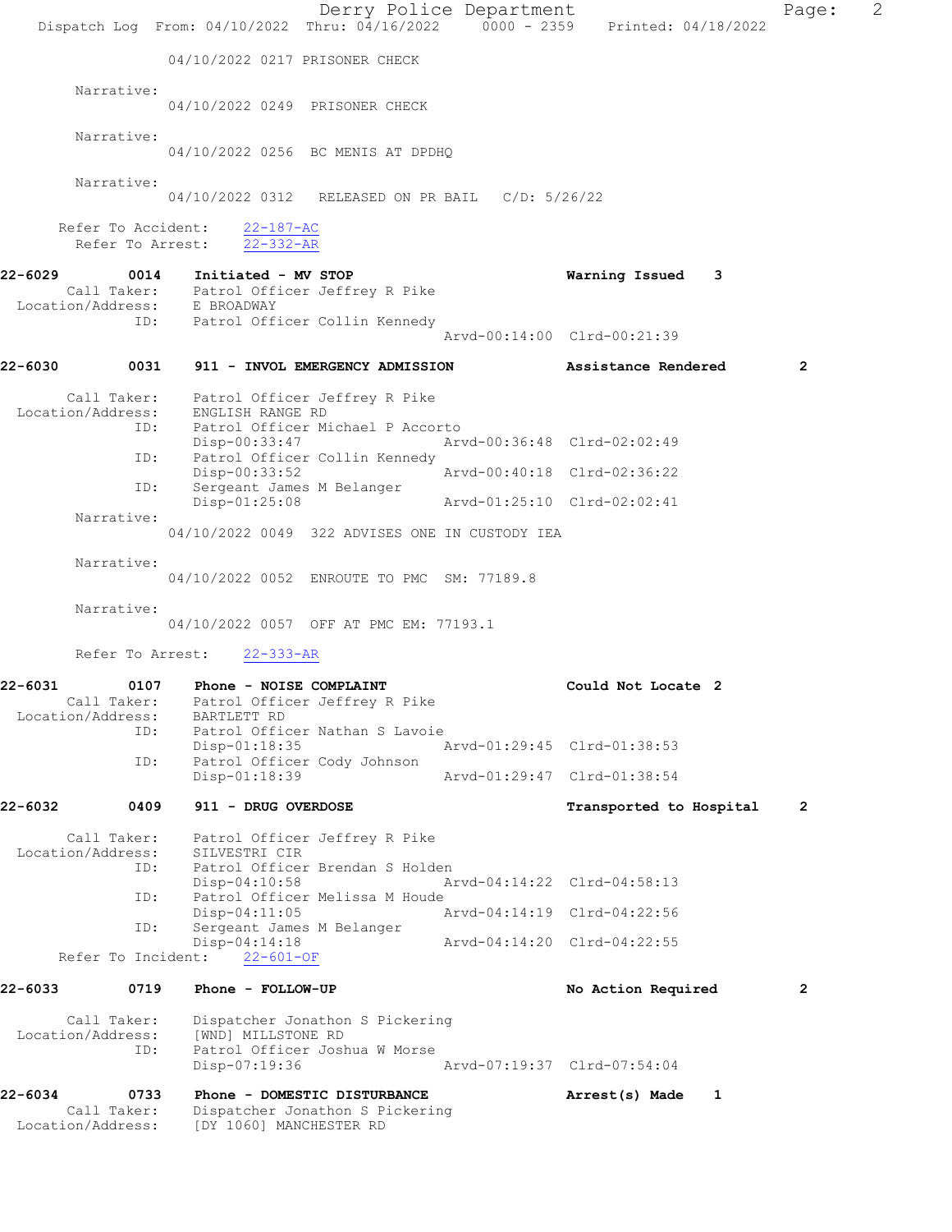Derry Police Department Fage: 2 Dispatch Log From: 04/10/2022 Thru: 04/16/2022 0000 - 2359 Printed: 04/18/2022 04/10/2022 0217 PRISONER CHECK Narrative: 04/10/2022 0249 PRISONER CHECK Narrative: 04/10/2022 0256 BC MENIS AT DPDHQ Narrative: 04/10/2022 0312 RELEASED ON PR BAIL C/D: 5/26/22 Refer To Accident: 22-187-AC Refer To Arrest: 22-332-AR 22-6029 0014 Initiated - MV STOP Warning Issued 3 Call Taker: Patrol Officer Jeffrey R Pike Location/Address: E BROADWAY ID: Patrol Officer Collin Kennedy Arvd-00:14:00 Clrd-00:21:39 22-6030 0031 911 - INVOL EMERGENCY ADMISSION Assistance Rendered 2 Call Taker: Patrol Officer Jeffrey R Pike Location/Address: ENGLISH RANGE RD<br>ID: Patrol Officer Mi Patrol Officer Michael P Accorto<br>Disp-00:33:47 Arv Disp-00:33:47 Arvd-00:36:48 Clrd-02:02:49 ID: Patrol Officer Collin Kennedy<br>Disp-00:33:52 Disp-00:33:52 Arvd-00:40:18 Clrd-02:36:22 ID: Sergeant James M Belanger Disp-01:25:08 Arvd-01:25:10 Clrd-02:02:41 Narrative: 04/10/2022 0049 322 ADVISES ONE IN CUSTODY IEA Narrative: 04/10/2022 0052 ENROUTE TO PMC SM: 77189.8 Narrative: 04/10/2022 0057 OFF AT PMC EM: 77193.1 Refer To Arrest: 22-333-AR 22-6031 0107 Phone - NOISE COMPLAINT Could Not Locate 2 Call Taker: Patrol Officer Jeffrey R Pike Location/Address: BARTLETT RD ID: Patrol Officer Nathan S Lavoie<br>Disp-01:18:35 Disp-01:18:35 Arvd-01:29:45 Clrd-01:38:53<br>ID: Patrol Officer Cody Johnson Patrol Officer Cody Johnson<br>Disp-01:18:39 Arvd-01:29:47 Clrd-01:38:54 22-6032 0409 911 - DRUG OVERDOSE Transported to Hospital 2 Call Taker: Patrol Officer Jeffrey R Pike Location/Address: SILVESTRI CIR ID: Patrol Officer Brendan S Holden<br>Disp-04:10:58 Ar Disp-04:10:58 Arvd-04:14:22 Clrd-04:58:13<br>TD: Patrol Officer Melissa M Houde Patrol Officer Melissa M Houde Disp-04:11:05 Arvd-04:14:19 Clrd-04:22:56 ID: Sergeant James M Belanger Disp-04:14:18 Arvd-04:14:20 Clrd-04:22:55 Refer To Incident: 22-601-OF 22-6033 0719 Phone - FOLLOW-UP No Action Required 2 Call Taker: Dispatcher Jonathon S Pickering Location/Address: [WND] MILLSTONE RD ID: Patrol Officer Joshua W Morse Disp-07:19:36 Arvd-07:19:37 Clrd-07:54:04 22-6034 0733 Phone - DOMESTIC DISTURBANCE Arrest(s) Made 1 Call Taker: Dispatcher Jonathon S Pickering Location/Address: [DY 1060] MANCHESTER RD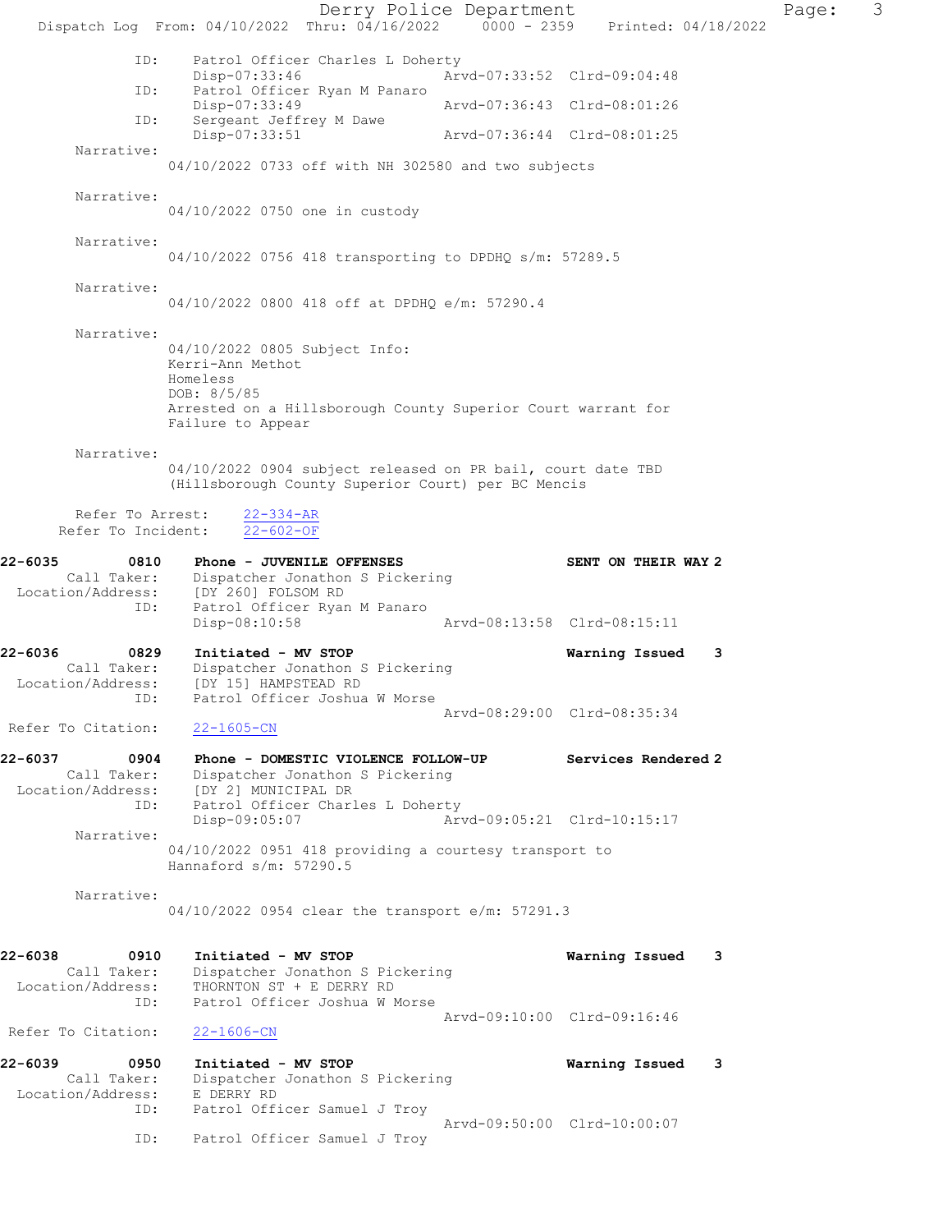Derry Police Department Page: 3 Dispatch Log From: 04/10/2022 Thru: 04/16/2022 0000 - 2359 Printed: 04/18/2022 ID: Patrol Officer Charles L Doherty<br>Disp-07:33:46 Arv Disp-07:33:46 Arvd-07:33:52 Clrd-09:04:48 ID: Patrol Officer Ryan M Panaro Disp-07:33:49 Arvd-07:36:43 Clrd-08:01:26 ID: Sergeant Jeffrey M Dawe<br>Disp-07:33:51 Disp-07:33:51 Arvd-07:36:44 Clrd-08:01:25 Narrative: 04/10/2022 0733 off with NH 302580 and two subjects Narrative: 04/10/2022 0750 one in custody Narrative: 04/10/2022 0756 418 transporting to DPDHQ s/m: 57289.5 Narrative: 04/10/2022 0800 418 off at DPDHQ e/m: 57290.4 Narrative: 04/10/2022 0805 Subject Info: Kerri-Ann Methot Homeless DOB: 8/5/85 Arrested on a Hillsborough County Superior Court warrant for Failure to Appear Narrative: 04/10/2022 0904 subject released on PR bail, court date TBD (Hillsborough County Superior Court) per BC Mencis Refer To Arrest: 22-334-AR Refer To Incident: 22-602-OF 22-6035 0810 Phone - JUVENILE OFFENSES SENT ON THEIR WAY 2 Call Taker: Dispatcher Jonathon S Pickering Location/Address: [DY 260] FOLSOM RD ID: Patrol Officer Ryan M Panaro Disp-08:10:58 Arvd-08:13:58 Clrd-08:15:11 22-6036 0829 Initiated - MV STOP Warning Issued 3 Call Taker: Dispatcher Jonathon S Pickering Location/Address: [DY 15] HAMPSTEAD RD ID: Patrol Officer Joshua W Morse Arvd-08:29:00 Clrd-08:35:34 Refer To Citation: 22-1605-CN 22-6037 0904 Phone - DOMESTIC VIOLENCE FOLLOW-UP Services Rendered 2 Call Taker: Dispatcher Jonathon S Pickering Location/Address: [DY 2] MUNICIPAL DR<br>
ID: Patrol Officer Charle<br>
Disp-09:05:07 Patrol Officer Charles L Doherty Disp-09:05:07 Arvd-09:05:21 Clrd-10:15:17 Narrative: 04/10/2022 0951 418 providing a courtesy transport to Hannaford s/m: 57290.5 Narrative: 04/10/2022 0954 clear the transport e/m: 57291.3 22-6038 0910 Initiated - MV STOP Warning Issued 3 Call Taker: Dispatcher Jonathon S Pickering Location/Address: THORNTON ST + E DERRY RD ID: Patrol Officer Joshua W Morse Arvd-09:10:00 Clrd-09:16:46<br>22-1606-CN Refer To Citation: 22-6039 0950 Initiated - MV STOP Warning Issued 3 Call Taker: Dispatcher Jonathon S Pickering Location/Address: E DERRY RD ID: Patrol Officer Samuel J Troy Arvd-09:50:00 Clrd-10:00:07 ID: Patrol Officer Samuel J Troy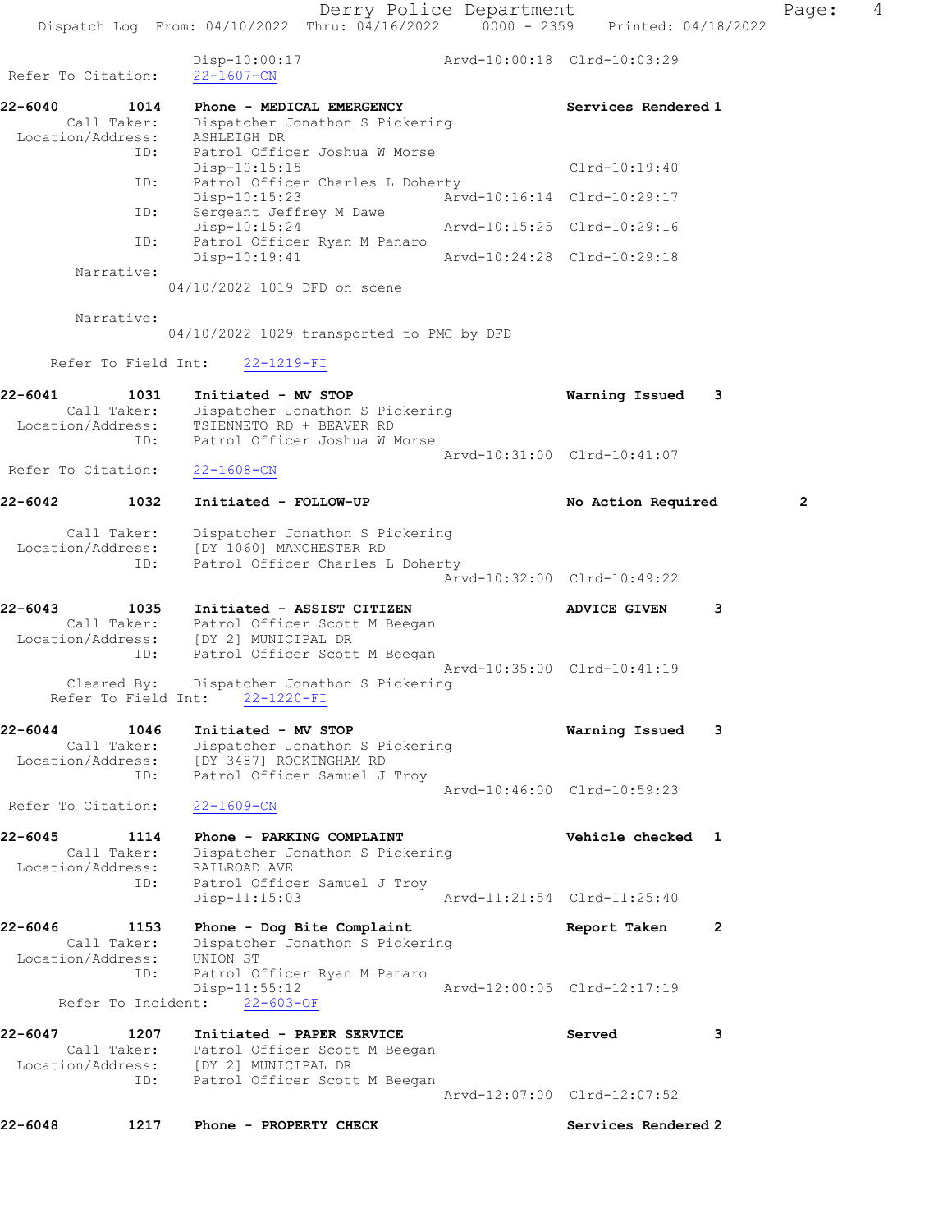Refer To Citation: 22-1607-CN

| 22-6040           | 1014        | Phone - MEDICAL EMERGENCY        |                             | Services Rendered 1         |
|-------------------|-------------|----------------------------------|-----------------------------|-----------------------------|
|                   | Call Taker: | Dispatcher Jonathon S Pickering  |                             |                             |
| Location/Address: |             | ASHLEIGH DR                      |                             |                             |
|                   | ID:         | Patrol Officer Joshua W Morse    |                             |                             |
|                   |             | $Disp-10:15:15$                  |                             | $Clrd-10:19:40$             |
|                   | ID:         | Patrol Officer Charles L Doherty |                             |                             |
|                   |             | $Disp-10:15:23$                  | Arvd-10:16:14 Clrd-10:29:17 |                             |
|                   | ID:         | Sergeant Jeffrey M Dawe          |                             |                             |
|                   |             | Disp-10:15:24                    |                             | Arvd-10:15:25 Clrd-10:29:16 |
|                   | ID:         | Patrol Officer Ryan M Panaro     |                             |                             |
|                   |             | $Disp-10:19:41$                  |                             | Arvd-10:24:28 Clrd-10:29:18 |
|                   | Narrative:  |                                  |                             |                             |

04/10/2022 1019 DFD on scene

Narrative:

04/10/2022 1029 transported to PMC by DFD

Refer To Field Int: 22-1219-FI

| 22-6041<br>Call Taker:<br>Location/Address:     | 1031<br>ID:         | Initiated - MV STOP<br>Dispatcher Jonathon S Pickering<br>TSIENNETO RD + BEAVER RD<br>Patrol Officer Joshua W Morse | Warning Issued              | 3              |
|-------------------------------------------------|---------------------|---------------------------------------------------------------------------------------------------------------------|-----------------------------|----------------|
|                                                 |                     |                                                                                                                     | Arvd-10:31:00 Clrd-10:41:07 |                |
| Refer To Citation:                              |                     | $22 - 1608 - CN$                                                                                                    |                             |                |
| 22-6042                                         | 1032                | Initiated - FOLLOW-UP                                                                                               | No Action Required          | $\overline{2}$ |
| Call Taker:<br>Location/Address:                | ID:                 | Dispatcher Jonathon S Pickering<br>[DY 1060] MANCHESTER RD<br>Patrol Officer Charles L Doherty                      |                             |                |
|                                                 |                     |                                                                                                                     | Arvd-10:32:00 Clrd-10:49:22 |                |
| 22-6043<br>Location/Address:                    | 1035                | Initiated - ASSIST CITIZEN<br>Call Taker: Patrol Officer Scott M Beegan<br>[DY 2] MUNICIPAL DR                      | <b>ADVICE GIVEN</b>         | 3              |
|                                                 | ID:                 | Patrol Officer Scott M Beegan                                                                                       | Arvd-10:35:00 Clrd-10:41:19 |                |
|                                                 | Cleared By:         | Dispatcher Jonathon S Pickering<br>Refer To Field Int: 22-1220-FI                                                   |                             |                |
| $22 - 6044$                                     | 1046                | Initiated - MV STOP                                                                                                 | Warning Issued              | 3              |
| Location/Address:                               | Call Taker:<br>ID:  | Dispatcher Jonathon S Pickering<br>[DY 3487] ROCKINGHAM RD<br>Patrol Officer Samuel J Troy                          |                             |                |
| Refer To Citation:                              |                     | $22 - 1609 - CN$                                                                                                    | Arvd-10:46:00 Clrd-10:59:23 |                |
| $22 - 6045$<br>Call Taker:<br>Location/Address: | 1114                | Phone - PARKING COMPLAINT<br>Dispatcher Jonathon S Pickering<br>RAILROAD AVE                                        | Vehicle checked 1           |                |
|                                                 | ID:                 | Patrol Officer Samuel J Troy<br>$Disp-11:15:03$                                                                     | Arvd-11:21:54 Clrd-11:25:40 |                |
| $22 - 6046$<br>Location/Address:                | 1153<br>Call Taker: | Phone - Dog Bite Complaint<br>Dispatcher Jonathon S Pickering<br>UNION ST                                           | Report Taken                | $\overline{2}$ |
| Refer To Incident:                              | ID:                 | Patrol Officer Ryan M Panaro<br>Disp-11:55:12<br>$22 - 603 - OF$                                                    | Arvd-12:00:05 Clrd-12:17:19 |                |
|                                                 |                     |                                                                                                                     |                             |                |
| 22-6047                                         | 1207                | Initiated - PAPER SERVICE<br>Call Taker: Patrol Officer Scott M Beegan<br>Location/Address: [DY 2] MUNICIPAL DR     | Served                      | 3              |
|                                                 | ID:                 | Patrol Officer Scott M Beegan                                                                                       | Arvd-12:07:00 Clrd-12:07:52 |                |
| $22 - 6048$                                     | 1217                | Phone - PROPERTY CHECK                                                                                              | Services Rendered 2         |                |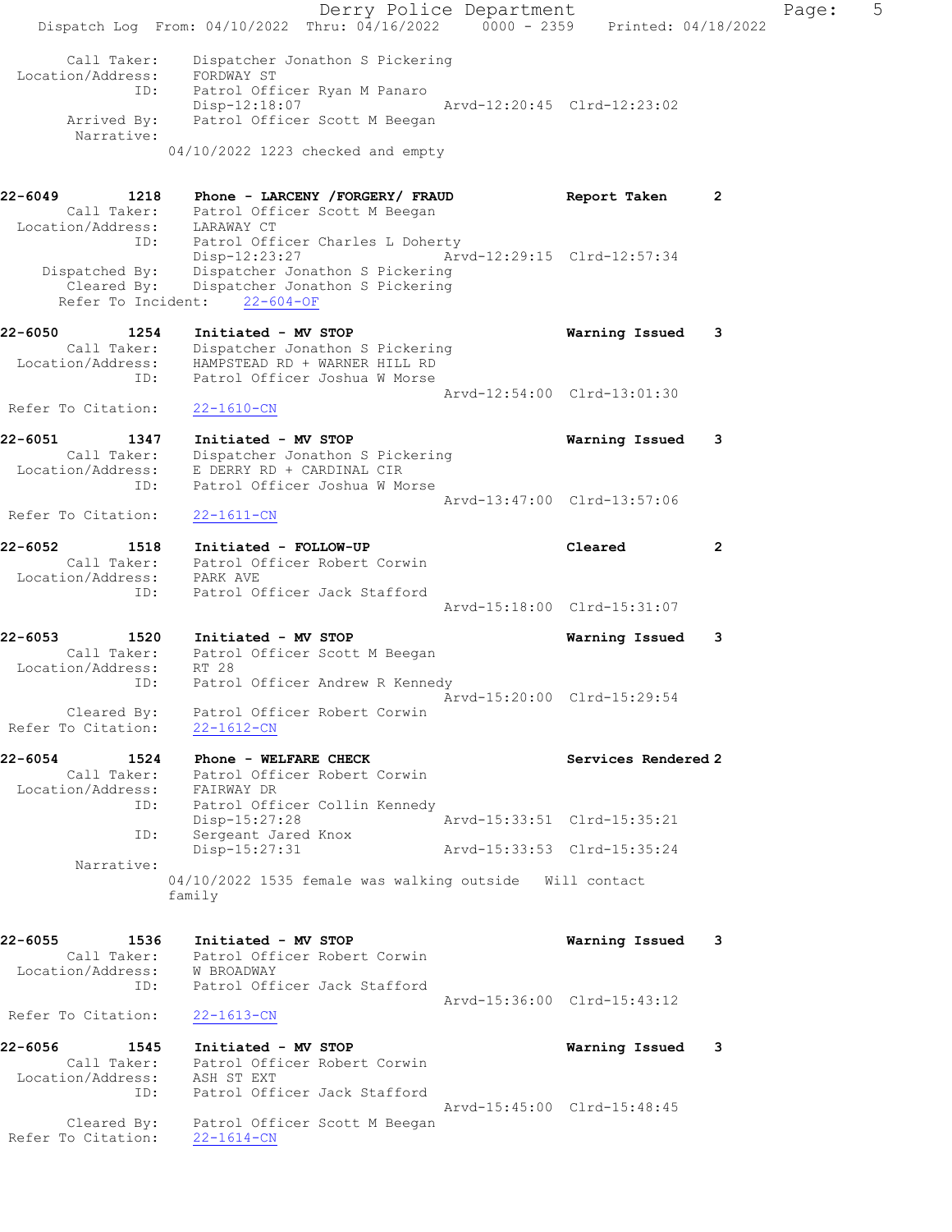Derry Police Department Fage: 5 Dispatch Log From: 04/10/2022 Thru: 04/16/2022 0000 - 2359 Printed: 04/18/2022 Call Taker: Dispatcher Jonathon S Pickering Location/Address: FORDWAY ST ID: Patrol Officer Ryan M Panaro Disp-12:18:07 Arvd-12:20:45 Clrd-12:23:02 Arrived By: Patrol Officer Scott M Beegan Narrative: 04/10/2022 1223 checked and empty 22-6049 1218 Phone - LARCENY /FORGERY/ FRAUD Report Taken 2 Call Taker: Patrol Officer Scott M Beegan Location/Address: LARAWAY CT ID: Patrol Officer Charles L Doherty Disp-12:23:27 Arvd-12:29:15 Clrd-12:57:34 Dispatched By: Dispatcher Jonathon S Pickering Cleared By: Dispatcher Jonathon S Pickering Refer To Incident: 22-604-OF 22-6050 1254 Initiated - MV STOP Warning Issued 3 Call Taker: Dispatcher Jonathon S Pickering Location/Address: HAMPSTEAD RD + WARNER HILL RD ID: Patrol Officer Joshua W Morse Arvd-12:54:00 Clrd-13:01:30 Refer To Citation: 22-1610-CN 22-6051 1347 Initiated - MV STOP Warning Issued 3 Call Taker: Dispatcher Jonathon S Pickering Location/Address: E DERRY RD + CARDINAL CIR ID: Patrol Officer Joshua W Morse Arvd-13:47:00 Clrd-13:57:06 Refer To Citation: 22-1611-CN 22-6052 1518 Initiated - FOLLOW-UP Cleared 2 Call Taker: Patrol Officer Robert Corwin Location/Address: PARK AVE ID: Patrol Officer Jack Stafford Arvd-15:18:00 Clrd-15:31:07 22-6053 1520 Initiated - MV STOP Warning Issued 3 Call Taker: Patrol Officer Scott M Beegan Location/Address: RT 28 ID: Patrol Officer Andrew R Kennedy Arvd-15:20:00 Clrd-15:29:54 Cleared By: Patrol Officer Robert Corwin Refer To Citation: 22-1612-CN 22-6054 1524 Phone - WELFARE CHECK Services Rendered 2<br>Call Taker: Patrol Officer Robert Corwin Call Taker: Patrol Officer Robert Corwin Location/Address: FAIRWAY DR ID: Patrol Officer Collin Kennedy Disp-15:27:28 Arvd-15:33:51 Clrd-15:35:21 ID: Sergeant Jared Knox Disp-15:27:31 Arvd-15:33:53 Clrd-15:35:24 Narrative: 04/10/2022 1535 female was walking outside Will contact family 22-6055 1536 Initiated - MV STOP Warning Issued 3 Call Taker: Patrol Officer Robert Corwin Location/Address: W BROADWAY ID: Patrol Officer Jack Stafford Arvd-15:36:00 Clrd-15:43:12 Refer To Citation: 22-1613-CN 22-6056 1545 Initiated - MV STOP Warning Issued 3 Call Taker: Patrol Officer Robert Corwin Location/Address: ASH ST EXT ID: Patrol Officer Jack Stafford Arvd-15:45:00 Clrd-15:48:45 Cleared By: Patrol Officer Scott M Beegan Refer To Citation: 22-1614-CN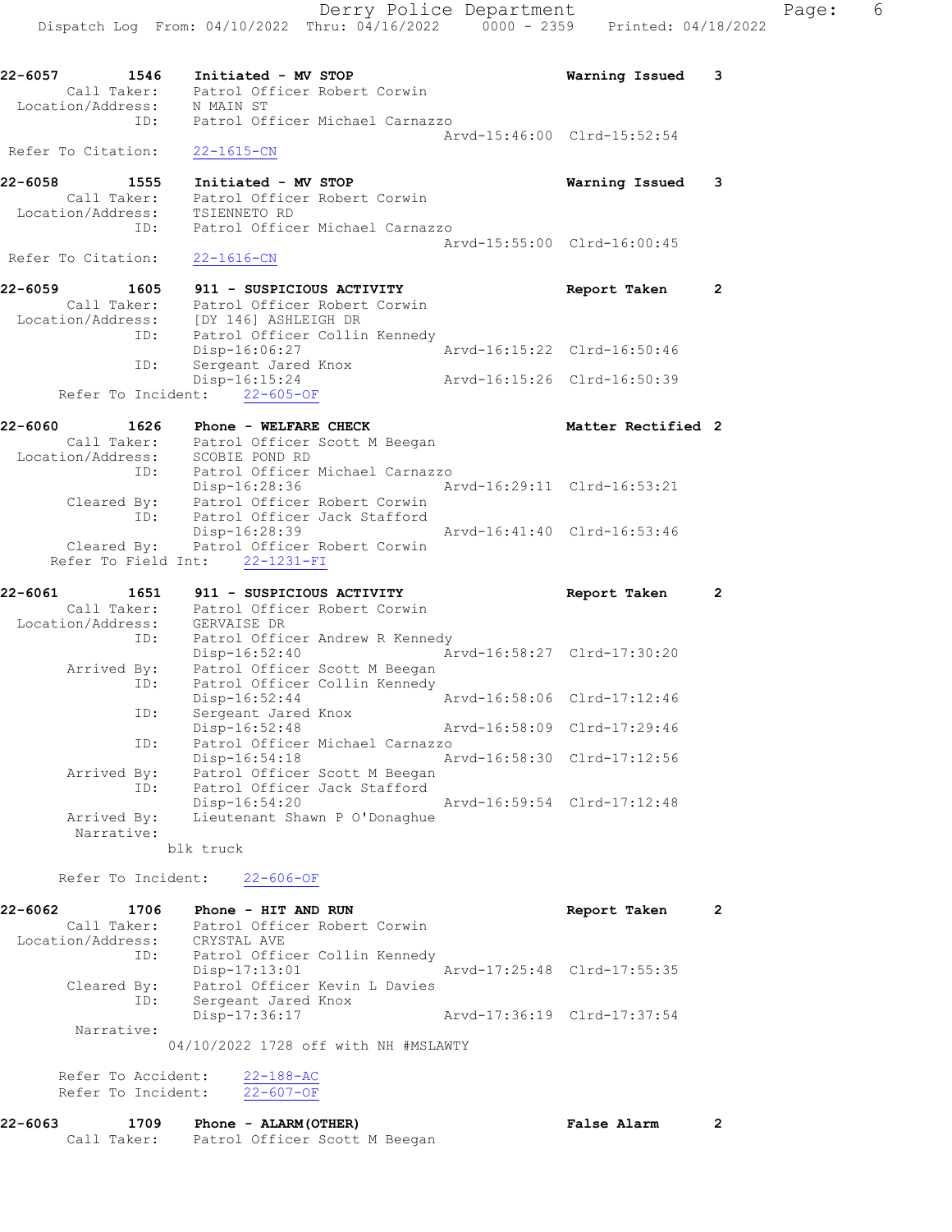Dispatch Log From: 04/10/2022 Thru: 04/16/2022 0000 - 2359 Printed: 04/18/2022 22-6057 1546 Initiated - MV STOP Warning Issued 3 Call Taker: Patrol Officer Robert Corwin Location/Address: N MAIN ST ID: Patrol Officer Michael Carnazzo Arvd-15:46:00 Clrd-15:52:54 Refer To Citation: 22-1615-CN 22-6058 1555 Initiated - MV STOP Warning Issued 3 Call Taker: Patrol Officer Robert Corwin Location/Address: TSIENNETO RD ID: Patrol Officer Michael Carnazzo Arvd-15:55:00 Clrd-16:00:45 Refer To Citation: 22-1616-CN 22-6059 1605 911 - SUSPICIOUS ACTIVITY Report Taken 2 Call Taker: Patrol Officer Robert Corwin Location/Address: [DY 146] ASHLEIGH DR ID: Patrol Officer Collin Kennedy Disp-16:06:27 Arvd-16:15:22 Clrd-16:50:46 ID: Sergeant Jared Knox Disp-16:15:24 Arvd-16:15:26 Clrd-16:50:39 Refer To Incident: 22-605-OF 22-6060 1626 Phone - WELFARE CHECK Matter Rectified 2 Call Taker: Patrol Officer Scott M Beegan Location/Address: SCOBIE POND RD ID: Patrol Officer Michael Carnazzo Disp-16:28:36 Arvd-16:29:11 Clrd-16:53:21 Cleared By: Patrol Officer Robert Corwin ID: Patrol Officer Jack Stafford Disp-16:28:39 Arvd-16:41:40 Clrd-16:53:46 Cleared By: Patrol Officer Robert Corwin Refer To Field Int: 22-1231-FI 22-6061 1651 911 - SUSPICIOUS ACTIVITY Report Taken 2 Call Taker: Patrol Officer Robert Corwin Location/Address: GERVAISE DR ID: Patrol Officer Andrew R Kennedy Disp-16:52:40 Arvd-16:58:27 Clrd-17:30:20 Arrived By: Patrol Officer Scott M Beegan ID: Patrol Officer Collin Kennedy Disp-16:52:44 Arvd-16:58:06 Clrd-17:12:46 ID: Sergeant Jared Knox Disp-16:52:48 Arvd-16:58:09 Clrd-17:29:46 ID: Patrol Officer Michael Carnazzo Disp-16:54:18 Arvd-16:58:30 Clrd-17:12:56 Arrived By: Patrol Officer Scott M Beegan ID: Patrol Officer Jack Stafford Disp-16:54:20 Arvd-16:59:54 Clrd-17:12:48 Arrived By: Lieutenant Shawn P O'Donaghue Narrative: blk truck Refer To Incident: 22-606-OF 22-6062 1706 Phone - HIT AND RUN **Report Taken** 2 Call Taker: Patrol Officer Robert Corwin Location/Address: CRYSTAL AVE ID: Patrol Officer Collin Kennedy<br>Disp-17:13:01 Mrvd-17:25:48 Clrd-17:55:35 Disp-17:13:01 Arvd-17:25:48 Clrd-17:55:35 Cleared By: Patrol Officer Kevin L Davies ID: Sergeant Jared Knox Disp-17:36:17 Arvd-17:36:19 Clrd-17:37:54 Narrative:

04/10/2022 1728 off with NH #MSLAWTY

Refer To Accident: 22-188-AC Refer To Incident: 22-607-OF

| 22-6063 | 1709        | Phone - ALARM (OTHER)         | <b>False Alarm</b> |  |
|---------|-------------|-------------------------------|--------------------|--|
|         | Call Taker: | Patrol Officer Scott M Beegan |                    |  |

Derry Police Department Fage: 6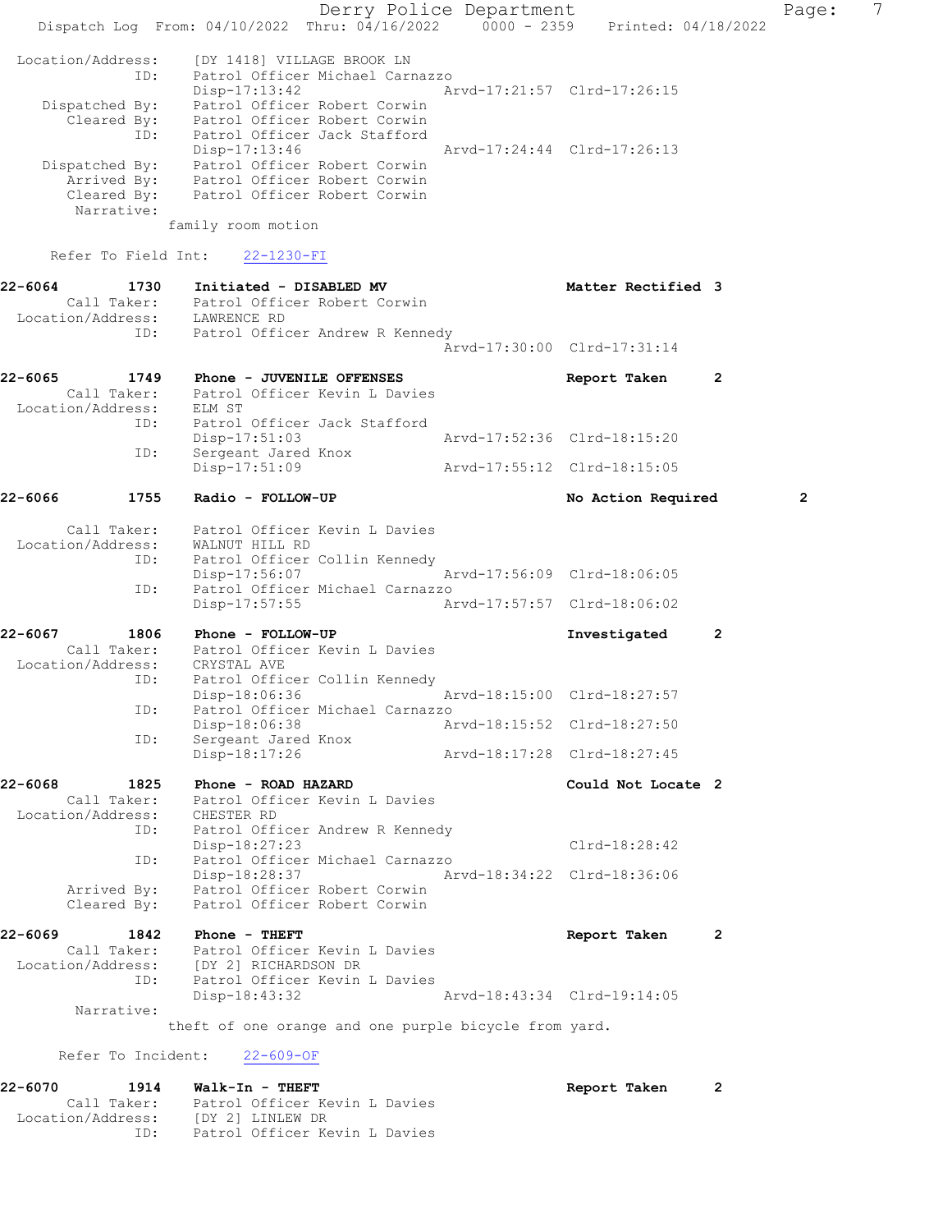Derry Police Department Page: 7 Dispatch Log From: 04/10/2022 Thru: 04/16/2022 0000 - 2359 Printed: 04/18/2022 Location/Address: [DY 1418] VILLAGE BROOK LN ID: Patrol Officer Michael Carnazzo Disp-17:13:42 Arvd-17:21:57 Clrd-17:26:15 Dispatched By: Patrol Officer Robert Corwin Cleared By: Patrol Officer Robert Corwin ID: Patrol Officer Jack Stafford Disp-17:13:46 Arvd-17:24:44 Clrd-17:26:13 Dispatched By: Patrol Officer Robert Corwin Arrived By: Patrol Officer Robert Corwin Cleared By: Patrol Officer Robert Corwin Narrative: family room motion Refer To Field Int: 22-1230-FI 22-6064 1730 Initiated - DISABLED MV Matter Rectified 3 Call Taker: Patrol Officer Robert Corwin Location/Address: LAWRENCE RD ID: Patrol Officer Andrew R Kennedy Arvd-17:30:00 Clrd-17:31:14 22-6065 1749 Phone - JUVENILE OFFENSES Report Taken 2 Call Taker: Patrol Officer Kevin L Davies Location/Address: ELM ST ID: Patrol Officer Jack Stafford Disp-17:51:03 Arvd-17:52:36 Clrd-18:15:20 ID: Sergeant Jared Knox<br>Disp-17:51:09 Disp-17:51:09 Arvd-17:55:12 Clrd-18:15:05 22-6066 1755 Radio - FOLLOW-UP No Action Required 2 Call Taker: Patrol Officer Kevin L Davies Location/Address: WALNUT HILL RD ID: Patrol Officer Collin Kennedy<br>Disp-17:56:07 Disp-17:56:07 Arvd-17:56:09 Clrd-18:06:05<br>ID: Patrol Officer Michael Carnazzo Patrol Officer Michael Carnazzo Disp-17:57:55 Arvd-17:57:57 Clrd-18:06:02 22-6067 1806 Phone - FOLLOW-UP Investigated 2 Call Taker: Patrol Officer Kevin L Davies Location/Address: CRYSTAL AVE ID: Patrol Officer Collin Kennedy Disp-18:06:36 Arvd-18:15:00 Clrd-18:27:57 ID: Patrol Officer Michael Carnazzo Disp-18:06:38 Arvd-18:15:52 Clrd-18:27:50<br>ID: Sergeant Jared Knox Sergeant Jared Knox<br>Disp-18:17:26 Arvd-18:17:28 Clrd-18:27:45 22-6068 1825 Phone - ROAD HAZARD Could Not Locate 2 Call Taker: Patrol Officer Kevin L Davies Location/Address: CHESTER RD ID: Patrol Officer Andrew R Kennedy Disp-18:27:23 Clrd-18:28:42 ID: Patrol Officer Michael Carnazzo Disp-18:28:37 Arvd-18:34:22 Clrd-18:36:06 Arrived By: Patrol Officer Robert Corwin Cleared By: Patrol Officer Robert Corwin 22-6069 1842 Phone - THEFT Report Taken 2 Call Taker: Patrol Officer Kevin L Davies Location/Address: [DY 2] RICHARDSON DR ID: Patrol Officer Kevin L Davies<br>Disp-18:43:32 Disp-18:43:32 Arvd-18:43:34 Clrd-19:14:05 Narrative: theft of one orange and one purple bicycle from yard. Refer To Incident: 22-609-OF 22-6070 1914 Walk-In - THEFT Report Taken 2 Call Taker: Patrol Officer Kevin L Davies Location/Address: [DY 2] LINLEW DR

ID: Patrol Officer Kevin L Davies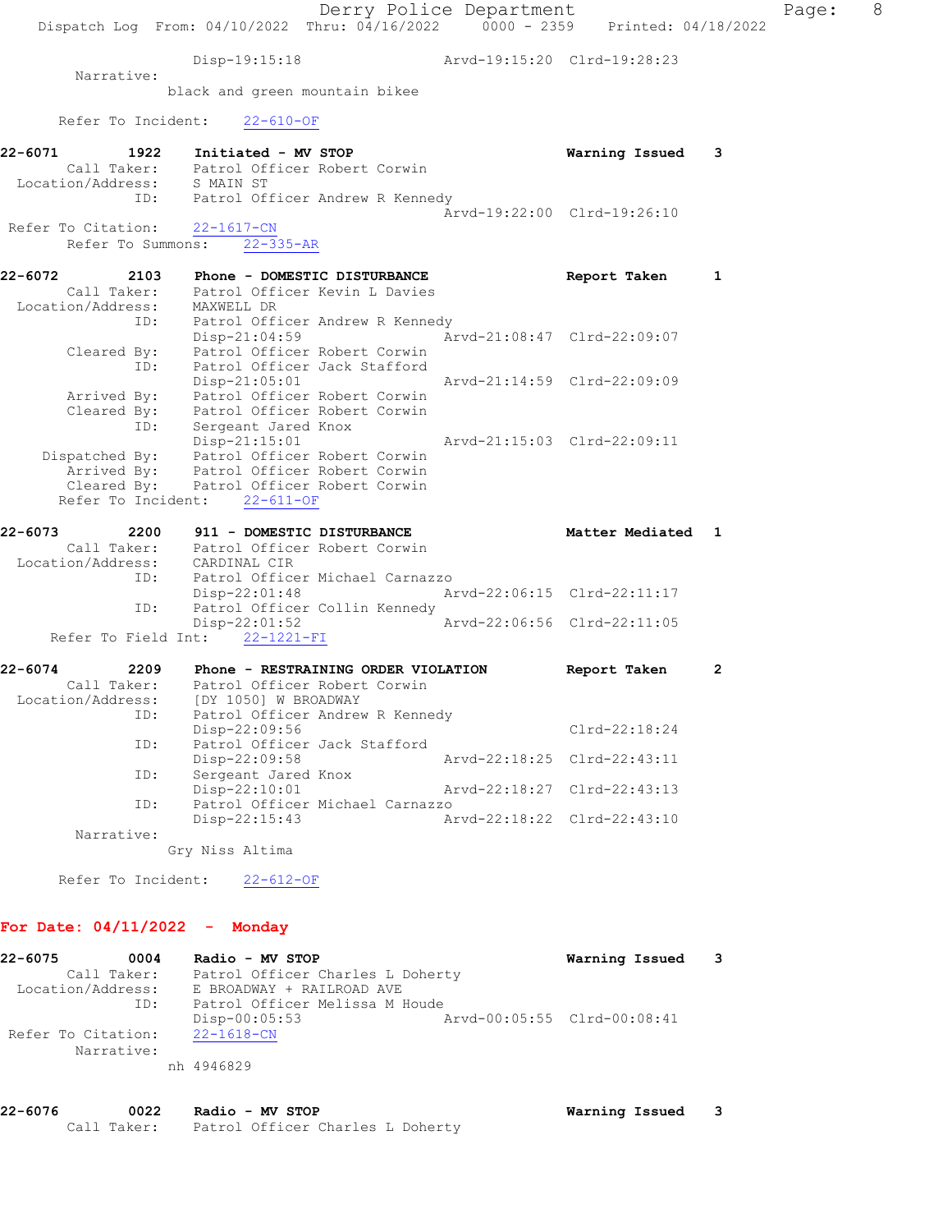Derry Police Department Fage: 8 Dispatch Log From: 04/10/2022 Thru: 04/16/2022 0000 - 2359 Printed: 04/18/2022 Disp-19:15:18 Arvd-19:15:20 Clrd-19:28:23 Narrative: black and green mountain bikee Refer To Incident: 22-610-OF 22-6071 1922 Initiated - MV STOP Warning Issued 3 Call Taker: Patrol Officer Robert Corwin Location/Address: S MAIN ST ID: Patrol Officer Andrew R Kennedy Arvd-19:22:00 Clrd-19:26:10 Refer To Citation: 22-1617-CN Refer To Summons: 22-335-AR 22-6072 2103 Phone - DOMESTIC DISTURBANCE Neport Taken 1 Call Taker: Patrol Officer Kevin L Davies Location/Address: MAXWELL DR ID: Patrol Officer Andrew R Kennedy Disp-21:04:59 Arvd-21:08:47 Clrd-22:09:07 Cleared By: Patrol Officer Robert Corwin ID: Patrol Officer Jack Stafford Disp-21:05:01 Arvd-21:14:59 Clrd-22:09:09 Arrived By: Patrol Officer Robert Corwin Cleared By: Patrol Officer Robert Corwin ID: Sergeant Jared Knox Disp-21:15:01 Arvd-21:15:03 Clrd-22:09:11 Dispatched By: Patrol Officer Robert Corwin Arrived By: Patrol Officer Robert Corwin Cleared By: Patrol Officer Robert Corwin Refer To Incident: 22-611-OF 22-6073 2200 911 - DOMESTIC DISTURBANCE Matter Mediated 1 Call Taker: Patrol Officer Robert Corwin Location/Address: CARDINAL CIR ID: Patrol Officer Michael Carnazzo Disp-22:01:48 Arvd-22:06:15 Clrd-22:11:17 ID: Patrol Officer Collin Kennedy Disp-22:01:52 Arvd-22:06:56 Clrd-22:11:05 Refer To Field Int: 22-1221-FI 22-6074 2209 Phone - RESTRAINING ORDER VIOLATION Report Taken 2 Call Taker: Patrol Officer Robert Corwin Location/Address: [DY 1050] W BROADWAY ID: Patrol Officer Andrew R Kennedy Disp-22:09:56 Clrd-22:18:24 ID: Patrol Officer Jack Stafford<br>Disp-22:09:58 Disp-22:09:58 Arvd-22:18:25 Clrd-22:43:11 ID: Sergeant Jared Knox Disp-22:10:01 Arvd-22:18:27 Clrd-22:43:13 ID: Patrol Officer Michael Carnazzo Disp-22:15:43 Arvd-22:18:22 Clrd-22:43:10 Narrative: Gry Niss Altima Refer To Incident: 22-612-OF For Date: 04/11/2022 - Monday

## 22-6075 0004 Radio - MV STOP Warning Issued 3 Call Taker: Patrol Officer Charles L Doherty Location/Address: E BROADWAY + RAILROAD AVE ID: Patrol Officer Melissa M Houde Disp-00:05:53 Arvd-00:05:55 Clrd-00:08:41 Refer To Citation: 22-1618-CN Narrative: nh 4946829

22-6076 0022 Radio - MV STOP Warning Issued 3 Call Taker: Patrol Officer Charles L Doherty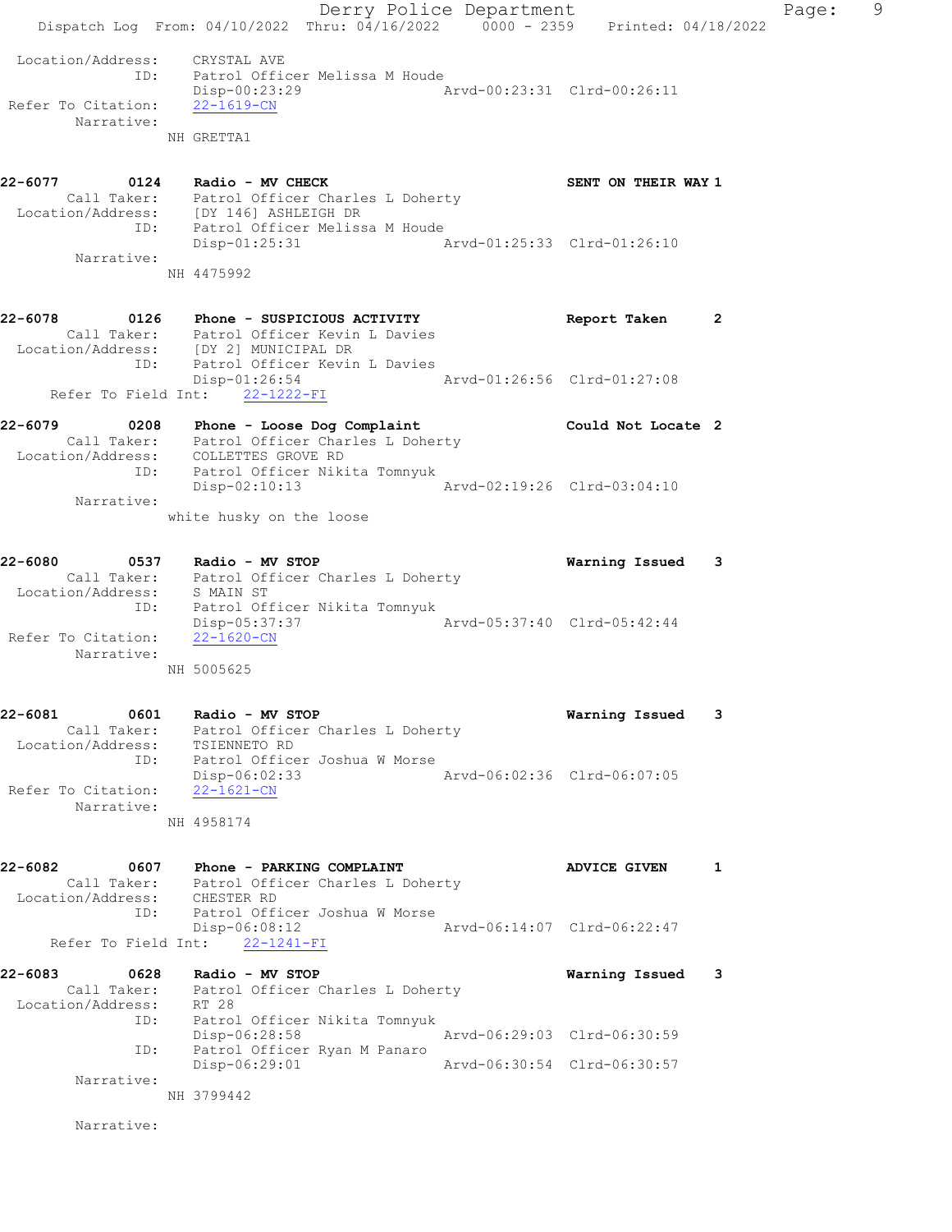|                                                                          | Derry Police Department<br>Dispatch Log From: 04/10/2022 Thru: 04/16/2022 0000 - 2359 Printed: 04/18/2022                                               |                             | Page:        | 9 |
|--------------------------------------------------------------------------|---------------------------------------------------------------------------------------------------------------------------------------------------------|-----------------------------|--------------|---|
|                                                                          |                                                                                                                                                         |                             |              |   |
| Location/Address: CRYSTAL AVE<br>ID:<br>Refer To Citation:<br>Narrative: | Patrol Officer Melissa M Houde<br>Disp-00:23:29<br>$22 - 1619 - CN$<br>NH GRETTA1                                                                       |                             |              |   |
|                                                                          | 22-6077 0124 Radio - MV CHECK<br>Call Taker: Patrol Officer Charles L Doherty<br>Location/Address: [DY 146] ASHLEIGH DR                                 | SENT ON THEIR WAY 1         |              |   |
| Narrative:                                                               | ID: Patrol Officer Melissa M Houde<br>Disp-01:25:31                                                                                                     |                             |              |   |
|                                                                          | NH 4475992                                                                                                                                              |                             |              |   |
| 22-6078<br>ID:                                                           | 0126 Phone - SUSPICIOUS ACTIVITY<br>Call Taker: Patrol Officer Kevin L Davies<br>Location/Address: [DY 2] MUNICIPAL DR<br>Patrol Officer Kevin L Davies | Report Taken                | $\mathbf{2}$ |   |
| Refer To Field Int:                                                      | $Disp-01:26:54$<br>Arvd-01:26:56 Clrd-01:27:08<br>22-1222-FI                                                                                            |                             |              |   |
| 22-6079                                                                  | 0208 Phone - Loose Dog Complaint<br>Call Taker: Patrol Officer Charles L Doherty<br>Location/Address: COLLETTES GROVE RD                                | Could Not Locate 2          |              |   |
| ID:<br>Narrative:                                                        | Patrol Officer Nikita Tomnyuk<br>$Disp-02:10:13$<br>white husky on the loose                                                                            | Arvd-02:19:26 Clrd-03:04:10 |              |   |
| 22-6080<br>Location/Address: S MAIN ST                                   | 0537 Radio - MV STOP<br>Call Taker: Patrol Officer Charles L Doherty                                                                                    | Warning Issued 3            |              |   |
| ID:<br>Refer To Citation:<br>Narrative:                                  | Patrol Officer Nikita Tomnyuk<br>Disp-05:37:37<br>$22 - 1620 - CN$<br>NH 5005625                                                                        | Arvd-05:37:40 Clrd-05:42:44 |              |   |
| 22-6081<br>0601<br>Location/Address:                                     | Radio - MV STOP<br>Call Taker: Patrol Officer Charles L Doherty<br>TSIENNETO RD                                                                         | Warning Issued              | 3            |   |
| ID:<br>Refer To Citation:<br>Narrative:                                  | Patrol Officer Joshua W Morse<br>$Disp-06:02:33$<br>$22 - 1621 - CN$                                                                                    | Arvd-06:02:36 Clrd-06:07:05 |              |   |
|                                                                          | NH 4958174                                                                                                                                              |                             |              |   |
| 22-6082<br>Location/Address: CHESTER RD<br>ID:                           | 0607 Phone - PARKING COMPLAINT<br>Call Taker: Patrol Officer Charles L Doherty<br>Patrol Officer Joshua W Morse                                         | <b>ADVICE GIVEN</b>         | 1            |   |
| Refer To Field Int:                                                      | $Disp-06:08:12$<br>$22 - 1241 - FI$                                                                                                                     | Arvd-06:14:07 Clrd-06:22:47 |              |   |
| 22-6083<br>0628<br>Location/Address: RT 28                               | Radio - MV STOP<br>Call Taker: Patrol Officer Charles L Doherty                                                                                         | Warning Issued 3            |              |   |
| ID:<br>ID:                                                               | Patrol Officer Nikita Tomnyuk<br>Disp-06:28:58<br>Patrol Officer Ryan M Panaro                                                                          | Arvd-06:29:03 Clrd-06:30:59 |              |   |
| Narrative:                                                               | Disp-06:29:01<br>NH 3799442                                                                                                                             | Arvd-06:30:54 Clrd-06:30:57 |              |   |
| Narrative:                                                               |                                                                                                                                                         |                             |              |   |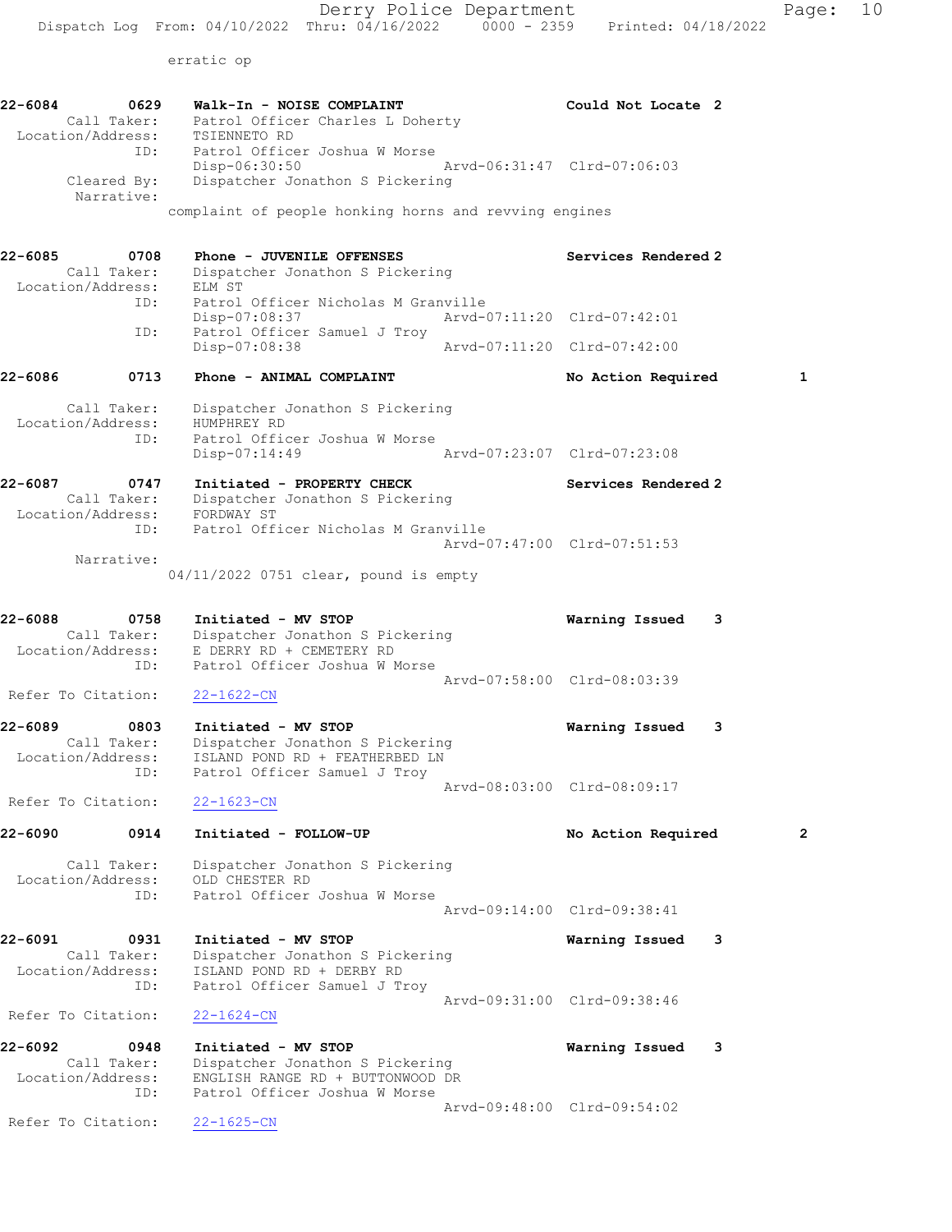erratic op

22-6084 0629 Walk-In - NOISE COMPLAINT Could Not Locate 2 Call Taker: Patrol Officer Charles L Doherty Location/Address: TSIENNETO RD ID: Patrol Officer Joshua W Morse Disp-06:30:50 Arvd-06:31:47 Clrd-07:06:03 Cleared By: Dispatcher Jonathon S Pickering Narrative: complaint of people honking horns and revving engines 22-6085 0708 Phone - JUVENILE OFFENSES Services Rendered 2 Call Taker: Dispatcher Jonathon S Pickering Location/Address: ELM ST ID: Patrol Officer Nicholas M Granville Disp-07:08:37 Arvd-07:11:20 Clrd-07:42:01 ID: Patrol Officer Samuel J Troy Disp-07:08:38 Arvd-07:11:20 Clrd-07:42:00 22-6086 0713 Phone - ANIMAL COMPLAINT No Action Required 1 Call Taker: Dispatcher Jonathon S Pickering Location/Address: HUMPHREY RD ID: Patrol Officer Joshua W Morse Disp-07:14:49 Arvd-07:23:07 Clrd-07:23:08 22-6087 0747 Initiated - PROPERTY CHECK Services Rendered 2 Call Taker: Dispatcher Jonathon S Pickering Location/Address: FORDWAY ST ID: Patrol Officer Nicholas M Granville Arvd-07:47:00 Clrd-07:51:53 Narrative: 04/11/2022 0751 clear, pound is empty 22-6088 0758 Initiated - MV STOP Warning Issued 3 Call Taker: Dispatcher Jonathon S Pickering Location/Address: E DERRY RD + CEMETERY RD ID: Patrol Officer Joshua W Morse Arvd-07:58:00 Clrd-08:03:39 Refer To Citation: 22-1622-CN 22-6089 0803 Initiated - MV STOP Warning Issued 3 Call Taker: Dispatcher Jonathon S Pickering Location/Address: ISLAND POND RD + FEATHERBED LN ID: Patrol Officer Samuel J Troy Arvd-08:03:00 Clrd-08:09:17 Refer To Citation: 22-1623-CN 22-6090 0914 Initiated - FOLLOW-UP No Action Required 2 Call Taker: Dispatcher Jonathon S Pickering Location/Address: OLD CHESTER RD ID: Patrol Officer Joshua W Morse Arvd-09:14:00 Clrd-09:38:41 22-6091 0931 Initiated - MV STOP Warning Issued 3 Call Taker: Dispatcher Jonathon S Pickering Location/Address: ISLAND POND RD + DERBY RD ID: Patrol Officer Samuel J Troy Arvd-09:31:00 Clrd-09:38:46 Refer To Citation: 22-1624-CN 22-6092 0948 Initiated - MV STOP Warning Issued 3 Call Taker: Dispatcher Jonathon S Pickering Location/Address: ENGLISH RANGE RD + BUTTONWOOD DR ID: Patrol Officer Joshua W Morse Arvd-09:48:00 Clrd-09:54:02 Refer To Citation: 22-1625-CN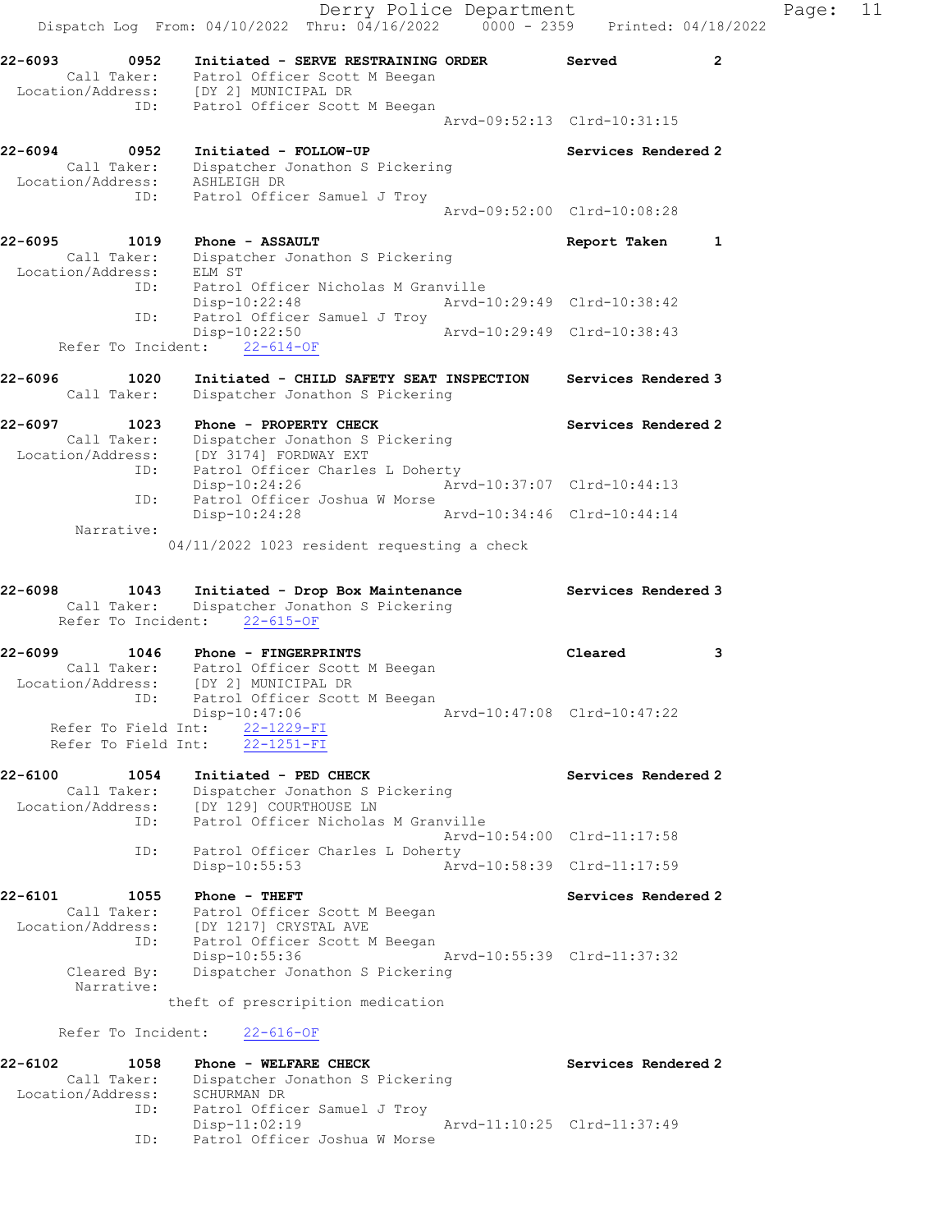Derry Police Department Fage: 11 Dispatch Log From: 04/10/2022 Thru: 04/16/2022 0000 - 2359 Printed: 04/18/2022 22-6093 0952 Initiated - SERVE RESTRAINING ORDER Served 2 Call Taker: Patrol Officer Scott M Beegan Location/Address: [DY 2] MUNICIPAL DR ID: Patrol Officer Scott M Beegan Arvd-09:52:13 Clrd-10:31:15 22-6094 0952 Initiated - FOLLOW-UP Services Rendered 2 Call Taker: Dispatcher Jonathon S Pickering Location/Address: ASHLEIGH DR ID: Patrol Officer Samuel J Troy Arvd-09:52:00 Clrd-10:08:28 22-6095 1019 Phone - ASSAULT Report Taken 1 Call Taker: Dispatcher Jonathon S Pickering Location/Address: ELM ST<br>ID: Patrol Patrol Officer Nicholas M Granville Disp-10:22:48 Arvd-10:29:49 Clrd-10:38:42 ID: Patrol Officer Samuel J Troy Disp-10:22:50 Arvd-10:29:49 Clrd-10:38:43 Refer To Incident: 22-614-OF 22-6096 1020 Initiated - CHILD SAFETY SEAT INSPECTION Services Rendered 3 Call Taker: Dispatcher Jonathon S Pickering 22-6097 1023 Phone - PROPERTY CHECK Services Rendered 2 Call Taker: Dispatcher Jonathon S Pickering Location/Address: [DY 3174] FORDWAY EXT ID: Patrol Officer Charles L Doherty Disp-10:24:26 Arvd-10:37:07 Clrd-10:44:13 Disp-10:24.20<br>ID: Patrol Officer Joshua W Morse<br>Disp-10:24:28 Disp-10:24:28 Arvd-10:34:46 Clrd-10:44:14 Narrative: 04/11/2022 1023 resident requesting a check 22-6098 1043 Initiated - Drop Box Maintenance Services Rendered 3 Call Taker: Dispatcher Jonathon S Pickering Refer To Incident: 22-615-OF 22-6099 1046 Phone - FINGERPRINTS Cleared 3 Call Taker: Patrol Officer Scott M Beegan Location/Address: [DY 2] MUNICIPAL DR ID: Patrol Officer Scott M Beegan Disp-10:47:06 Arvd-10:47:08 Clrd-10:47:22 Refer To Field Int: 22-1229-FI Refer To Field Int: 22-1251-FI 22-6100 1054 Initiated - PED CHECK Services Rendered 2 Call Taker: Dispatcher Jonathon S Pickering Location/Address: [DY 129] COURTHOUSE LN ID: Patrol Officer Nicholas M Granville Arvd-10:54:00 Clrd-11:17:58 ID: Patrol Officer Charles L Doherty<br>Disp-10:55:53 Art Disp-10:55:53 Arvd-10:58:39 Clrd-11:17:59 22-6101 1055 Phone - THEFT Services Rendered 2 Call Taker: Patrol Officer Scott M Beegan Location/Address: [DY 1217] CRYSTAL AVE ID: Patrol Officer Scott M Beegan Disp-10:55:36 Arvd-10:55:39 Clrd-11:37:32 Cleared By: Dispatcher Jonathon S Pickering Narrative: theft of prescripition medication Refer To Incident: 22-616-OF 22-6102 1058 Phone - WELFARE CHECK Services Rendered 2 Call Taker: Dispatcher Jonathon S Pickering Location/Address: SCHURMAN DR ID: Patrol Officer Samuel J Troy Disp-11:02:19 Arvd-11:10:25 Clrd-11:37:49 ID: Patrol Officer Joshua W Morse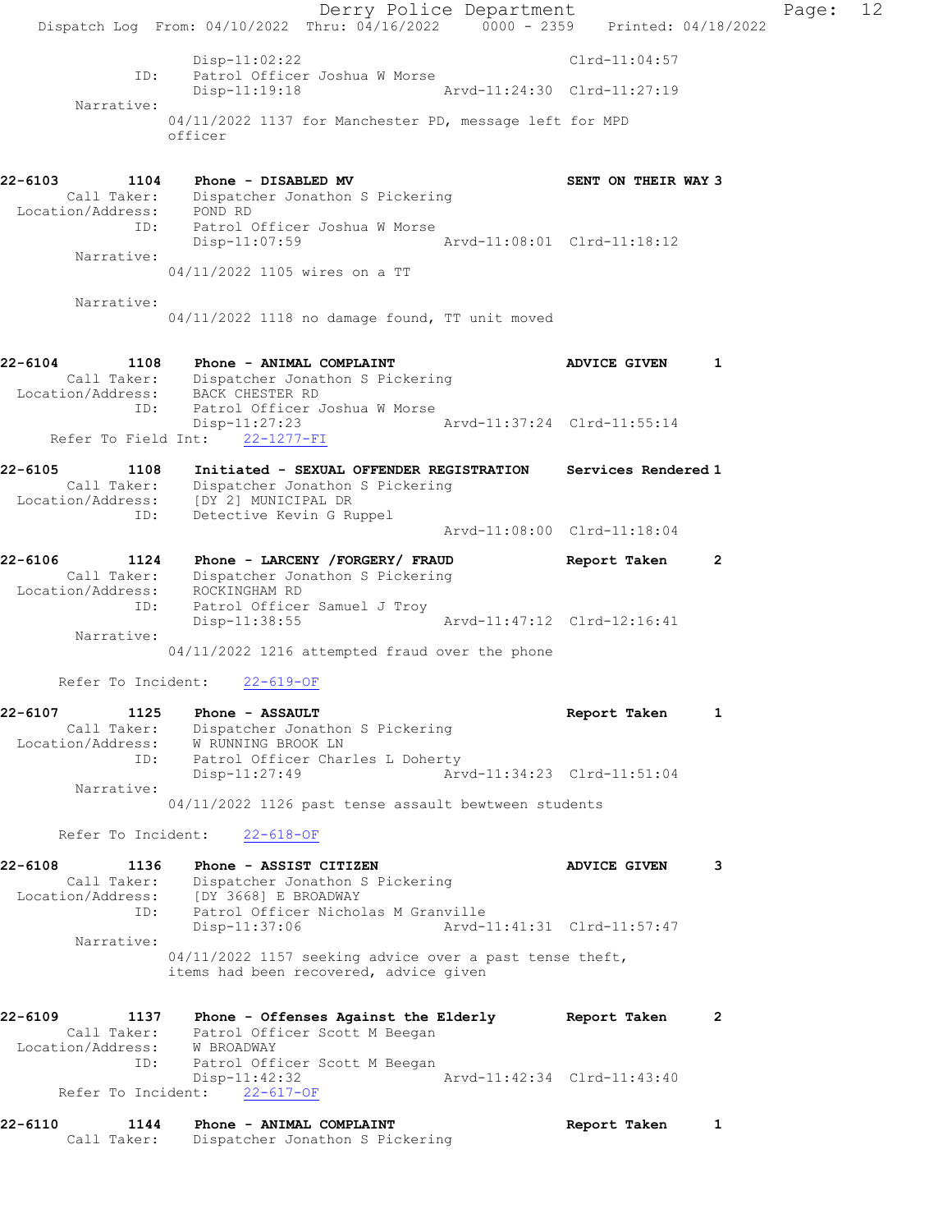Derry Police Department Fage: 12 Dispatch Log From: 04/10/2022 Thru: 04/16/2022 0000 - 2359 Printed: 04/18/2022 Disp-11:02:22 Clrd-11:04:57 ID: Patrol Officer Joshua W Morse<br>Disp-11:19:18 Arw Arvd-11:24:30 Clrd-11:27:19 Narrative: 04/11/2022 1137 for Manchester PD, message left for MPD officer 22-6103 1104 Phone - DISABLED MV SENT ON THEIR WAY 3 Call Taker: Dispatcher Jonathon S Pickering Location/Address: POND RD ID: Patrol Officer Joshua W Morse Disp-11:07:59 Narrative: 04/11/2022 1105 wires on a TT Narrative: 04/11/2022 1118 no damage found, TT unit moved 22-6104 1108 Phone - ANIMAL COMPLAINT AND ADVICE GIVEN 1 Call Taker: Dispatcher Jonathon S Pickering Location/Address: BACK CHESTER RD ID: Patrol Officer Joshua W Morse Disp-11:27:23 Arvd-11:37:24 Clrd-11:55:14 Disp-11:27:23<br>Refer To Field Int:  $\frac{22-1277-FI}{22-1277-FI}$ 22-6105 1108 Initiated - SEXUAL OFFENDER REGISTRATION Services Rendered 1 Call Taker: Dispatcher Jonathon S Pickering Location/Address: [DY 2] MUNICIPAL DR ID: Detective Kevin G Ruppel Arvd-11:08:00 Clrd-11:18:04 22-6106 1124 Phone - LARCENY /FORGERY/ FRAUD Report Taken 2 Call Taker: Dispatcher Jonathon S Pickering Location/Address: ROCKINGHAM RD ID: Patrol Officer Samuel J Troy Disp-11:38:55 Arvd-11:47:12 Clrd-12:16:41 Narrative: 04/11/2022 1216 attempted fraud over the phone Refer To Incident: 22-619-OF 22-6107 1125 Phone - ASSAULT Report Taken 1 Call Taker: Dispatcher Jonathon S Pickering Location/Address: W RUNNING BROOK LN ID: Patrol Officer Charles L Doherty<br>Disp-11:27:49 Arv Disp-11:27:49 Arvd-11:34:23 Clrd-11:51:04 Narrative: 04/11/2022 1126 past tense assault bewtween students Refer To Incident: 22-618-OF 22-6108 1136 Phone - ASSIST CITIZEN **128 ADVICE GIVEN** 3 Call Taker: Dispatcher Jonathon S Pickering Location/Address: [DY 3668] E BROADWAY ID: Patrol Officer Nicholas M Granville Disp-11:37:06 Arvd-11:41:31 Clrd-11:57:47 Narrative: 04/11/2022 1157 seeking advice over a past tense theft, items had been recovered, advice given 22-6109 1137 Phone - Offenses Against the Elderly Report Taken 2 Call Taker: Patrol Officer Scott M Beegan Location/Address: W BROADWAY ID: Patrol Officer Scott M Beegan Disp-11:42:32 Arvd-11:42:34 Clrd-11:43:40 Refer To Incident: 22-617-OF 22-6110 1144 Phone - ANIMAL COMPLAINT Report Taken 1 Call Taker: Dispatcher Jonathon S Pickering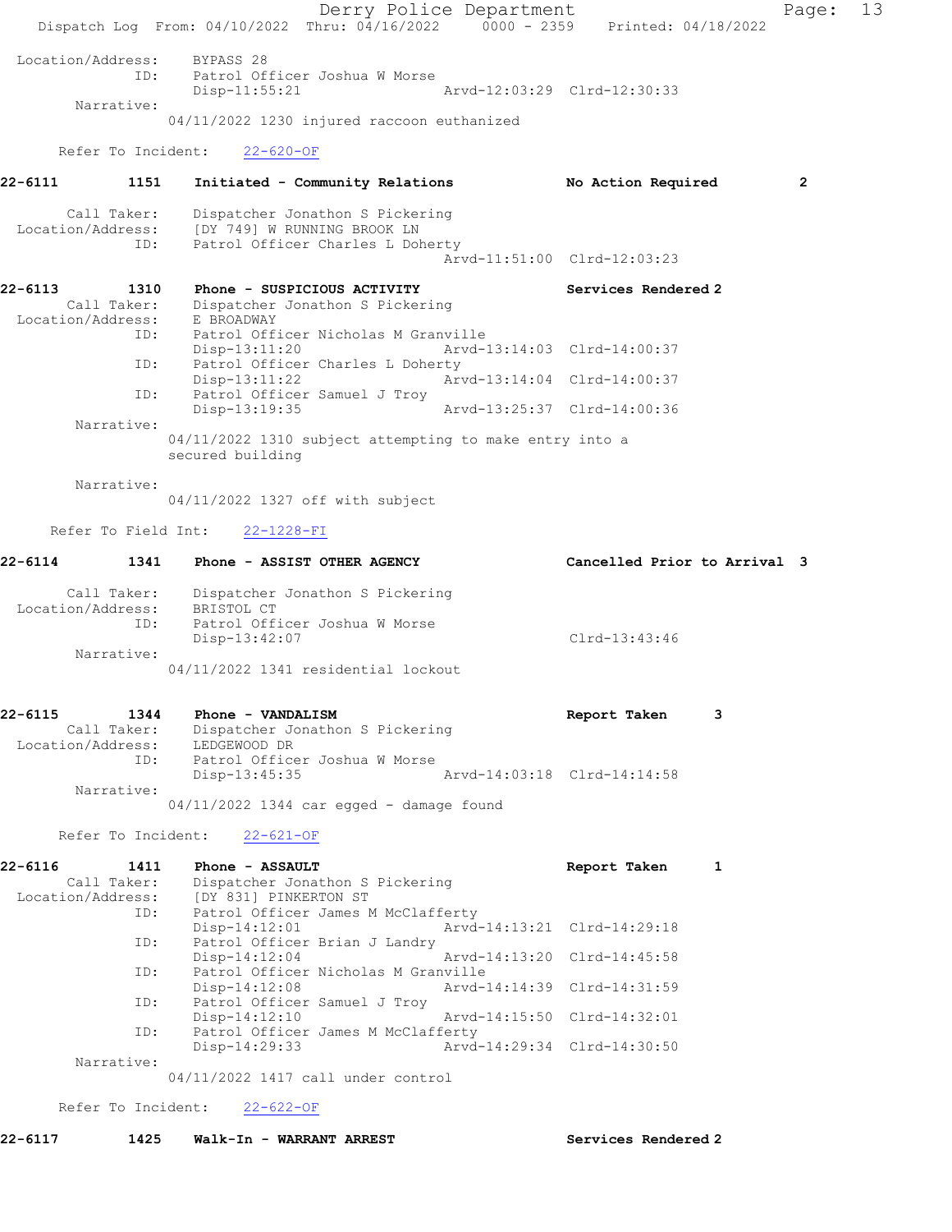Derry Police Department Fage: 13 Dispatch Log From: 04/10/2022 Thru: 04/16/2022 0000 - 2359 Printed: 04/18/2022 Location/Address: BYPASS 28 ID: Patrol Officer Joshua W Morse Arvd-12:03:29 Clrd-12:30:33 Narrative: 04/11/2022 1230 injured raccoon euthanized Refer To Incident: 22-620-OF 22-6111 1151 Initiated - Community Relations No Action Required 2 Call Taker: Dispatcher Jonathon S Pickering Location/Address: [DY 749] W RUNNING BROOK LN ID: Patrol Officer Charles L Doherty Arvd-11:51:00 Clrd-12:03:23 22-6113 1310 Phone - SUSPICIOUS ACTIVITY Services Rendered 2 Call Taker: Dispatcher Jonathon S Pickering Location/Address: E BROADWAY ID: Patrol Officer Nicholas M Granville Disp-13:11:20 Arvd-13:14:03 Clrd-14:00:37 ID: Patrol Officer Charles L Doherty<br>Disp-13:11:22 Arvd-13:14:04 Clrd-14:00:37 Disp-13:11:22 ID: Patrol Officer Samuel J Troy Disp-13:19:35 Arvd-13:25:37 Clrd-14:00:36 Narrative: 04/11/2022 1310 subject attempting to make entry into a secured building Narrative: 04/11/2022 1327 off with subject Refer To Field Int: 22-1228-FI 22-6114 1341 Phone - ASSIST OTHER AGENCY Cancelled Prior to Arrival 3 Call Taker: Dispatcher Jonathon S Pickering Location/Address: BRISTOL CT ID: Patrol Officer Joshua W Morse Disp-13:42:07 Clrd-13:43:46 Narrative: 04/11/2022 1341 residential lockout 22-6115 1344 Phone - VANDALISM Report Taken 3 Call Taker: Dispatcher Jonathon S Pickering Location/Address: LEDGEWOOD DR ID: Patrol Officer Joshua W Morse Disp-13:45:35 Arvd-14:03:18 Clrd-14:14:58 Narrative: 04/11/2022 1344 car egged - damage found Refer To Incident: 22-621-OF 22-6116 1411 Phone - ASSAULT 1 22-6116 Report Taken 1 Call Taker: Dispatcher Jonathon S Pickering Location/Address: [DY 831] PINKERTON ST<br>ID: Patrol Officer James M Patrol Officer James M McClafferty Disp-14:12:01 Arvd-14:13:21 Clrd-14:29:18 ID: Patrol Officer Brian J Landry<br>Disp-14:12:04 Disp-14:12:04 Arvd-14:13:20 Clrd-14:45:58 ID: Patrol Officer Nicholas M Granville<br>Disp-14:12:08 Arvd- Disp-14:12:08 Arvd-14:14:39 Clrd-14:31:59 ID: Patrol Officer Samuel J Troy Disp-14:12:10 Arvd-14:15:50 Clrd-14:32:01 ID: Patrol Officer James M McClafferty<br>Disp-14:29:33 Arvd- Disp-14:29:33 Arvd-14:29:34 Clrd-14:30:50 Narrative: 04/11/2022 1417 call under control

Refer To Incident: 22-622-OF

22-6117 1425 Walk-In - WARRANT ARREST Services Rendered 2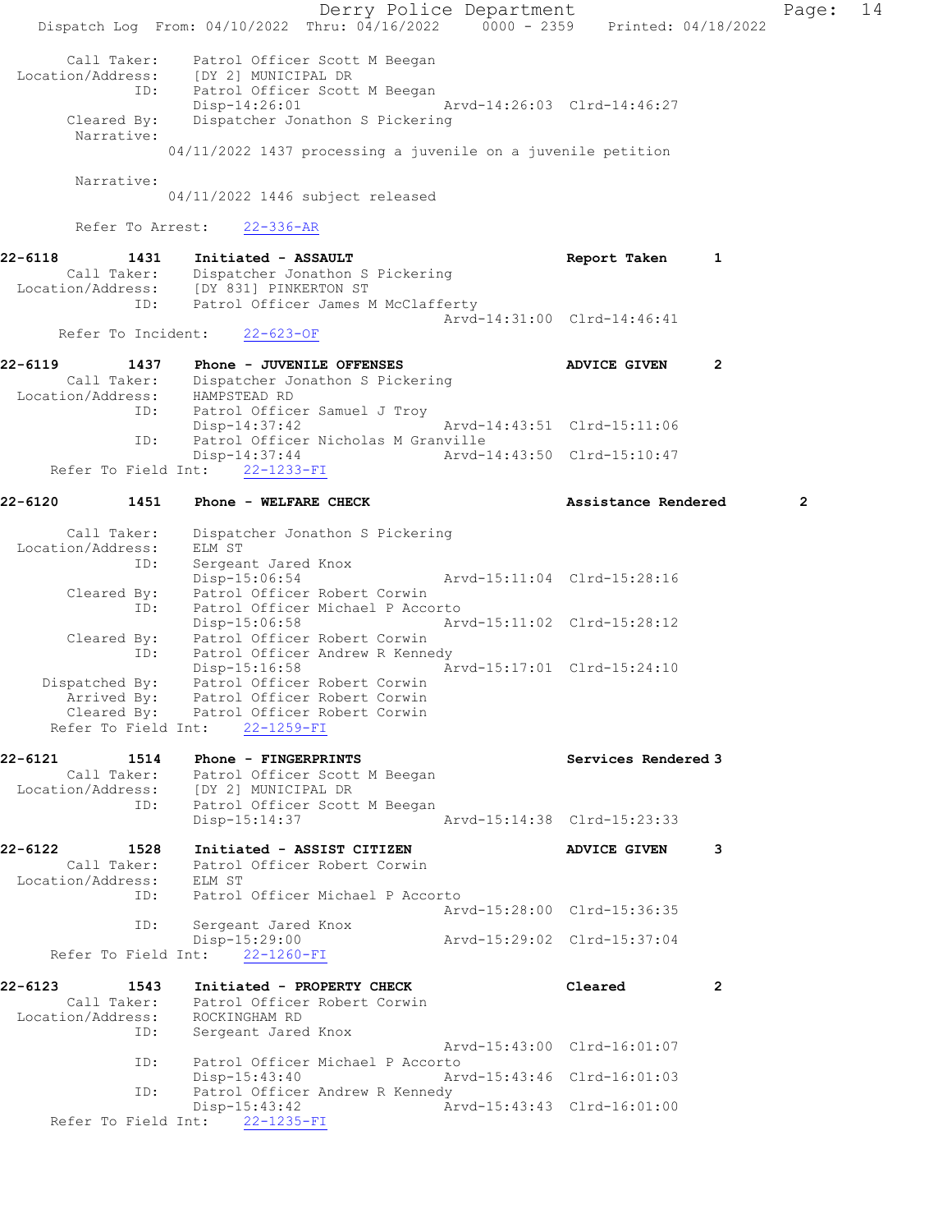Derry Police Department Fage: 14 Dispatch Log From: 04/10/2022 Thru: 04/16/2022 0000 - 2359 Printed: 04/18/2022 Call Taker: Patrol Officer Scott M Beegan Location/Address: [DY 2] MUNICIPAL DR ID: Patrol Officer Scott M Beegan Disp-14:26:01 Arvd-14:26:03 Clrd-14:46:27 Cleared By: Dispatcher Jonathon S Pickering Narrative: 04/11/2022 1437 processing a juvenile on a juvenile petition Narrative: 04/11/2022 1446 subject released Refer To Arrest: 22-336-AR 22-6118 1431 Initiated - ASSAULT 1 Report Taken 1 Call Taker: Dispatcher Jonathon S Pickering Location/Address: [DY 831] PINKERTON ST ID: Patrol Officer James M McClafferty Arvd-14:31:00 Clrd-14:46:41 Refer To Incident: 22-623-OF 22-6119 1437 Phone - JUVENILE OFFENSES ADVICE GIVEN 2 Call Taker: Dispatcher Jonathon S Pickering Location/Address: HAMPSTEAD RD ID: Patrol Officer Samuel J Troy HAMPSTEAD KD<br>Patrol Officer Samuel J Troy<br>Arvd-14:43:51 Clrd-15:11:06 ID: Patrol Officer Nicholas M Granville Disp-14:37:44 Arvd-14:43:50 Clrd-15:10:47 Refer To Field Int: 22-1233-FI 22-6120 1451 Phone - WELFARE CHECK 2 Assistance Rendered 2 Call Taker: Dispatcher Jonathon S Pickering Location/Address: ELM ST ID: Sergeant Jared Knox Disp-15:06:54 Arvd-15:11:04 Clrd-15:28:16 Cleared By: Patrol Officer Robert Corwin ID: Patrol Officer Michael P Accorto Disp-15:06:58 Arvd-15:11:02 Clrd-15:28:12 Cleared By: Patrol Officer Robert Corwin ID: Patrol Officer Andrew R Kennedy Disp-15:16:58 Arvd-15:17:01 Clrd-15:24:10 Dispatched By: Patrol Officer Robert Corwin Arrived By: Patrol Officer Robert Corwin Cleared By: Patrol Officer Robert Corwin Refer To Field Int: 22-1259-FI 22-6121 1514 Phone - FINGERPRINTS North Services Rendered 3 Call Taker: Patrol Officer Scott M Beegan Location/Address: [DY 2] MUNICIPAL DR ID: Patrol Officer Scott M Beegan Disp-15:14:37 Arvd-15:14:38 Clrd-15:23:33 22-6122 1528 Initiated - ASSIST CITIZEN ADVICE GIVEN 3 Call Taker: Patrol Officer Robert Corwin Location/Address: ELM ST ID: Patrol Officer Michael P Accorto Arvd-15:28:00 Clrd-15:36:35 ID: Sergeant Jared Knox Disp-15:29:00 Arvd-15:29:02 Clrd-15:37:04 Refer To Field Int: 22-1260-FI 22-6123 1543 Initiated - PROPERTY CHECK Cleared 2 Call Taker: Patrol Officer Robert Corwin Location/Address: ROCKINGHAM RD ID: Sergeant Jared Knox Arvd-15:43:00 Clrd-16:01:07 ID: Patrol Officer Michael P Accorto Disp-15:43:40 Arvd-15:43:46 Clrd-16:01:03 ID: Patrol Officer Andrew R Kennedy<br>Disp-15:43:42 Ar Disp-15:43:42 Arvd-15:43:43 Clrd-16:01:00 Refer To Field Int: 22-1235-FI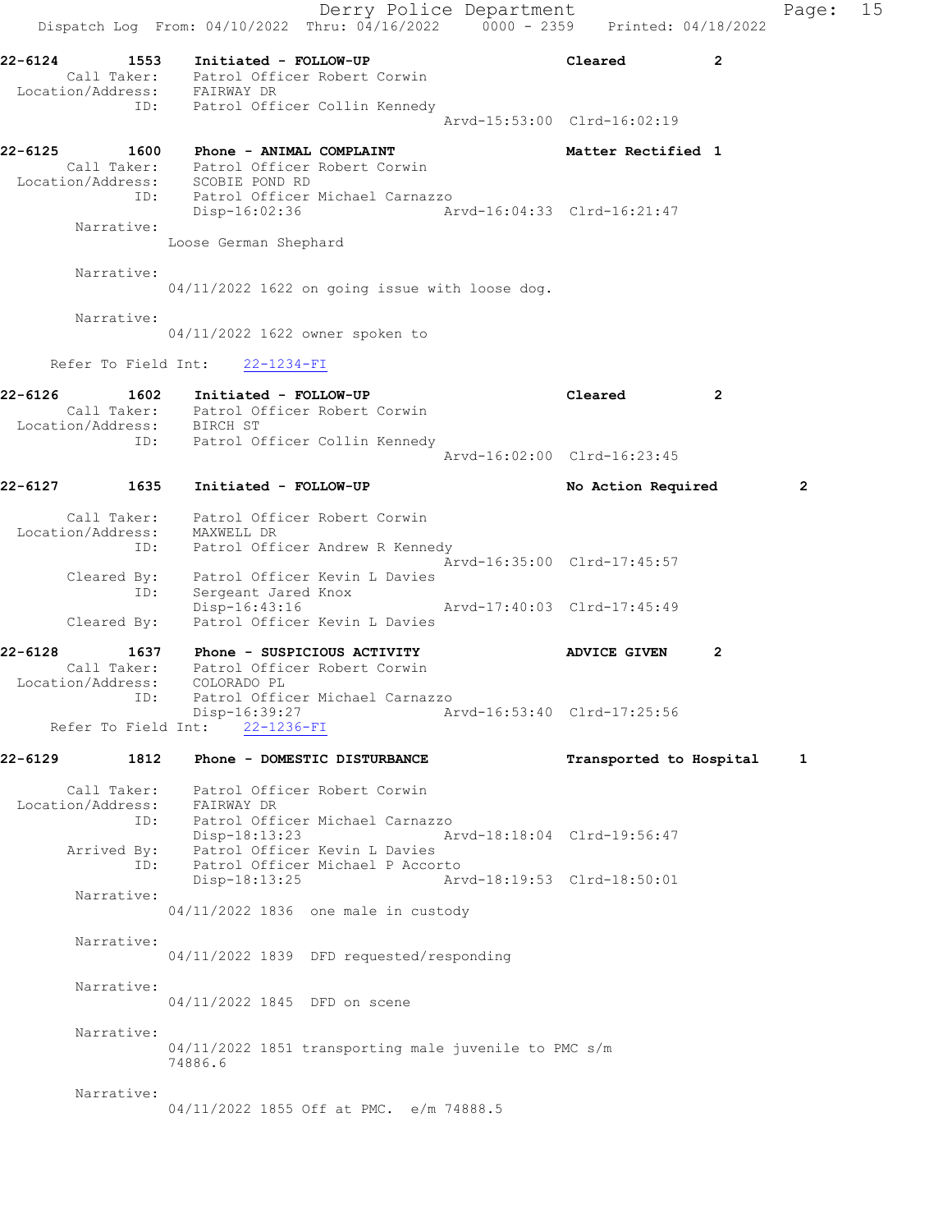Derry Police Department The Rage: 15 Dispatch Log From:  $04/10/2022$  Thru:  $04/16/2022$  0000 - 2359 Printed: 04/18/2022 22-6124 1553 Initiated - FOLLOW-UP Cleared 2 Call Taker: Patrol Officer Robert Corwin Location/Address: FAIRWAY DR ID: Patrol Officer Collin Kennedy Arvd-15:53:00 Clrd-16:02:19 22-6125 1600 Phone - ANIMAL COMPLAINT 1980 Matter Rectified 1 Call Taker: Patrol Officer Robert Corwin Location/Address: SCOBIE POND RD ID: Patrol Officer Michael Carnazzo Disp-16:02:36 Arvd-16:04:33 Clrd-16:21:47 Narrative: Loose German Shephard Narrative: 04/11/2022 1622 on going issue with loose dog. Narrative: 04/11/2022 1622 owner spoken to Refer To Field Int: 22-1234-FI 22-6126 1602 Initiated - FOLLOW-UP Cleared 2 Call Taker: Patrol Officer Robert Corwin Location/Address: BIRCH ST ID: Patrol Officer Collin Kennedy Arvd-16:02:00 Clrd-16:23:45 22-6127 1635 Initiated - FOLLOW-UP No Action Required 2 Call Taker: Patrol Officer Robert Corwin Location/Address: MAXWELL DR ID: Patrol Officer Andrew R Kennedy Arvd-16:35:00 Clrd-17:45:57 Cleared By: Patrol Officer Kevin L Davies ID: Sergeant Jared Knox Disp-16:43:16 Arvd-17:40:03 Clrd-17:45:49 Cleared By: Patrol Officer Kevin L Davies 22-6128 1637 Phone - SUSPICIOUS ACTIVITY ADVICE GIVEN 2 Call Taker: Patrol Officer Robert Corwin Location/Address: COLORADO PL ID: Patrol Officer Michael Carnazzo Disp-16:39:27 Arvd-16:53:40 Clrd-17:25:56 Refer To Field Int: 22-1236-FI 22-6129 1812 Phone - DOMESTIC DISTURBANCE Transported to Hospital 1 Call Taker: Patrol Officer Robert Corwin Location/Address: FAIRWAY DR ID: Patrol Officer Michael Carnazzo Disp-18:13:23 Arvd-18:18:04 Clrd-19:56:47 Arrived By: Patrol Officer Kevin L Davies ID: Patrol Officer Michael P Accorto Disp-18:13:25 Arvd-18:19:53 Clrd-18:50:01 Narrative: 04/11/2022 1836 one male in custody Narrative: 04/11/2022 1839 DFD requested/responding Narrative: 04/11/2022 1845 DFD on scene Narrative: 04/11/2022 1851 transporting male juvenile to PMC s/m 74886.6 Narrative: 04/11/2022 1855 Off at PMC. e/m 74888.5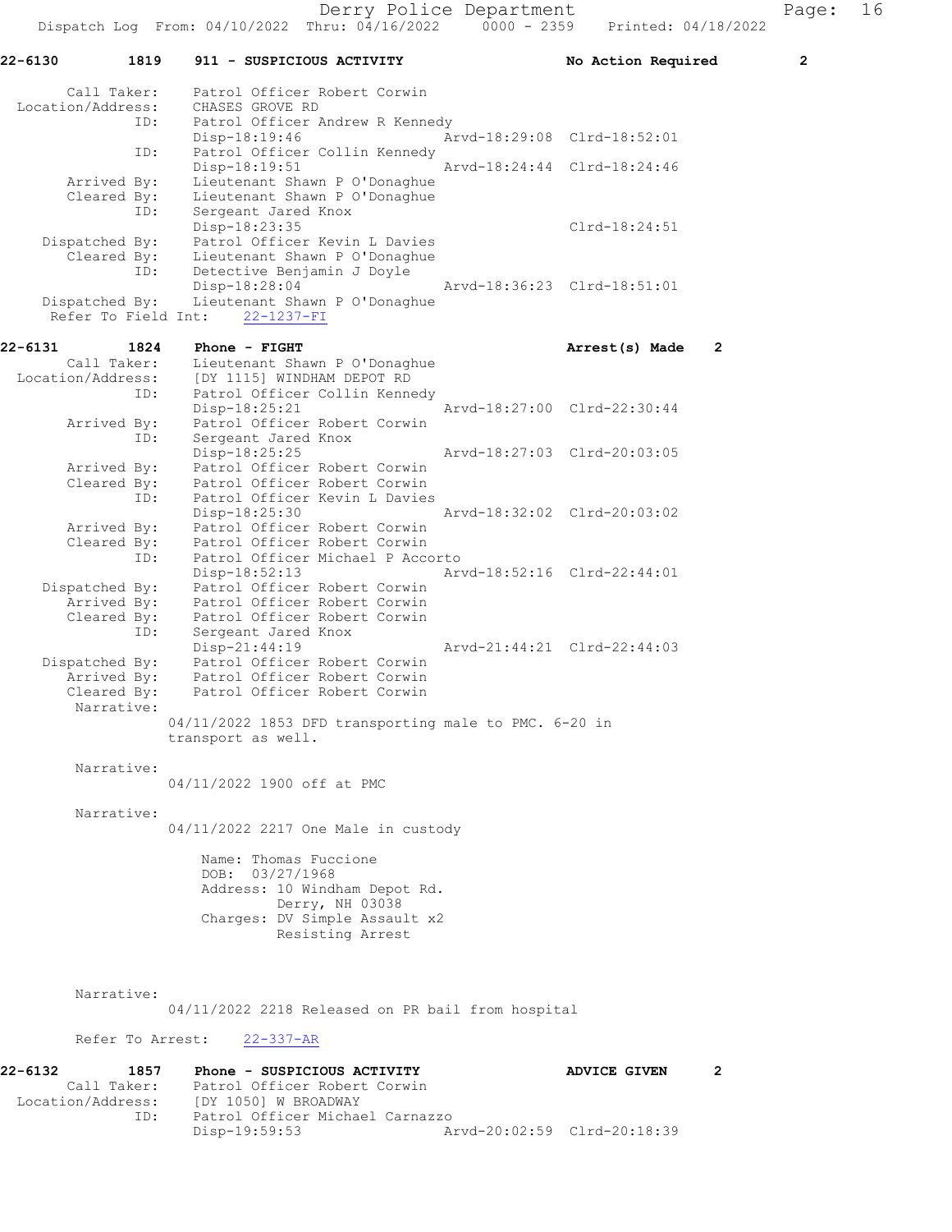22-6130 1819 911 - SUSPICIOUS ACTIVITY No Action Required 2 Call Taker: Patrol Officer Robert Corwin Location/Address: CHASES GROVE RD ID: Patrol Officer Andrew R Kennedy Disp-18:19:46 <br>
Disp-18:19:46 <br>
Disp-18:19:46 <br>
Disp-18:19:46 <br>
Disp-18:19:46 <br>
Displaced Collin Kennedy Patrol Officer Collin Kennedy Disp-18:19:51 Arvd-18:24:44 Clrd-18:24:46 Arrived By: Lieutenant Shawn P O'Donaghue Cleared By: Lieutenant Shawn P O'Donaghue ID: Sergeant Jared Knox Disp-18:23:35 Clrd-18:24:51 Dispatched By: Patrol Officer Kevin L Davies Cleared By: Lieutenant Shawn P O'Donaghue<br>TD: Detective Benjamin J Dovle Detective Benjamin J Doyle Disp-18:28:04 Arvd-18:36:23 Clrd-18:51:01 Dispatched By: Lieutenant Shawn P O'Donaghue Refer To Field Int: 22-1237-FI 22-6131 1824 Phone - FIGHT **Arrest(s)** Made 2 Call Taker: Lieutenant Shawn P O'Donaghue Location/Address: [DY 1115] WINDHAM DEPOT RD ID: Patrol Officer Collin Kennedy Disp-18:25:21 Arvd-18:27:00 Clrd-22:30:44 Arrived By: Patrol Officer Robert Corwin ID: Sergeant Jared Knox<br>Disp-18:25:25 Disp-18:25:25 Arvd-18:27:03 Clrd-20:03:05<br>Arrived By: Patrol Officer Robert Corwin Arrived By: Patrol Officer Robert Corwin Cleared By: Patrol Officer Robert Corwin ID: Patrol Officer Kevin L Davies Disp-18:25:30 Arvd-18:32:02 Clrd-20:03:02 Arrived By: Patrol Officer Robert Corwin Cleared By: Patrol Officer Robert Corwin<br>ID: Patrol Officer Michael P Acco<br>Disp-18:52:13 Patrol Officer Michael P Accorto Disp-18:52:13 Arvd-18:52:16 Clrd-22:44:01 Dispatched By: Patrol Officer Robert Corwin Arrived By: Patrol Officer Robert Corwin Cleared By: Patrol Officer Robert Corwin ID: Sergeant Jared Knox Disp-21:44:19 Arvd-21:44:21 Clrd-22:44:03 Dispatched By: Patrol Officer Robert Corwin Arrived By: Patrol Officer Robert Corwin<br>Cleared By: Patrol Officer Robert Corwin Patrol Officer Robert Corwin Narrative: 04/11/2022 1853 DFD transporting male to PMC. 6-20 in transport as well. Narrative: 04/11/2022 1900 off at PMC Narrative: 04/11/2022 2217 One Male in custody Name: Thomas Fuccione DOB: 03/27/1968 Address: 10 Windham Depot Rd. Derry, NH 03038 Charges: DV Simple Assault x2 Resisting Arrest Narrative: 04/11/2022 2218 Released on PR bail from hospital Refer To Arrest: 22-337-AR 22-6132 1857 Phone - SUSPICIOUS ACTIVITY ADVICE GIVEN 2 Call Taker: Patrol Officer Robert Corwin<br>Location/Address: [DY 1050] W BROADWAY [DY 1050] W BROADWAY

ID: Patrol Officer Michael Carnazzo

Disp-19:59:53 Arvd-20:02:59 Clrd-20:18:39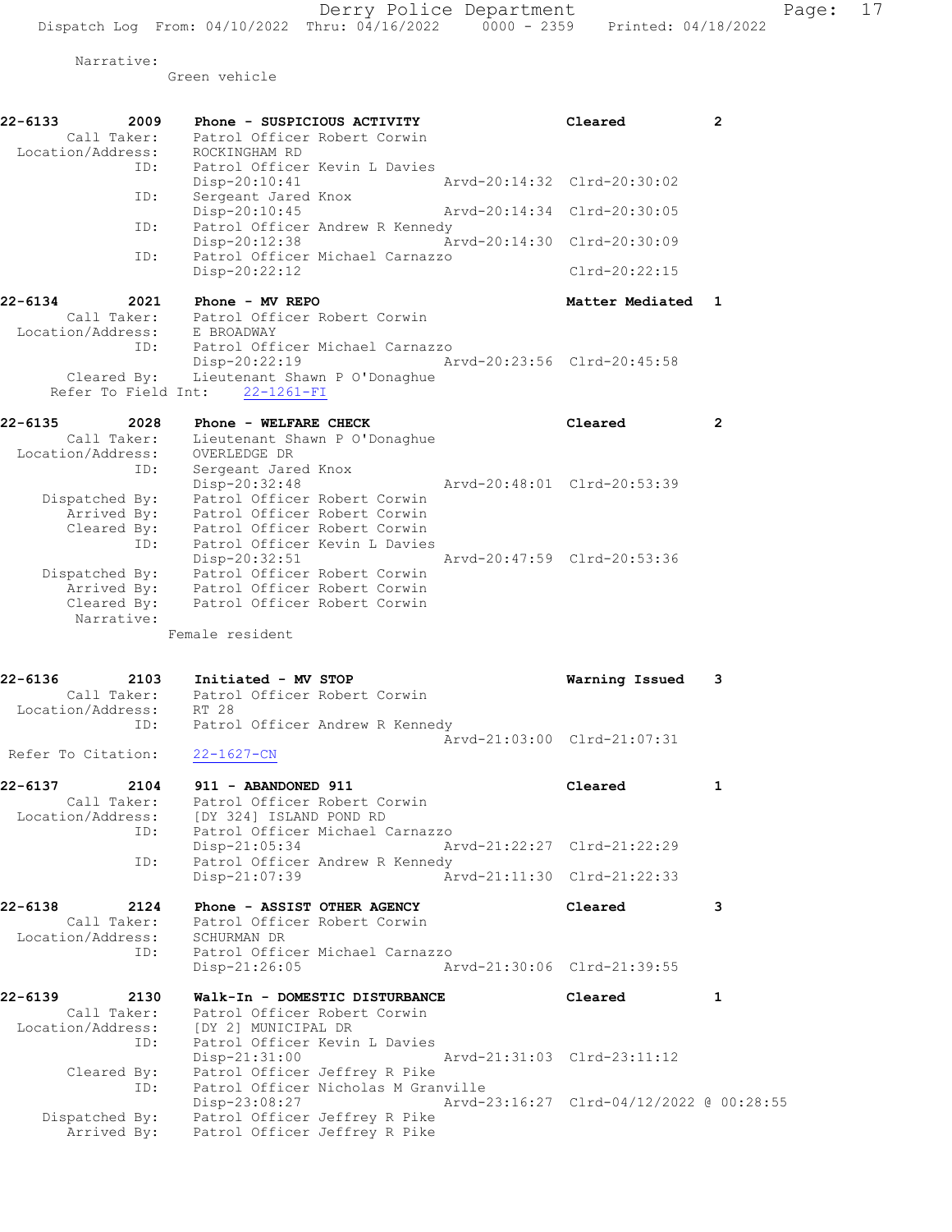Narrative:

Green vehicle

| 22-6133<br>2009<br>Call Taker:<br>Location/Address:                       | Phone - SUSPICIOUS ACTIVITY<br>Patrol Officer Robert Corwin<br>ROCKINGHAM RD                                                                                                                 | Cleared                                  | $\overline{2}$ |
|---------------------------------------------------------------------------|----------------------------------------------------------------------------------------------------------------------------------------------------------------------------------------------|------------------------------------------|----------------|
| ID:                                                                       | Patrol Officer Kevin L Davies<br>Disp-20:10:41<br>Arvd-20:14:32 Clrd-20:30:02                                                                                                                |                                          |                |
| ID:                                                                       | Sergeant Jared Knox<br>Disp-20:10:45                                                                                                                                                         | Arvd-20:14:34 Clrd-20:30:05              |                |
| ID:                                                                       | Patrol Officer Andrew R Kennedy<br>Arvd-20:14:30 Clrd-20:30:09<br>Disp-20:12:38                                                                                                              |                                          |                |
| ID:                                                                       | Patrol Officer Michael Carnazzo<br>Disp-20:22:12                                                                                                                                             | Clrd-20:22:15                            |                |
| 22-6134<br>2021<br>Call Taker:                                            | Phone - MV REPO<br>Patrol Officer Robert Corwin                                                                                                                                              | Matter Mediated 1                        |                |
| Location/Address: E BROADWAY<br>ID:<br>Cleared By:<br>Refer To Field Int: | Patrol Officer Michael Carnazzo<br>Disp-20:22:19<br>Lieutenant Shawn P O'Donaghue<br>$22 - 1261 - FI$                                                                                        | Arvd-20:23:56 Clrd-20:45:58              |                |
| 22-6135<br>2028<br>Call Taker:<br>Location/Address:                       | Phone - WELFARE CHECK<br>Lieutenant Shawn P O'Donaghue<br>OVERLEDGE DR                                                                                                                       | Cleared                                  | $\mathbf{2}$   |
| ID:<br>Dispatched By:<br>Arrived By:<br>Cleared By:                       | Sergeant Jared Knox<br>Disp-20:32:48<br>Arvd-20:48:01 Clrd-20:53:39<br>Patrol Officer Robert Corwin<br>Patrol Officer Robert Corwin<br>Patrol Officer Robert Corwin                          |                                          |                |
| ID:<br>Arrived By:<br>Cleared By:<br>Narrative:                           | Patrol Officer Kevin L Davies<br>Arvd-20:47:59 Clrd-20:53:36<br>Disp-20:32:51<br>Dispatched By: Patrol Officer Robert Corwin<br>Patrol Officer Robert Corwin<br>Patrol Officer Robert Corwin |                                          |                |
| 22-6136<br>2103                                                           | Female resident<br>Initiated - MV STOP<br>Call Taker: Patrol Officer Robert Corwin                                                                                                           | Warning Issued                           | 3              |
| Location/Address:<br>ID:                                                  | RT 28<br>Patrol Officer Andrew R Kennedy                                                                                                                                                     | Arvd-21:03:00 Clrd-21:07:31              |                |
| Refer To Citation:                                                        | $22 - 1627 - CN$                                                                                                                                                                             |                                          |                |
| 22-6137<br>2104<br>Call Taker:<br>Location/Address:<br>ID:                | 911 - ABANDONED 911<br>Patrol Officer Robert Corwin<br>[DY 324] ISLAND POND RD<br>Patrol Officer Michael Carnazzo                                                                            | Cleared                                  | 1              |
| ID:                                                                       | Disp-21:05:34<br>Patrol Officer Andrew R Kennedy                                                                                                                                             | Arvd-21:22:27 Clrd-21:22:29              |                |
|                                                                           | Disp-21:07:39                                                                                                                                                                                | Arvd-21:11:30 Clrd-21:22:33              |                |
| 2124<br>22-6138<br>Call Taker:<br>Location/Address:<br>ID:                | Phone - ASSIST OTHER AGENCY<br>Patrol Officer Robert Corwin<br>SCHURMAN DR<br>Patrol Officer Michael Carnazzo                                                                                | Cleared                                  | 3              |
|                                                                           | Disp-21:26:05                                                                                                                                                                                | Arvd-21:30:06 Clrd-21:39:55              |                |
| 22-6139<br>2130<br>Call Taker:<br>Location/Address:<br>ID:                | Walk-In - DOMESTIC DISTURBANCE<br>Patrol Officer Robert Corwin<br>[DY 2] MUNICIPAL DR<br>Patrol Officer Kevin L Davies                                                                       | Cleared                                  | 1              |
| Cleared By:<br>ID:                                                        | Disp-21:31:00<br>Arvd-21:31:03 Clrd-23:11:12<br>Patrol Officer Jeffrey R Pike<br>Patrol Officer Nicholas M Granville                                                                         |                                          |                |
| Dispatched By:<br>Arrived By:                                             | Disp-23:08:27<br>Patrol Officer Jeffrey R Pike<br>Patrol Officer Jeffrey R Pike                                                                                                              | Arvd-23:16:27 Clrd-04/12/2022 @ 00:28:55 |                |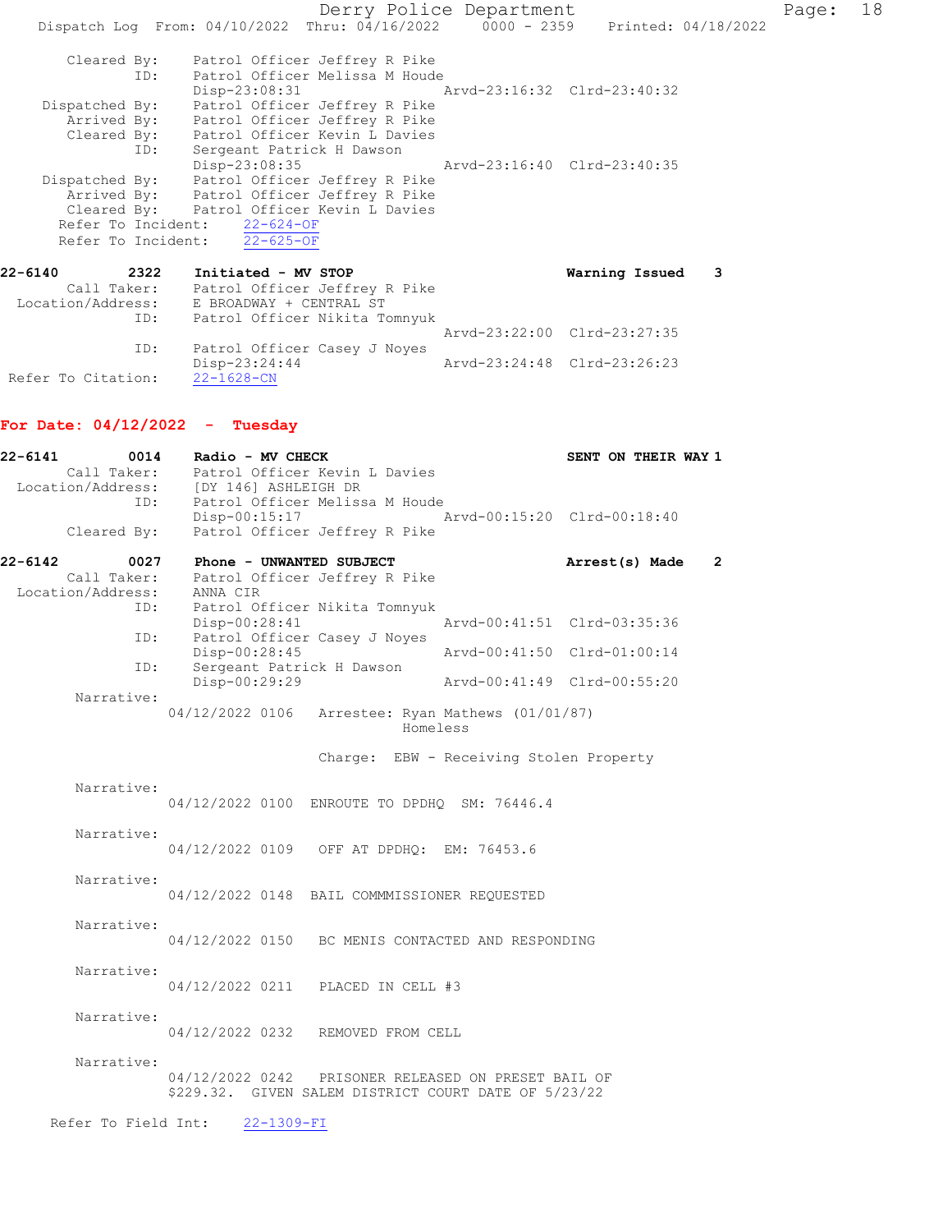Derry Police Department Fage: 18 Dispatch Log From: 04/10/2022 Thru: 04/16/2022 0000 - 2359 Printed: 04/18/2022 Cleared By: Patrol Officer Jeffrey R Pike ID: Patrol Officer Melissa M Houde Disp-23:08:31 Arvd-23:16:32 Clrd-23:40:32 Dispatched By: Patrol Officer Jeffrey R Pike Arrived By: Patrol Officer Jeffrey R Pike Cleared By: Patrol Officer Kevin L Davies ID: Sergeant Patrick H Dawson Disp-23:08:35 Arvd-23:16:40 Clrd-23:40:35 Dispatched By: Patrol Officer Jeffrey R Pike Arrived By: Patrol Officer Jeffrey R Pike Cleared By: Patrol Officer Kevin L Davies Refer To Incident: 22-624-OF Refer To Incident: 22-625-OF 22-6140 2322 Initiated - MV STOP Warning Issued 3 Call Taker: Patrol Officer Jeffrey R Pike Location/Address: E BROADWAY + CENTRAL ST ID: Patrol Officer Nikita Tomnyuk Arvd-23:22:00 Clrd-23:27:35

ID: Patrol Officer Casey J Noyes<br>Disp-23:24:44 Disp-23:24:44 Arvd-23:24:48 Clrd-23:26:23 Refer To Citation: 22-1628-CN

### For Date:  $04/12/2022 -$  Tuesday

| 22-6141<br>0014     | Radio - MV CHECK                                     | SENT ON THEIR WAY 1         |
|---------------------|------------------------------------------------------|-----------------------------|
| Call Taker:         | Patrol Officer Kevin L Davies                        |                             |
| Location/Address:   | [DY 146] ASHLEIGH DR                                 |                             |
|                     | ID:<br>Patrol Officer Melissa M Houde                |                             |
|                     | $Disp-00:15:17$                                      | Arvd-00:15:20 Clrd-00:18:40 |
| Cleared By:         | Patrol Officer Jeffrey R Pike                        |                             |
| 22-6142<br>0027     | Phone - UNWANTED SUBJECT                             | Arrest(s) Made<br>2         |
| Call Taker:         | Patrol Officer Jeffrey R Pike                        |                             |
| Location/Address:   | ANNA CIR                                             |                             |
| ID:                 | Patrol Officer Nikita Tomnyuk                        |                             |
|                     | Disp-00:28:41                                        | Arvd-00:41:51 Clrd-03:35:36 |
|                     | Patrol Officer Casey J Noyes<br>ID:                  |                             |
|                     | Disp-00:28:45                                        | Arvd-00:41:50 Clrd-01:00:14 |
| ID:                 | Sergeant Patrick H Dawson                            |                             |
|                     | Disp-00:29:29                                        | Arvd-00:41:49 Clrd-00:55:20 |
| Narrative:          |                                                      |                             |
|                     | 04/12/2022 0106<br>Arrestee: Ryan Mathews (01/01/87) |                             |
|                     | Homeless                                             |                             |
|                     | Charge: EBW - Receiving Stolen Property              |                             |
|                     |                                                      |                             |
| Narrative:          |                                                      |                             |
|                     | 04/12/2022 0100 ENROUTE TO DPDHQ SM: 76446.4         |                             |
|                     |                                                      |                             |
| Narrative:          |                                                      |                             |
|                     | 04/12/2022 0109 OFF AT DPDHQ: EM: 76453.6            |                             |
|                     |                                                      |                             |
| Narrative:          |                                                      |                             |
|                     | 04/12/2022 0148 BAIL COMMMISSIONER REQUESTED         |                             |
|                     |                                                      |                             |
| Narrative:          |                                                      |                             |
|                     | 04/12/2022 0150 BC MENIS CONTACTED AND RESPONDING    |                             |
| Narrative:          |                                                      |                             |
|                     | 04/12/2022 0211 PLACED IN CELL #3                    |                             |
|                     |                                                      |                             |
| Narrative:          |                                                      |                             |
|                     | 04/12/2022 0232 REMOVED FROM CELL                    |                             |
|                     |                                                      |                             |
| Narrative:          |                                                      |                             |
|                     | 04/12/2022 0242 PRISONER RELEASED ON PRESET BAIL OF  |                             |
|                     | \$229.32. GIVEN SALEM DISTRICT COURT DATE OF 5/23/22 |                             |
|                     |                                                      |                             |
| Refer To Field Int: | 22-1309-FI                                           |                             |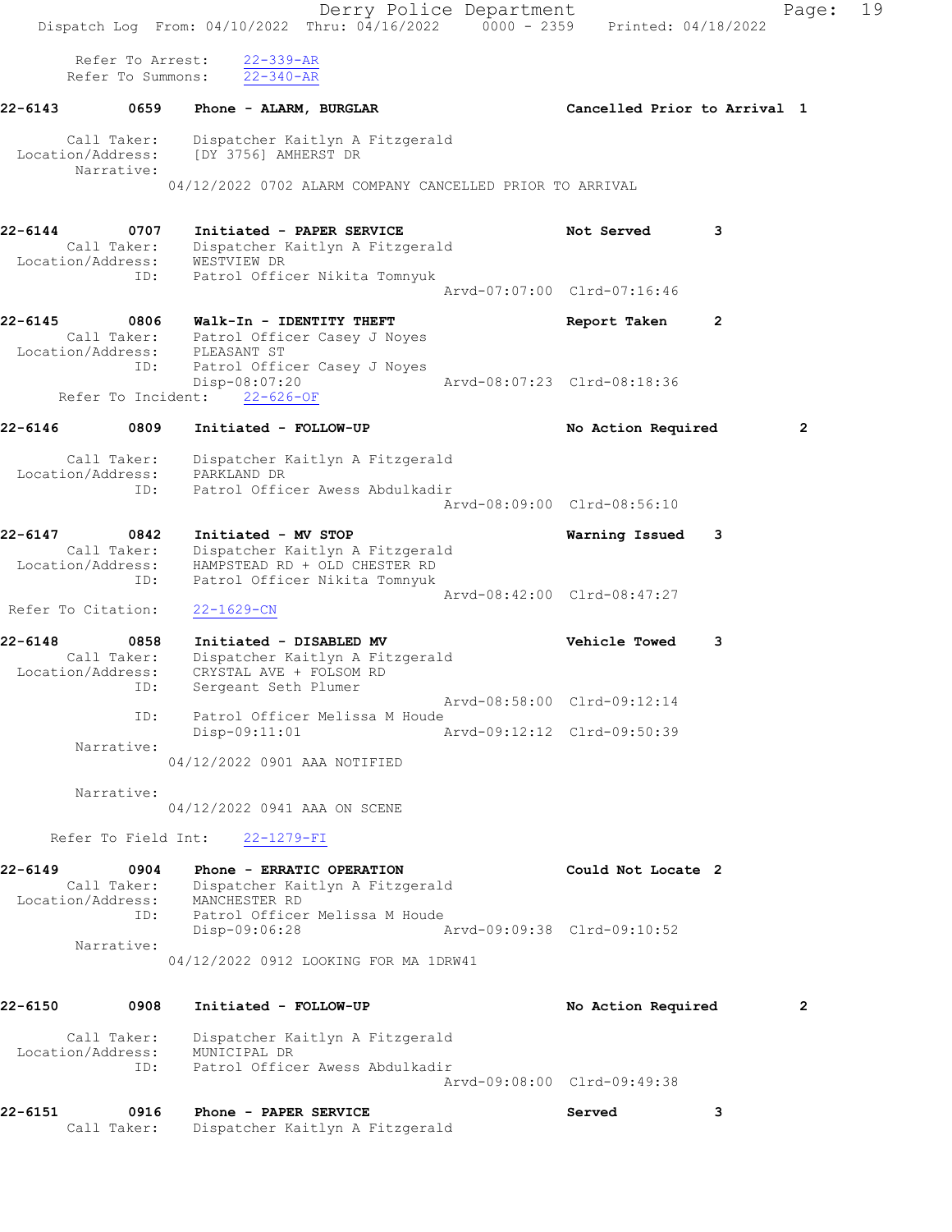|                    |                                                 | Dispatch Log From: 04/10/2022 Thru: 04/16/2022 0000 - 2359 Printed: 04/18/2022                                                        | Derry Police Department |                                                            |                | Page:          | 19 |
|--------------------|-------------------------------------------------|---------------------------------------------------------------------------------------------------------------------------------------|-------------------------|------------------------------------------------------------|----------------|----------------|----|
|                    | Refer To Arrest:<br>Refer To Summons:           | $22 - 339 - AR$<br>$22 - 340 - AR$                                                                                                    |                         |                                                            |                |                |    |
| 22-6143            | 0659                                            | Phone - ALARM, BURGLAR                                                                                                                |                         | Cancelled Prior to Arrival 1                               |                |                |    |
|                    | Call Taker:<br>Narrative:                       | Dispatcher Kaitlyn A Fitzgerald<br>Location/Address: [DY 3756] AMHERST DR<br>04/12/2022 0702 ALARM COMPANY CANCELLED PRIOR TO ARRIVAL |                         |                                                            |                |                |    |
|                    |                                                 |                                                                                                                                       |                         |                                                            |                |                |    |
| 22-6144            | 0707<br>Call Taker:<br>Location/Address:        | Initiated - PAPER SERVICE<br>Dispatcher Kaitlyn A Fitzgerald<br>WESTVIEW DR                                                           |                         | Not Served                                                 | 3              |                |    |
|                    | ID:                                             | Patrol Officer Nikita Tomnyuk                                                                                                         |                         | Arvd-07:07:00 Clrd-07:16:46                                |                |                |    |
| 22-6145            | 0806                                            | Walk-In - IDENTITY THEFT<br>Call Taker: Patrol Officer Casey J Noyes<br>Location/Address: PLEASANT ST                                 |                         | Report Taken                                               | $\overline{2}$ |                |    |
|                    | ID:<br>Refer To Incident:                       | Patrol Officer Casey J Noyes<br>Disp-08:07:20<br>$22 - 626 - 0F$                                                                      |                         | Arvd-08:07:23 Clrd-08:18:36                                |                |                |    |
| 22-6146            | 0809                                            | Initiated - FOLLOW-UP                                                                                                                 |                         | No Action Required                                         |                | $\overline{2}$ |    |
|                    | Call Taker:<br>Location/Address:<br>ID:         | Dispatcher Kaitlyn A Fitzgerald<br>PARKLAND DR<br>Patrol Officer Awess Abdulkadir                                                     |                         |                                                            |                |                |    |
|                    |                                                 |                                                                                                                                       |                         | Arvd-08:09:00 Clrd-08:56:10                                |                |                |    |
| 22-6147            | 0842<br>Call Taker:<br>Location/Address:<br>ID: | Initiated - MV STOP<br>Dispatcher Kaitlyn A Fitzgerald<br>HAMPSTEAD RD + OLD CHESTER RD<br>Patrol Officer Nikita Tomnyuk              |                         | Warning Issued                                             | 3              |                |    |
| Refer To Citation: |                                                 | $22 - 1629 - CN$                                                                                                                      |                         | Arvd-08:42:00 Clrd-08:47:27                                |                |                |    |
| 22-6148            | 0858<br>Call Taker:<br>Location/Address:        | Initiated - DISABLED MV<br>Dispatcher Kaitlyn A Fitzgerald<br>CRYSTAL AVE + FOLSOM RD                                                 |                         | <b>Vehicle Towed</b>                                       | 3              |                |    |
|                    | ID:<br>ID:                                      | Sergeant Seth Plumer<br>Patrol Officer Melissa M Houde<br>Disp-09:11:01                                                               |                         | Arvd-08:58:00 Clrd-09:12:14<br>Arvd-09:12:12 Clrd-09:50:39 |                |                |    |
|                    | Narrative:                                      | 04/12/2022 0901 AAA NOTIFIED                                                                                                          |                         |                                                            |                |                |    |
|                    | Narrative:                                      | 04/12/2022 0941 AAA ON SCENE                                                                                                          |                         |                                                            |                |                |    |
|                    | Refer To Field Int:                             | $22 - 1279 - FI$                                                                                                                      |                         |                                                            |                |                |    |
| 22-6149            | 0904<br>Call Taker:<br>ID:                      | Phone - ERRATIC OPERATION<br>Dispatcher Kaitlyn A Fitzgerald<br>Location/Address: MANCHESTER RD<br>Patrol Officer Melissa M Houde     |                         | Could Not Locate 2                                         |                |                |    |
|                    | Narrative:                                      | Disp-09:06:28<br>04/12/2022 0912 LOOKING FOR MA 1DRW41                                                                                |                         | Arvd-09:09:38 Clrd-09:10:52                                |                |                |    |
| 22-6150            | 0908                                            | Initiated - FOLLOW-UP                                                                                                                 |                         | No Action Required                                         |                | $\overline{2}$ |    |
|                    | Call Taker:<br>Location/Address:<br>ID:         | Dispatcher Kaitlyn A Fitzgerald<br>MUNICIPAL DR<br>Patrol Officer Awess Abdulkadir                                                    |                         | Arvd-09:08:00 Clrd-09:49:38                                |                |                |    |
| 22-6151            | 0916                                            | Phone - PAPER SERVICE                                                                                                                 |                         | Served                                                     | 3              |                |    |
|                    | Call Taker:                                     | Dispatcher Kaitlyn A Fitzgerald                                                                                                       |                         |                                                            |                |                |    |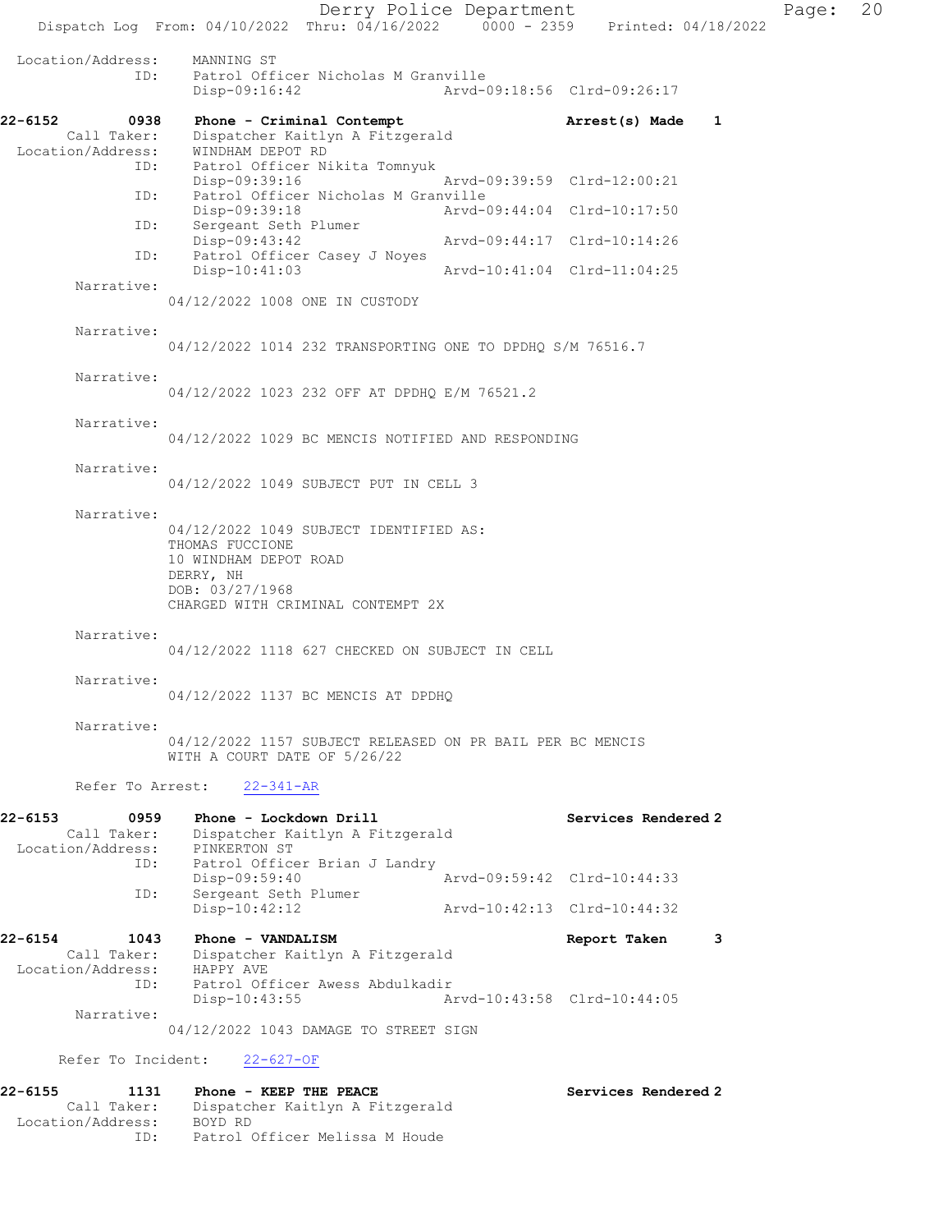Derry Police Department Page: 20 Dispatch Log From: 04/10/2022 Thru: 04/16/2022 0000 - 2359 Printed: 04/18/2022 Location/Address: MANNING ST<br>ID: Patrol Off: Patrol Officer Nicholas M Granville<br>Disp-09:16:42 Arvd-0 Disp-09:16:42 Arvd-09:18:56 Clrd-09:26:17 22-6152 0938 Phone - Criminal Contempt **Arrest(s)** Made 1 Call Taker: Dispatcher Kaitlyn A Fitzgerald Location/Address: WINDHAM DEPOT RD ID: Patrol Officer Nikita Tomnyuk Disp-09:39:16 Arvd-09:39:59 Clrd-12:00:21 ID: Patrol Officer Nicholas M Granville<br>Disp-09:39:18 Arvd- Disp-09:39:18 Arvd-09:44:04 Clrd-10:17:50 ID: Sergeant Seth Plumer<br>Disp-09:43:42 Disp-09:43:42 Arvd-09:44:17 Clrd-10:14:26 ID: Patrol Officer Casey J Noyes Disp-10:41:03 Arvd-10:41:04 Clrd-11:04:25 Narrative: 04/12/2022 1008 ONE IN CUSTODY Narrative: 04/12/2022 1014 232 TRANSPORTING ONE TO DPDHQ S/M 76516.7 Narrative: 04/12/2022 1023 232 OFF AT DPDHQ E/M 76521.2 Narrative: 04/12/2022 1029 BC MENCIS NOTIFIED AND RESPONDING Narrative: 04/12/2022 1049 SUBJECT PUT IN CELL 3 Narrative: 04/12/2022 1049 SUBJECT IDENTIFIED AS: THOMAS FUCCIONE 10 WINDHAM DEPOT ROAD DERRY, NH DOB: 03/27/1968 CHARGED WITH CRIMINAL CONTEMPT 2X Narrative: 04/12/2022 1118 627 CHECKED ON SUBJECT IN CELL Narrative: 04/12/2022 1137 BC MENCIS AT DPDHQ Narrative: 04/12/2022 1157 SUBJECT RELEASED ON PR BAIL PER BC MENCIS WITH A COURT DATE OF 5/26/22 Refer To Arrest: 22-341-AR 22-6153 0959 Phone - Lockdown Drill Services Rendered 2 Call Taker: Dispatcher Kaitlyn A Fitzgerald Location/Address: PINKERTON ST ID: Patrol Officer Brian J Landry<br>Disp-09:59:40 Disp-09:59:40 Arvd-09:59:42 Clrd-10:44:33 ID: Sergeant Seth Plumer<br>Disp-10:42:12 Disp-10:42:12 Arvd-10:42:13 Clrd-10:44:32 22-6154 1043 Phone - VANDALISM Report Taken 3 Call Taker: Dispatcher Kaitlyn A Fitzgerald<br>ion/Address: HAPPY AVE Location/Address:<br>ID: ID: Patrol Officer Awess Abdulkadir Disp-10:43:55 Arvd-10:43:58 Clrd-10:44:05 Narrative: 04/12/2022 1043 DAMAGE TO STREET SIGN Refer To Incident: 22-627-OF 22-6155 1131 Phone - KEEP THE PEACE No. 22-6155 Services Rendered 2 Call Taker: Dispatcher Kaitlyn A Fitzgerald Location/Address: BOYD RD

ID: Patrol Officer Melissa M Houde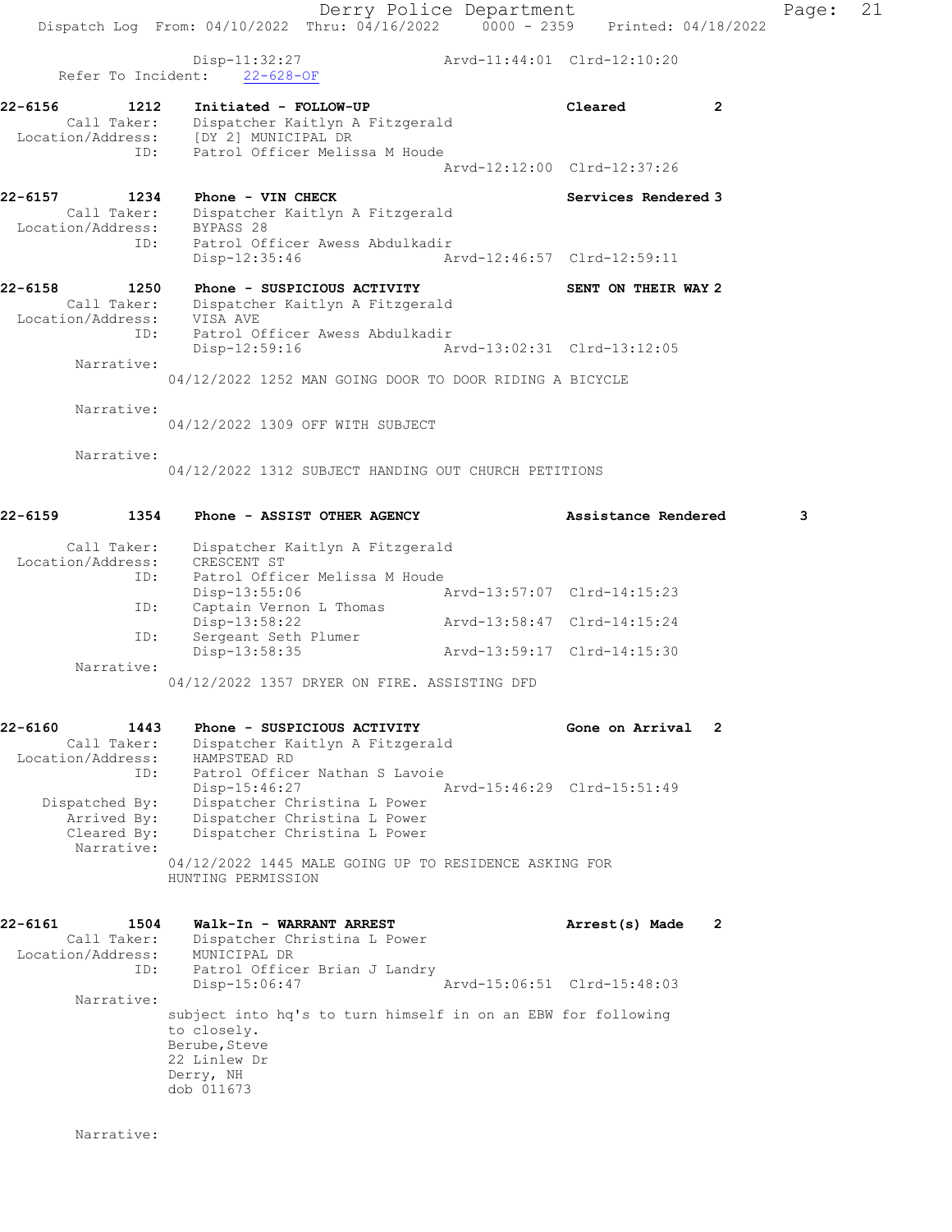Disp-11:32:27 Arvd-11:44:01 Clrd-12:10:20 Refer To Incident: 22-628-OF 22-6156 1212 Initiated - FOLLOW-UP Cleared 2 Call Taker: Dispatcher Kaitlyn A Fitzgerald Location/Address: [DY 2] MUNICIPAL DR ID: Patrol Officer Melissa M Houde Arvd-12:12:00 Clrd-12:37:26 22-6157 1234 Phone - VIN CHECK Services Rendered 3 Call Taker: Dispatcher Kaitlyn A Fitzgerald Location/Address: BYPASS 28 ID: Patrol Officer Awess Abdulkadir<br>Disp-12:35:46 Ar Disp-12:35:46 Arvd-12:46:57 Clrd-12:59:11 22-6158 1250 Phone - SUSPICIOUS ACTIVITY SENT ON THEIR WAY 2 Call Taker: Dispatcher Kaitlyn A Fitzgerald Location/Address: VISA AVE ID: Patrol Officer Awess Abdulkadir Disp-12:59:16 Arvd-13:02:31 Clrd-13:12:05 Narrative: 04/12/2022 1252 MAN GOING DOOR TO DOOR RIDING A BICYCLE Narrative: 04/12/2022 1309 OFF WITH SUBJECT Narrative: 04/12/2022 1312 SUBJECT HANDING OUT CHURCH PETITIONS 22-6159 1354 Phone - ASSIST OTHER AGENCY Assistance Rendered 3 Call Taker: Dispatcher Kaitlyn A Fitzgerald Location/Address: CRESCENT ST ID: Patrol Officer Melissa M Houde<br>Disp-13:55:06 7 Disp-13:55:06 <br>Captain Vernon L Thomas <br>Captain Vernon L Thomas

ID: Captain  $v =$ <br>Disp-13:58:22 L Thomas<br>Arvd-13:58:47 Clrd-14:15:24 D: Disp-15.00.22<br>ID: Sergeant Seth Plumer<br>Disp-13:58:35 Disp-13:58:35 Arvd-13:59:17 Clrd-14:15:30 Narrative:

04/12/2022 1357 DRYER ON FIRE. ASSISTING DFD

#### 22-6160 1443 Phone - SUSPICIOUS ACTIVITY Cone on Arrival 2 Call Taker: Dispatcher Kaitlyn A Fitzgerald Location/Address: HAMPSTEAD RD ID: Patrol Officer Nathan S Lavoie Disp-15:46:27 Arvd-15:46:29 Clrd-15:51:49 Dispatched By: Dispatcher Christina L Power Arrived By: Dispatcher Christina L Power Cleared By: Dispatcher Christina L Power Narrative: 04/12/2022 1445 MALE GOING UP TO RESIDENCE ASKING FOR HUNTING PERMISSION

22-6161 1504 Walk-In - WARRANT ARREST Arrest(s) Made 2 Call Taker: Dispatcher Christina L Power Location/Address: MUNICIPAL DR ID: Patrol Officer Brian J Landry Disp-15:06:47 Arvd-15:06:51 Clrd-15:48:03 Narrative: subject into hq's to turn himself in on an EBW for following to closely. Berube, Steve 22 Linlew Dr Derry, NH dob 011673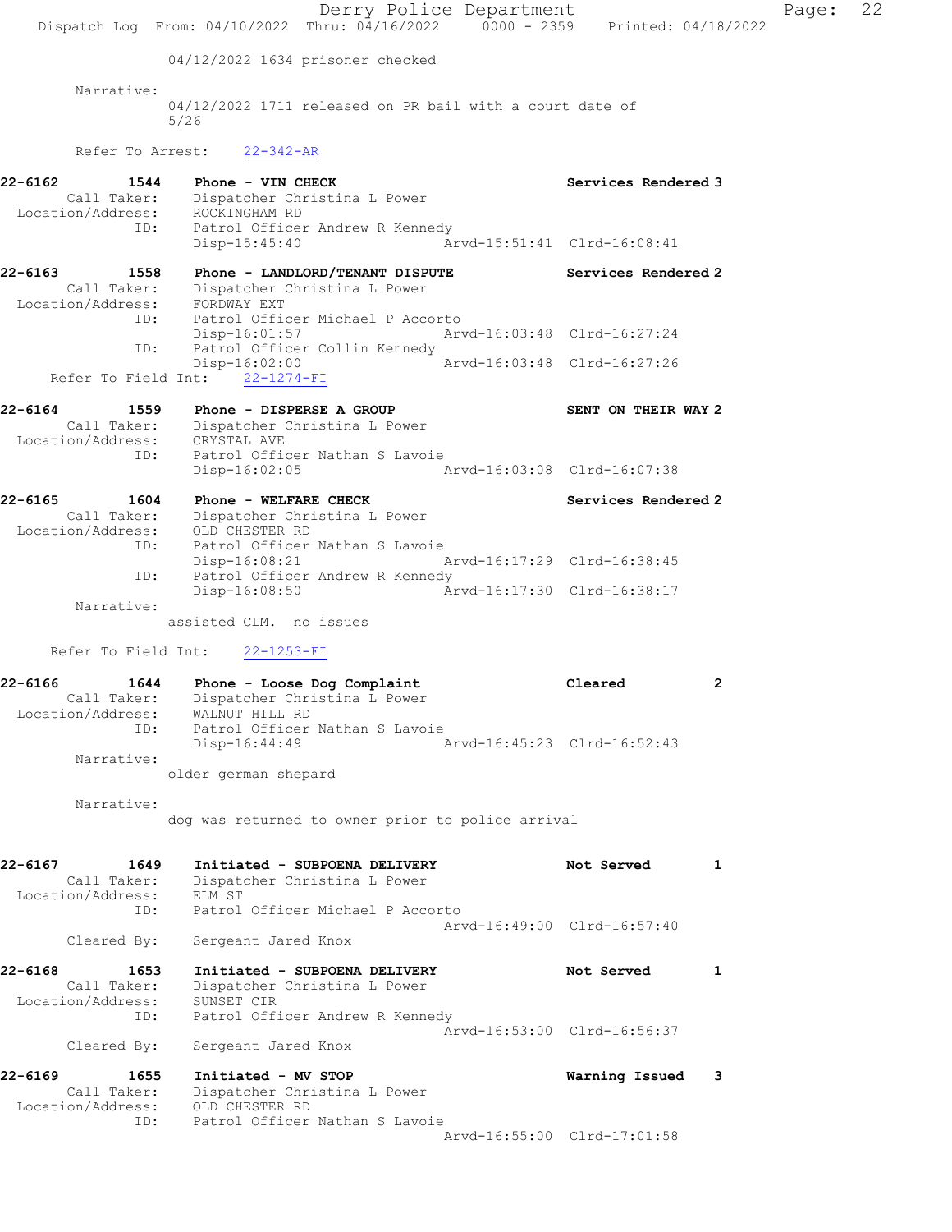Derry Police Department Page: 22 Dispatch Log From: 04/10/2022 Thru: 04/16/2022 0000 - 2359 Printed: 04/18/2022 04/12/2022 1634 prisoner checked Narrative: 04/12/2022 1711 released on PR bail with a court date of 5/26 Refer To Arrest: 22-342-AR 22-6162 1544 Phone - VIN CHECK Services Rendered 3 Call Taker: Dispatcher Christina L Power Location/Address: ROCKINGHAM RD ID: Patrol Officer Andrew R Kennedy Disp-15:45:40 Arvd-15:51:41 Clrd-16:08:41 22-6163 1558 Phone - LANDLORD/TENANT DISPUTE Services Rendered 2 Call Taker: Dispatcher Christina L Power Location/Address: FORDWAY EXT ID: Patrol Officer Michael P Accorto Disp-16:01:57 Arvd-16:03:48 Clrd-16:27:24 ID: Patrol Officer Collin Kennedy<br>Disp-16:02:00 Mrvd-16:03:48 Clrd-16:27:26 Disp-16:02:00 Refer To Field Int: 22-1274-FI 22-6164 1559 Phone - DISPERSE A GROUP SENT ON THEIR WAY 2 Call Taker: Dispatcher Christina L Power Location/Address: CRYSTAL AVE ID: Patrol Officer Nathan S Lavoie Disp-16:02:05 Arvd-16:03:08 Clrd-16:07:38 22-6165 1604 Phone - WELFARE CHECK Services Rendered 2 Call Taker: Dispatcher Christina L Power Location/Address: OLD CHESTER RD ID: Patrol Officer Nathan S Lavoie<br>Disp-16:08:21 Arvd-16:17:29 Clrd-16:38:45 Disp-16:08:21<br>ID: Patrol Officer Andrew R Kenn Patrol Officer Andrew R Kennedy<br>Disp-16:08:50 Ar Arvd-16:17:30 Clrd-16:38:17 Narrative: assisted CLM. no issues Refer To Field Int: 22-1253-FI 22-6166 1644 Phone - Loose Dog Complaint Cleared 2 Call Taker: Dispatcher Christina L Power Location/Address: WALNUT HILL RD ID: Patrol Officer Nathan S Lavoie Disp-16:44:49 Arvd-16:45:23 Clrd-16:52:43 Narrative: older german shepard Narrative: dog was returned to owner prior to police arrival 22-6167 1649 Initiated - SUBPOENA DELIVERY Not Served 1 Call Taker: Dispatcher Christina L Power Location/Address: ELM ST ID: Patrol Officer Michael P Accorto Arvd-16:49:00 Clrd-16:57:40 Cleared By: Sergeant Jared Knox 22-6168 1653 Initiated - SUBPOENA DELIVERY Not Served 1 Call Taker: Dispatcher Christina L Power Location/Address: SUNSET CIR ID: Patrol Officer Andrew R Kennedy Arvd-16:53:00 Clrd-16:56:37 Cleared By: Sergeant Jared Knox 22-6169 1655 Initiated - MV STOP Warning Issued 3 Call Taker: Dispatcher Christina L Power Location/Address: OLD CHESTER RD ID: Patrol Officer Nathan S Lavoie Arvd-16:55:00 Clrd-17:01:58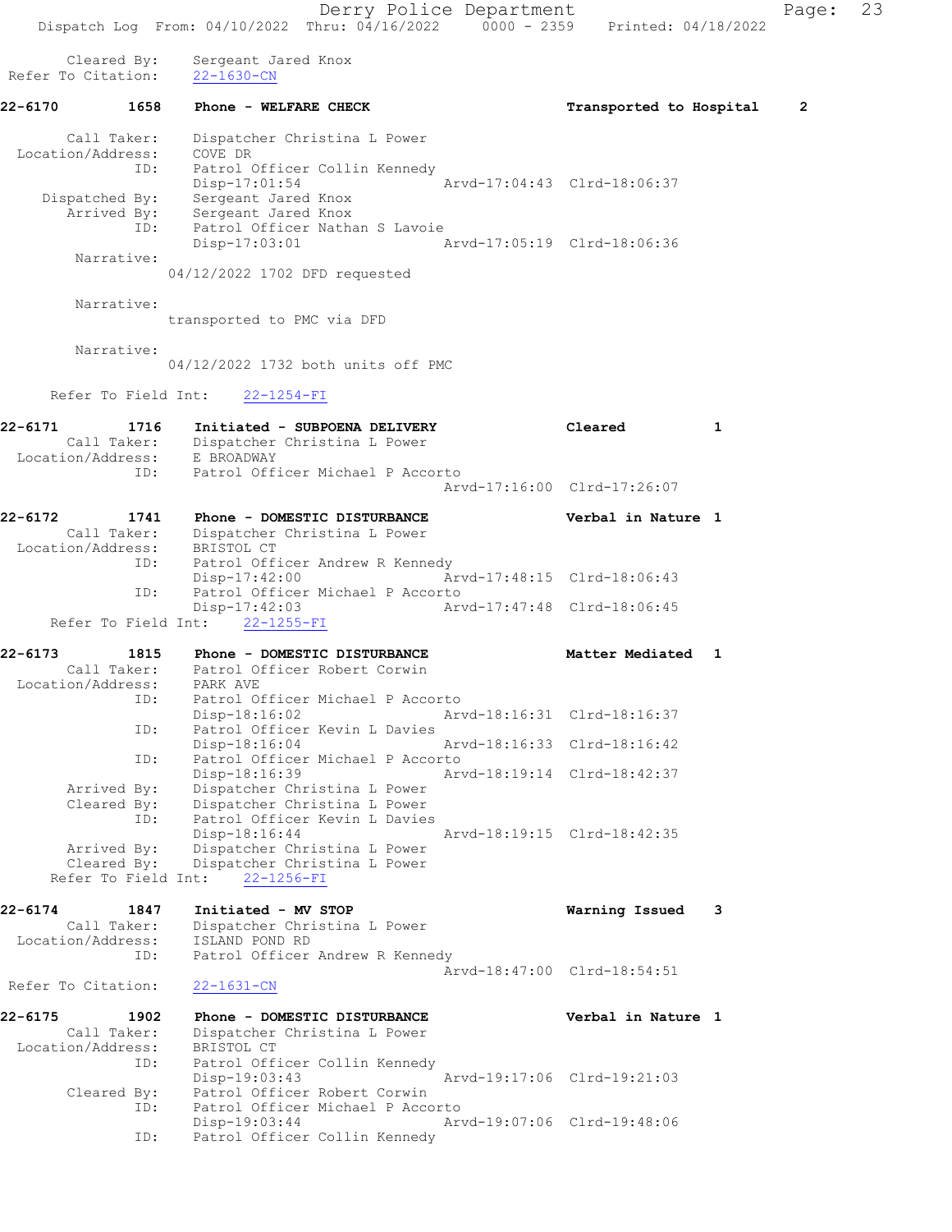Derry Police Department Fage: 23 Dispatch Log From: 04/10/2022 Thru: 04/16/2022 0000 - 2359 Printed: 04/18/2022 Cleared By: Sergeant Jared Knox Refer To Citation: 22-1630-CN 22-6170 1658 Phone - WELFARE CHECK Transported to Hospital 2 Call Taker: Dispatcher Christina L Power Location/Address: COVE DR ID: Patrol Officer Collin Kennedy Disp-17:01:54 Arvd-17:04:43 Clrd-18:06:37 Dispatched By: Sergeant Jared Knox Arrived By: Sergeant Jared Knox ID: Patrol Officer Nathan S Lavoie Disp-17:03:01 Arvd-17:05:19 Clrd-18:06:36 Narrative: 04/12/2022 1702 DFD requested Narrative: transported to PMC via DFD Narrative: 04/12/2022 1732 both units off PMC Refer To Field Int: 22-1254-FI 22-6171 1716 Initiated - SUBPOENA DELIVERY Cleared 1 Call Taker: Dispatcher Christina L Power Location/Address: E BROADWAY ID: Patrol Officer Michael P Accorto Arvd-17:16:00 Clrd-17:26:07 22-6172 1741 Phone - DOMESTIC DISTURBANCE Verbal in Nature 1 Call Taker: Dispatcher Christina L Power Location/Address: BRISTOL CT ID: Patrol Officer Andrew R Kennedy Disp-17:42:00 Arvd-17:48:15 Clrd-18:06:43 ID: Patrol Officer Michael P Accorto<br>Disp-17:42:03 Arv Disp-17:42:03 Arvd-17:47:48 Clrd-18:06:45 Refer To Field Int: 22-1255-FI 22-6173 1815 Phone - DOMESTIC DISTURBANCE Matter Mediated 1 Call Taker: Patrol Officer Robert Corwin Location/Address: PARK AVE ID: Patrol Officer Michael P Accorto Disp-18:16:02 Arvd-18:16:31 Clrd-18:16:37 ID: Patrol Officer Kevin L Davies Disp-18:16:04 Arvd-18:16:33 Clrd-18:16:42 ID: Patrol Officer Michael P Accorto Arvd-18:19:14 Clrd-18:42:37 Arrived By: Dispatcher Christina L Power Cleared By: Dispatcher Christina L Power ID: Patrol Officer Kevin L Davies Disp-18:16:44 Arvd-18:19:15 Clrd-18:42:35 Arrived By: Dispatcher Christina L Power Cleared By: Dispatcher Christina L Power Refer To Field Int: 22-1256-FI 22-6174 1847 Initiated - MV STOP Warning Issued 3 Call Taker: Dispatcher Christina L Power Location/Address: ISLAND POND RD ID: Patrol Officer Andrew R Kennedy Arvd-18:47:00 Clrd-18:54:51<br>22-1631-CN Refer To Citation: 22-6175 1902 Phone - DOMESTIC DISTURBANCE Verbal in Nature 1 Call Taker: Dispatcher Christina L Power Location/Address: BRISTOL CT ID: Patrol Officer Collin Kennedy<br>Disp-19:03:43 Arvd-19:17:06 Clrd-19:21:03 Disp-19:03:43 Arvd-19:17:06 Clrd-19:21:03 Cleared By: Patrol Officer Robert Corwin ID: Patrol Officer Michael P Accorto Disp-19:03:44 Arvd-19:07:06 Clrd-19:48:06 ID: Patrol Officer Collin Kennedy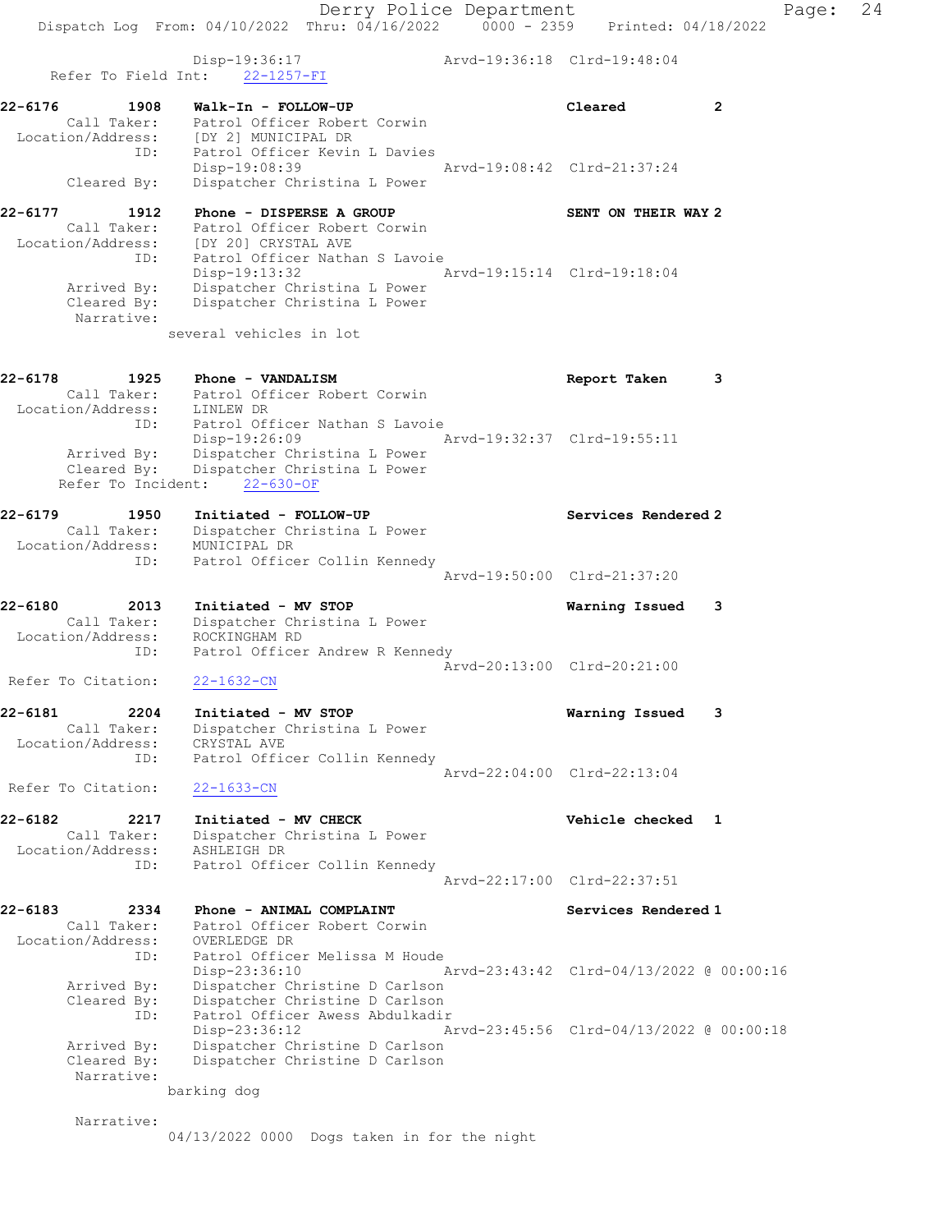Derry Police Department Fage: 24 Dispatch Log From: 04/10/2022 Thru: 04/16/2022 0000 - 2359 Printed: 04/18/2022 Disp-19:36:17 Arvd-19:36:18 Clrd-19:48:04 Refer To Field Int: 22-1257-FI 22-6176 1908 Walk-In - FOLLOW-UP Cleared 2 Call Taker: Patrol Officer Robert Corwin Location/Address: [DY 2] MUNICIPAL DR ID: Patrol Officer Kevin L Davies Disp-19:08:39 Arvd-19:08:42 Clrd-21:37:24 Cleared By: Dispatcher Christina L Power 22-6177 1912 Phone - DISPERSE A GROUP SENT ON THEIR WAY 2 Call Taker: Patrol Officer Robert Corwin Location/Address: [DY 20] CRYSTAL AVE ID: Patrol Officer Nathan S Lavoie Disp-19:13:32 Arvd-19:15:14 Clrd-19:18:04 Arrived By: Dispatcher Christina L Power Cleared By: Dispatcher Christina L Power Narrative: several vehicles in lot 22-6178 1925 Phone - VANDALISM Report Taken 3 Call Taker: Patrol Officer Robert Corwin Location/Address: LINLEW DR ID: Patrol Officer Nathan S Lavoie Disp-19:26:09 Arvd-19:32:37 Clrd-19:55:11 Arrived By: Dispatcher Christina L Power Cleared By: Dispatcher Christina L Power Refer To Incident: 22-630-OF 22-6179 1950 Initiated - FOLLOW-UP Services Rendered 2 Call Taker: Dispatcher Christina L Power Location/Address: MUNICIPAL DR ID: Patrol Officer Collin Kennedy Arvd-19:50:00 Clrd-21:37:20 22-6180 2013 Initiated - MV STOP Warning Issued 3 Call Taker: Dispatcher Christina L Power Location/Address: ROCKINGHAM RD ID: Patrol Officer Andrew R Kennedy Arvd-20:13:00 Clrd-20:21:00 Refer To Citation: 22-1632-CN 22-6181 2204 Initiated - MV STOP Warning Issued 3 Call Taker: Dispatcher Christina L Power Location/Address: CRYSTAL AVE ID: Patrol Officer Collin Kennedy Arvd-22:04:00 Clrd-22:13:04 Refer To Citation: 22-1633-CN 22-6182 2217 Initiated - MV CHECK Vehicle checked 1 Call Taker: Dispatcher Christina L Power Location/Address: ASHLEIGH DR ID: Patrol Officer Collin Kennedy Arvd-22:17:00 Clrd-22:37:51 22-6183 2334 Phone - ANIMAL COMPLAINT Services Rendered 1 Call Taker: Patrol Officer Robert Corwin Location/Address: OVERLEDGE DR ID: Patrol Officer Melissa M Houde Disp-23:36:10 Arvd-23:43:42 Clrd-04/13/2022 @ 00:00:16 Arrived By: Dispatcher Christine D Carlson Cleared By: Dispatcher Christine D Carlson ID: Patrol Officer Awess Abdulkadir Disp-23:36:12 Arvd-23:45:56 Clrd-04/13/2022 @ 00:00:18 Arrived By: Dispatcher Christine D Carlson Cleared By: Dispatcher Christine D Carlson Narrative: barking dog

Narrative:

04/13/2022 0000 Dogs taken in for the night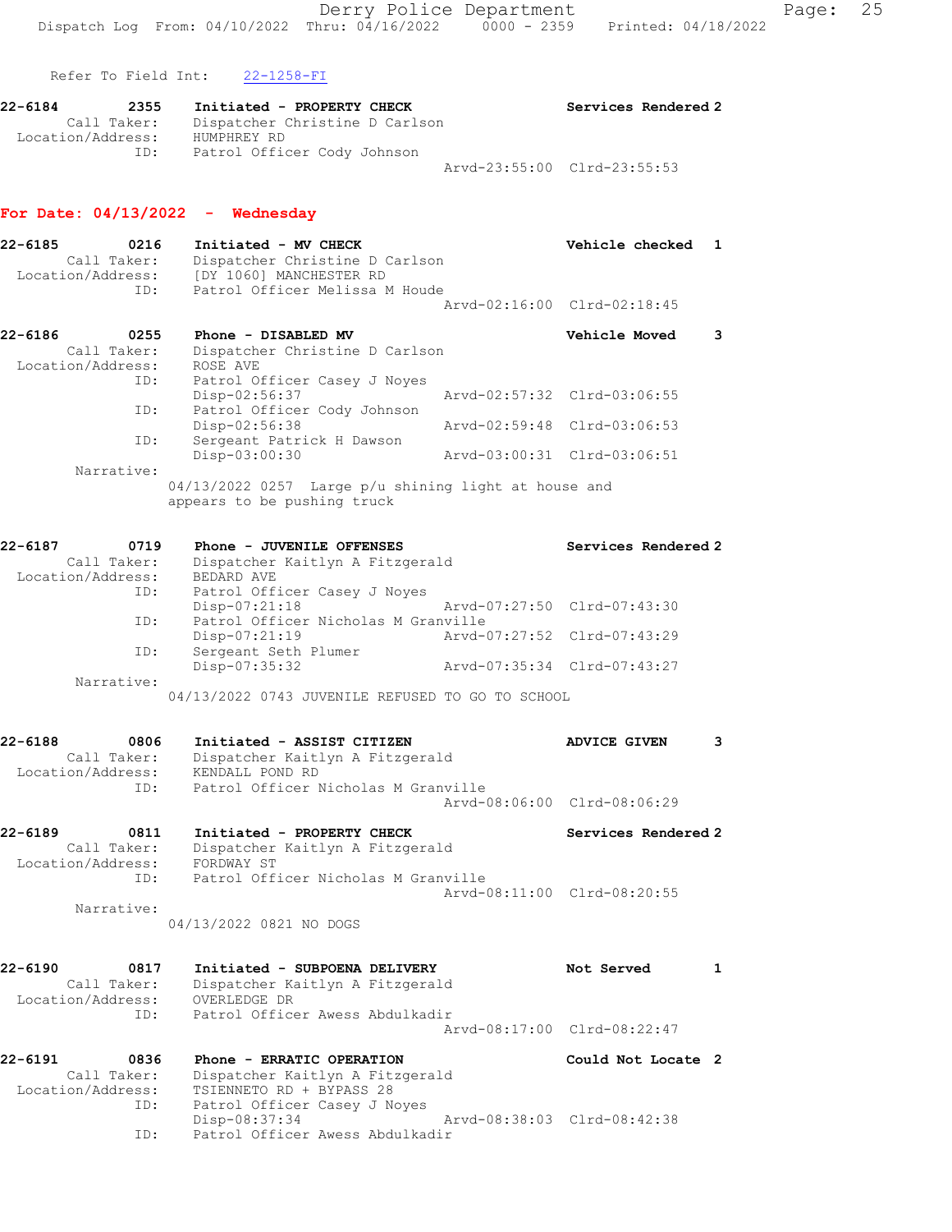Refer To Field Int: 22-1258-FI

| 22-6184           | 2355        | Initiated - PROPERTY CHECK     | Services Rendered 2         |
|-------------------|-------------|--------------------------------|-----------------------------|
|                   | Call Taker: | Dispatcher Christine D Carlson |                             |
| Location/Address: |             | HUMPHREY RD                    |                             |
|                   | ID:         | Patrol Officer Cody Johnson    |                             |
|                   |             |                                | Arvd-23:55:00 Clrd-23:55:53 |

# For Date: 04/13/2022 - Wednesday

| $22 - 6185$ | 0216<br>Initiated - MV CHECK<br>Dispatcher Christine D Carlson<br>Call Taker:<br>Location/Address:<br>[DY 1060] MANCHESTER RD |                                                                                                                    | Vehicle checked | 1                           |   |
|-------------|-------------------------------------------------------------------------------------------------------------------------------|--------------------------------------------------------------------------------------------------------------------|-----------------|-----------------------------|---|
|             | ID:                                                                                                                           | Patrol Officer Melissa M Houde                                                                                     |                 | Arvd-02:16:00 Clrd-02:18:45 |   |
| 22-6186     | 0255<br>Call Taker:<br>Location/Address:                                                                                      | Phone - DISABLED MV<br>Dispatcher Christine D Carlson<br>ROSE AVE                                                  |                 | <b>Vehicle Moved</b>        | 3 |
|             | ID:                                                                                                                           | Patrol Officer Casey J Noyes<br>$Disp-02:56:37$                                                                    |                 | Arvd-02:57:32 Clrd-03:06:55 |   |
|             | ID:<br>ID:                                                                                                                    | Patrol Officer Cody Johnson<br>Disp-02:56:38<br>Sergeant Patrick H Dawson                                          |                 | Aryd-02:59:48 Clrd-03:06:53 |   |
|             | Narrative:                                                                                                                    | Disp-03:00:30                                                                                                      |                 | Arvd-03:00:31 Clrd-03:06:51 |   |
|             |                                                                                                                               | $04/13/2022$ 0257 Large $p/u$ shining light at house and<br>appears to be pushing truck                            |                 |                             |   |
| $22 - 6187$ | 0719<br>Call Taker:<br>Location/Address:                                                                                      | Phone - JUVENILE OFFENSES<br>Dispatcher Kaitlyn A Fitzgerald<br>BEDARD AVE                                         |                 | Services Rendered 2         |   |
|             | ID:<br>ID:                                                                                                                    | Patrol Officer Casey J Noyes<br>Disp-07:21:18<br>Patrol Officer Nicholas M Granville                               |                 | Arvd-07:27:50 Clrd-07:43:30 |   |
|             | ID:                                                                                                                           | Disp-07:21:19<br>Sergeant Seth Plumer                                                                              |                 | Arvd-07:27:52 Clrd-07:43:29 |   |
|             | Narrative:                                                                                                                    | Disp-07:35:32                                                                                                      |                 | Arvd-07:35:34 Clrd-07:43:27 |   |
|             |                                                                                                                               | 04/13/2022 0743 JUVENILE REFUSED TO GO TO SCHOOL                                                                   |                 |                             |   |
| $22 - 6188$ | 0806<br>Call Taker:<br>Location/Address:                                                                                      | Initiated - ASSIST CITIZEN<br>Dispatcher Kaitlyn A Fitzgerald<br>KENDALL POND RD                                   |                 | <b>ADVICE GIVEN</b>         | 3 |
|             | ID:                                                                                                                           | Patrol Officer Nicholas M Granville                                                                                |                 | Arvd-08:06:00 Clrd-08:06:29 |   |
| 22-6189     | 0811<br>Call Taker:<br>Location/Address:<br>ID:                                                                               | Initiated - PROPERTY CHECK<br>Dispatcher Kaitlyn A Fitzgerald<br>FORDWAY ST<br>Patrol Officer Nicholas M Granville |                 | Services Rendered 2         |   |
|             | Narrative:                                                                                                                    | 04/13/2022 0821 NO DOGS                                                                                            |                 | Arvd-08:11:00 Clrd-08:20:55 |   |
| 22-6190     | 0817<br>Call Taker:<br>Location/Address:                                                                                      | Initiated - SUBPOENA DELIVERY<br>Dispatcher Kaitlyn A Fitzgerald<br>OVERLEDGE DR                                   |                 | Not Served                  | 1 |
|             | ID:                                                                                                                           | Patrol Officer Awess Abdulkadir                                                                                    |                 | Arvd-08:17:00 Clrd-08:22:47 |   |
| 22-6191     | 0836<br>Call Taker:<br>Location/Address:                                                                                      | Phone - ERRATIC OPERATION<br>Dispatcher Kaitlyn A Fitzgerald<br>TSIENNETO RD + BYPASS 28                           |                 | Could Not Locate 2          |   |
|             | ID:<br>ID:                                                                                                                    | Patrol Officer Casey J Noves<br>Disp-08:37:34<br>Patrol Officer Awess Abdulkadir                                   |                 | Arvd-08:38:03 Clrd-08:42:38 |   |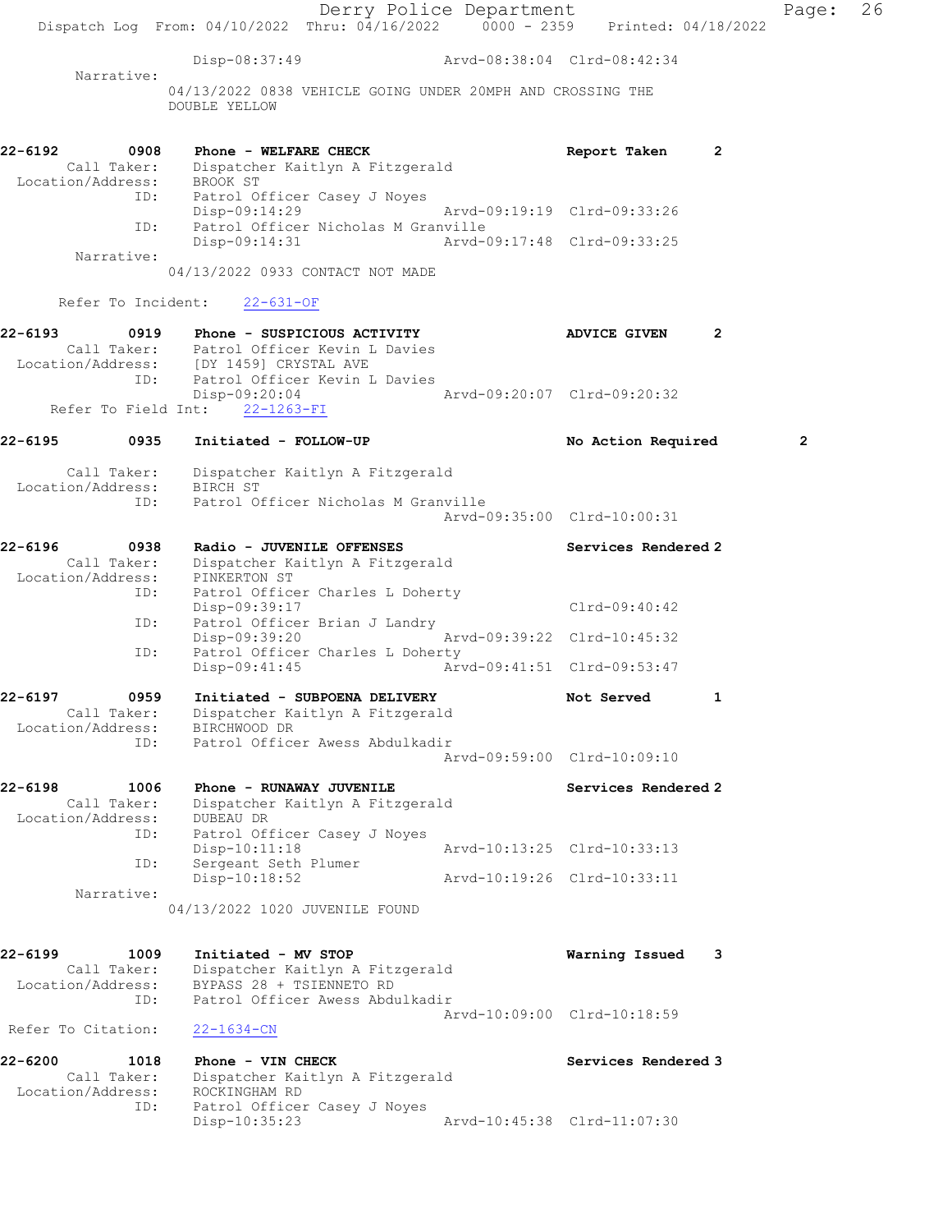|                                                     | Dispatch Log From: 04/10/2022 Thru: 04/16/2022 0000 - 2359 Printed: 04/18/2022                                           | Derry Police Department |                             |                | Page:          | 26 |
|-----------------------------------------------------|--------------------------------------------------------------------------------------------------------------------------|-------------------------|-----------------------------|----------------|----------------|----|
|                                                     | Disp-08:37:49 Arvd-08:38:04 Clrd-08:42:34                                                                                |                         |                             |                |                |    |
| Narrative:                                          | 04/13/2022 0838 VEHICLE GOING UNDER 20MPH AND CROSSING THE<br>DOUBLE YELLOW                                              |                         |                             |                |                |    |
| 22-6192<br>0908                                     | Phone - WELFARE CHECK<br>Call Taker: Dispatcher Kaitlyn A Fitzgerald<br>Location/Address: BROOK ST                       |                         | Report Taken                | $\overline{2}$ |                |    |
| ID:                                                 | ID: Patrol Officer Casey J Noyes<br>Disp-09:14:29<br>Patrol Officer Nicholas M Granville                                 |                         | Arvd-09:19:19 Clrd-09:33:26 |                |                |    |
| Narrative:                                          | Disp-09:14:31                                                                                                            |                         | Arvd-09:17:48 Clrd-09:33:25 |                |                |    |
|                                                     | 04/13/2022 0933 CONTACT NOT MADE                                                                                         |                         |                             |                |                |    |
|                                                     | Refer To Incident: 22-631-OF                                                                                             |                         |                             |                |                |    |
| 22-6193                                             | 0919 Phone - SUSPICIOUS ACTIVITY<br>Call Taker: Patrol Officer Kevin L Davies<br>Location/Address: [DY 1459] CRYSTAL AVE |                         | <b>ADVICE GIVEN</b>         | 2              |                |    |
| ID:<br>Refer To Field Int:                          | Patrol Officer Kevin L Davies<br>Disp-09:20:04<br>$22 - 1263 - FI$                                                       |                         | Arvd-09:20:07 Clrd-09:20:32 |                |                |    |
| 22-6195<br>0935                                     | Initiated - FOLLOW-UP                                                                                                    |                         | No Action Required          |                | $\overline{2}$ |    |
| Location/Address: BIRCH ST                          | Call Taker: Dispatcher Kaitlyn A Fitzgerald                                                                              |                         |                             |                |                |    |
| ID:                                                 | Patrol Officer Nicholas M Granville                                                                                      |                         | Arvd-09:35:00 Clrd-10:00:31 |                |                |    |
| 22-6196<br>0938<br>Location/Address: PINKERTON ST   | Radio - JUVENILE OFFENSES<br>Call Taker: Dispatcher Kaitlyn A Fitzgerald                                                 |                         | Services Rendered 2         |                |                |    |
|                                                     | Patrol Officer Charles L Doherty<br>ID:<br>Disp-09:39:17                                                                 |                         | Clrd-09:40:42               |                |                |    |
| ID:                                                 | Patrol Officer Brian J Landry<br>Disp-09:39:20                                                                           |                         | Arvd-09:39:22 Clrd-10:45:32 |                |                |    |
| ID:                                                 | Patrol Officer Charles L Doherty<br>$Disp-09:41:45$                                                                      |                         | Arvd-09:41:51 Clrd-09:53:47 |                |                |    |
| 22-6197<br>0959<br>Call Taker:<br>Location/Address: | Initiated - SUBPOENA DELIVERY<br>Dispatcher Kaitlyn A Fitzgerald<br>BIRCHWOOD DR                                         |                         | Not Served                  |                |                |    |
| ID:                                                 | Patrol Officer Awess Abdulkadir                                                                                          |                         | Arvd-09:59:00 Clrd-10:09:10 |                |                |    |
| 22-6198<br>1006<br>Call Taker:<br>Location/Address: | Phone - RUNAWAY JUVENILE<br>Dispatcher Kaitlyn A Fitzgerald<br>DUBEAU DR                                                 |                         | Services Rendered 2         |                |                |    |
| ID:                                                 | Patrol Officer Casey J Noyes<br>Disp-10:11:18                                                                            |                         | Arvd-10:13:25 Clrd-10:33:13 |                |                |    |
| ID:<br>Narrative:                                   | Sergeant Seth Plumer<br>$Disp-10:18:52$                                                                                  |                         | Arvd-10:19:26 Clrd-10:33:11 |                |                |    |
|                                                     | 04/13/2022 1020 JUVENILE FOUND                                                                                           |                         |                             |                |                |    |
| 22-6199<br>1009<br>Call Taker:<br>Location/Address: | Initiated - MV STOP<br>Dispatcher Kaitlyn A Fitzgerald<br>BYPASS 28 + TSIENNETO RD                                       |                         | Warning Issued              | -3             |                |    |
| ID:                                                 | Patrol Officer Awess Abdulkadir                                                                                          |                         | Arvd-10:09:00 Clrd-10:18:59 |                |                |    |
| Refer To Citation:                                  | $22 - 1634 - CN$                                                                                                         |                         |                             |                |                |    |
| 22-6200<br>1018<br>Call Taker:<br>Location/Address: | Phone - VIN CHECK<br>Dispatcher Kaitlyn A Fitzgerald<br>ROCKINGHAM RD                                                    |                         | Services Rendered 3         |                |                |    |
| ID:                                                 | Patrol Officer Casey J Noyes<br>Disp-10:35:23                                                                            |                         | Arvd-10:45:38 Clrd-11:07:30 |                |                |    |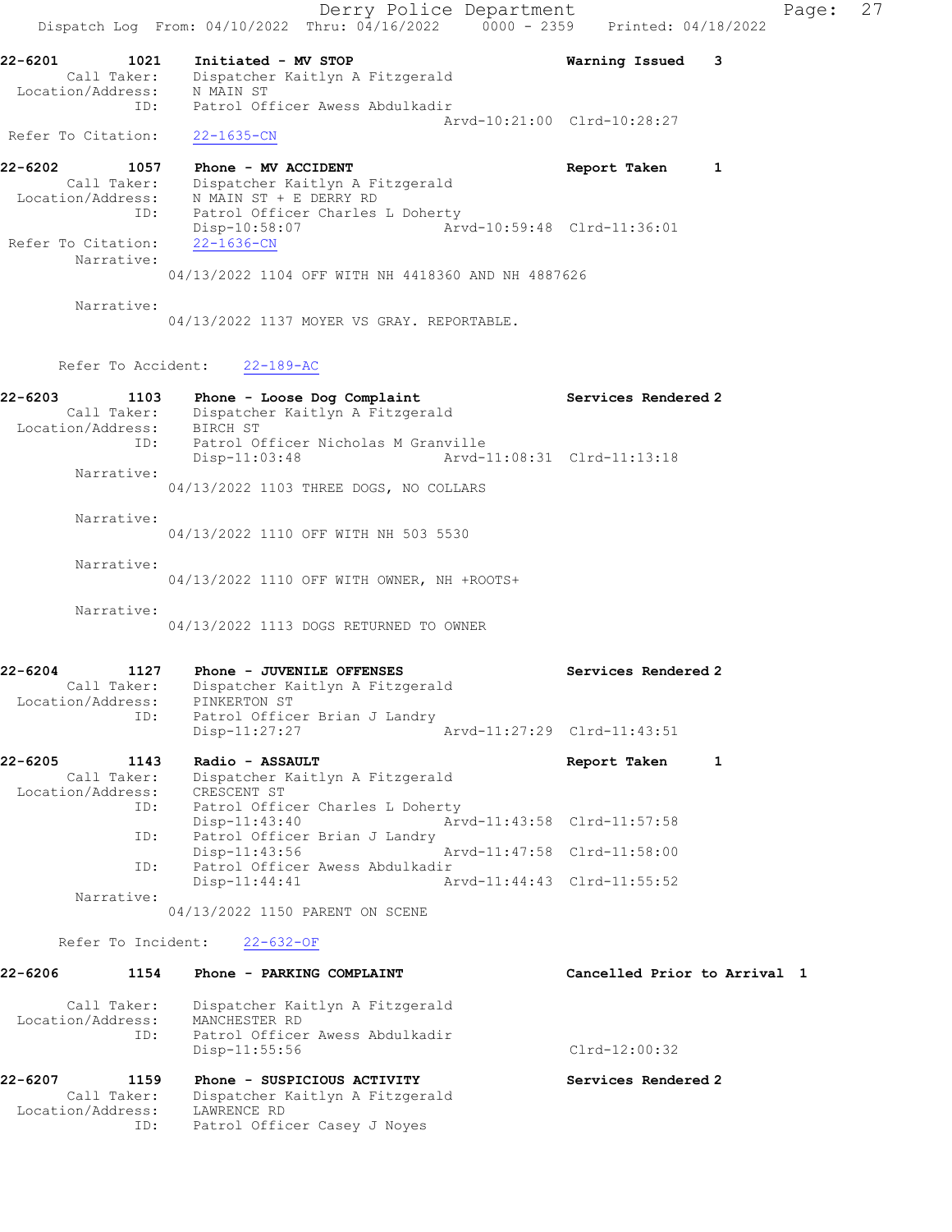Derry Police Department Fage: 27 Dispatch Log From:  $04/10/2022$  Thru:  $04/16/2022$  0000 - 2359 Printed: 04/18/2022 22-6201 1021 Initiated - MV STOP Warning Issued 3 Call Taker: Dispatcher Kaitlyn A Fitzgerald Location/Address: N MAIN ST ID: Patrol Officer Awess Abdulkadir Arvd-10:21:00 Clrd-10:28:27 Refer To Citation: 22-1635-CN 22-6202 1057 Phone - MV ACCIDENT Report Taken 1 Call Taker: Dispatcher Kaitlyn A Fitzgerald Location/Address: N MAIN ST + E DERRY RD ID: Patrol Officer Charles L Doherty Disp-10:58:07 Arvd-10:59:48 Clrd-11:36:01 Refer To Citation: 22-1636-CN Narrative: 04/13/2022 1104 OFF WITH NH 4418360 AND NH 4887626 Narrative: 04/13/2022 1137 MOYER VS GRAY. REPORTABLE. Refer To Accident: 22-189-AC 22-6203 1103 Phone - Loose Dog Complaint Services Rendered 2 Call Taker: Dispatcher Kaitlyn A Fitzgerald Location/Address: BIRCH ST ID: Patrol Officer Nicholas M Granville Disp-11:03:48 Arvd-11:08:31 Clrd-11:13:18 Narrative: 04/13/2022 1103 THREE DOGS, NO COLLARS Narrative: 04/13/2022 1110 OFF WITH NH 503 5530 Narrative: 04/13/2022 1110 OFF WITH OWNER, NH +ROOTS+ Narrative: 04/13/2022 1113 DOGS RETURNED TO OWNER 22-6204 1127 Phone - JUVENILE OFFENSES Services Rendered 2 Call Taker: Dispatcher Kaitlyn A Fitzgerald Location/Address: PINKERTON ST ID: Patrol Officer Brian J Landry Disp-11:27:27 Arvd-11:27:29 Clrd-11:43:51 22-6205 1143 Radio - ASSAULT Report Taken 1 Call Taker: Dispatcher Kaitlyn A Fitzgerald Location/Address: CRESCENT ST ID: Patrol Officer Charles L Doherty<br>Disp-11:43:40 Art Disp-11:43:40 Arvd-11:43:58 Clrd-11:57:58<br>ID: Patrol Officer Brian J Landry Patrol Officer Brian J Landry Disp-11:43:56 Arvd-11:47:58 Clrd-11:58:00 ID: Patrol Officer Awess Abdulkadir<br>Disp-11:44:41 A Arvd-11:44:43 Clrd-11:55:52 Narrative: 04/13/2022 1150 PARENT ON SCENE Refer To Incident: 22-632-OF 22-6206 1154 Phone - PARKING COMPLAINT Cancelled Prior to Arrival 1 Call Taker: Dispatcher Kaitlyn A Fitzgerald

 Location/Address: MANCHESTER RD ID: Patrol Officer Awess Abdulkadir Disp-11:55:56 Clrd-12:00:32 22-6207 1159 Phone - SUSPICIOUS ACTIVITY Services Rendered 2

 Call Taker: Dispatcher Kaitlyn A Fitzgerald Location/Address: LAWRENCE RD ID: Patrol Officer Casey J Noyes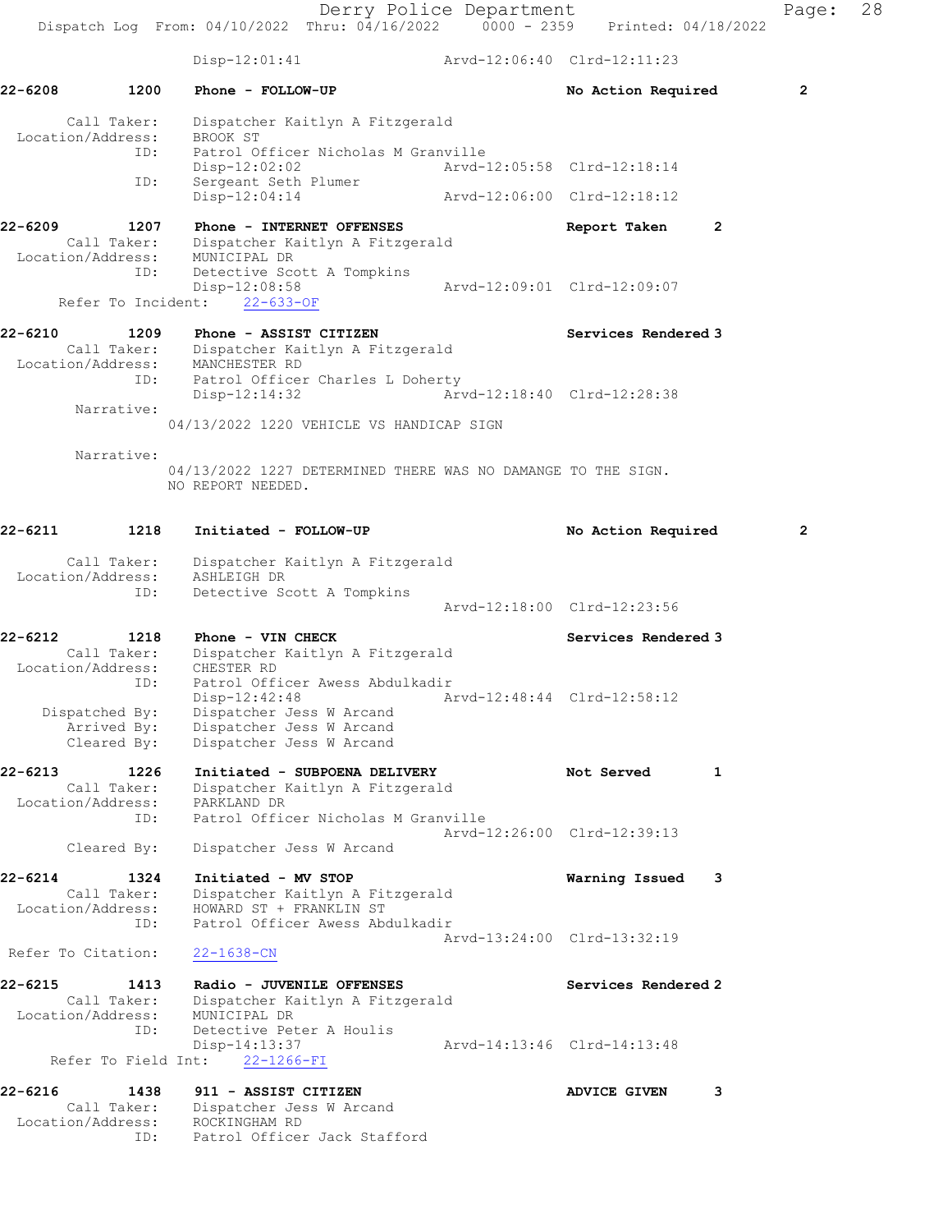Derry Police Department Fage: 28 Dispatch Log From: 04/10/2022 Thru: 04/16/2022 0000 - 2359 Printed: 04/18/2022 Disp-12:01:41 Arvd-12:06:40 Clrd-12:11:23 22-6208 1200 Phone - FOLLOW-UP **No Action Required** 2 Call Taker: Dispatcher Kaitlyn A Fitzgerald Location/Address: BROOK ST ID: Patrol Officer Nicholas M Granville Disp-12:02:02 Arvd-12:05:58 Clrd-12:18:14 ID: Sergeant Seth Plumer Disp-12:04:14 Arvd-12:06:00 Clrd-12:18:12 22-6209 1207 Phone - INTERNET OFFENSES Report Taken 2 Call Taker: Dispatcher Kaitlyn A Fitzgerald Location/Address: MUNICIPAL DR ID: Detective Scott A Tompkins Disp-12:08:58 Arvd-12:09:01 Clrd-12:09:07 Refer To Incident: 22-633-OF 22-6210 1209 Phone - ASSIST CITIZEN Services Rendered 3 Call Taker: Dispatcher Kaitlyn A Fitzgerald Location/Address: MANCHESTER RD ID: Patrol Officer Charles L Doherty Disp-12:14:32 Arvd-12:18:40 Clrd-12:28:38 Narrative: 04/13/2022 1220 VEHICLE VS HANDICAP SIGN Narrative: 04/13/2022 1227 DETERMINED THERE WAS NO DAMANGE TO THE SIGN. NO REPORT NEEDED. 22-6211 1218 Initiated - FOLLOW-UP No Action Required 2 Call Taker: Dispatcher Kaitlyn A Fitzgerald Location/Address: ASHLEIGH DR ID: Detective Scott A Tompkins Arvd-12:18:00 Clrd-12:23:56 22-6212 1218 Phone - VIN CHECK Services Rendered 3 Call Taker: Dispatcher Kaitlyn A Fitzgerald Location/Address: CHESTER RD ID: Patrol Officer Awess Abdulkadir Disp-12:42:48 Arvd-12:48:44 Clrd-12:58:12 Dispatched By: Dispatcher Jess W Arcand Arrived By: Dispatcher Jess W Arcand Cleared By: Dispatcher Jess W Arcand 22-6213 1226 Initiated - SUBPOENA DELIVERY Not Served 1 Call Taker: Dispatcher Kaitlyn A Fitzgerald Location/Address: PARKLAND DR ID: Patrol Officer Nicholas M Granville Arvd-12:26:00 Clrd-12:39:13 Cleared By: Dispatcher Jess W Arcand 22-6214 1324 Initiated - MV STOP Warning Issued 3 Call Taker: Dispatcher Kaitlyn A Fitzgerald Location/Address: HOWARD ST + FRANKLIN ST ID: Patrol Officer Awess Abdulkadir Arvd-13:24:00 Clrd-13:32:19 Refer To Citation: 22-1638-CN 22-6215 1413 Radio - JUVENILE OFFENSES Services Rendered 2 Call Taker: Dispatcher Kaitlyn A Fitzgerald Location/Address: MUNICIPAL DR ID: Detective Peter A Houlis Disp-14:13:37 Arvd-14:13:46 Clrd-14:13:48 Refer To Field Int: 22-1266-FI 22-6216 1438 911 - ASSIST CITIZEN ADVICE GIVEN 3 Call Taker: Dispatcher Jess W Arcand Location/Address: ROCKINGHAM RD

ID: Patrol Officer Jack Stafford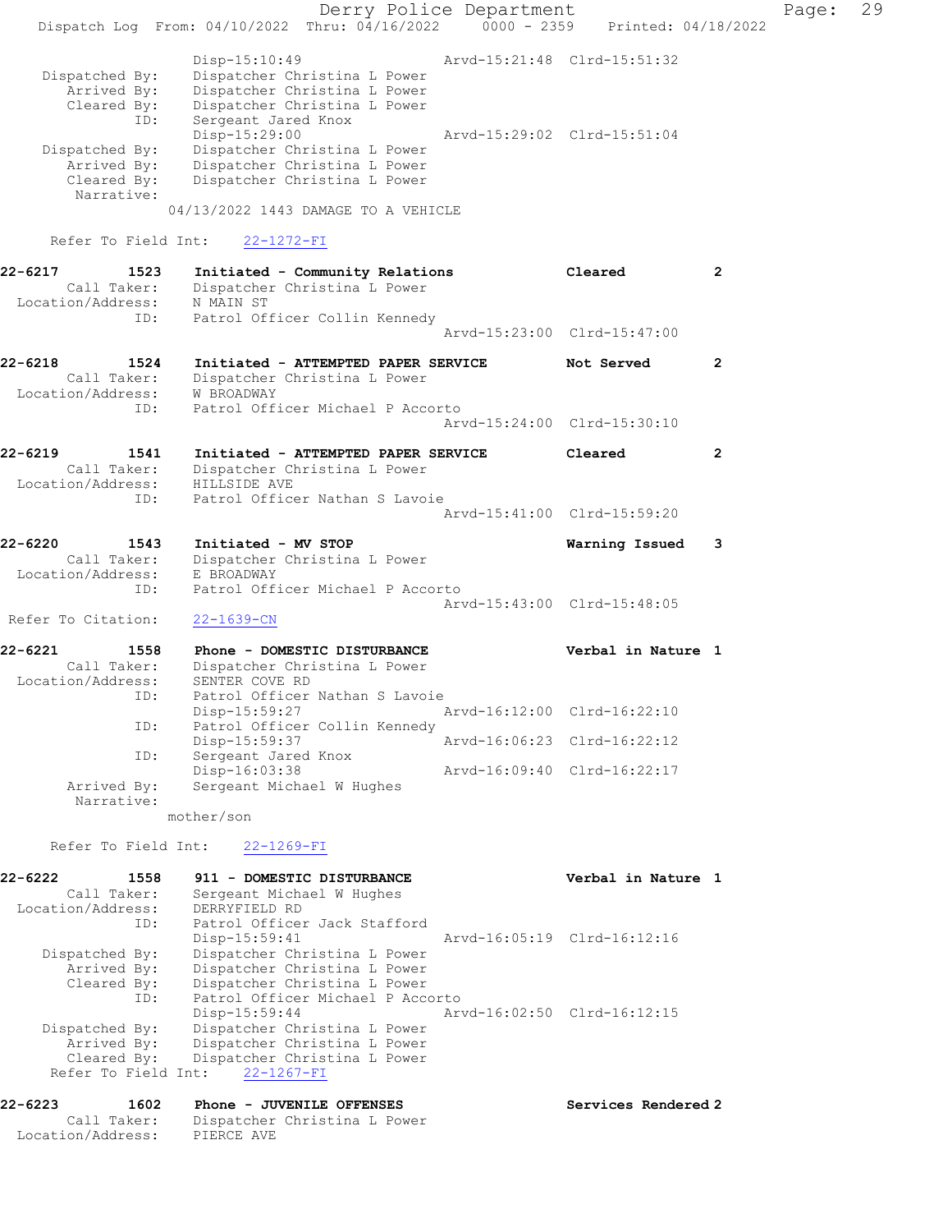Derry Police Department Fage: 29 Dispatch Log From: 04/10/2022 Thru: 04/16/2022 0000 - 2359 Printed: 04/18/2022 Disp-15:10:49 Arvd-15:21:48 Clrd-15:51:32 Dispatched By: Dispatcher Christina L Power Arrived By: Dispatcher Christina L Power Cleared By: Dispatcher Christina L Power ID: Sergeant Jared Knox Disp-15:29:00 Arvd-15:29:02 Clrd-15:51:04 Dispatched By: Dispatcher Christina L Power Arrived By: Dispatcher Christina L Power Cleared By: Dispatcher Christina L Power Narrative: 04/13/2022 1443 DAMAGE TO A VEHICLE Refer To Field Int: 22-1272-FI 22-6217 1523 Initiated - Community Relations Cleared 2 Call Taker: Dispatcher Christina L Power Location/Address: N MAIN ST ID: Patrol Officer Collin Kennedy Arvd-15:23:00 Clrd-15:47:00 22-6218 1524 Initiated - ATTEMPTED PAPER SERVICE Not Served 2 Call Taker: Dispatcher Christina L Power Location/Address: W BROADWAY ID: Patrol Officer Michael P Accorto Arvd-15:24:00 Clrd-15:30:10 22-6219 1541 Initiated - ATTEMPTED PAPER SERVICE Cleared 2 Call Taker: Dispatcher Christina L Power Location/Address: HILLSIDE AVE ID: Patrol Officer Nathan S Lavoie Arvd-15:41:00 Clrd-15:59:20 22-6220 1543 Initiated - MV STOP Warning Issued 3 Call Taker: Dispatcher Christina L Power Location/Address: E BROADWAY ID: Patrol Officer Michael P Accorto Arvd-15:43:00 Clrd-15:48:05 Refer To Citation: 22-1639-CN 22-6221 1558 Phone - DOMESTIC DISTURBANCE Verbal in Nature 1 Call Taker: Dispatcher Christina L Power Location/Address: SENTER COVE RD ID: Patrol Officer Nathan S Lavoie Disp-15:59:27 Arvd-16:12:00 Clrd-16:22:10 ID: Patrol Officer Collin Kennedy<br>Disp-15:59:37 Disp-15:59:37 Arvd-16:06:23 Clrd-16:22:12 ID: Sergeant Jared Knox Disp-16:03:38 Arvd-16:09:40 Clrd-16:22:17 Arrived By: Sergeant Michael W Hughes Narrative: mother/son Refer To Field Int: 22-1269-FI 22-6222 1558 911 - DOMESTIC DISTURBANCE Verbal in Nature 1 Call Taker: Sergeant Michael W Hughes Location/Address: DERRYFIELD RD ID: Patrol Officer Jack Stafford Disp-15:59:41 Arvd-16:05:19 Clrd-16:12:16 Dispatched By: Dispatcher Christina L Power Arrived By: Dispatcher Christina L Power Cleared By: Dispatcher Christina L Power ID: Patrol Officer Michael P Accorto Disp-15:59:44 Arvd-16:02:50 Clrd-16:12:15 Dispatched By: Dispatcher Christina L Power Arrived By: Dispatcher Christina L Power Cleared By: Dispatcher Christina L Power Refer To Field Int: 22-1267-FI 22-6223 1602 Phone - JUVENILE OFFENSES Services Rendered 2 Call Taker: Dispatcher Christina L Power Location/Address: PIERCE AVE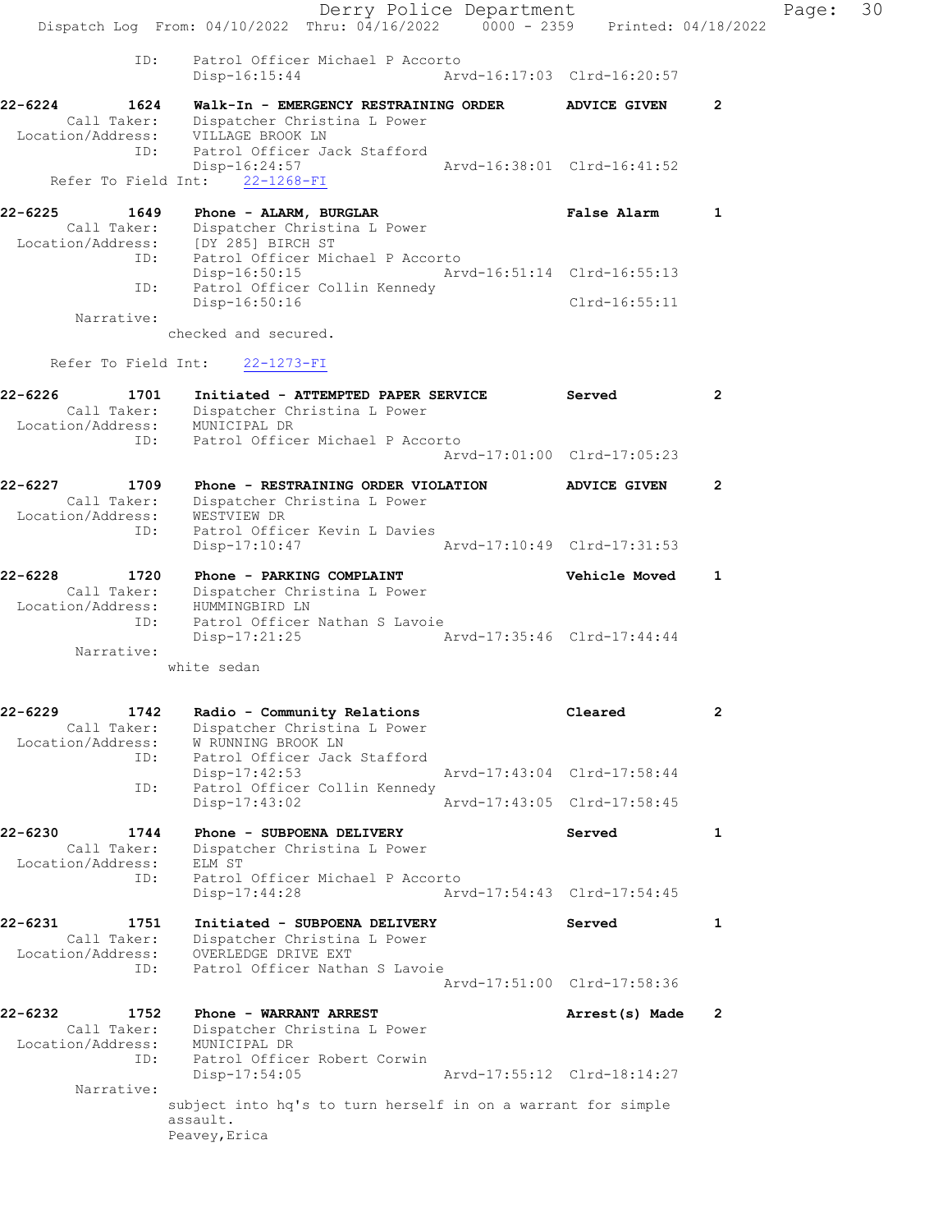|                                            |                                   | Derry Police Department                                      |                                 |                |
|--------------------------------------------|-----------------------------------|--------------------------------------------------------------|---------------------------------|----------------|
|                                            | Dispatch Log From: 04/10/2022     | Thru: 04/16/2022                                             | 0000 - 2359 Printed: 04/18/2022 |                |
| ID:                                        | Disp-16:15:44                     | Patrol Officer Michael P Accorto                             | Arvd-16:17:03 Clrd-16:20:57     |                |
| $22 - 6224$<br>1624                        |                                   | Walk-In - EMERGENCY RESTRAINING ORDER                        | <b>ADVICE GIVEN</b>             | $\overline{2}$ |
| Call Taker:<br>Location/Address:           | VILLAGE BROOK LN                  | Dispatcher Christina L Power                                 |                                 |                |
| ID:                                        |                                   | Patrol Officer Jack Stafford                                 |                                 |                |
| Refer To Field Int:                        | Disp-16:24:57<br>$22 - 1268 - FI$ |                                                              | Arvd-16:38:01 Clrd-16:41:52     |                |
| $22 - 6225$<br>1649                        | Phone - ALARM, BURGLAR            |                                                              | False Alarm                     | 1              |
| Call Taker:                                |                                   | Dispatcher Christina L Power                                 |                                 |                |
| Location/Address: [DY 285] BIRCH ST<br>ID: |                                   | Patrol Officer Michael P Accorto                             |                                 |                |
|                                            | Disp-16:50:15                     |                                                              | Arvd-16:51:14 Clrd-16:55:13     |                |
| ID:                                        | Disp-16:50:16                     | Patrol Officer Collin Kennedy                                | $Clrd-16:55:11$                 |                |
| Narrative:                                 | checked and secured.              |                                                              |                                 |                |
| Refer To Field Int:                        | $22 - 1273 - FI$                  |                                                              |                                 |                |
| $22 - 6226$<br>1701                        |                                   | Initiated - ATTEMPTED PAPER SERVICE                          | Served                          | $\overline{2}$ |
| Call Taker:                                |                                   | Dispatcher Christina L Power                                 |                                 |                |
| Location/Address:<br>ID:                   | MUNICIPAL DR                      | Patrol Officer Michael P Accorto                             |                                 |                |
|                                            |                                   |                                                              | Arvd-17:01:00 Clrd-17:05:23     |                |
| 22-6227<br>1709                            |                                   | Phone - RESTRAINING ORDER VIOLATION                          | <b>ADVICE GIVEN</b>             | $\overline{2}$ |
| Call Taker:<br>Location/Address:           | WESTVIEW DR                       | Dispatcher Christina L Power                                 |                                 |                |
| ID:                                        |                                   | Patrol Officer Kevin L Davies                                |                                 |                |
|                                            | Disp-17:10:47                     |                                                              | Arvd-17:10:49 Clrd-17:31:53     |                |
| $22 - 6228$<br>1720<br>Call Taker:         | Phone - PARKING COMPLAINT         | Dispatcher Christina L Power                                 | Vehicle Moved                   | 1              |
| Location/Address:                          | HUMMINGBIRD LN                    |                                                              |                                 |                |
| ID:                                        | Disp-17:21:25                     | Patrol Officer Nathan S Lavoie                               | Arvd-17:35:46 Clrd-17:44:44     |                |
| Narrative:                                 | white sedan                       |                                                              |                                 |                |
|                                            |                                   |                                                              |                                 |                |
| 22-6229<br>1742                            |                                   | Radio - Community Relations                                  | Cleared                         | $\overline{2}$ |
| Call Taker:<br>Location/Address:           | W RUNNING BROOK LN                | Dispatcher Christina L Power                                 |                                 |                |
| ID:                                        |                                   | Patrol Officer Jack Stafford                                 | Arvd-17:43:04 Clrd-17:58:44     |                |
| ID:                                        | $Disp-17:42:53$                   | Patrol Officer Collin Kennedy                                |                                 |                |
|                                            | Disp-17:43:02                     |                                                              | Arvd-17:43:05 Clrd-17:58:45     |                |
| 22-6230<br>1744<br>Call Taker:             | Phone - SUBPOENA DELIVERY         | Dispatcher Christina L Power                                 | Served                          | 1              |
| Location/Address:                          | ELM ST                            |                                                              |                                 |                |
| ID:                                        | $Disp-17:44:28$                   | Patrol Officer Michael P Accorto                             | Arvd-17:54:43 Clrd-17:54:45     |                |
| 22-6231<br>1751                            |                                   | Initiated - SUBPOENA DELIVERY                                | Served                          | 1              |
| Call Taker:                                |                                   | Dispatcher Christina L Power                                 |                                 |                |
| Location/Address:<br>ID:                   | OVERLEDGE DRIVE EXT               | Patrol Officer Nathan S Lavoie                               |                                 |                |
|                                            |                                   |                                                              | Arvd-17:51:00 Clrd-17:58:36     |                |
| 22-6232<br>1752                            | Phone - WARRANT ARREST            |                                                              | Arrest(s) Made                  | 2              |
| Call Taker:<br>Location/Address:           | MUNICIPAL DR                      | Dispatcher Christina L Power                                 |                                 |                |
| ID:                                        |                                   | Patrol Officer Robert Corwin                                 |                                 |                |
| Narrative:                                 | $Disp-17:54:05$                   |                                                              | Arvd-17:55:12 Clrd-18:14:27     |                |
|                                            | assault.                          | subject into hq's to turn herself in on a warrant for simple |                                 |                |
|                                            | Peavey, Erica                     |                                                              |                                 |                |

Page:  $30$ <br> $22$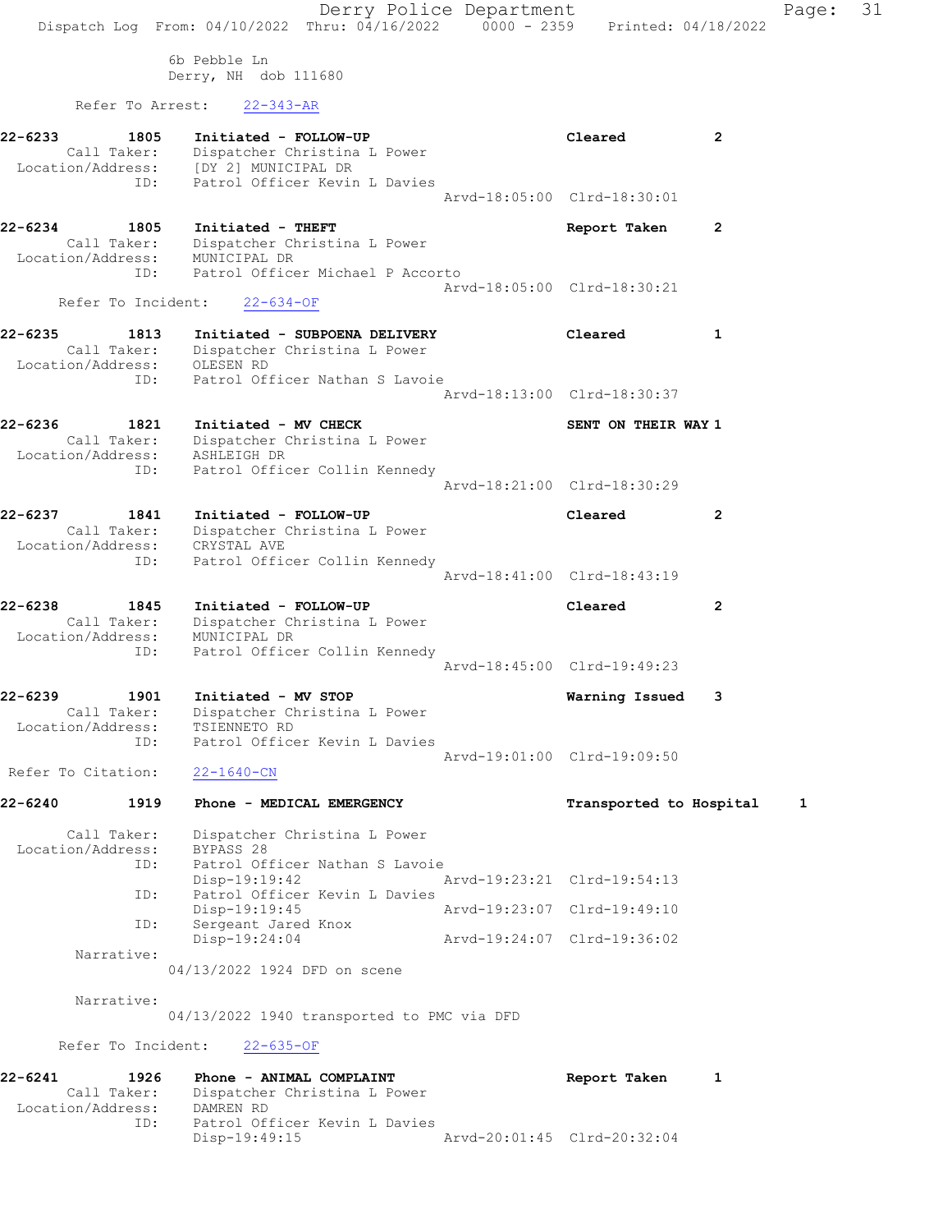Derry Police Department Fage: 31 Dispatch Log From:  $04/10/2022$  Thru:  $04/16/2022$  0000 - 2359 Printed: 04/18/2022 6b Pebble Ln Derry, NH dob 111680 Refer To Arrest: 22-343-AR 22-6233 1805 Initiated - FOLLOW-UP Cleared 2 Call Taker: Dispatcher Christina L Power Location/Address: [DY 2] MUNICIPAL DR ID: Patrol Officer Kevin L Davies Arvd-18:05:00 Clrd-18:30:01 22-6234 1805 Initiated - THEFT Report Taken 2 Call Taker: Dispatcher Christina L Power Location/Address: MUNICIPAL DR ID: Patrol Officer Michael P Accorto Arvd-18:05:00 Clrd-18:30:21 Refer To Incident: 22-634-OF 22-6235 1813 Initiated - SUBPOENA DELIVERY Cleared 1 Call Taker: Dispatcher Christina L Power Location/Address: OLESEN RD ID: Patrol Officer Nathan S Lavoie Arvd-18:13:00 Clrd-18:30:37 22-6236 1821 Initiated - MV CHECK SENT ON THEIR WAY 1 Call Taker: Dispatcher Christina L Power Location/Address: ASHLEIGH DR ID: Patrol Officer Collin Kennedy Arvd-18:21:00 Clrd-18:30:29 22-6237 1841 Initiated - FOLLOW-UP Cleared 2 Call Taker: Dispatcher Christina L Power Location/Address: CRYSTAL AVE ID: Patrol Officer Collin Kennedy Arvd-18:41:00 Clrd-18:43:19 22-6238 1845 Initiated - FOLLOW-UP Cleared 2 Call Taker: Dispatcher Christina L Power Location/Address: MUNICIPAL DR ID: Patrol Officer Collin Kennedy Arvd-18:45:00 Clrd-19:49:23 22-6239 1901 Initiated - MV STOP Warning Issued 3 Call Taker: Dispatcher Christina L Power Location/Address: TSIENNETO RD ID: Patrol Officer Kevin L Davies Arvd-19:01:00 Clrd-19:09:50 Refer To Citation: 22-1640-CN 22-6240 1919 Phone - MEDICAL EMERGENCY Transported to Hospital 1 Call Taker: Dispatcher Christina L Power Location/Address: BYPASS 28 ID: Patrol Officer Nathan S Lavoie Disp-19:19:42 Arvd-19:23:21 Clrd-19:54:13 ID: Patrol Officer Kevin L Davies Disp-19:19:45 Arvd-19:23:07 Clrd-19:49:10 ID: Sergeant Jared Knox Disp-19:24:04 Arvd-19:24:07 Clrd-19:36:02 Narrative: 04/13/2022 1924 DFD on scene Narrative: 04/13/2022 1940 transported to PMC via DFD Refer To Incident: 22-635-OF 22-6241 1926 Phone - ANIMAL COMPLAINT Report Taken 1 Call Taker: Dispatcher Christina L Power Location/Address: DAMREN RD ID: Patrol Officer Kevin L Davies

Disp-19:49:15 Arvd-20:01:45 Clrd-20:32:04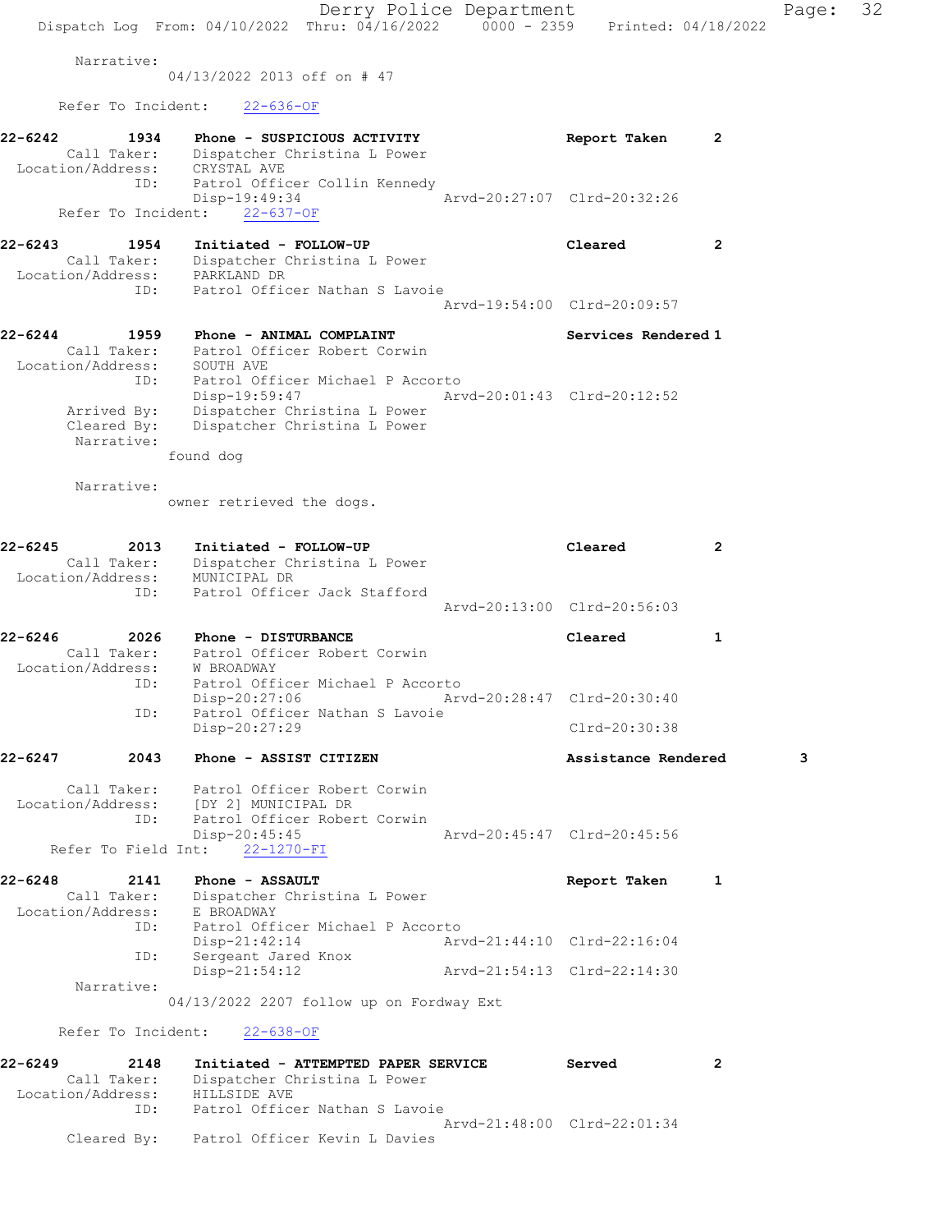Derry Police Department Fage: 32 Dispatch Log From: 04/10/2022 Thru: 04/16/2022 0000 - 2359 Printed: 04/18/2022 Narrative: 04/13/2022 2013 off on # 47 Refer To Incident: 22-636-OF 22-6242 1934 Phone - SUSPICIOUS ACTIVITY Report Taken 2 Call Taker: Dispatcher Christina L Power Location/Address: CRYSTAL AVE ID: Patrol Officer Collin Kennedy Disp-19:49:34 Arvd-20:27:07 Clrd-20:32:26 Refer To Incident: 22-637-OF 22-6243 1954 Initiated - FOLLOW-UP Cleared 2 Call Taker: Dispatcher Christina L Power Location/Address: PARKLAND DR ID: Patrol Officer Nathan S Lavoie Arvd-19:54:00 Clrd-20:09:57 22-6244 1959 Phone - ANIMAL COMPLAINT Number of Services Rendered 1 Call Taker: Patrol Officer Robert Corwin Location/Address: SOUTH AVE ID: Patrol Officer Michael P Accorto Disp-19:59:47 Arvd-20:01:43 Clrd-20:12:52 Arrived By: Dispatcher Christina L Power Cleared By: Dispatcher Christina L Power Narrative: found dog Narrative: owner retrieved the dogs. 22-6245 2013 Initiated - FOLLOW-UP Cleared 2 Call Taker: Dispatcher Christina L Power Location/Address: MUNICIPAL DR ID: Patrol Officer Jack Stafford Arvd-20:13:00 Clrd-20:56:03 22-6246 2026 Phone - DISTURBANCE Cleared 1 Call Taker: Patrol Officer Robert Corwin Location/Address: W BROADWAY ID: Patrol Officer Michael P Accorto Disp-20:27:06 Arvd-20:28:47 Clrd-20:30:40 ID: Patrol Officer Nathan S Lavoie Disp-20:27:29 Clrd-20:30:38 22-6247 2043 Phone - ASSIST CITIZEN Assistance Rendered 3 Call Taker: Patrol Officer Robert Corwin Location/Address: [DY 2] MUNICIPAL DR ID: Patrol Officer Robert Corwin Disp-20:45:45 Arvd-20:45:47 Clrd-20:45:56 Refer To Field Int: 22-1270-FI 22-6248 2141 Phone - ASSAULT Report Taken 1 Call Taker: Dispatcher Christina L Power Location/Address: E BROADWAY ID: Patrol Officer Michael P Accorto Disp-21:42:14 Arvd-21:44:10 Clrd-22:16:04 ID: Sergeant Jared Knox Disp-21:54:12 Arvd-21:54:13 Clrd-22:14:30 Narrative: 04/13/2022 2207 follow up on Fordway Ext Refer To Incident: 22-638-OF 22-6249 2148 Initiated - ATTEMPTED PAPER SERVICE Served 2 Call Taker: Dispatcher Christina L Power Location/Address: HILLSIDE AVE ID: Patrol Officer Nathan S Lavoie Arvd-21:48:00 Clrd-22:01:34 Cleared By: Patrol Officer Kevin L Davies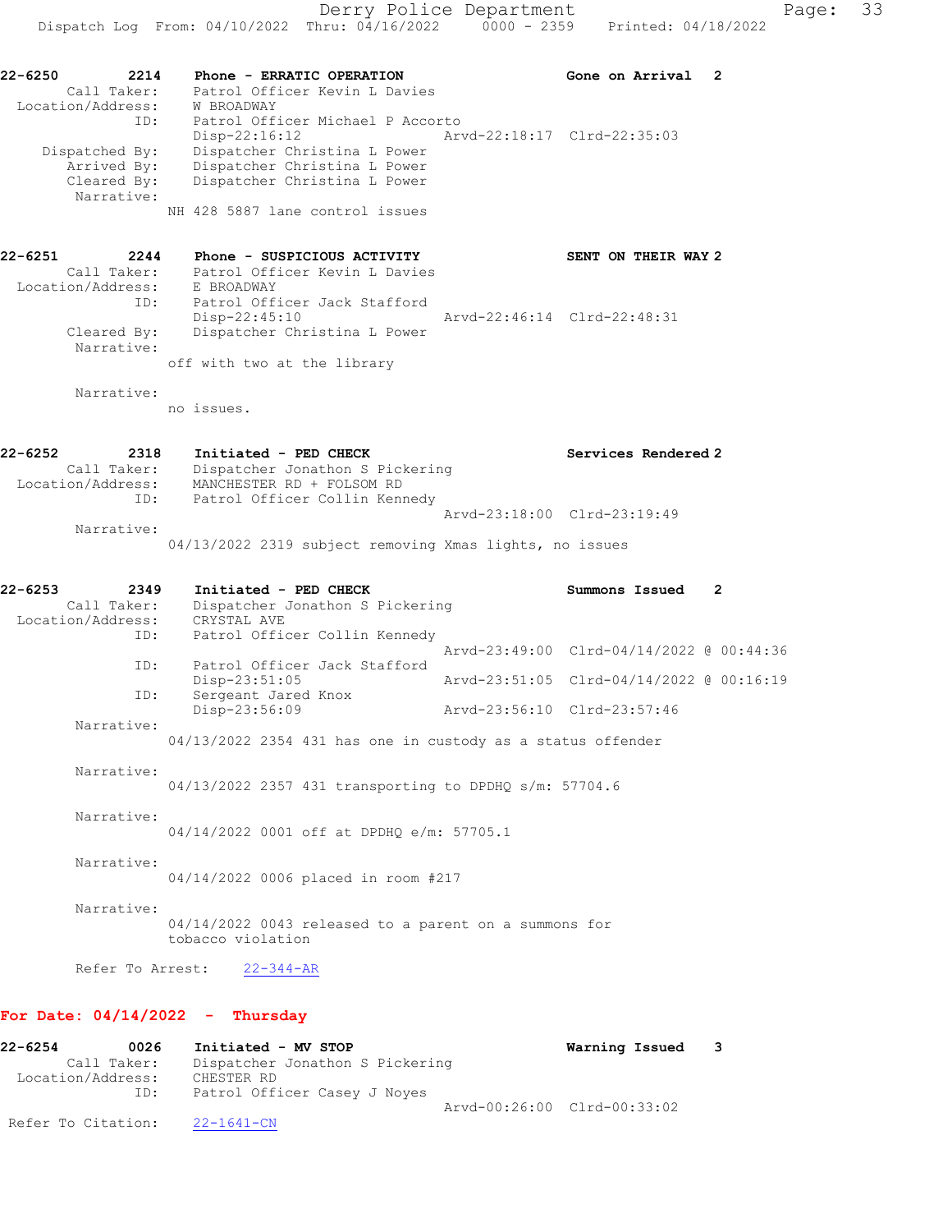22-6250 2214 Phone - ERRATIC OPERATION Gone on Arrival 2 Call Taker: Patrol Officer Kevin L Davies Location/Address: W BROADWAY ID: Patrol Officer Michael P Accorto Disp-22:16:12 Arvd-22:18:17 Clrd-22:35:03 Dispatched By: Dispatcher Christina L Power Arrived By: Dispatcher Christina L Power Cleared By: Dispatcher Christina L Power Narrative: NH 428 5887 lane control issues

22-6251 2244 Phone - SUSPICIOUS ACTIVITY SENT ON THEIR WAY 2 Call Taker: Patrol Officer Kevin L Davies Location/Address: E BROADWAY ID: Patrol Officer Jack Stafford Disp-22:45:10 Arvd-22:46:14 Clrd-22:48:31 Cleared By: Dispatcher Christina L Power Narrative: off with two at the library

Narrative:

no issues.

| 22-6252           | 2318        | Initiated - PED CHECK           | Services Rendered 2         |
|-------------------|-------------|---------------------------------|-----------------------------|
|                   | Call Taker: | Dispatcher Jonathon S Pickering |                             |
| Location/Address: |             | MANCHESTER RD + FOLSOM RD       |                             |
|                   | ID:         | Patrol Officer Collin Kennedy   |                             |
|                   |             |                                 | Arvd-23:18:00 Clrd-23:19:49 |
|                   | Narrative:  |                                 |                             |

04/13/2022 2319 subject removing Xmas lights, no issues

| 22-6253<br>2349<br>Call Taker:<br>Location/Address: CRYSTAL AVE | Initiated - PED CHECK<br>Dispatcher Jonathon S Pickering                     | Summons Issued                           | $\overline{2}$ |
|-----------------------------------------------------------------|------------------------------------------------------------------------------|------------------------------------------|----------------|
|                                                                 | Patrol Officer Collin Kennedy<br>ID:                                         | Arvd-23:49:00 Clrd-04/14/2022 @ 00:44:36 |                |
| ID:                                                             | Patrol Officer Jack Stafford<br>Disp-23:51:05                                | Arvd-23:51:05 Clrd-04/14/2022 @ 00:16:19 |                |
| ID:                                                             | Sergeant Jared Knox                                                          |                                          |                |
|                                                                 | Disp-23:56:09                                                                | Arvd-23:56:10 Clrd-23:57:46              |                |
| Narrative:                                                      | $04/13/2022$ 2354 431 has one in custody as a status offender                |                                          |                |
| Narrative:                                                      | $04/13/2022$ 2357 431 transporting to DPDHQ s/m: 57704.6                     |                                          |                |
| Narrative:                                                      | 04/14/2022 0001 off at DPDHO e/m: 57705.1                                    |                                          |                |
| Narrative:                                                      | 04/14/2022 0006 placed in room #217                                          |                                          |                |
| Narrative:                                                      | $04/14/2022$ 0043 released to a parent on a summons for<br>tobacco violation |                                          |                |
|                                                                 | Refer To Arrest: 22-344-AR                                                   |                                          |                |

### For Date: 04/14/2022 - Thursday

| 22-6254            | 0026        | Initiated - MV STOP             |                             | Warning Issued 3 |  |
|--------------------|-------------|---------------------------------|-----------------------------|------------------|--|
|                    | Call Taker: | Dispatcher Jonathon S Pickering |                             |                  |  |
| Location/Address:  |             | CHESTER RD                      |                             |                  |  |
|                    | ID:         | Patrol Officer Casey J Noyes    |                             |                  |  |
|                    |             |                                 | Arvd-00:26:00 Clrd-00:33:02 |                  |  |
| Refer To Citation: |             | 22-1641-CN                      |                             |                  |  |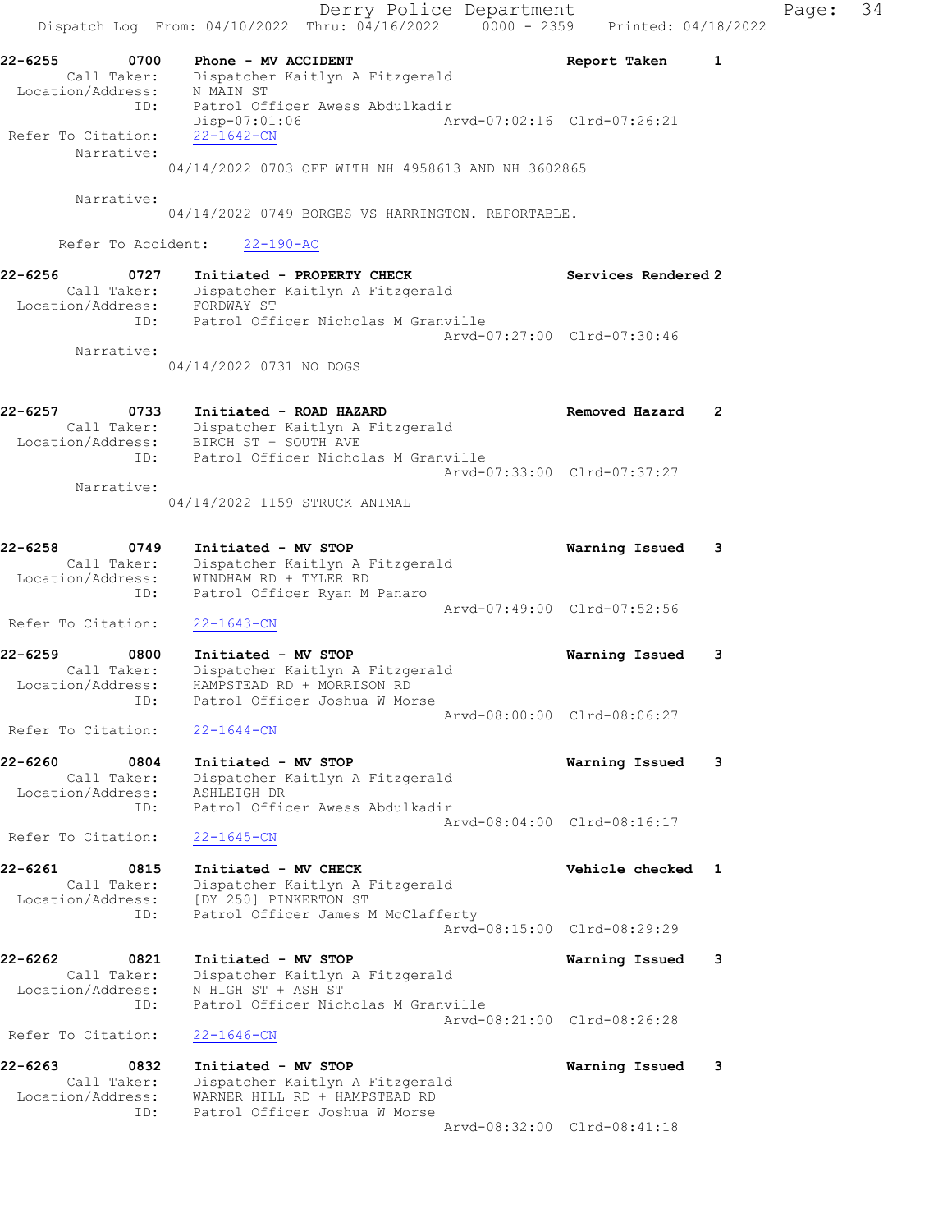Derry Police Department Controller Page: 34 Dispatch Log From:  $04/10/2022$  Thru:  $04/16/2022$  0000 - 2359 Printed: 04/18/2022 22-6255 0700 Phone - MV ACCIDENT Report Taken 1 Call Taker: Dispatcher Kaitlyn A Fitzgerald Location/Address: N MAIN ST ID: Patrol Officer Awess Abdulkadir Disp-07:01:06 Arvd-07:02:16 Clrd-07:26:21 Refer To Citation:  $\frac{22-1642-CN}{22}$  Narrative: 04/14/2022 0703 OFF WITH NH 4958613 AND NH 3602865 Narrative: 04/14/2022 0749 BORGES VS HARRINGTON. REPORTABLE. Refer To Accident: 22-190-AC 22-6256 0727 Initiated - PROPERTY CHECK Services Rendered 2 Call Taker: Dispatcher Kaitlyn A Fitzgerald Location/Address: FORDWAY ST ID: Patrol Officer Nicholas M Granville Arvd-07:27:00 Clrd-07:30:46 Narrative: 04/14/2022 0731 NO DOGS 22-6257 0733 Initiated - ROAD HAZARD Removed Hazard 2 Call Taker: Dispatcher Kaitlyn A Fitzgerald Location/Address: BIRCH ST + SOUTH AVE ID: Patrol Officer Nicholas M Granville Arvd-07:33:00 Clrd-07:37:27 Narrative: 04/14/2022 1159 STRUCK ANIMAL 22-6258 0749 Initiated - MV STOP Warning Issued 3 Call Taker: Dispatcher Kaitlyn A Fitzgerald Location/Address: WINDHAM RD + TYLER RD ID: Patrol Officer Ryan M Panaro Arvd-07:49:00 Clrd-07:52:56 Refer To Citation: 22-1643-CN 22-6259 0800 Initiated - MV STOP Warning Issued 3 Call Taker: Dispatcher Kaitlyn A Fitzgerald Location/Address: HAMPSTEAD RD + MORRISON RD ID: Patrol Officer Joshua W Morse Arvd-08:00:00 Clrd-08:06:27 Refer To Citation: 22-1644-CN 22-6260 0804 Initiated - MV STOP Warning Issued 3 Call Taker: Dispatcher Kaitlyn A Fitzgerald Location/Address: ASHLEIGH DR ID: Patrol Officer Awess Abdulkadir Arvd-08:04:00 Clrd-08:16:17 Refer To Citation: 22-1645-CN 22-6261 0815 Initiated - MV CHECK Vehicle checked 1 Call Taker: Dispatcher Kaitlyn A Fitzgerald Location/Address: [DY 250] PINKERTON ST ID: Patrol Officer James M McClafferty Arvd-08:15:00 Clrd-08:29:29 22-6262 0821 Initiated - MV STOP Warning Issued 3 Call Taker: Dispatcher Kaitlyn A Fitzgerald Location/Address: N HIGH ST + ASH ST ID: Patrol Officer Nicholas M Granville Arvd-08:21:00 Clrd-08:26:28 Refer To Citation: 22-1646-CN 22-6263 0832 Initiated - MV STOP Warning Issued 3 Call Taker: Dispatcher Kaitlyn A Fitzgerald Location/Address: WARNER HILL RD + HAMPSTEAD RD ID: Patrol Officer Joshua W Morse Arvd-08:32:00 Clrd-08:41:18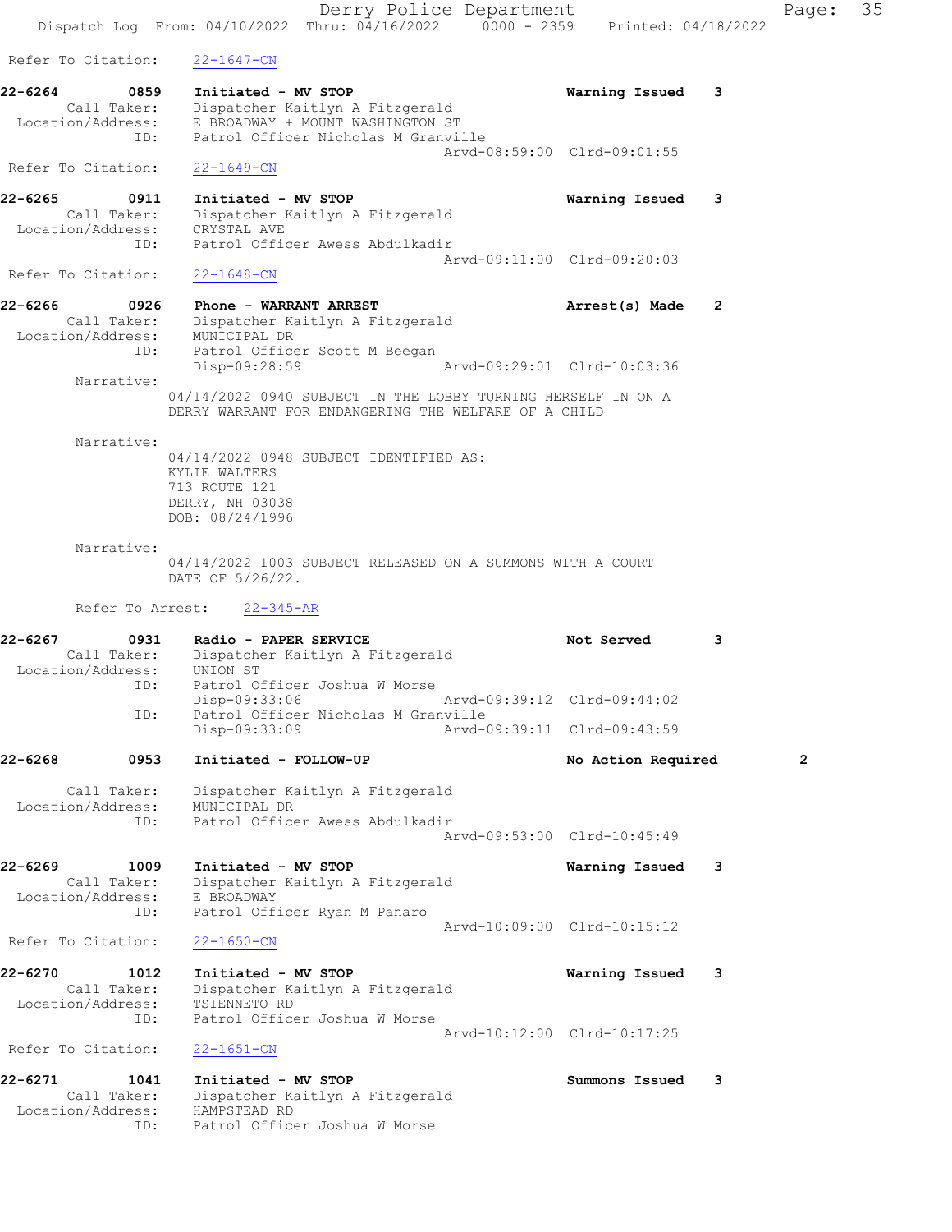Derry Police Department Fage: 35 Dispatch Log From: 04/10/2022 Thru: 04/16/2022 0000 - 2359 Printed: 04/18/2022 Refer To Citation: 22-1647-CN 22-6264 0859 Initiated - MV STOP Warning Issued 3 Call Taker: Dispatcher Kaitlyn A Fitzgerald Location/Address: E BROADWAY + MOUNT WASHINGTON ST ID: Patrol Officer Nicholas M Granville Arvd-08:59:00 Clrd-09:01:55 Refer To Citation: 22-1649-CN 22-6265 0911 Initiated - MV STOP Warning Issued 3 Call Taker: Dispatcher Kaitlyn A Fitzgerald Location/Address: CRYSTAL AVE ID: Patrol Officer Awess Abdulkadir Arvd-09:11:00 Clrd-09:20:03 Refer To Citation: 22-1648-CN 22-6266 0926 Phone - WARRANT ARREST **Arrest(s)** Made 2 Call Taker: Dispatcher Kaitlyn A Fitzgerald Location/Address: MUNICIPAL DR ID: Patrol Officer Scott M Beegan Disp-09:28:59 Arvd-09:29:01 Clrd-10:03:36 Narrative: 04/14/2022 0940 SUBJECT IN THE LOBBY TURNING HERSELF IN ON A DERRY WARRANT FOR ENDANGERING THE WELFARE OF A CHILD Narrative: 04/14/2022 0948 SUBJECT IDENTIFIED AS: KYLIE WALTERS 713 ROUTE 121 DERRY, NH 03038 DOB: 08/24/1996 Narrative: 04/14/2022 1003 SUBJECT RELEASED ON A SUMMONS WITH A COURT DATE OF 5/26/22. Refer To Arrest: 22-345-AR 22-6267 0931 Radio - PAPER SERVICE Not Served 3 Call Taker: Dispatcher Kaitlyn A Fitzgerald Location/Address: UNION ST ID: Patrol Officer Joshua W Morse Disp-09:33:06 Arvd-09:39:12 Clrd-09:44:02 ID: Patrol Officer Nicholas M Granville Disp-09:33:09 Arvd-09:39:11 Clrd-09:43:59 22-6268 0953 Initiated - FOLLOW-UP No Action Required 2 Call Taker: Dispatcher Kaitlyn A Fitzgerald Location/Address: MUNICIPAL DR ID: Patrol Officer Awess Abdulkadir Arvd-09:53:00 Clrd-10:45:49 22-6269 1009 Initiated - MV STOP Warning Issued 3 Call Taker: Dispatcher Kaitlyn A Fitzgerald Location/Address: E BROADWAY ID: Patrol Officer Ryan M Panaro Arvd-10:09:00 Clrd-10:15:12 Refer To Citation: 22-1650-CN 22-6270 1012 Initiated - MV STOP Warning Issued 3 Call Taker: Dispatcher Kaitlyn A Fitzgerald Location/Address: TSIENNETO RD ID: Patrol Officer Joshua W Morse Arvd-10:12:00 Clrd-10:17:25 Refer To Citation: 22-1651-CN 22-6271 1041 Initiated - MV STOP Summons Issued 3 Call Taker: Dispatcher Kaitlyn A Fitzgerald Location/Address: HAMPSTEAD RD ID: Patrol Officer Joshua W Morse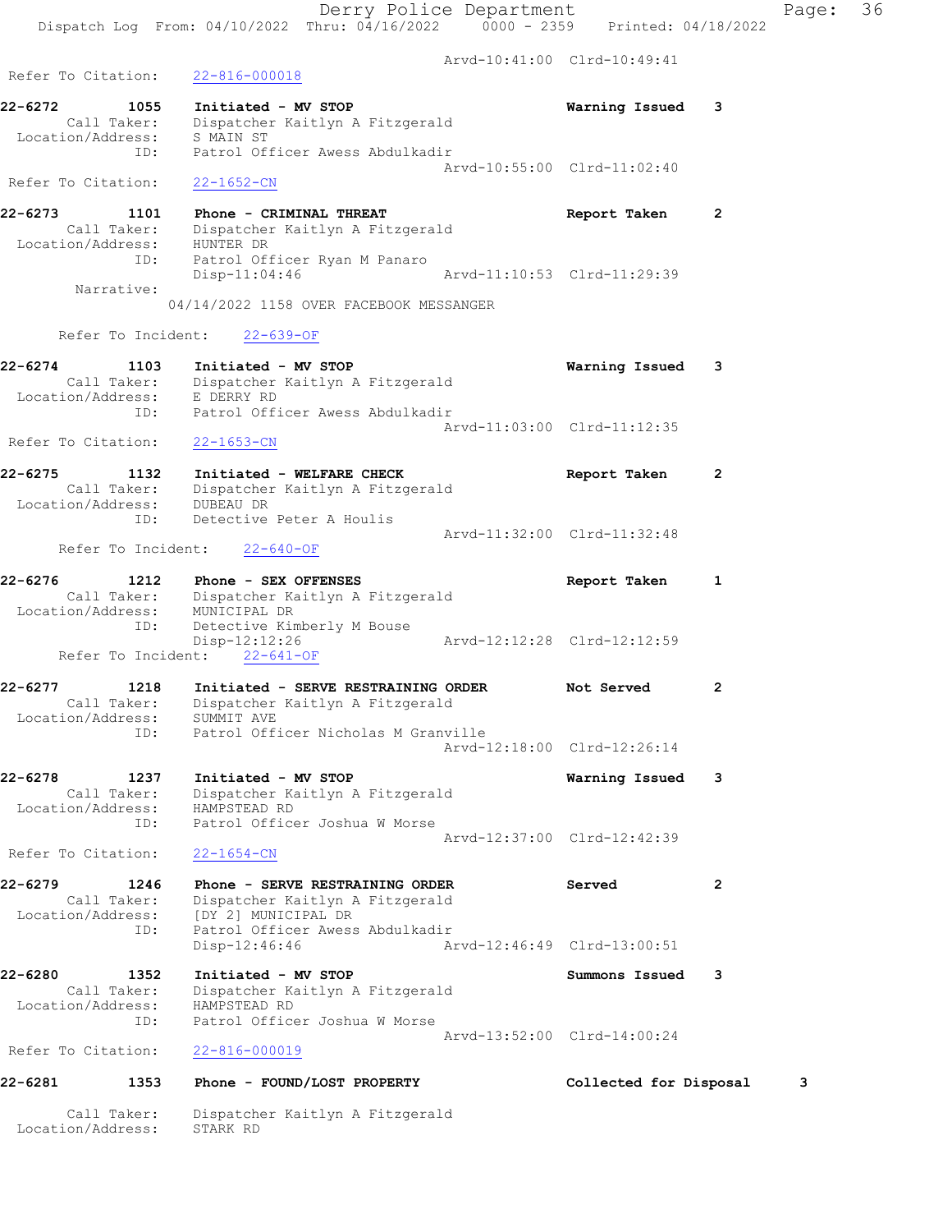|                                                                | Dispatch Log From: 04/10/2022 Thru: 04/16/2022 0000 - 2359                                              | Printed: 04/18/2022         |                |
|----------------------------------------------------------------|---------------------------------------------------------------------------------------------------------|-----------------------------|----------------|
|                                                                |                                                                                                         | Arvd-10:41:00 Clrd-10:49:41 |                |
| Refer To Citation:                                             | $22 - 816 - 000018$                                                                                     |                             |                |
| 22-6272<br>1055<br>Call Taker:                                 | Initiated - MV STOP<br>Dispatcher Kaitlyn A Fitzgerald                                                  | Warning Issued              | 3              |
| Location/Address: S MAIN ST<br>ID:                             | Patrol Officer Awess Abdulkadir                                                                         |                             |                |
| Refer To Citation:                                             | $22 - 1652 - CN$                                                                                        | Arvd-10:55:00 Clrd-11:02:40 |                |
|                                                                |                                                                                                         |                             |                |
| $22 - 6273$<br>1101<br>Call Taker:<br>Location/Address:<br>ID: | Phone - CRIMINAL THREAT<br>Dispatcher Kaitlyn A Fitzgerald<br>HUNTER DR<br>Patrol Officer Ryan M Panaro | Report Taken                | 2              |
| Narrative:                                                     | $Disp-11:04:46$                                                                                         | Arvd-11:10:53 Clrd-11:29:39 |                |
|                                                                | 04/14/2022 1158 OVER FACEBOOK MESSANGER                                                                 |                             |                |
|                                                                | Refer To Incident: 22-639-OF                                                                            |                             |                |
| 22-6274<br>1103                                                | Initiated - MV STOP                                                                                     | Warning Issued              | 3              |
| Location/Address: E DERRY RD                                   | Call Taker: Dispatcher Kaitlyn A Fitzgerald                                                             |                             |                |
|                                                                | ID: Patrol Officer Awess Abdulkadir                                                                     | Arvd-11:03:00 Clrd-11:12:35 |                |
| Refer To Citation:                                             | $22 - 1653 - CN$                                                                                        |                             |                |
| 22-6275<br>1132<br>Call Taker:<br>Location/Address:            | Initiated - WELFARE CHECK<br>Dispatcher Kaitlyn A Fitzgerald<br>DUBEAU DR                               | Report Taken                | $\overline{2}$ |
| ID:                                                            | Detective Peter A Houlis                                                                                | Arvd-11:32:00 Clrd-11:32:48 |                |
| Refer To Incident:                                             | 22-640-OF                                                                                               |                             |                |
| $22 - 6276$<br>1212<br>Call Taker:<br>Location/Address:        | Phone - SEX OFFENSES<br>Dispatcher Kaitlyn A Fitzgerald<br>MUNICIPAL DR                                 | Report Taken                | 1              |
| ID:<br>Refer To Incident:                                      | Detective Kimberly M Bouse<br>Disp-12:12:26<br>$22 - 641 - OF$                                          | Aryd-12:12:28 Clrd-12:12:59 |                |
| 22-6277<br>1218                                                | Initiated - SERVE RESTRAINING ORDER                                                                     | Not Served                  | $\mathbf{2}$   |
| Call Taker:<br>Location/Address:                               | Dispatcher Kaitlyn A Fitzgerald<br>SUMMIT AVE                                                           |                             |                |
| ID:                                                            | Patrol Officer Nicholas M Granville                                                                     | Arvd-12:18:00 Clrd-12:26:14 |                |
| 22-6278<br>1237                                                | Initiated - MV STOP                                                                                     | Warning Issued              | 3              |
| Call Taker:<br>Location/Address:                               | Dispatcher Kaitlyn A Fitzgerald<br>HAMPSTEAD RD                                                         |                             |                |
| ID:                                                            | Patrol Officer Joshua W Morse                                                                           | Aryd-12:37:00 Clrd-12:42:39 |                |
| Refer To Citation:                                             | $22 - 1654 - CN$                                                                                        |                             |                |
| 22-6279<br>1246<br>Call Taker:<br>Location/Address:            | Phone - SERVE RESTRAINING ORDER<br>Dispatcher Kaitlyn A Fitzgerald<br>[DY 2] MUNICIPAL DR               | Served                      | $\overline{2}$ |
| ID:                                                            | Patrol Officer Awess Abdulkadir<br>Disp-12:46:46                                                        | Arvd-12:46:49 Clrd-13:00:51 |                |
| $22 - 6280$<br>1352                                            | Initiated - MV STOP                                                                                     | Summons Issued              | 3              |
| Call Taker:<br>Location/Address:<br>ID:                        | Dispatcher Kaitlyn A Fitzgerald<br>HAMPSTEAD RD<br>Patrol Officer Joshua W Morse                        |                             |                |
| Refer To Citation:                                             | $22 - 816 - 000019$                                                                                     | Arvd-13:52:00 Clrd-14:00:24 |                |
|                                                                |                                                                                                         |                             |                |

# 22-6281 1353 Phone - FOUND/LOST PROPERTY Collected for Disposal 3

 Call Taker: Dispatcher Kaitlyn A Fitzgerald Location/Address: STARK RD

Derry Police Department Fage: 36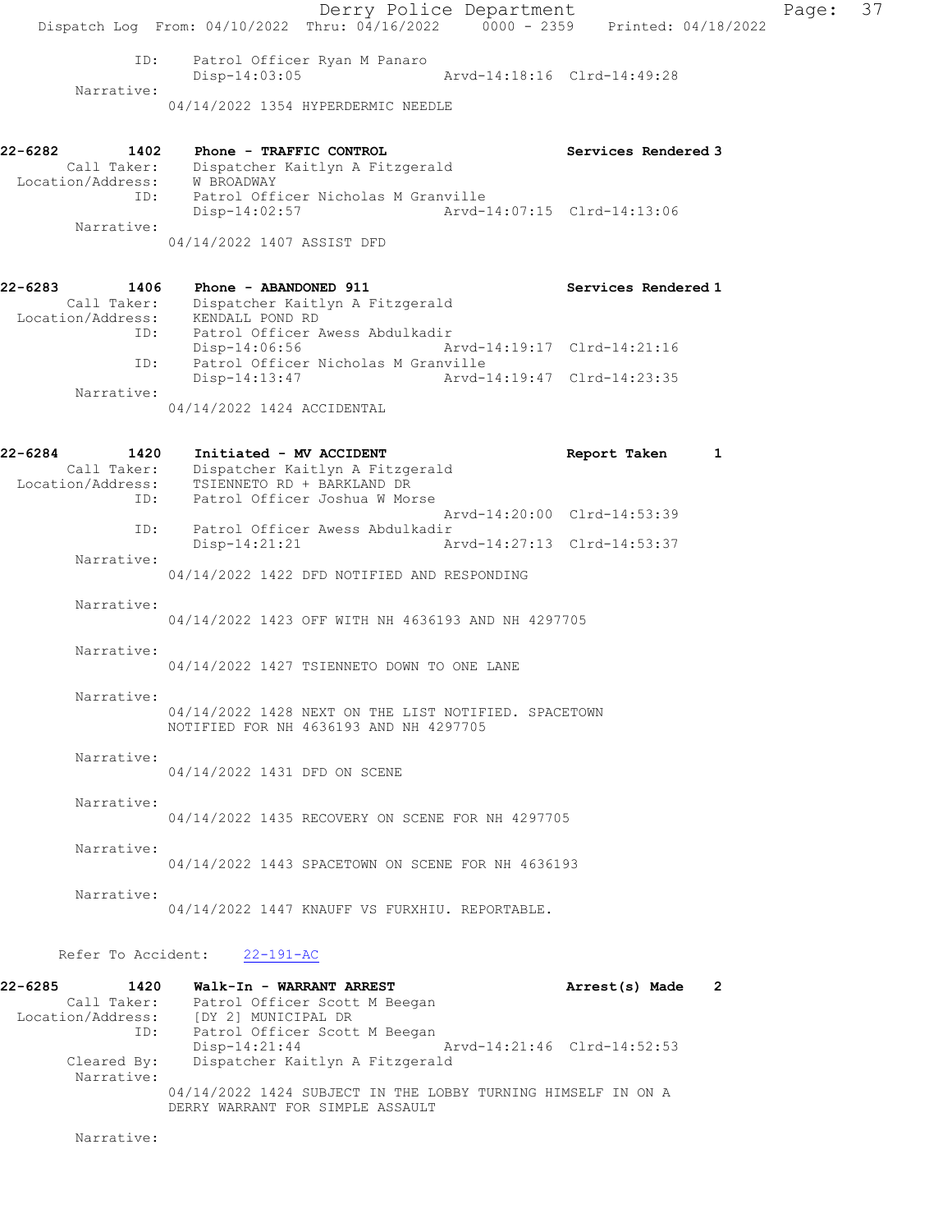|                                                     | Dispatch Log From: $04/10/2022$ Thru: $04/16/2022$ 0000 - 2359 Printed: 04/18/2022                                                                      | Derry Police Department     |                                                            | Page: | 37 |
|-----------------------------------------------------|---------------------------------------------------------------------------------------------------------------------------------------------------------|-----------------------------|------------------------------------------------------------|-------|----|
| ID:<br>Narrative:                                   | Patrol Officer Ryan M Panaro<br>$Disp-14:03:05$<br>04/14/2022 1354 HYPERDERMIC NEEDLE                                                                   |                             | Arvd-14:18:16 Clrd-14:49:28                                |       |    |
| 22-6282<br>1402<br>Call Taker:<br>Location/Address: | Phone - TRAFFIC CONTROL<br>Dispatcher Kaitlyn A Fitzgerald<br>W BROADWAY                                                                                |                             | Services Rendered 3                                        |       |    |
| ID:<br>Narrative:                                   | Patrol Officer Nicholas M Granville<br>$Disp-14:02:57$<br>04/14/2022 1407 ASSIST DFD                                                                    | Arvd-14:07:15 Clrd-14:13:06 |                                                            |       |    |
| 22-6283<br>1406                                     | Phone - ABANDONED 911<br>Call Taker: Dispatcher Kaitlyn A Fitzgerald<br>Location/Address: KENDALL POND RD                                               |                             | Services Rendered 1                                        |       |    |
| ID:<br>ID:                                          | Patrol Officer Awess Abdulkadir<br>Disp-14:06:56<br>Patrol Officer Nicholas M Granville                                                                 |                             | Arvd-14:19:17 Clrd-14:21:16                                |       |    |
| Narrative:                                          | Disp-14:13:47<br>04/14/2022 1424 ACCIDENTAL                                                                                                             |                             | Arvd-14:19:47 Clrd-14:23:35                                |       |    |
| 22-6284<br>1420<br>ID:                              | Initiated - MV ACCIDENT<br>Call Taker: Dispatcher Kaitlyn A Fitzgerald<br>Location/Address: TSIENNETO RD + BARKLAND DR<br>Patrol Officer Joshua W Morse |                             | Report Taken                                               | 1     |    |
| ID:                                                 | Patrol Officer Awess Abdulkadir<br>$Disp-14:21:21$                                                                                                      |                             | Arvd-14:20:00 Clrd-14:53:39<br>Arvd-14:27:13 Clrd-14:53:37 |       |    |
| Narrative:                                          | 04/14/2022 1422 DFD NOTIFIED AND RESPONDING                                                                                                             |                             |                                                            |       |    |
| Narrative:                                          | 04/14/2022 1423 OFF WITH NH 4636193 AND NH 4297705                                                                                                      |                             |                                                            |       |    |
| Narrative:<br>Narrative:                            | 04/14/2022 1427 TSIENNETO DOWN TO ONE LANE                                                                                                              |                             |                                                            |       |    |
|                                                     | 04/14/2022 1428 NEXT ON THE LIST NOTIFIED. SPACETOWN<br>NOTIFIED FOR NH 4636193 AND NH 4297705                                                          |                             |                                                            |       |    |
| Narrative:                                          | 04/14/2022 1431 DFD ON SCENE                                                                                                                            |                             |                                                            |       |    |
| Narrative:                                          | 04/14/2022 1435 RECOVERY ON SCENE FOR NH 4297705                                                                                                        |                             |                                                            |       |    |
| Narrative:<br>Narrative:                            | 04/14/2022 1443 SPACETOWN ON SCENE FOR NH 4636193                                                                                                       |                             |                                                            |       |    |
|                                                     | 04/14/2022 1447 KNAUFF VS FURXHIU. REPORTABLE.                                                                                                          |                             |                                                            |       |    |
| $22-6295$                                           | Refer To Accident: 22-191-AC<br>$1420$ $\mu$ -1 $\mu$ -to - WADDANT ADDECT                                                                              |                             |                                                            |       |    |

| 22-6285<br>1420   | Walk-In - WARRANT ARREST                                     | Arrest(s) Made              | $\overline{\phantom{0}}$ 2 |
|-------------------|--------------------------------------------------------------|-----------------------------|----------------------------|
| Call Taker:       | Patrol Officer Scott M Beegan                                |                             |                            |
| Location/Address: | [DY 2] MUNICIPAL DR                                          |                             |                            |
| ID:               | Patrol Officer Scott M Beegan                                |                             |                            |
|                   | $Disp-14:21:44$                                              | Arvd-14:21:46 Clrd-14:52:53 |                            |
| Cleared By:       | Dispatcher Kaitlyn A Fitzgerald                              |                             |                            |
| Narrative:        |                                                              |                             |                            |
|                   | 04/14/2022 1424 SUBJECT IN THE LOBBY TURNING HIMSELF IN ON A |                             |                            |
|                   | DERRY WARRANT FOR SIMPLE ASSAULT                             |                             |                            |

Narrative: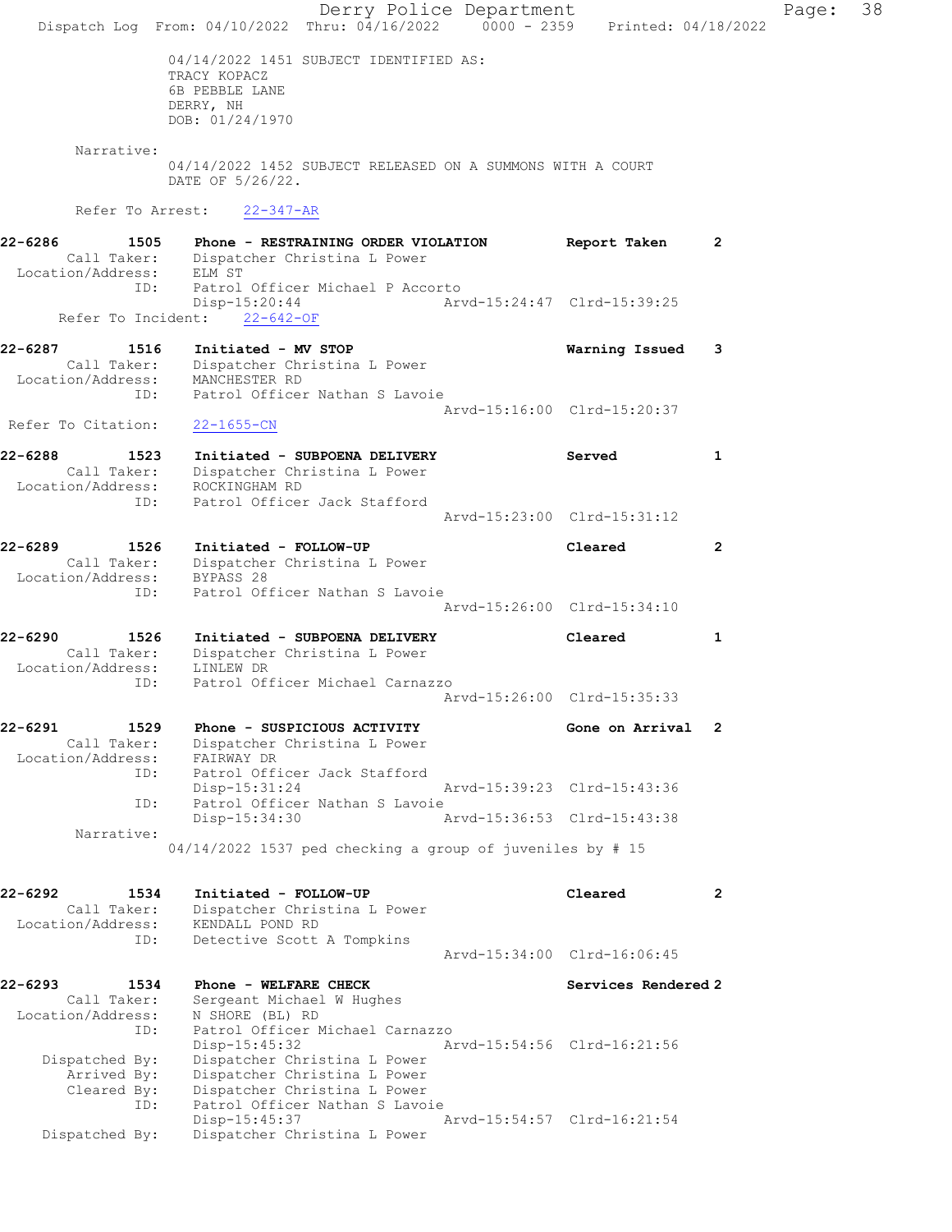Derry Police Department Page: 38 Dispatch Log From: 04/10/2022 Thru: 04/16/2022 0000 - 2359 Printed: 04/18/2022 04/14/2022 1451 SUBJECT IDENTIFIED AS: TRACY KOPACZ 6B PEBBLE LANE DERRY, NH DOB: 01/24/1970 Narrative: 04/14/2022 1452 SUBJECT RELEASED ON A SUMMONS WITH A COURT DATE OF 5/26/22. Refer To Arrest: 22-347-AR 22-6286 1505 Phone - RESTRAINING ORDER VIOLATION Report Taken 2 Call Taker: Dispatcher Christina L Power Location/Address: ELM ST ID: Patrol Officer Michael P Accorto<br>Disp-15:20:44 Arv Disp-15:20:44 Arvd-15:24:47 Clrd-15:39:25 Refer To Incident: 22-642-OF 22-6287 1516 Initiated - MV STOP Warning Issued 3 Call Taker: Dispatcher Christina L Power Location/Address: MANCHESTER RD ID: Patrol Officer Nathan S Lavoie Arvd-15:16:00 Clrd-15:20:37 Refer To Citation: 22-1655-CN 22-6288 1523 Initiated - SUBPOENA DELIVERY Served 1 Call Taker: Dispatcher Christina L Power Location/Address: ROCKINGHAM RD ID: Patrol Officer Jack Stafford Arvd-15:23:00 Clrd-15:31:12 22-6289 1526 Initiated - FOLLOW-UP Cleared 2 Call Taker: Dispatcher Christina L Power Location/Address: BYPASS 28 ID: Patrol Officer Nathan S Lavoie Arvd-15:26:00 Clrd-15:34:10 22-6290 1526 Initiated - SUBPOENA DELIVERY Cleared 1 Call Taker: Dispatcher Christina L Power Location/Address: LINLEW DR ID: Patrol Officer Michael Carnazzo Arvd-15:26:00 Clrd-15:35:33 22-6291 1529 Phone - SUSPICIOUS ACTIVITY Cone on Arrival 2 Call Taker: Dispatcher Christina L Power Location/Address: FAIRWAY DR ID: Patrol Officer Jack Stafford<br>Disp-15:31:24 Disp-15:31:24 Arvd-15:39:23 Clrd-15:43:36<br>ID: Patrol Officer Nathan S Lavoie ID: Patrol Officer Nathan S Lavoie Disp-15:34:30 Narrative: 04/14/2022 1537 ped checking a group of juveniles by # 15 22-6292 1534 Initiated - FOLLOW-UP Cleared 2 Call Taker: Dispatcher Christina L Power Location/Address: KENDALL POND RD ID: Detective Scott A Tompkins Arvd-15:34:00 Clrd-16:06:45 22-6293 1534 Phone - WELFARE CHECK Services Rendered 2 Call Taker: Sergeant Michael W Hughes Location/Address: N SHORE (BL) RD ID: Patrol Officer Michael Carnazzo Disp-15:45:32 Arvd-15:54:56 Clrd-16:21:56 Dispatched By: Dispatcher Christina L Power Arrived By: Dispatcher Christina L Power Cleared By: Dispatcher Christina L Power ID: Patrol Officer Nathan S Lavoie Disp-15:45:37 Arvd-15:54:57 Clrd-16:21:54 Dispatched By: Dispatcher Christina L Power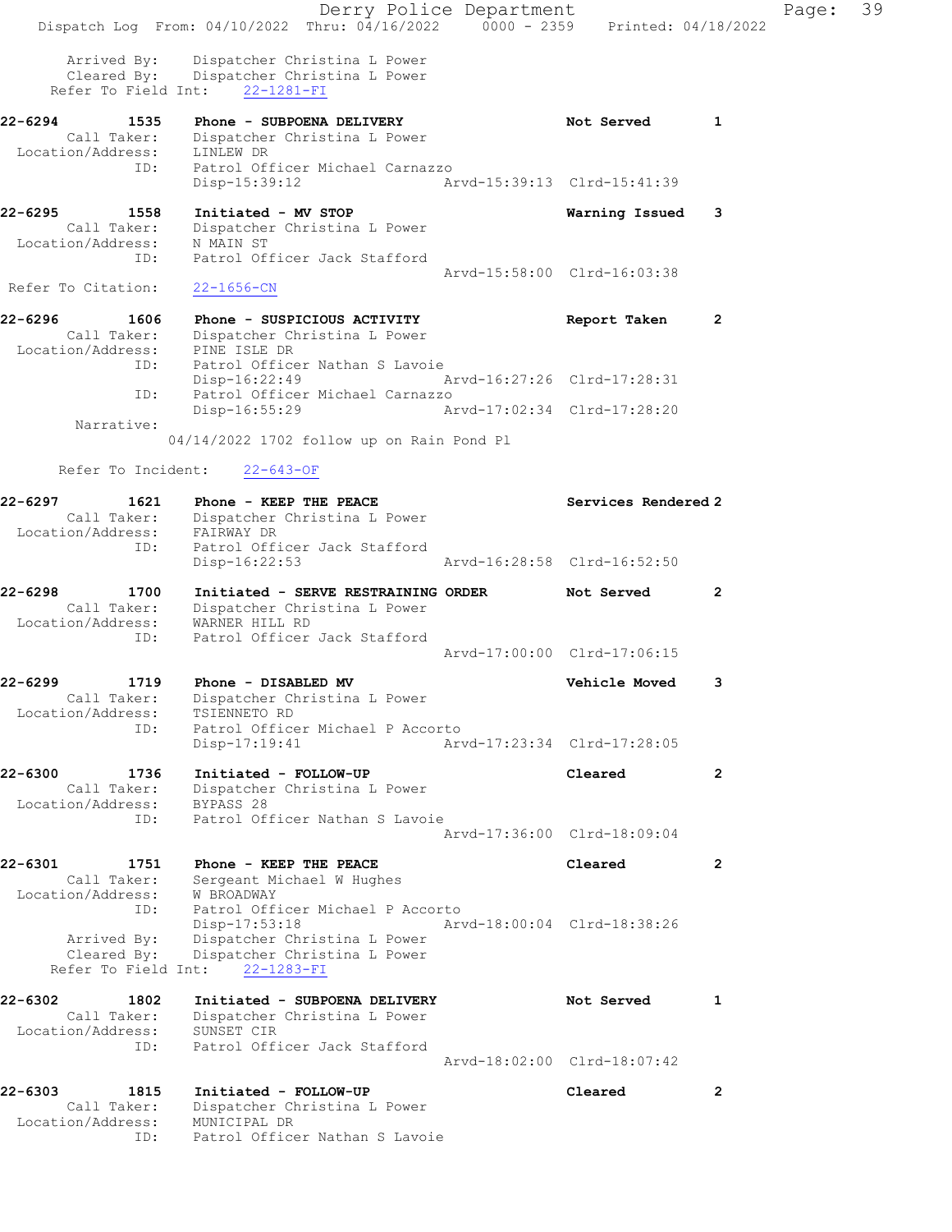|                                                      | Derry Police Department<br>Dispatch Log From: 04/10/2022 Thru: 04/16/2022 0000 - 2359 Printed: 04/18/2022  |                             |                         | Page: | 39 |
|------------------------------------------------------|------------------------------------------------------------------------------------------------------------|-----------------------------|-------------------------|-------|----|
| Arrived By:                                          | Dispatcher Christina L Power<br>Cleared By: Dispatcher Christina L Power<br>Refer To Field Int: 22-1281-FI |                             |                         |       |    |
| 22-6294<br>1535                                      | Phone - SUBPOENA DELIVERY                                                                                  | Not Served                  | $\overline{\mathbf{1}}$ |       |    |
| Location/Address: LINLEW DR                          | Call Taker: Dispatcher Christina L Power                                                                   |                             |                         |       |    |
| ID:                                                  | Patrol Officer Michael Carnazzo<br>Disp-15:39:12                                                           | Arvd-15:39:13 Clrd-15:41:39 |                         |       |    |
| 22-6295<br>1558                                      | Initiated - MV STOP                                                                                        | Warning Issued              | 3                       |       |    |
| Call Taker:<br>Location/Address:                     | Dispatcher Christina L Power<br>N MAIN ST                                                                  |                             |                         |       |    |
| ID:                                                  | Patrol Officer Jack Stafford                                                                               | Arvd-15:58:00 Clrd-16:03:38 |                         |       |    |
| Refer To Citation:                                   | $22 - 1656 - CN$                                                                                           |                             |                         |       |    |
| 22-6296<br>1606                                      | Phone - SUSPICIOUS ACTIVITY                                                                                | Report Taken                | 2                       |       |    |
| Call Taker:<br>Location/Address: PINE ISLE DR<br>ID: | Dispatcher Christina L Power<br>Patrol Officer Nathan S Lavoie                                             |                             |                         |       |    |
| ID:                                                  | Disp-16:22:49<br>Patrol Officer Michael Carnazzo                                                           | Arvd-16:27:26 Clrd-17:28:31 |                         |       |    |
| Narrative:                                           | Disp-16:55:29                                                                                              | Arvd-17:02:34 Clrd-17:28:20 |                         |       |    |
|                                                      | 04/14/2022 1702 follow up on Rain Pond Pl                                                                  |                             |                         |       |    |
| Refer To Incident:                                   | $22 - 643 - OF$                                                                                            |                             |                         |       |    |
| 22-6297<br>1621                                      | Phone - KEEP THE PEACE                                                                                     | Services Rendered 2         |                         |       |    |
| Call Taker:<br>Location/Address:                     | Dispatcher Christina L Power<br>FAIRWAY DR                                                                 |                             |                         |       |    |
| ID:                                                  | Patrol Officer Jack Stafford<br>Disp-16:22:53                                                              | Arvd-16:28:58 Clrd-16:52:50 |                         |       |    |
| 22-6298<br>1700                                      | Initiated - SERVE RESTRAINING ORDER                                                                        | Not Served                  | $\mathbf{2}$            |       |    |
| Call Taker:<br>Location/Address:                     | Dispatcher Christina L Power<br>WARNER HILL RD                                                             |                             |                         |       |    |
| ID:                                                  | Patrol Officer Jack Stafford                                                                               |                             |                         |       |    |
|                                                      |                                                                                                            | Arvd-17:00:00 Clrd-17:06:15 |                         |       |    |
| 22-6299<br>1719                                      | Phone - DISABLED MV<br>Call Taker: Dispatcher Christina L Power                                            | <b>Vehicle Moved</b>        | 3                       |       |    |
| Location/Address:                                    | TSIENNETO RD                                                                                               |                             |                         |       |    |
| ID:                                                  | Patrol Officer Michael P Accorto<br>$Disp-17:19:41$                                                        | Arvd-17:23:34 Clrd-17:28:05 |                         |       |    |
| 22-6300<br>1736                                      | Initiated - FOLLOW-UP                                                                                      | Cleared                     | $\overline{2}$          |       |    |
| Call Taker:<br>Location/Address:                     | Dispatcher Christina L Power<br>BYPASS 28                                                                  |                             |                         |       |    |
| ID:                                                  | Patrol Officer Nathan S Lavoie                                                                             | Arvd-17:36:00 Clrd-18:09:04 |                         |       |    |
|                                                      |                                                                                                            |                             |                         |       |    |
| 22-6301<br>1751<br>Call Taker:                       | Phone - KEEP THE PEACE<br>Sergeant Michael W Hughes                                                        | Cleared                     | $\mathbf{2}$            |       |    |
| Location/Address:<br>ID:                             | W BROADWAY<br>Patrol Officer Michael P Accorto                                                             |                             |                         |       |    |
|                                                      | Disp-17:53:18                                                                                              | Arvd-18:00:04 Clrd-18:38:26 |                         |       |    |
| Arrived By:<br>Cleared By:                           | Dispatcher Christina L Power<br>Dispatcher Christina L Power                                               |                             |                         |       |    |
|                                                      | Refer To Field Int: 22-1283-FI                                                                             |                             |                         |       |    |
| 22-6302<br>1802                                      | Initiated - SUBPOENA DELIVERY                                                                              | Not Served                  | 1                       |       |    |
| Call Taker:<br>Location/Address:                     | Dispatcher Christina L Power<br>SUNSET CIR                                                                 |                             |                         |       |    |
| ID:                                                  | Patrol Officer Jack Stafford                                                                               |                             |                         |       |    |
|                                                      |                                                                                                            | Arvd-18:02:00 Clrd-18:07:42 |                         |       |    |
| 22-6303<br>1815<br>Call Taker:                       | Initiated - FOLLOW-UP<br>Dispatcher Christina L Power                                                      | Cleared                     | $\mathbf{2}$            |       |    |
| Location/Address:                                    | MUNICIPAL DR                                                                                               |                             |                         |       |    |
| ID:                                                  | Patrol Officer Nathan S Lavoie                                                                             |                             |                         |       |    |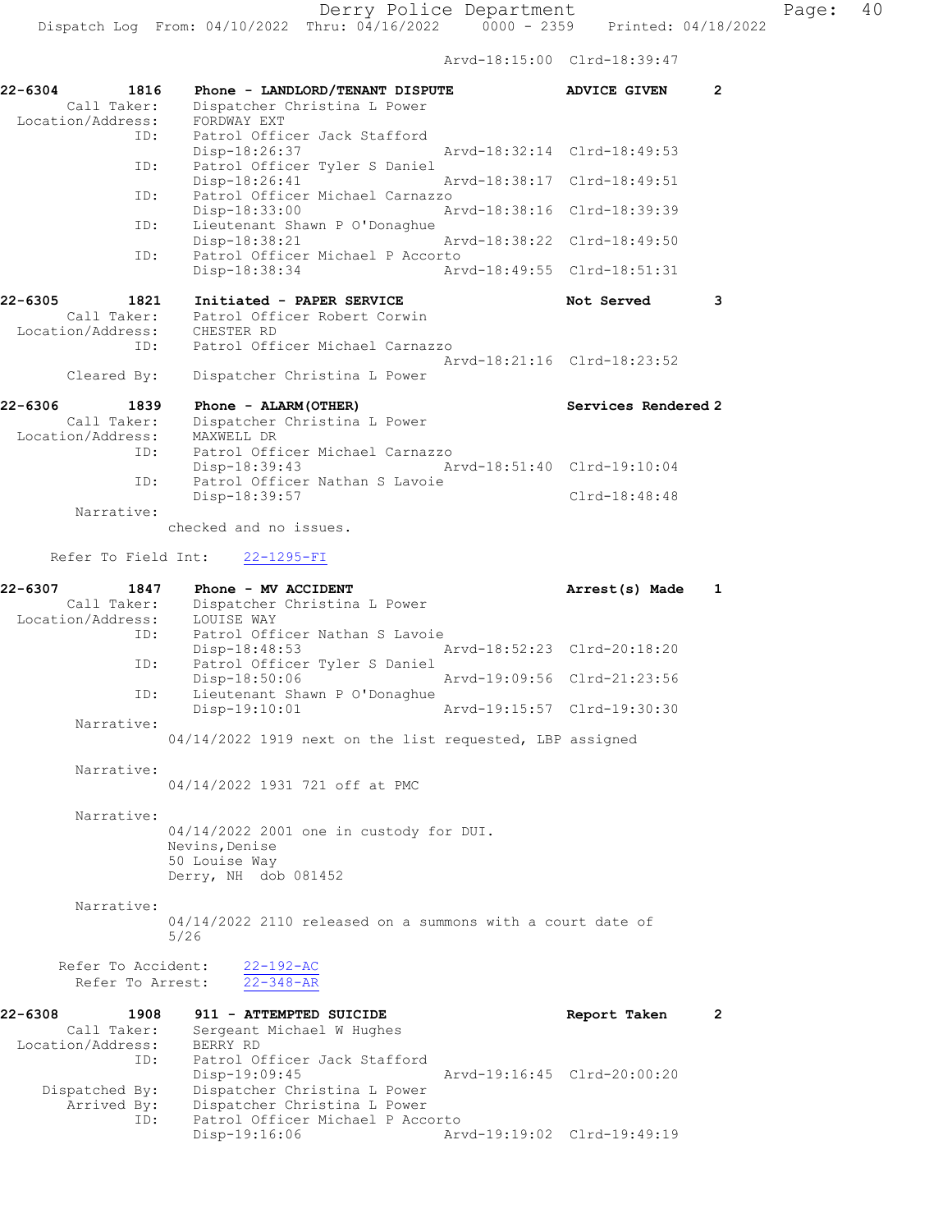Derry Police Department Fage: 40

Dispatch Log From: 04/10/2022 Thru: 04/16/2022 0000 - 2359 Printed: 04/18/2022

Arvd-18:15:00 Clrd-18:39:47

| 22-6304<br>1816<br>Call Taker:                      | Phone - LANDLORD/TENANT DISPUTE<br>Dispatcher Christina L Power         | $\overline{2}$<br><b>ADVICE GIVEN</b> |
|-----------------------------------------------------|-------------------------------------------------------------------------|---------------------------------------|
| Location/Address:<br>ID:                            | FORDWAY EXT<br>Patrol Officer Jack Stafford                             |                                       |
| ID:                                                 | Disp-18:26:37<br>Patrol Officer Tyler S Daniel                          | Arvd-18:32:14 Clrd-18:49:53           |
| ID:                                                 | Disp-18:26:41<br>Patrol Officer Michael Carnazzo                        | Arvd-18:38:17 Clrd-18:49:51           |
|                                                     | Disp-18:33:00                                                           | Arvd-18:38:16<br>Clrd-18:39:39        |
| ID:                                                 | Lieutenant Shawn P O'Donaghue<br>Disp-18:38:21                          | Arvd-18:38:22<br>Clrd-18:49:50        |
| ID:                                                 | Patrol Officer Michael P Accorto<br>Disp-18:38:34                       | Arvd-18:49:55 Clrd-18:51:31           |
|                                                     |                                                                         |                                       |
| 22-6305<br>1821<br>Call Taker:<br>Location/Address: | Initiated - PAPER SERVICE<br>Patrol Officer Robert Corwin<br>CHESTER RD | Not Served<br>3                       |
| ID:                                                 | Patrol Officer Michael Carnazzo                                         |                                       |
| Cleared By:                                         | Dispatcher Christina L Power                                            | Arvd-18:21:16 Clrd-18:23:52           |
| 22-6306<br>1839                                     | Phone - ALARM (OTHER)                                                   | Services Rendered 2                   |
| Call Taker:                                         | Dispatcher Christina L Power                                            |                                       |
| Location/Address:<br>ID:                            | MAXWELL DR<br>Patrol Officer Michael Carnazzo                           |                                       |
|                                                     | Disp-18:39:43<br>Patrol Officer Nathan S Lavoie                         | Arvd-18:51:40 Clrd-19:10:04           |
| ID:                                                 | Disp-18:39:57                                                           | $Clrd-18:48:48$                       |
| Narrative:                                          | checked and no issues.                                                  |                                       |
| Refer To Field Int:                                 | $22 - 1295 - FI$                                                        |                                       |
| 22-6307<br>1847                                     | Phone - MV ACCIDENT                                                     | Arrest(s) Made<br>1                   |
| Call Taker:                                         | Dispatcher Christina L Power                                            |                                       |
| Location/Address:<br>ID:                            | LOUISE WAY<br>Patrol Officer Nathan S Lavoie<br>Disp-18:48:53           | Arvd-18:52:23 Clrd-20:18:20           |
| ID:                                                 | Patrol Officer Tyler S Daniel                                           |                                       |
| ID:                                                 | Disp-18:50:06<br>Lieutenant Shawn P O'Donaghue                          | Arvd-19:09:56 Clrd-21:23:56           |
| Narrative:                                          | Disp-19:10:01                                                           | Arvd-19:15:57 Clrd-19:30:30           |
|                                                     | 04/14/2022 1919 next on the list requested, LBP assigned                |                                       |
| Narrative:                                          |                                                                         |                                       |
|                                                     | 04/14/2022 1931 721 off at PMC                                          |                                       |
| Narrative:                                          |                                                                         |                                       |
|                                                     | 04/14/2022 2001 one in custody for DUI.<br>Nevins, Denise               |                                       |
|                                                     | 50 Louise Way                                                           |                                       |
|                                                     | Derry, NH dob 081452                                                    |                                       |
| Narrative:                                          |                                                                         |                                       |
|                                                     | 04/14/2022 2110 released on a summons with a court date of<br>5/26      |                                       |
| Refer To Accident:                                  | $22 - 192 - AC$                                                         |                                       |
| Refer To Arrest:                                    | $22 - 348 - AR$                                                         |                                       |
| 22-6308<br>1908                                     | 911 - ATTEMPTED SUICIDE                                                 | Report Taken<br>$\mathbf{2}$          |
| Call Taker:                                         | Sergeant Michael W Hughes                                               |                                       |
| Location/Address:<br>ID:                            | BERRY RD<br>Patrol Officer Jack Stafford                                |                                       |
|                                                     | Disp-19:09:45                                                           | Arvd-19:16:45 Clrd-20:00:20           |
| Dispatched By:                                      | Dispatcher Christina L Power                                            |                                       |
| Arrived By:<br>ID:                                  | Dispatcher Christina L Power<br>Patrol Officer Michael P Accorto        |                                       |
|                                                     | Disp-19:16:06                                                           | Arvd-19:19:02 Clrd-19:49:19           |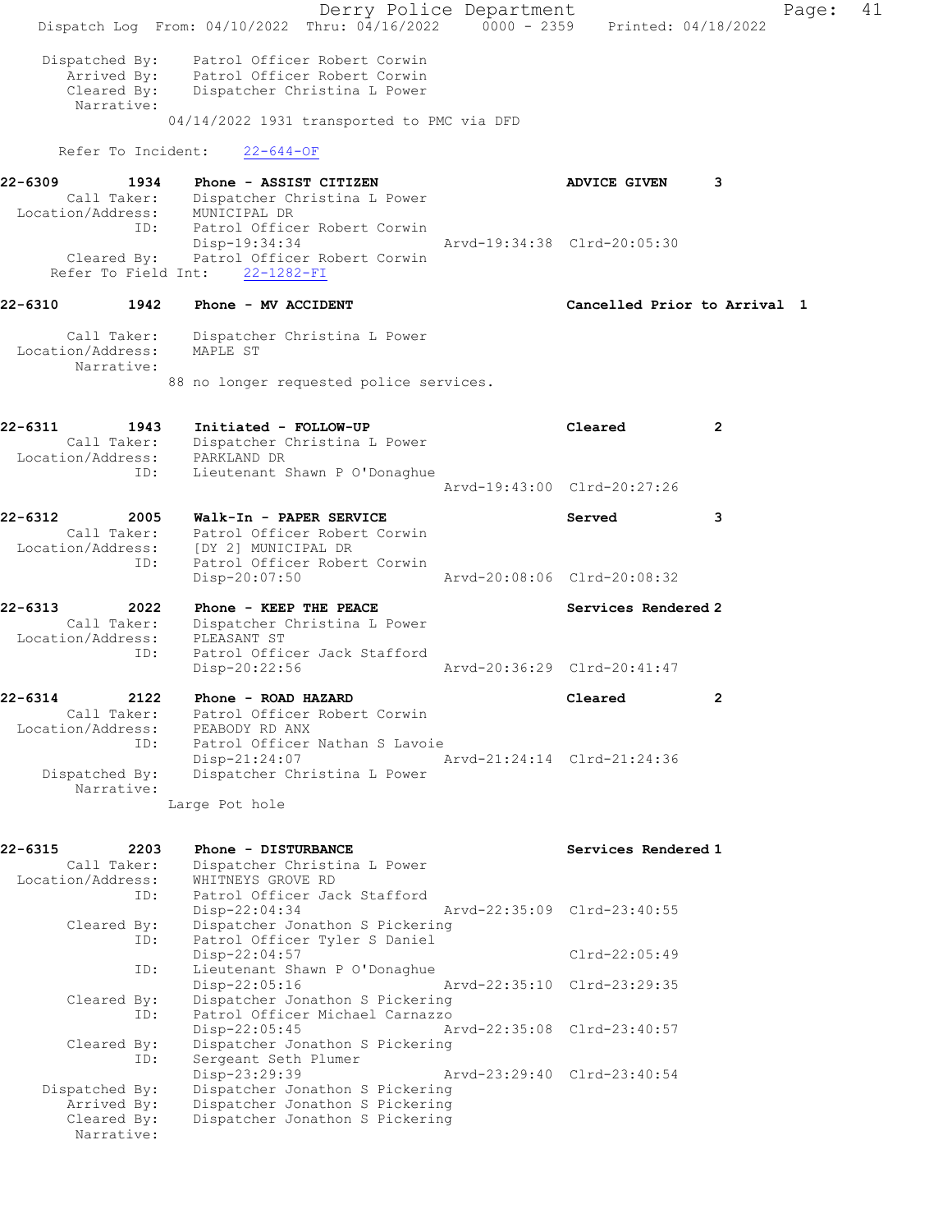Derry Police Department Page: 41 Dispatch Log From: 04/10/2022 Thru: 04/16/2022 0000 - 2359 Printed: 04/18/2022 Dispatched By: Patrol Officer Robert Corwin Arrived By: Patrol Officer Robert Corwin Cleared By: Dispatcher Christina L Power Narrative: 04/14/2022 1931 transported to PMC via DFD Refer To Incident: 22-644-OF 22-6309 1934 Phone - ASSIST CITIZEN 1999 ADVICE GIVEN 3 Call Taker: Dispatcher Christina L Power Location/Address: MUNICIPAL DR ID: Patrol Officer Robert Corwin Disp-19:34:34 Arvd-19:34:38 Clrd-20:05:30 Cleared By: Patrol Officer Robert Corwin Refer To Field Int: 22-1282-FI 22-6310 1942 Phone - MV ACCIDENT Cancelled Prior to Arrival 1 Call Taker: Dispatcher Christina L Power Location/Address: MAPLE ST Narrative: 88 no longer requested police services. 22-6311 1943 Initiated - FOLLOW-UP Cleared 2 Call Taker: Dispatcher Christina L Power Location/Address: PARKLAND DR ID: Lieutenant Shawn P O'Donaghue Arvd-19:43:00 Clrd-20:27:26 22-6312 2005 Walk-In - PAPER SERVICE Served 3 Call Taker: Patrol Officer Robert Corwin Location/Address: [DY 2] MUNICIPAL DR ID: Patrol Officer Robert Corwin<br>Disp-20:07:50 Disp-20:07:50 Arvd-20:08:06 Clrd-20:08:32 22-6313 2022 Phone - KEEP THE PEACE Network Services Rendered 2 Call Taker: Dispatcher Christina L Power Location/Address: PLEASANT ST ID: Patrol Officer Jack Stafford Disp-20:22:56 Arvd-20:36:29 Clrd-20:41:47 22-6314 2122 Phone - ROAD HAZARD Cleared 2 Call Taker: Patrol Officer Robert Corwin Location/Address: PEABODY RD ANX ID: Patrol Officer Nathan S Lavoie Disp-21:24:07 Arvd-21:24:14 Clrd-21:24:36 Dispatched By: Dispatcher Christina L Power Narrative: Large Pot hole 22-6315 2203 Phone - DISTURBANCE Services Rendered 1 Call Taker: Dispatcher Christina L Power Location/Address: WHITNEYS GROVE RD ID: Patrol Officer Jack Stafford Disp-22:04:34 Arvd-22:35:09 Clrd-23:40:55 Cleared By: Dispatcher Jonathon S Pickering ID: Patrol Officer Tyler S Daniel Disp-22:04:57 Clrd-22:05:49<br>ID: Lieutenant Shawn P O'Donaghue Lieutenant Shawn P O'Donaghue<br>Disp-22:05:16 Disp-22:05:16 Arvd-22:35:10 Clrd-23:29:35 Cleared By: Dispatcher Jonathon S Pickering ID: Patrol Officer Michael Carnazzo Disp-22:05:45 Arvd-22:35:08 Clrd-23:40:57 Cleared By: Dispatcher Jonathon S Pickering ID: Sergeant Seth Plumer Disp-23:29:39 Arvd-23:29:40 Clrd-23:40:54 Dispatched By: Dispatcher Jonathon S Pickering Arrived By: Dispatcher Jonathon S Pickering Cleared By: Dispatcher Jonathon S Pickering Narrative: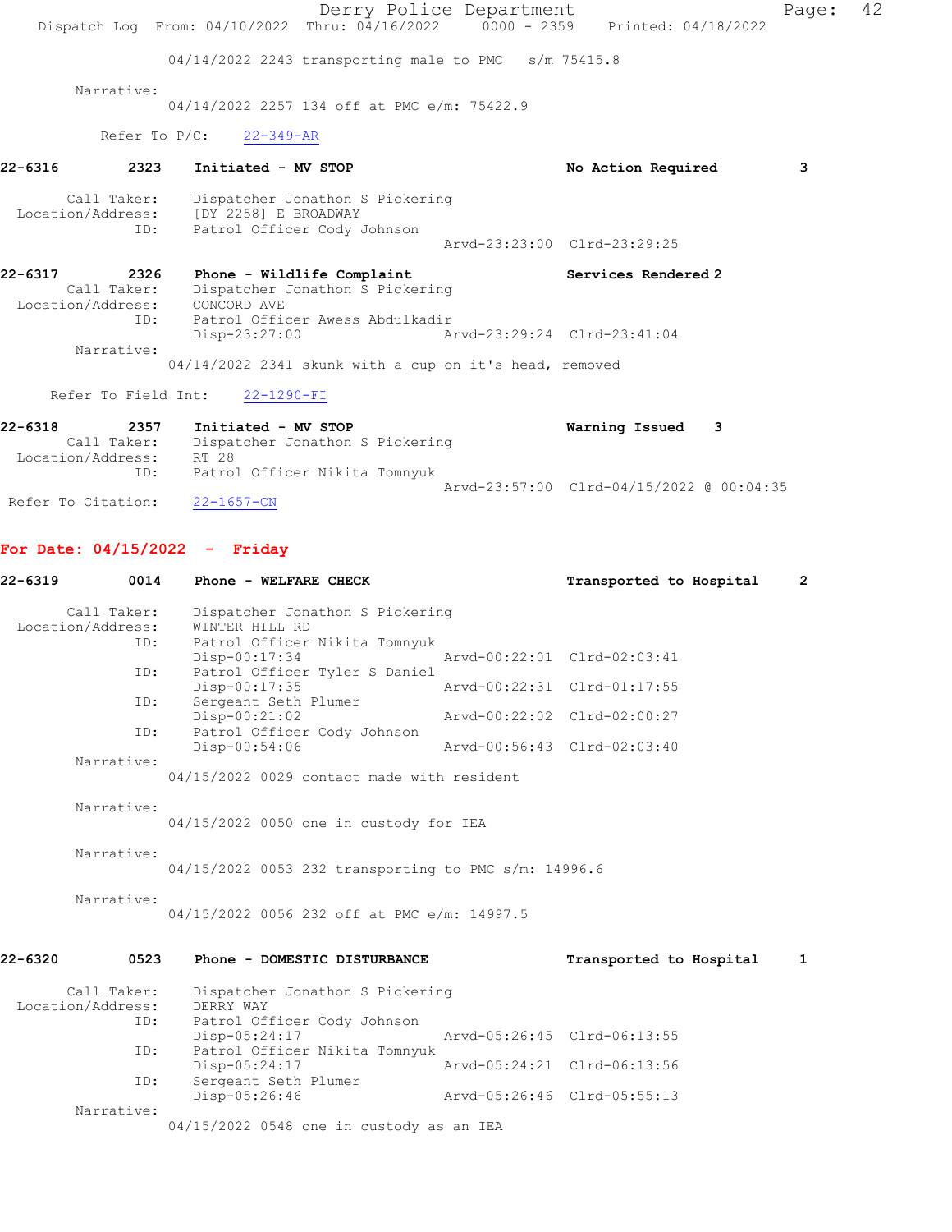Derry Police Department Fage: 42 Dispatch Log From: 04/10/2022 Thru: 04/16/2022 0000 - 2359 Printed: 04/18/2022 04/14/2022 2243 transporting male to PMC s/m 75415.8 Narrative: 04/14/2022 2257 134 off at PMC e/m: 75422.9 Refer To P/C: 22-349-AR 22-6316 2323 Initiated - MV STOP No Action Required 3 Call Taker: Dispatcher Jonathon S Pickering Location/Address: [DY 2258] E BROADWAY ID: Patrol Officer Cody Johnson Arvd-23:23:00 Clrd-23:29:25 22-6317 2326 Phone - Wildlife Complaint Number 2017 Services Rendered 2 Call Taker: Dispatcher Jonathon S Pickering Location/Address: CONCORD AVE ID: Patrol Officer Awess Abdulkadir Disp-23:27:00 Arvd-23:29:24 Clrd-23:41:04 Narrative: 04/14/2022 2341 skunk with a cup on it's head, removed Refer To Field Int: 22-1290-FI 22-6318 2357 Initiated - MV STOP Warning Issued 3 Call Taker: Dispatcher Jonathon S Pickering Location/Address: RT 28

 Arvd-23:57:00 Clrd-04/15/2022 @ 00:04:35 Refer To Citation: 22-1657-CN

ID: Patrol Officer Nikita Tomnyuk

#### For Date: 04/15/2022 - Friday

| 22-6319           | 0014        | Phone - WELFARE CHECK                                                           |                             | Transported to Hospital     | $\overline{2}$ |
|-------------------|-------------|---------------------------------------------------------------------------------|-----------------------------|-----------------------------|----------------|
| Location/Address: | Call Taker: | Dispatcher Jonathon S Pickering<br>WINTER HILL RD                               |                             |                             |                |
|                   | ID:<br>ID:  | Patrol Officer Nikita Tomnyuk<br>Disp-00:17:34<br>Patrol Officer Tyler S Daniel |                             | Arvd-00:22:01 Clrd-02:03:41 |                |
|                   |             | Disp-00:17:35                                                                   |                             | Arvd-00:22:31 Clrd-01:17:55 |                |
|                   | ID:         | Sergeant Seth Plumer<br>Disp-00:21:02                                           |                             | Arvd-00:22:02 Clrd-02:00:27 |                |
|                   | ID:         | Patrol Officer Cody Johnson<br>Disp-00:54:06                                    | Arvd-00:56:43 Clrd-02:03:40 |                             |                |
|                   | Narrative:  | 04/15/2022 0029 contact made with resident                                      |                             |                             |                |
|                   | Narrative:  | 04/15/2022 0050 one in custody for IEA                                          |                             |                             |                |
|                   | Narrative:  | 04/15/2022 0053 232 transporting to PMC s/m: 14996.6                            |                             |                             |                |
|                   | Narrative:  | 04/15/2022 0056 232 off at PMC e/m: 14997.5                                     |                             |                             |                |
| 22-6320           | 0523        | Phone - DOMESTIC DISTURBANCE                                                    |                             | Transported to Hospital     | $\mathbf{1}$   |
| Location/Address: | Call Taker: | Dispatcher Jonathon S Pickering<br>DERRY WAY                                    |                             |                             |                |
|                   | ID:         | Patrol Officer Cody Johnson<br>Disp-05:24:17                                    |                             | Arvd-05:26:45 Clrd-06:13:55 |                |
|                   | ID:         | Patrol Officer Nikita Tomnyuk                                                   |                             |                             |                |
|                   | ID:         | Disp-05:24:17<br>Sergeant Seth Plumer                                           |                             | Arvd-05:24:21 Clrd-06:13:56 |                |
|                   |             | Disp-05:26:46                                                                   |                             | Arvd-05:26:46 Clrd-05:55:13 |                |
|                   | Narrative:  | 04/15/2022 0548 one in custody as an IEA                                        |                             |                             |                |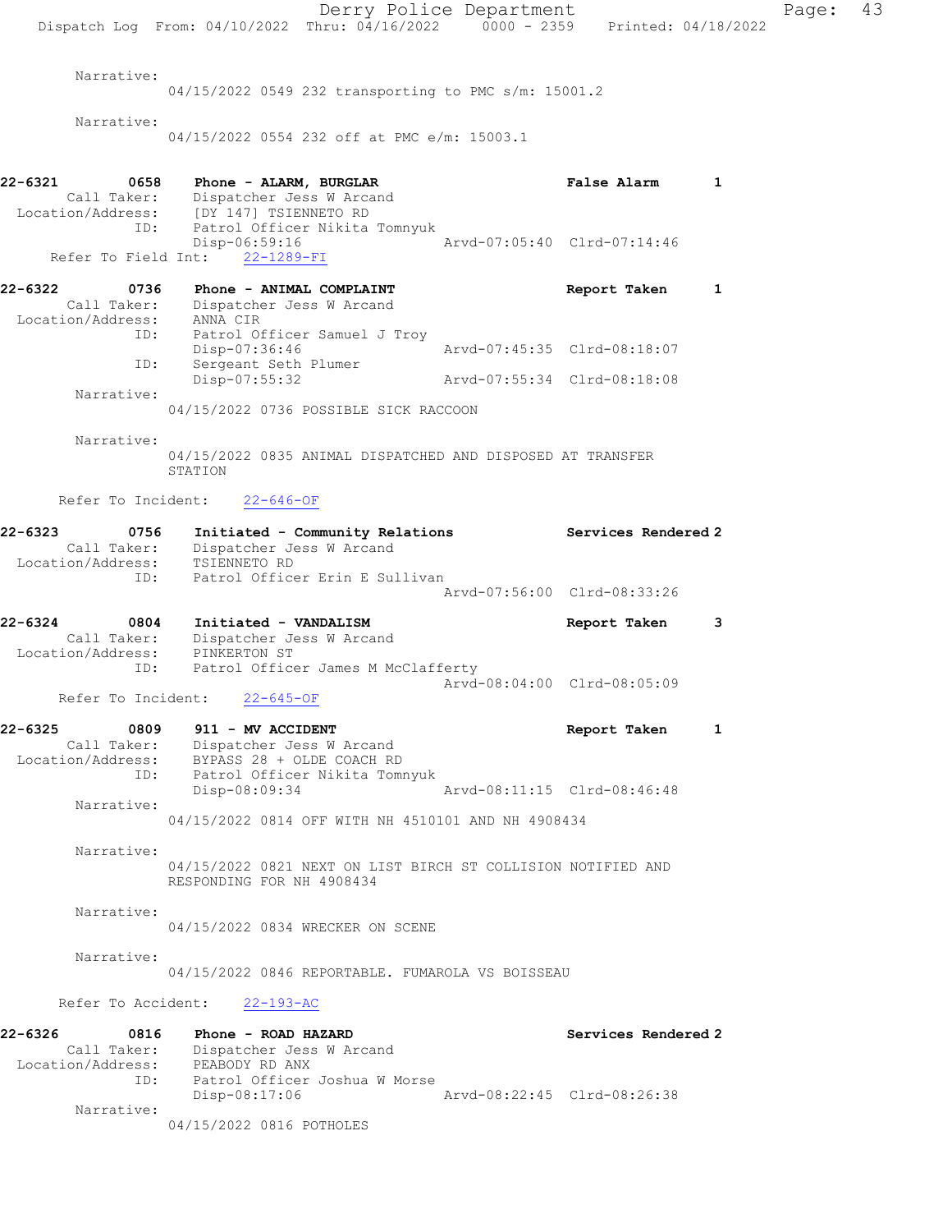Derry Police Department Page: 43 Dispatch Log From: 04/10/2022 Thru: 04/16/2022 0000 - 2359 Printed: 04/18/2022 Narrative: 04/15/2022 0549 232 transporting to PMC s/m: 15001.2 Narrative: 04/15/2022 0554 232 off at PMC e/m: 15003.1 22-6321 0658 Phone - ALARM, BURGLAR False Alarm 1 Call Taker: Dispatcher Jess W Arcand Location/Address: [DY 147] TSIENNETO RD ID: Patrol Officer Nikita Tomnyuk Disp-06:59:16 Arvd-07:05:40 Clrd-07:14:46 Refer To Field Int: 22-1289-FI 22-6322 0736 Phone - ANIMAL COMPLAINT Report Taken 1 Call Taker: Dispatcher Jess W Arcand Location/Address: ANNA CIR ID: Patrol Officer Samuel J Troy Disp-07:36:46 Arvd-07:45:35 Clrd-08:18:07 ID: Sergeant Seth Plumer Disp-07:55:32 Arvd-07:55:34 Clrd-08:18:08 Narrative: 04/15/2022 0736 POSSIBLE SICK RACCOON Narrative: 04/15/2022 0835 ANIMAL DISPATCHED AND DISPOSED AT TRANSFER STATION Refer To Incident: 22-646-OF 22-6323 0756 Initiated - Community Relations Services Rendered 2 Call Taker: Dispatcher Jess W Arcand Location/Address: TSIENNETO RD ID: Patrol Officer Erin E Sullivan Arvd-07:56:00 Clrd-08:33:26 22-6324 0804 Initiated - VANDALISM Report Taken 3 Call Taker: Dispatcher Jess W Arcand Location/Address: PINKERTON ST ID: Patrol Officer James M McClafferty Arvd-08:04:00 Clrd-08:05:09 Refer To Incident: 22-645-OF 22-6325 0809 911 - MV ACCIDENT Report Taken 1 Call Taker: Dispatcher Jess W Arcand Location/Address: BYPASS 28 + OLDE COACH RD ID: Patrol Officer Nikita Tomnyuk Disp-08:09:34 Narrative: 04/15/2022 0814 OFF WITH NH 4510101 AND NH 4908434 Narrative: 04/15/2022 0821 NEXT ON LIST BIRCH ST COLLISION NOTIFIED AND RESPONDING FOR NH 4908434 Narrative: 04/15/2022 0834 WRECKER ON SCENE Narrative: 04/15/2022 0846 REPORTABLE. FUMAROLA VS BOISSEAU Refer To Accident: 22-193-AC 22-6326 0816 Phone - ROAD HAZARD Services Rendered 2 Call Taker: Dispatcher Jess W Arcand Location/Address: PEABODY RD ANX ID: Patrol Officer Joshua W Morse Disp-08:17:06 Arvd-08:22:45 Clrd-08:26:38 Narrative: 04/15/2022 0816 POTHOLES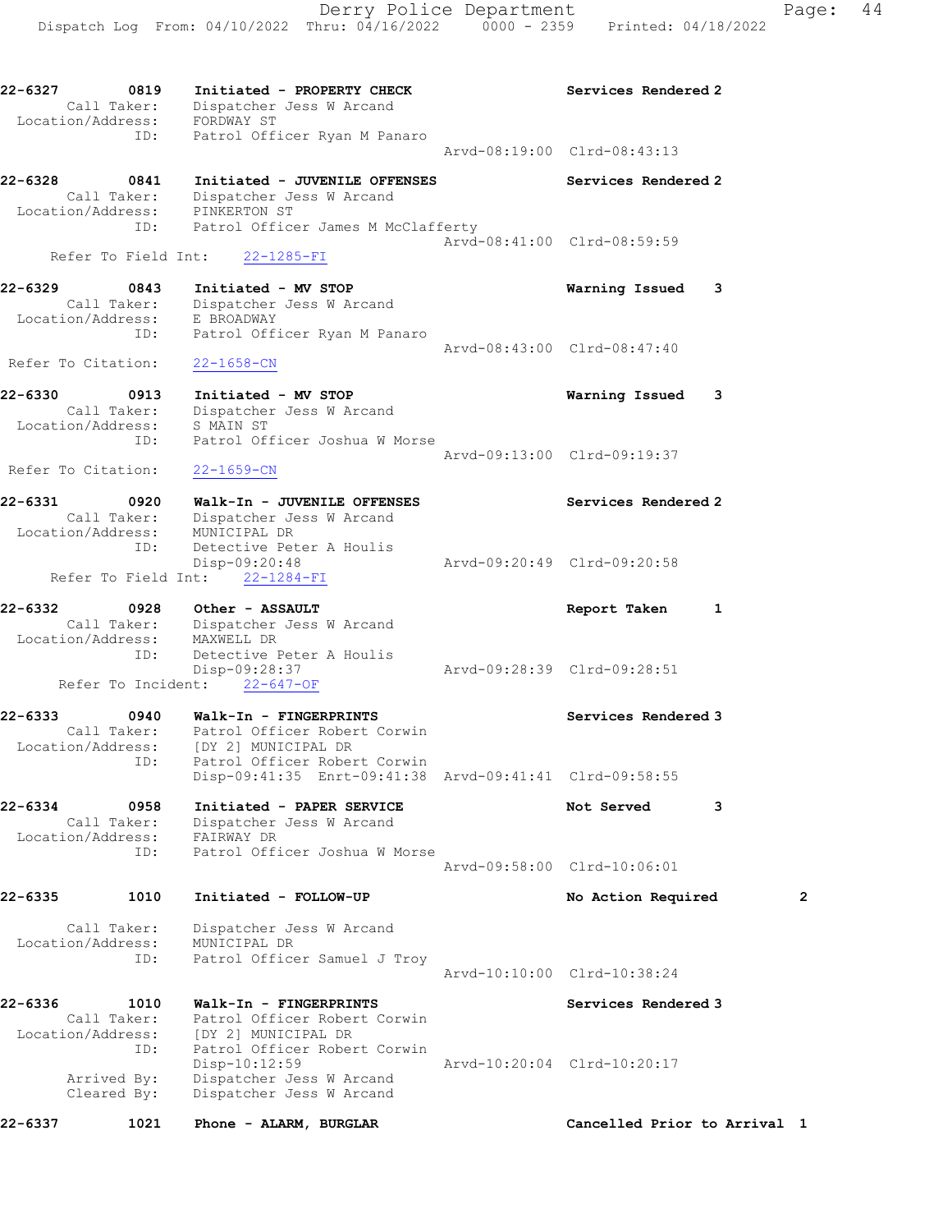22-6327 0819 Initiated - PROPERTY CHECK Services Rendered 2 Call Taker: Dispatcher Jess W Arcand Location/Address: FORDWAY ST ID: Patrol Officer Ryan M Panaro Arvd-08:19:00 Clrd-08:43:13 22-6328 0841 Initiated - JUVENILE OFFENSES Services Rendered 2 Call Taker: Dispatcher Jess W Arcand Location/Address: PINKERTON ST ID: Patrol Officer James M McClafferty Arvd-08:41:00 Clrd-08:59:59 Refer To Field Int: 22-1285-FI 22-6329 0843 Initiated - MV STOP Warning Issued 3 Call Taker: Dispatcher Jess W Arcand Location/Address: E BROADWAY ID: Patrol Officer Ryan M Panaro Arvd-08:43:00 Clrd-08:47:40 Refer To Citation: 22-1658-CN 22-6330 0913 Initiated - MV STOP Warning Issued 3 Call Taker: Dispatcher Jess W Arcand Location/Address: S MAIN ST ID: Patrol Officer Joshua W Morse Arvd-09:13:00 Clrd-09:19:37 Refer To Citation: 22-1659-CN 22-6331 0920 Walk-In - JUVENILE OFFENSES Services Rendered 2 Call Taker: Dispatcher Jess W Arcand Location/Address: MUNICIPAL DR ID: Detective Peter A Houlis Disp-09:20:48 Arvd-09:20:49 Clrd-09:20:58 Refer To Field Int: 22-1284-FI 22-6332 0928 Other - ASSAULT Report Taken 1 Call Taker: Dispatcher Jess W Arcand Location/Address: MAXWELL DR ID: Detective Peter A Houlis Disp-09:28:37 Arvd-09:28:39 Clrd-09:28:51 Refer To Incident: 22-647-OF 22-6333 0940 Walk-In - FINGERPRINTS Services Rendered 3 Call Taker: Patrol Officer Robert Corwin Location/Address: [DY 2] MUNICIPAL DR ID: Patrol Officer Robert Corwin Disp-09:41:35 Enrt-09:41:38 Arvd-09:41:41 Clrd-09:58:55 22-6334 0958 Initiated - PAPER SERVICE Not Served 3 Call Taker: Dispatcher Jess W Arcand Location/Address: FAIRWAY DR ID: Patrol Officer Joshua W Morse Arvd-09:58:00 Clrd-10:06:01 22-6335 1010 Initiated - FOLLOW-UP No Action Required 2 Call Taker: Dispatcher Jess W Arcand Location/Address: MUNICIPAL DR ID: Patrol Officer Samuel J Troy Arvd-10:10:00 Clrd-10:38:24 22-6336 1010 Walk-In - FINGERPRINTS Services Rendered 3 Call Taker: Patrol Officer Robert Corwin Location/Address: [DY 2] MUNICIPAL DR ID: Patrol Officer Robert Corwin Disp-10:12:59 Arvd-10:20:04 Clrd-10:20:17 Arrived By: Dispatcher Jess W Arcand Cleared By: Dispatcher Jess W Arcand 22-6337 1021 Phone - ALARM, BURGLAR Cancelled Prior to Arrival 1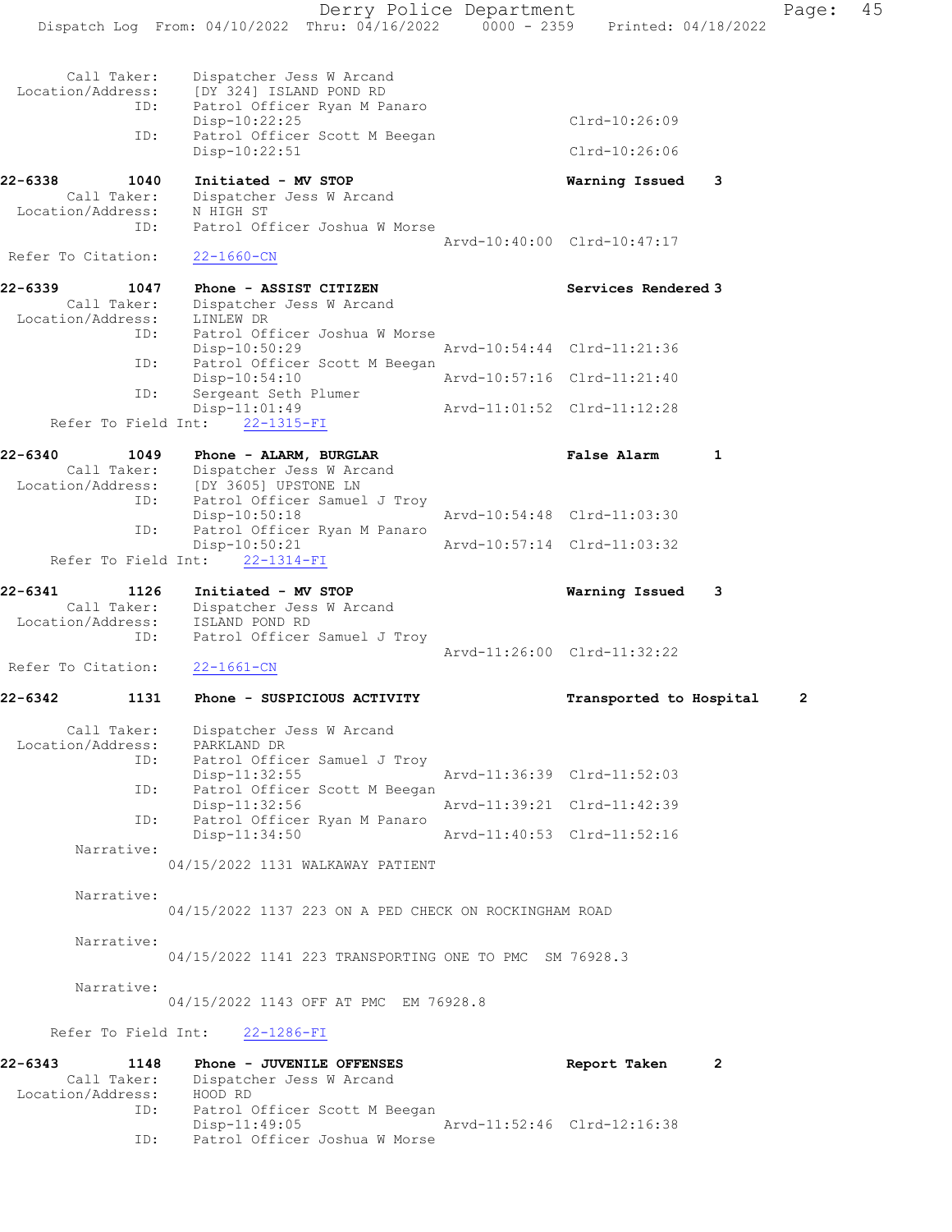Derry Police Department Page: 45 Dispatch Log From: 04/10/2022 Thru: 04/16/2022 0000 - 2359 Printed: 04/18/2022 Call Taker: Dispatcher Jess W Arcand Location/Address: [DY 324] ISLAND POND RD ID: Patrol Officer Ryan M Panaro Disp-10:22:25 Clrd-10:26:09 ID: Patrol Officer Scott M Beegan Disp-10:22:51 Clrd-10:26:06 22-6338 1040 Initiated - MV STOP Warning Issued 3 Call Taker: Dispatcher Jess W Arcand Location/Address: N HIGH ST ID: Patrol Officer Joshua W Morse Arvd-10:40:00 Clrd-10:47:17 Refer To Citation: 22-1660-CN 22-6339 1047 Phone - ASSIST CITIZEN 1988 Services Rendered 3 Call Taker: Dispatcher Jess W Arcand Location/Address: LINLEW DR ID: Patrol Officer Joshua W Morse Disp-10:50:29 ID: Patrol Officer Scott M Beegan<br>Disp-10:54:10 Arvd-10:57:16 Clrd-11:21:40 Disp-10:54:10 Arvd-10:57:16 Clrd-11:21:40 ID: Sergeant Seth Plumer Arvd-11:01:52 Clrd-11:12:28 Refer To Field Int: 22-1315-FI 22-6340 1049 Phone - ALARM, BURGLAR False Alarm 1 Call Taker: Dispatcher Jess W Arcand Location/Address: [DY 3605] UPSTONE LN ID: Patrol Officer Samuel J Troy Disp-10:50:18 <br>D: Patrol Officer Ryan M Panaro<br>D: Patrol Officer Ryan M Panaro Patrol Officer Ryan M Panaro<br>Disp-10:50:21 Disp-10:50:21 Arvd-10:57:14 Clrd-11:03:32 Refer To Field Int: 22-1314-FI 22-6341 1126 Initiated - MV STOP Warning Issued 3 Call Taker: Dispatcher Jess W Arcand Location/Address: ISLAND POND RD ID: Patrol Officer Samuel J Troy Arvd-11:26:00 Clrd-11:32:22 Refer To Citation: 22-1661-CN 22-6342 1131 Phone - SUSPICIOUS ACTIVITY Transported to Hospital 2 Call Taker: Dispatcher Jess W Arcand Location/Address: PARKLAND DR ID: Patrol Officer Samuel J Troy Disp-11:32:55 Arvd-11:36:39 Clrd-11:52:03 ID: Patrol Officer Scott M Beegan<br>Disp-11:32:56 Disp-11:32:56 Arvd-11:39:21 Clrd-11:42:39 ID: Patrol Officer Ryan M Panaro<br>Disp-11:34:50 Disp-11:34:50 Arvd-11:40:53 Clrd-11:52:16 Narrative: 04/15/2022 1131 WALKAWAY PATIENT Narrative: 04/15/2022 1137 223 ON A PED CHECK ON ROCKINGHAM ROAD Narrative: 04/15/2022 1141 223 TRANSPORTING ONE TO PMC SM 76928.3 Narrative: 04/15/2022 1143 OFF AT PMC EM 76928.8 Refer To Field Int: 22-1286-FI 22-6343 1148 Phone - JUVENILE OFFENSES Report Taken 2 Call Taker: Dispatcher Jess W Arcand Location/Address: HOOD RD ID: Patrol Officer Scott M Beegan Disp-11:49:05 Arvd-11:52:46 Clrd-12:16:38

ID: Patrol Officer Joshua W Morse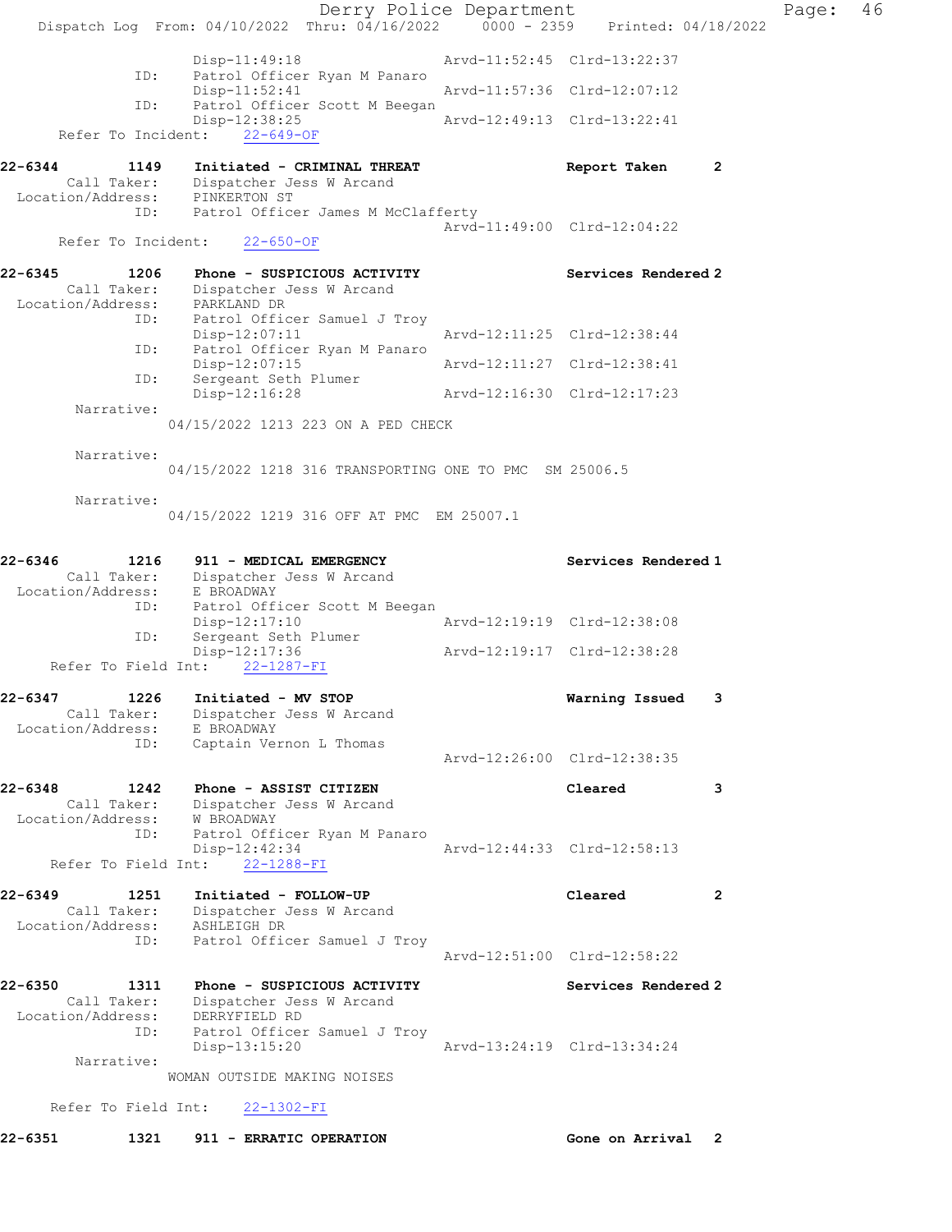Derry Police Department Controller Page: 46 Dispatch Log From: 04/10/2022 Thru: 04/16/2022 0000 - 2359 Printed: 04/18/2022 Disp-11:49:18 Arvd-11:52:45 Clrd-13:22:37 ID: Patrol Officer Ryan M Panaro Arvd-11:57:36 Clrd-12:07:12 ID: Patrol Officer Scott M Beegan Disp-12:38:25 Arvd-12:49:13 Clrd-13:22:41 Refer To Incident: 22-649-OF 22-6344 1149 Initiated - CRIMINAL THREAT Report Taken 2 Call Taker: Dispatcher Jess W Arcand Location/Address: PINKERTON ST ID: Patrol Officer James M McClafferty Arvd-11:49:00 Clrd-12:04:22 Refer To Incident: 22-650-OF 22-6345 1206 Phone - SUSPICIOUS ACTIVITY Services Rendered 2 Call Taker: Dispatcher Jess W Arcand Location/Address: PARKLAND DR ID: Patrol Officer Samuel J Troy Disp-12:07:11 Arvd-12:11:25 Clrd-12:38:44 ID: Patrol Officer Ryan M Panaro Disp-12:07:15 Arvd-12:11:27 Clrd-12:38:41 ID: Sergeant Seth Plumer Disp-12:16:28 Arvd-12:16:30 Clrd-12:17:23 Narrative: 04/15/2022 1213 223 ON A PED CHECK Narrative: 04/15/2022 1218 316 TRANSPORTING ONE TO PMC SM 25006.5 Narrative: 04/15/2022 1219 316 OFF AT PMC EM 25007.1 22-6346 1216 911 - MEDICAL EMERGENCY Services Rendered 1 Call Taker: Dispatcher Jess W Arcand Location/Address: E BROADWAY ID: Patrol Officer Scott M Beegan Disp-12:17:10 Arvd-12:19:19 Clrd-12:38:08 ID: Sergeant Seth Plumer Disp-12:17:36 Arvd-12:19:17 Clrd-12:38:28 Refer To Field Int: 22-1287-FI 22-6347 1226 Initiated - MV STOP Warning Issued 3 Call Taker: Dispatcher Jess W Arcand Location/Address: E BROADWAY ID: Captain Vernon L Thomas Arvd-12:26:00 Clrd-12:38:35 22-6348 1242 Phone - ASSIST CITIZEN Cleared 3 Call Taker: Dispatcher Jess W Arcand Location/Address: W BROADWAY ID: Patrol Officer Ryan M Panaro Disp-12:42:34 Arvd-12:44:33 Clrd-12:58:13 Disp-12:42:34<br>Refer To Field Int: 22-1288-FI 22-6349 1251 Initiated - FOLLOW-UP Cleared 2 Call Taker: Dispatcher Jess W Arcand Location/Address: ASHLEIGH DR ID: Patrol Officer Samuel J Troy Arvd-12:51:00 Clrd-12:58:22 22-6350 1311 Phone - SUSPICIOUS ACTIVITY Services Rendered 2 Call Taker: Dispatcher Jess W Arcand Location/Address: DERRYFIELD RD ID: Patrol Officer Samuel J Troy Disp-13:15:20 Arvd-13:24:19 Clrd-13:34:24 Narrative: WOMAN OUTSIDE MAKING NOISES Refer To Field Int: 22-1302-FI 22-6351 1321 911 - ERRATIC OPERATION Gone on Arrival 2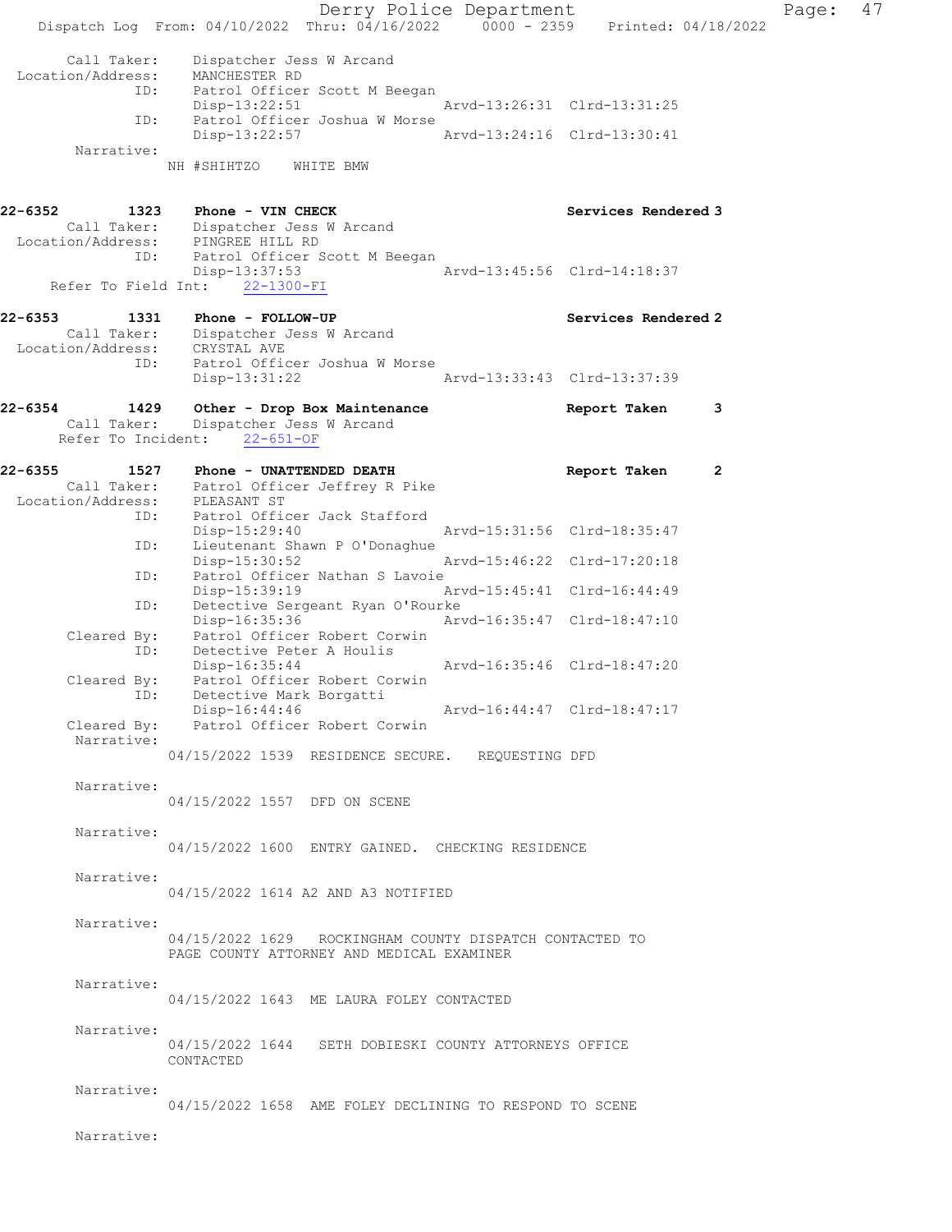Derry Police Department Page: 47 Dispatch Log From: 04/10/2022 Thru: 04/16/2022 0000 - 2359 Printed: 04/18/2022 Call Taker: Dispatcher Jess W Arcand Location/Address: MANCHESTER RD<br>ID: Patrol Officer Patrol Officer Scott M Beegan<br>Disp-13:22:51 Disp-13:22:51 Arvd-13:26:31 Clrd-13:31:25<br>ID: Patrol Officer Joshua W Morse Patrol Officer Joshua W Morse Disp-13:22:57 Arvd-13:24:16 Clrd-13:30:41 Narrative: NH #SHIHTZO WHITE BMW 22-6352 1323 Phone - VIN CHECK Services Rendered 3 Call Taker: Dispatcher Jess W Arcand Location/Address: PINGREE HILL RD ID: Patrol Officer Scott M Beegan<br>Disp-13:37:53 Disp-13:37:53 Arvd-13:45:56 Clrd-14:18:37 Refer To Field Int: 22-1300-FI 22-6353 1331 Phone - FOLLOW-UP **Services Rendered 2**  Call Taker: Dispatcher Jess W Arcand Location/Address: CRYSTAL AVE<br>ID: Patrol Offic Patrol Officer Joshua W Morse Disp-13:31:22 Arvd-13:33:43 Clrd-13:37:39 22-6354 1429 Other - Drop Box Maintenance **Report Taken** 3 Call Taker: Dispatcher Jess W Arcand Refer To Incident: 22-651-OF 22-6355 1527 Phone - UNATTENDED DEATH **Report Taken** 2 Call Taker: Patrol Officer Jeffrey R Pike Location/Address: PLEASANT ST ID: Patrol Officer Jack Stafford Disp-15:29:40 Arvd-15:31:56 Clrd-18:35:47<br>ID: Lieutenant Shawn P O'Donaghue Lieutenant Shawn P O'Donaghue Disp-15:30:52 Arvd-15:46:22 Clrd-17:20:18<br>ID: Patrol Officer Nathan S Lavoie Patrol Officer Nathan S Lavoie<br>Disp-15:39:19 Disp-15:39:19 Arvd-15:45:41 Clrd-16:44:49<br>ID: Detective Sergeant Ryan O'Rourke Detective Sergeant Ryan O'Rourke<br>Disp-16:35:36 Ar Disp-16:35:36 Arvd-16:35:47 Clrd-18:47:10 Cleared By: Patrol Officer Robert Corwin ID: Detective Peter A Houlis<br>Disp-16:35:44 Disp-16:35:44 Arvd-16:35:46 Clrd-18:47:20<br>Cleared By: Patrol Officer Robert Corwin Patrol Officer Robert Corwin ID: Detective Mark Borgatti<br>Disp-16:44:46 Disp-16:44:46 Arvd-16:44:47 Clrd-18:47:17<br>Cleared By: Patrol Officer Robert Corwin Patrol Officer Robert Corwin Narrative: 04/15/2022 1539 RESIDENCE SECURE. REQUESTING DFD Narrative: 04/15/2022 1557 DFD ON SCENE Narrative: 04/15/2022 1600 ENTRY GAINED. CHECKING RESIDENCE Narrative: 04/15/2022 1614 A2 AND A3 NOTIFIED Narrative: 04/15/2022 1629 ROCKINGHAM COUNTY DISPATCH CONTACTED TO PAGE COUNTY ATTORNEY AND MEDICAL EXAMINER Narrative: 04/15/2022 1643 ME LAURA FOLEY CONTACTED Narrative: 04/15/2022 1644 SETH DOBIESKI COUNTY ATTORNEYS OFFICE CONTACTED Narrative: 04/15/2022 1658 AME FOLEY DECLINING TO RESPOND TO SCENE Narrative: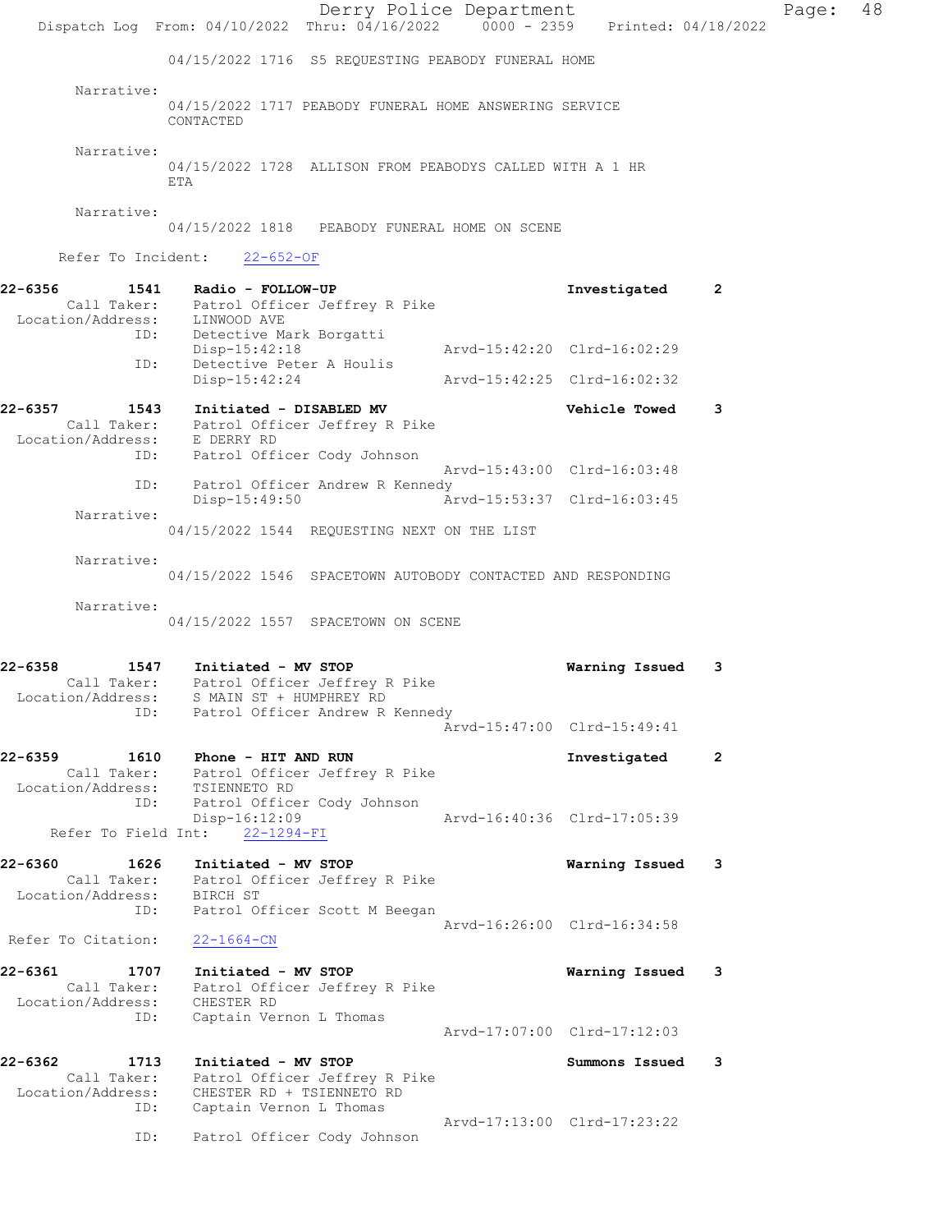|                                                 | Dispatch Log From: 04/10/2022 Thru: 04/16/2022 0000 - 2359 Printed: 04/18/2022                                                                        | Derry Police Department |                             |                | Page: | 48 |
|-------------------------------------------------|-------------------------------------------------------------------------------------------------------------------------------------------------------|-------------------------|-----------------------------|----------------|-------|----|
|                                                 | 04/15/2022 1716 S5 REOUESTING PEABODY FUNERAL HOME                                                                                                    |                         |                             |                |       |    |
| Narrative:                                      | 04/15/2022 1717 PEABODY FUNERAL HOME ANSWERING SERVICE<br>CONTACTED                                                                                   |                         |                             |                |       |    |
| Narrative:                                      | 04/15/2022 1728 ALLISON FROM PEABODYS CALLED WITH A 1 HR<br>ETA                                                                                       |                         |                             |                |       |    |
| Narrative:                                      | 04/15/2022 1818 PEABODY FUNERAL HOME ON SCENE                                                                                                         |                         |                             |                |       |    |
|                                                 | Refer To Incident: 22-652-OF                                                                                                                          |                         |                             |                |       |    |
| 22-6356                                         | 1541 Radio - FOLLOW-UP<br>Call Taker: Patrol Officer Jeffrey R Pike<br>Location/Address: LINWOOD AVE<br>ID: Detective Mark Borgatti                   |                         | Investigated                | $\overline{2}$ |       |    |
|                                                 | Disp-15:42:18                                                                                                                                         |                         | Arvd-15:42:20 Clrd-16:02:29 |                |       |    |
| ID:                                             | Detective Peter A Houlis<br>Disp-15:42:24                                                                                                             |                         | Arvd-15:42:25 Clrd-16:02:32 |                |       |    |
| 22-6357                                         | 1543 Initiated - DISABLED MV<br>Call Taker: Patrol Officer Jeffrey R Pike<br>Location/Address: E DERRY RD<br>ID: Patrol Officer Cody Johnson          |                         | Vehicle Towed               | 3              |       |    |
|                                                 |                                                                                                                                                       |                         | Arvd-15:43:00 Clrd-16:03:48 |                |       |    |
| ID:                                             | Patrol Officer Andrew R Kennedy<br>Disp-15:49:50                                                                                                      |                         | Arvd-15:53:37 Clrd-16:03:45 |                |       |    |
| Narrative:                                      | 04/15/2022 1544 REQUESTING NEXT ON THE LIST                                                                                                           |                         |                             |                |       |    |
| Narrative:                                      | 04/15/2022 1546 SPACETOWN AUTOBODY CONTACTED AND RESPONDING                                                                                           |                         |                             |                |       |    |
| Narrative:                                      | 04/15/2022 1557 SPACETOWN ON SCENE                                                                                                                    |                         |                             |                |       |    |
| 22-6358<br>ID:                                  | 1547 Initiated - MV STOP<br>Call Taker: Patrol Officer Jeffrey R Pike<br>Location/Address: S MAIN ST + HUMPHREY RD<br>Patrol Officer Andrew R Kennedy |                         | Warning Issued              | 3              |       |    |
|                                                 |                                                                                                                                                       |                         | Arvd-15:47:00 Clrd-15:49:41 |                |       |    |
| 22-6359<br>Location/Address: TSIENNETO RD       | 1610 Phone - HIT AND RUN<br>Call Taker: Patrol Officer Jeffrey R Pike                                                                                 |                         | Investigated                | $\overline{2}$ |       |    |
| ID:<br>Refer To Field Int:                      | Patrol Officer Cody Johnson<br>Disp-16:12:09<br>$22 - 1294 - FI$                                                                                      |                         | Arvd-16:40:36 Clrd-17:05:39 |                |       |    |
| 22-6360<br>1626                                 | Initiated - MV STOP<br>Call Taker: Patrol Officer Jeffrey R Pike<br>Location/Address: BIRCH ST                                                        |                         | Warning Issued 3            |                |       |    |
| ID:                                             | Patrol Officer Scott M Beegan                                                                                                                         |                         | Arvd-16:26:00 Clrd-16:34:58 |                |       |    |
| Refer To Citation:                              | $22 - 1664 - CN$                                                                                                                                      |                         |                             |                |       |    |
| 22-6361<br>1707<br>Location/Address: CHESTER RD | Initiated - MV STOP<br>Call Taker: Patrol Officer Jeffrey R Pike                                                                                      |                         | Warning Issued 3            |                |       |    |
| ID:                                             | Captain Vernon L Thomas                                                                                                                               |                         | Arvd-17:07:00 Clrd-17:12:03 |                |       |    |
| 22-6362<br>1713<br>Location/Address:<br>ID:     | Initiated - MV STOP<br>Call Taker: Patrol Officer Jeffrey R Pike<br>CHESTER RD + TSIENNETO RD<br>Captain Vernon L Thomas                              |                         | Summons Issued              | 3              |       |    |
| ID:                                             | Patrol Officer Cody Johnson                                                                                                                           |                         | Arvd-17:13:00 Clrd-17:23:22 |                |       |    |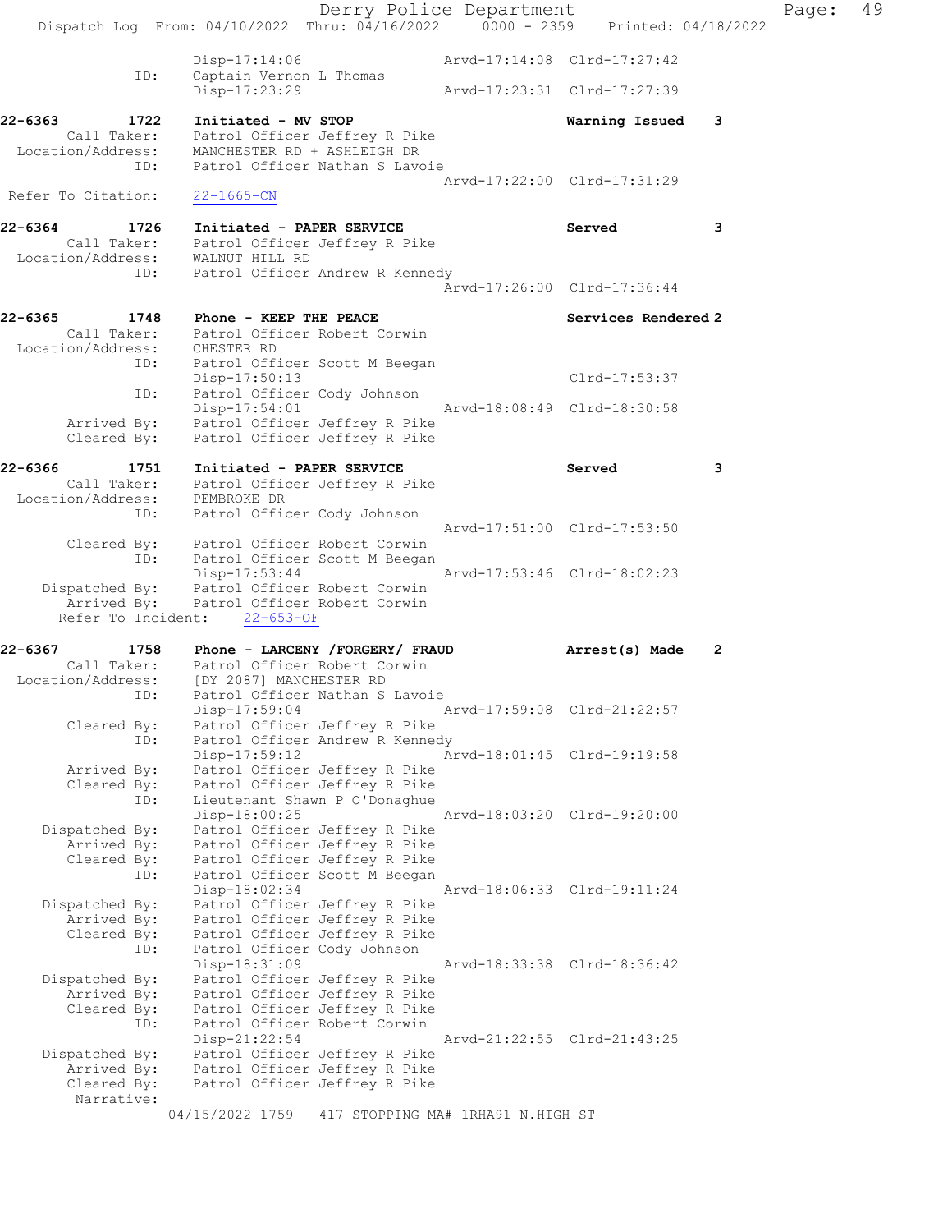|                                                                                               |                                                                                                                                                         | Derry Police Department                                                                         |                             |   | Page: | 49 |
|-----------------------------------------------------------------------------------------------|---------------------------------------------------------------------------------------------------------------------------------------------------------|-------------------------------------------------------------------------------------------------|-----------------------------|---|-------|----|
|                                                                                               | Dispatch Log From: 04/10/2022 Thru: 04/16/2022 0000 - 2359 Printed: 04/18/2022                                                                          |                                                                                                 |                             |   |       |    |
| ID:                                                                                           | $Disp-17:14:06$<br>Captain Vernon L Thomas                                                                                                              |                                                                                                 | Arvd-17:14:08 Clrd-17:27:42 |   |       |    |
|                                                                                               | Disp-17:23:29                                                                                                                                           |                                                                                                 | Arvd-17:23:31 Clrd-17:27:39 |   |       |    |
| 22-6363<br>1722                                                                               | Initiated - MV STOP<br>Call Taker: Patrol Officer Jeffrey R Pike<br>Location/Address: MANCHESTER RD + ASHLEIGH DR<br>ID: Patrol Officer Nathan S Lavoie |                                                                                                 | Warning Issued 3            |   |       |    |
| Refer To Citation:                                                                            | $22 - 1665 - CN$                                                                                                                                        |                                                                                                 | Arvd-17:22:00 Clrd-17:31:29 |   |       |    |
| 22-6364 1726<br>Call Taker: Patrol Officer Jeffrey R Pike<br>Location/Address: WALNUT HILL RD | Initiated - PAPER SERVICE                                                                                                                               |                                                                                                 | Served                      | 3 |       |    |
| ID:                                                                                           |                                                                                                                                                         | Patrol Officer Andrew R Kennedy                                                                 | Arvd-17:26:00 Clrd-17:36:44 |   |       |    |
| 22-6365<br>1748<br>Location/Address: CHESTER RD                                               | Phone - KEEP THE PEACE<br>Call Taker: Patrol Officer Robert Corwin<br>ID: Patrol Officer Scott M Beegan                                                 |                                                                                                 | Services Rendered 2         |   |       |    |
| ID:                                                                                           | Disp-17:50:13<br>Patrol Officer Cody Johnson                                                                                                            |                                                                                                 | Clrd-17:53:37               |   |       |    |
|                                                                                               | Disp-17:54:01<br>Arrived By: Patrol Officer Jeffrey R Pike<br>Cleared By: Patrol Officer Jeffrey R Pike                                                 |                                                                                                 | Arvd-18:08:49 Clrd-18:30:58 |   |       |    |
| 22-6366<br>Location/Address: PEMBROKE DR                                                      | 1751 Initiated - PAPER SERVICE<br>Call Taker: Patrol Officer Jeffrey R Pike                                                                             |                                                                                                 | Served                      | 3 |       |    |
| ID:                                                                                           | Patrol Officer Cody Johnson<br>Cleared By: Patrol Officer Robert Corwin                                                                                 |                                                                                                 | Arvd-17:51:00 Clrd-17:53:50 |   |       |    |
| ID:                                                                                           | Patrol Officer Scott M Beegan<br>Disp-17:53:44<br>Dispatched By: Patrol Officer Robert Corwin<br>Arrived By: Patrol Officer Robert Corwin               |                                                                                                 | Arvd-17:53:46 Clrd-18:02:23 |   |       |    |
|                                                                                               | Refer To Incident: 22-653-OF                                                                                                                            |                                                                                                 |                             |   |       |    |
| 22-6367                                                                                       | 1758 Phone - LARCENY / FORGERY / FRAUD<br>Call Taker: Patrol Officer Robert Corwin<br>Location/Address: [DY 2087] MANCHESTER RD                         |                                                                                                 | Arrest(s) Made              | 2 |       |    |
| Cleared By:<br>ID:                                                                            | ID: Patrol Officer Nathan S Lavoie<br>Disp-17:59:04                                                                                                     | Patrol Officer Jeffrey R Pike<br>Patrol Officer Andrew R Kennedy                                | Arvd-17:59:08 Clrd-21:22:57 |   |       |    |
| Arrived By:<br>Cleared By:                                                                    | Disp-17:59:12                                                                                                                                           | Patrol Officer Jeffrey R Pike<br>Patrol Officer Jeffrey R Pike                                  | Arvd-18:01:45 Clrd-19:19:58 |   |       |    |
| ID:<br>Dispatched By:<br>Arrived By:                                                          | Disp-18:00:25                                                                                                                                           | Lieutenant Shawn P O'Donaghue<br>Patrol Officer Jeffrey R Pike<br>Patrol Officer Jeffrey R Pike | Arvd-18:03:20 Clrd-19:20:00 |   |       |    |
| Cleared By:<br>ID:                                                                            | Disp-18:02:34                                                                                                                                           | Patrol Officer Jeffrey R Pike<br>Patrol Officer Scott M Beegan                                  | Arvd-18:06:33 Clrd-19:11:24 |   |       |    |
| Dispatched By:<br>Arrived By:<br>Cleared By:<br>ID:                                           | Patrol Officer Cody Johnson                                                                                                                             | Patrol Officer Jeffrey R Pike<br>Patrol Officer Jeffrey R Pike<br>Patrol Officer Jeffrey R Pike |                             |   |       |    |
| Dispatched By:<br>Arrived By:<br>Cleared By:<br>ID:                                           | Disp-18:31:09<br>Patrol Officer Robert Corwin                                                                                                           | Patrol Officer Jeffrey R Pike<br>Patrol Officer Jeffrey R Pike<br>Patrol Officer Jeffrey R Pike | Arvd-18:33:38 Clrd-18:36:42 |   |       |    |
| Dispatched By:<br>Arrived By:<br>Cleared By:<br>Narrative:                                    | Disp-21:22:54                                                                                                                                           | Patrol Officer Jeffrey R Pike<br>Patrol Officer Jeffrey R Pike<br>Patrol Officer Jeffrey R Pike | Arvd-21:22:55 Clrd-21:43:25 |   |       |    |
|                                                                                               | 04/15/2022 1759                                                                                                                                         | 417 STOPPING MA# 1RHA91 N.HIGH ST                                                               |                             |   |       |    |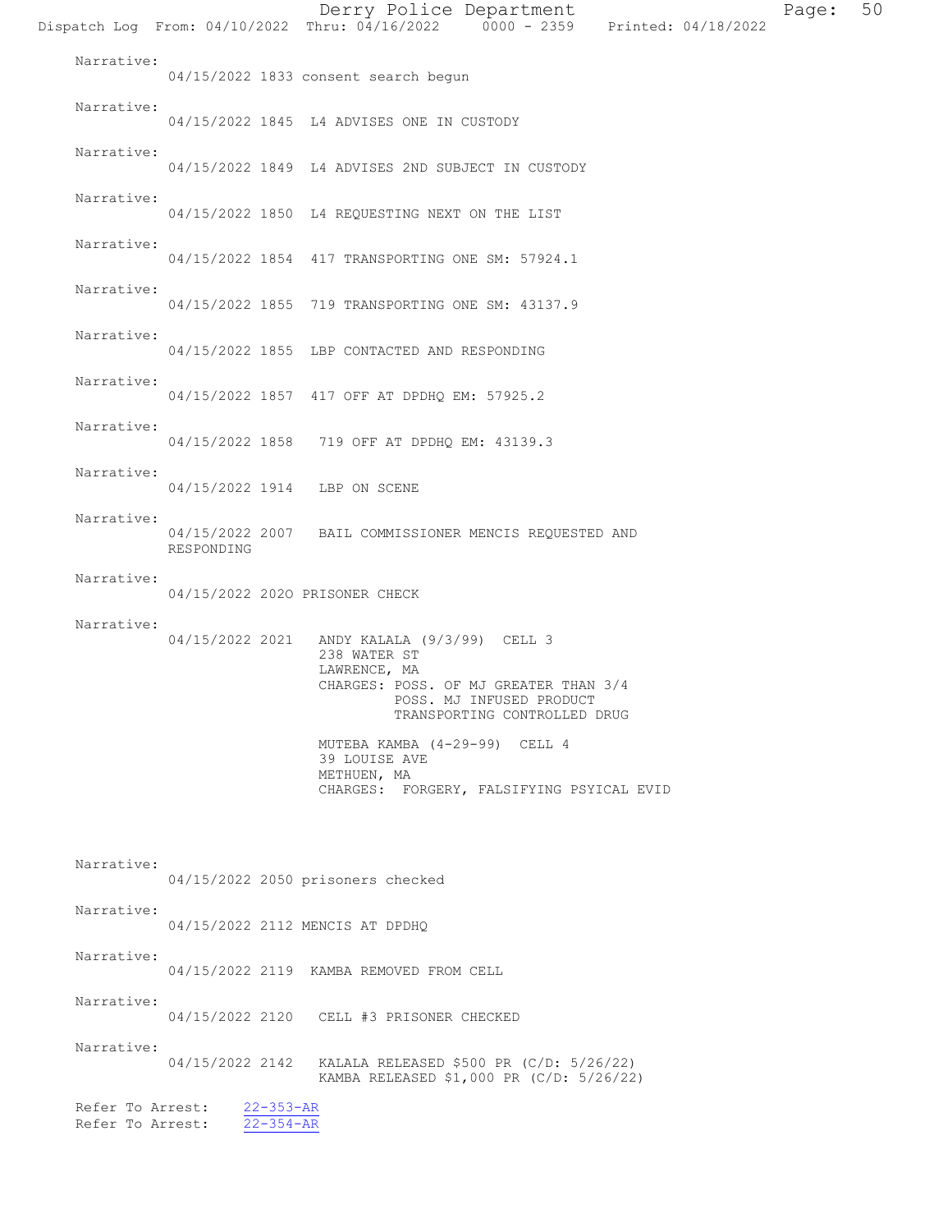Derry Police Department Page: 50 Dispatch Log From: 04/10/2022 Thru: 04/16/2022 0000 - 2359 Printed: 04/18/2022 Narrative: 04/15/2022 1833 consent search begun Narrative: 04/15/2022 1845 L4 ADVISES ONE IN CUSTODY Narrative: 04/15/2022 1849 L4 ADVISES 2ND SUBJECT IN CUSTODY Narrative: 04/15/2022 1850 L4 REQUESTING NEXT ON THE LIST Narrative: 04/15/2022 1854 417 TRANSPORTING ONE SM: 57924.1 Narrative: 04/15/2022 1855 719 TRANSPORTING ONE SM: 43137.9 Narrative: 04/15/2022 1855 LBP CONTACTED AND RESPONDING Narrative: 04/15/2022 1857 417 OFF AT DPDHQ EM: 57925.2 Narrative: 04/15/2022 1858 719 OFF AT DPDHQ EM: 43139.3 Narrative: 04/15/2022 1914 LBP ON SCENE Narrative: 04/15/2022 2007 BAIL COMMISSIONER MENCIS REQUESTED AND RESPONDING Narrative: 04/15/2022 202O PRISONER CHECK Narrative: 04/15/2022 2021 ANDY KALALA (9/3/99) CELL 3 238 WATER ST LAWRENCE, MA CHARGES: POSS. OF MJ GREATER THAN 3/4 POSS. MJ INFUSED PRODUCT TRANSPORTING CONTROLLED DRUG MUTEBA KAMBA (4-29-99) CELL 4 39 LOUISE AVE METHUEN, MA CHARGES: FORGERY, FALSIFYING PSYICAL EVID Narrative: 04/15/2022 2050 prisoners checked Narrative: 04/15/2022 2112 MENCIS AT DPDHQ Narrative: 04/15/2022 2119 KAMBA REMOVED FROM CELL Narrative: 04/15/2022 2120 CELL #3 PRISONER CHECKED Narrative: 04/15/2022 2142 KALALA RELEASED \$500 PR (C/D: 5/26/22) KAMBA RELEASED \$1,000 PR (C/D: 5/26/22) Refer To Arrest:  $\frac{22-353-AR}{22-354-AR}$ Refer To Arrest: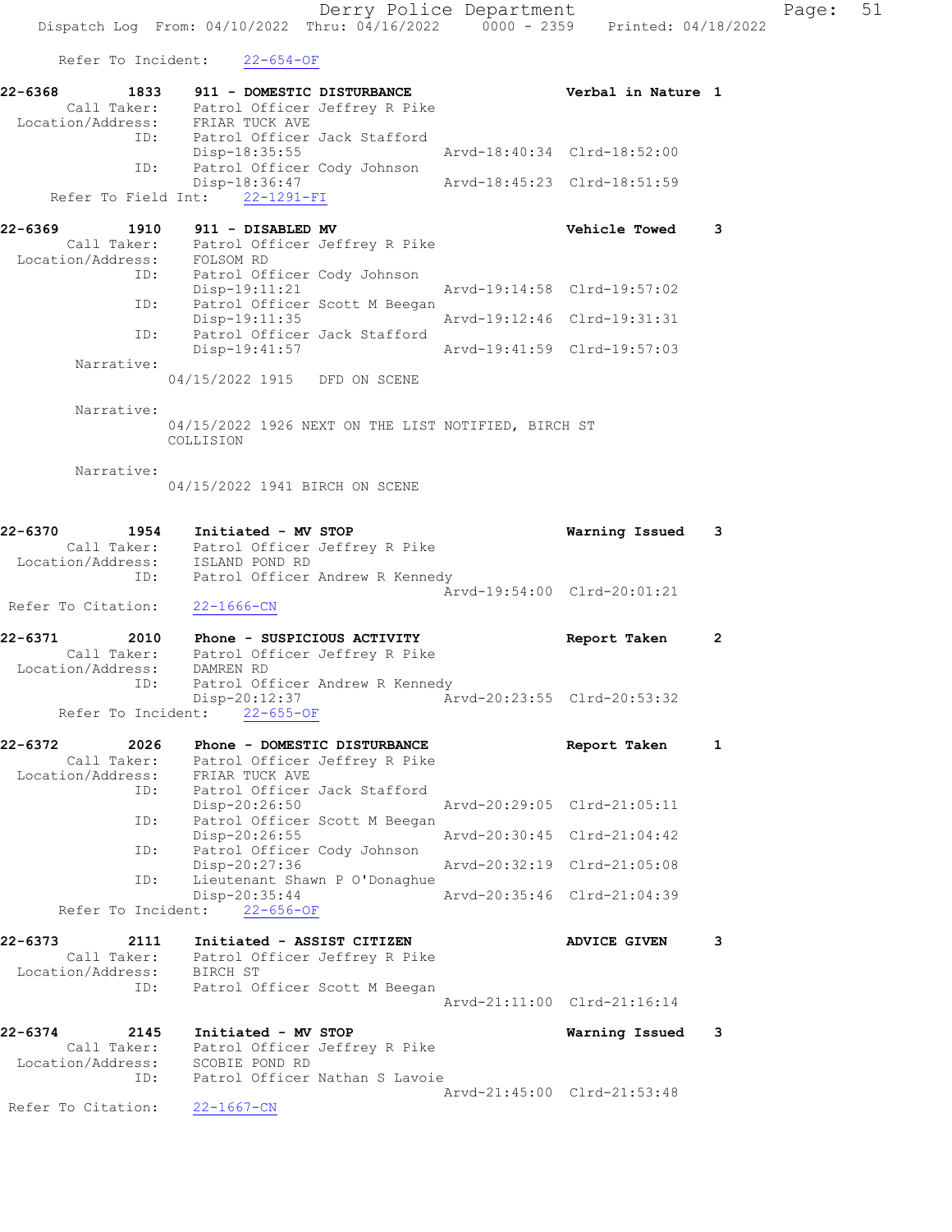Derry Police Department Fage: 51 Dispatch Log From: 04/10/2022 Thru: 04/16/2022 0000 - 2359 Printed: 04/18/2022 Refer To Incident: 22-654-OF 22-6368 1833 911 - DOMESTIC DISTURBANCE Verbal in Nature 1 Call Taker: Patrol Officer Jeffrey R Pike Location/Address: FRIAR TUCK AVE ID: Patrol Officer Jack Stafford Disp-18:35:55 Arvd-18:40:34 Clrd-18:52:00 ID: Patrol Officer Cody Johnson Disp-18:36:47 Arvd-18:45:23 Clrd-18:51:59 Refer To Field Int: 22-1291-FI 22-6369 1910 911 - DISABLED MV Vehicle Towed 3 Call Taker: Patrol Officer Jeffrey R Pike Location/Address: FOLSOM RD ID: Patrol Officer Cody Johnson Arvd-19:14:58 Clrd-19:57:02 ID: Patrol Officer Scott M Beegan Disp-19:11:35 Arvd-19:12:46 Clrd-19:31:31 ID: Patrol Officer Jack Stafford<br>Disp-19:41:57 Arvd-19:41:59 Clrd-19:57:03 Narrative: 04/15/2022 1915 DFD ON SCENE Narrative: 04/15/2022 1926 NEXT ON THE LIST NOTIFIED, BIRCH ST COLLISION Narrative: 04/15/2022 1941 BIRCH ON SCENE 22-6370 1954 Initiated - MV STOP Warning Issued 3 Call Taker: Patrol Officer Jeffrey R Pike Location/Address: ISLAND POND RD ID: Patrol Officer Andrew R Kennedy Arvd-19:54:00 Clrd-20:01:21 Refer To Citation: 22-1666-CN 22-6371 2010 Phone - SUSPICIOUS ACTIVITY Report Taken 2 Call Taker: Patrol Officer Jeffrey R Pike Location/Address: DAMREN RD ID: Patrol Officer Andrew R Kennedy Disp-20:12:37 Arvd-20:23:55 Clrd-20:53:32 Refer To Incident: 22-655-OF 22-6372 2026 Phone - DOMESTIC DISTURBANCE Report Taken 1 Call Taker: Patrol Officer Jeffrey R Pike Location/Address: FRIAR TUCK AVE ID: Patrol Officer Jack Stafford<br>Disp-20:26:50 Disp-20:26:50 Arvd-20:29:05 Clrd-21:05:11<br>D: Patrol Officer Scott M Beegan<br>Disp-20:26:55 Arvd-20:30:45 Clrd-21:04:42 Patrol Officer Scott M Beegan Disp-20:26:55 Arvd-20:30:45 Clrd-21:04:42 ID: Patrol Officer Cody Johnson Disp-20:27:36 Arvd-20:32:19 Clrd-21:05:08 ID: Lieutenant Shawn P O'Donaghue<br>Disp-20:35:44 Disp-20:35:44 Arvd-20:35:46 Clrd-21:04:39 Refer To Incident: 22-656-OF 22-6373 2111 Initiated - ASSIST CITIZEN ADVICE GIVEN 3 Call Taker: Patrol Officer Jeffrey R Pike Location/Address: BIRCH ST ID: Patrol Officer Scott M Beegan Arvd-21:11:00 Clrd-21:16:14 22-6374 2145 Initiated - MV STOP Warning Issued 3 Call Taker: Patrol Officer Jeffrey R Pike Location/Address: SCOBIE POND RD ID: Patrol Officer Nathan S Lavoie Arvd-21:45:00 Clrd-21:53:48 Refer To Citation: 22-1667-CN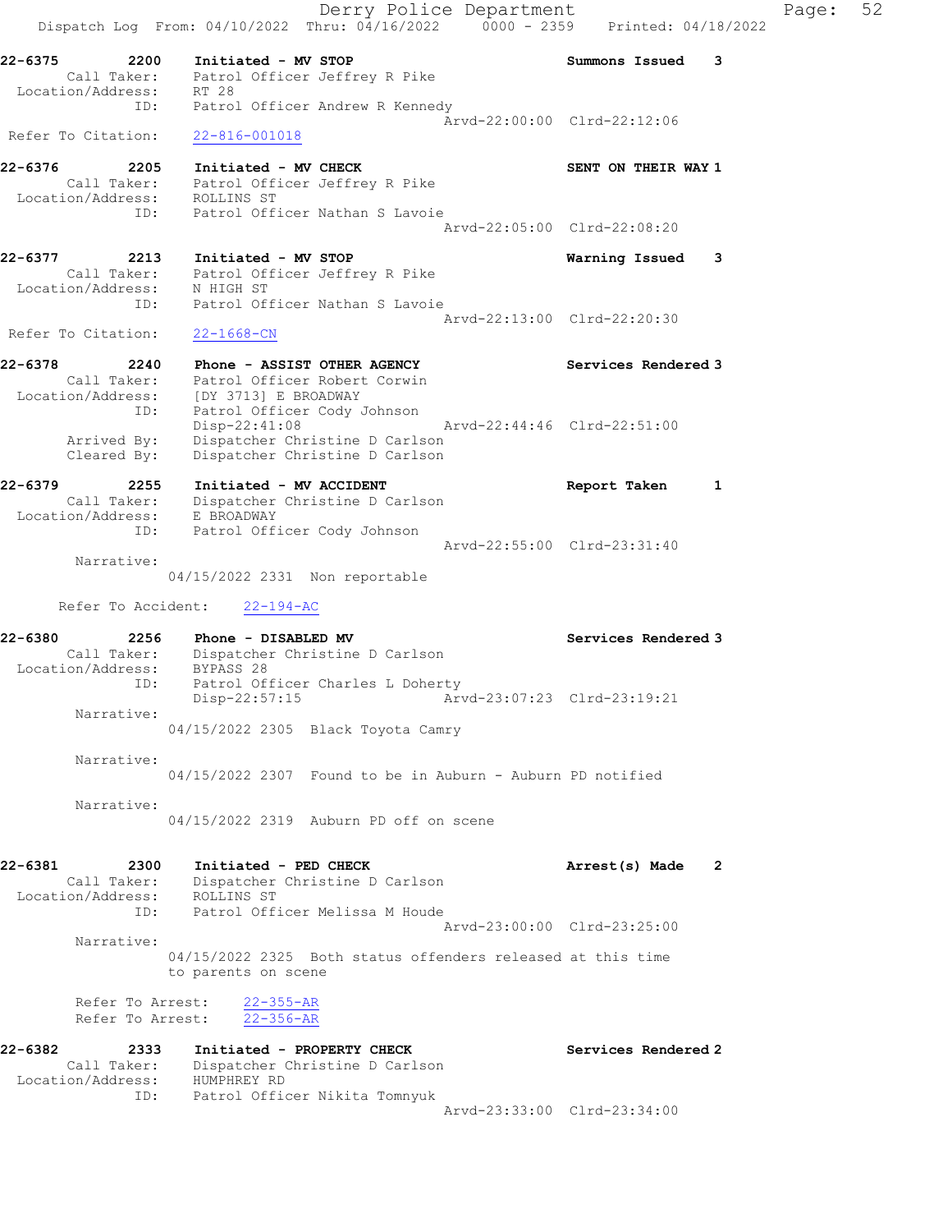Derry Police Department Form Page: 52 Dispatch Log From: 04/10/2022 Thru: 04/16/2022 0000 - 2359 Printed: 04/18/2022 22-6375 2200 Initiated - MV STOP Summons Issued 3 Call Taker: Patrol Officer Jeffrey R Pike Location/Address: RT 28 ID: Patrol Officer Andrew R Kennedy Arvd-22:00:00 Clrd-22:12:06 Refer To Citation: 22-816-001018 22-6376 2205 Initiated - MV CHECK SENT ON THEIR WAY 1 Call Taker: Patrol Officer Jeffrey R Pike Location/Address: ROLLINS ST ID: Patrol Officer Nathan S Lavoie Arvd-22:05:00 Clrd-22:08:20 22-6377 2213 Initiated - MV STOP Warning Issued 3 Call Taker: Patrol Officer Jeffrey R Pike Location/Address: N HIGH ST ID: Patrol Officer Nathan S Lavoie Arvd-22:13:00 Clrd-22:20:30 Refer To Citation: 22-1668-CN 22-6378 2240 Phone - ASSIST OTHER AGENCY Services Rendered 3 Call Taker: Patrol Officer Robert Corwin Location/Address: [DY 3713] E BROADWAY ID: Patrol Officer Cody Johnson Disp-22:41:08 Arvd-22:44:46 Clrd-22:51:00 Arrived By: Dispatcher Christine D Carlson Cleared By: Dispatcher Christine D Carlson 2020 220 225 PM ACCIDENT Report Taken 1<br>Dispatcher Christine D Carlson<br>E BROADWAY Call Taker: Dispatcher Christine D Carlson Location/Address: E BROADWAY ID: Patrol Officer Cody Johnson Arvd-22:55:00 Clrd-23:31:40 Narrative: 04/15/2022 2331 Non reportable Refer To Accident: 22-194-AC 22-6380 2256 Phone - DISABLED MV Services Rendered 3 Call Taker: Dispatcher Christine D Carlson Location/Address: BYPASS 28 ID: Patrol Officer Charles L Doherty Disp-22:57:15 Arvd-23:07:23 Clrd-23:19:21 Narrative: 04/15/2022 2305 Black Toyota Camry Narrative: 04/15/2022 2307 Found to be in Auburn - Auburn PD notified Narrative: 04/15/2022 2319 Auburn PD off on scene 22-6381 2300 Initiated - PED CHECK 2 Arrest(s) Made 2 Call Taker: Dispatcher Christine D Carlson Location/Address: ROLLINS ST ID: Patrol Officer Melissa M Houde Arvd-23:00:00 Clrd-23:25:00 Narrative: 04/15/2022 2325 Both status offenders released at this time to parents on scene Refer To Arrest: 22-355-AR Refer To Arrest: 22-356-AR 22-6382 2333 Initiated - PROPERTY CHECK Services Rendered 2 Call Taker: Dispatcher Christine D Carlson Location/Address: HUMPHREY RD ID: Patrol Officer Nikita Tomnyuk Arvd-23:33:00 Clrd-23:34:00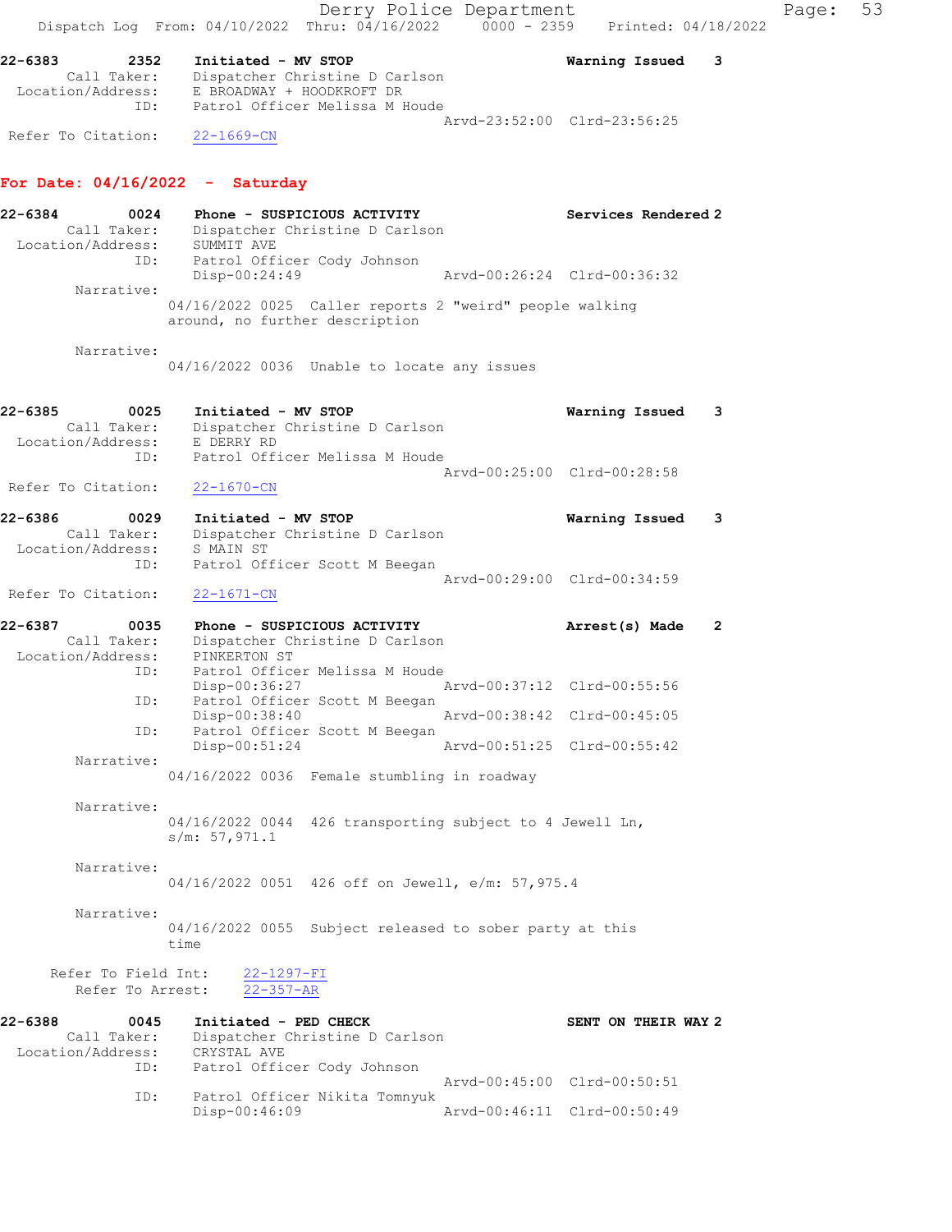Derry Police Department Fage: 53 Dispatch Log From:  $04/10/2022$  Thru:  $04/16/2022$  0000 - 2359 Printed: 04/18/2022 22-6383 2352 Initiated - MV STOP Warning Issued 3 Call Taker: Dispatcher Christine D Carlson Location/Address: E BROADWAY + HOODKROFT DR ID: Patrol Officer Melissa M Houde Arvd-23:52:00 Clrd-23:56:25 Refer To Citation: 22-1669-CN For Date: 04/16/2022 - Saturday 22-6384 0024 Phone - SUSPICIOUS ACTIVITY Services Rendered 2 Call Taker: Dispatcher Christine D Carlson Location/Address: SUMMIT AVE ID: Patrol Officer Cody Johnson Disp-00:24:49 Arvd-00:26:24 Clrd-00:36:32 Narrative: 04/16/2022 0025 Caller reports 2 "weird" people walking around, no further description Narrative: 04/16/2022 0036 Unable to locate any issues 22-6385 0025 Initiated - MV STOP Warning Issued 3 Call Taker: Dispatcher Christine D Carlson Location/Address: E DERRY RD ID: Patrol Officer Melissa M Houde Arvd-00:25:00 Clrd-00:28:58 Refer To Citation: 22-1670-CN 22-6386 0029 Initiated - MV STOP Warning Issued 3 Call Taker: Dispatcher Christine D Carlson Location/Address: S MAIN ST ID: Patrol Officer Scott M Beegan Arvd-00:29:00 Clrd-00:34:59 Refer To Citation: 22-1671-CN 22-6387 0035 Phone - SUSPICIOUS ACTIVITY Arrest(s) Made 2 Call Taker: Dispatcher Christine D Carlson Location/Address: PINKERTON ST ID: Patrol Officer Melissa M Houde Disp-00:36:27 Arvd-00:37:12 Clrd-00:55:56 ID: Patrol Officer Scott M Beegan Disp-00:38:40 Arvd-00:38:42 Clrd-00:45:05 ID: Patrol Officer Scott M Beegan Disp-00:51:24 Arvd-00:51:25 Clrd-00:55:42 Narrative: 04/16/2022 0036 Female stumbling in roadway Narrative: 04/16/2022 0044 426 transporting subject to 4 Jewell Ln, s/m: 57,971.1 Narrative: 04/16/2022 0051 426 off on Jewell, e/m: 57,975.4 Narrative: 04/16/2022 0055 Subject released to sober party at this time Refer To Field Int: 22-1297-FI Refer To Arrest: 22-357-AR 22-6388 0045 Initiated - PED CHECK SENT ON THEIR WAY 2 Call Taker: Dispatcher Christine D Carlson Location/Address: CRYSTAL AVE ID: Patrol Officer Cody Johnson Arvd-00:45:00 Clrd-00:50:51 ID: Patrol Officer Nikita Tomnyuk Disp-00:46:09 Arvd-00:46:11 Clrd-00:50:49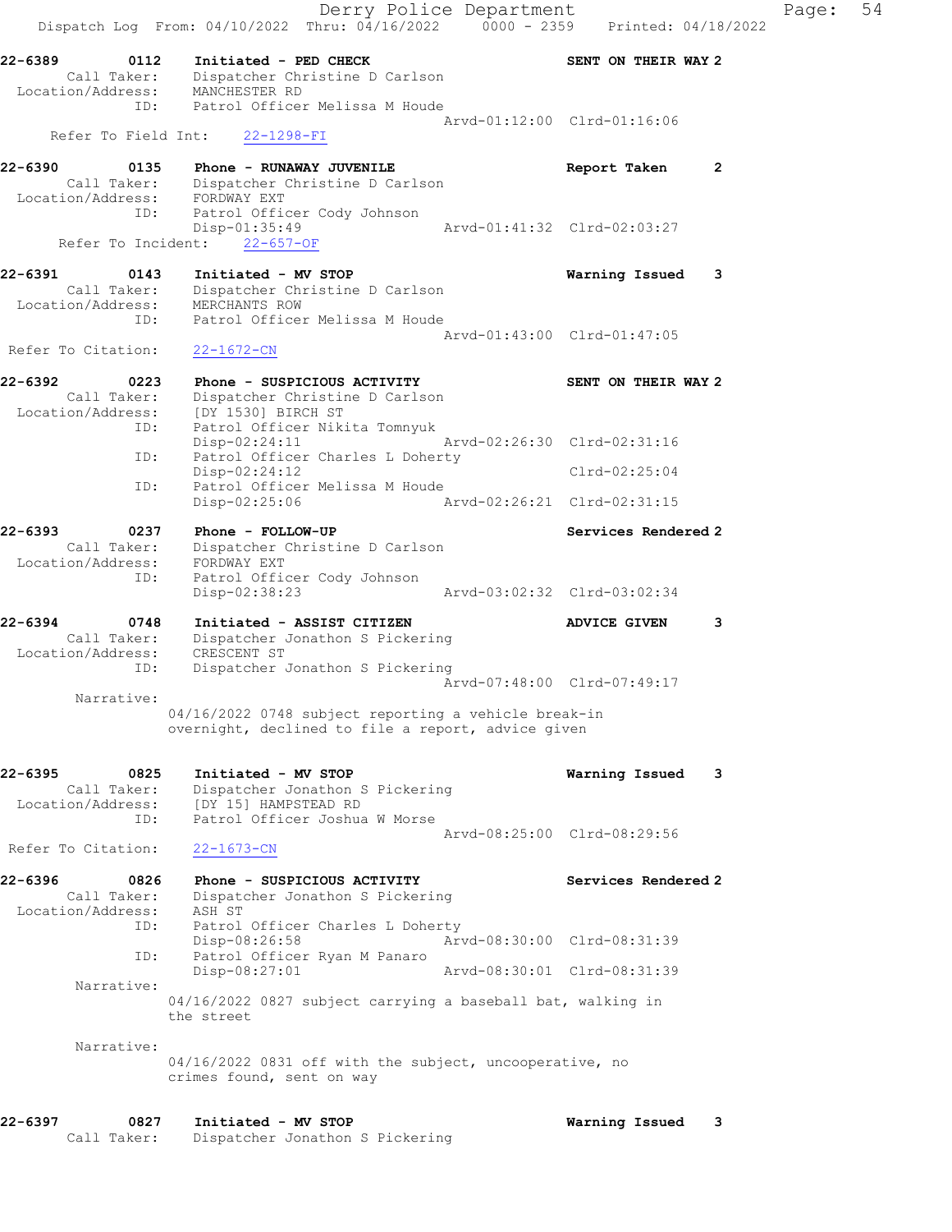| 22-6397<br>0827                                     | Initiated - MV STOP                                                                                             |                             | Warning Issued<br>3         |       |    |
|-----------------------------------------------------|-----------------------------------------------------------------------------------------------------------------|-----------------------------|-----------------------------|-------|----|
| Narrative:                                          | 04/16/2022 0831 off with the subject, uncooperative, no<br>crimes found, sent on way                            |                             |                             |       |    |
|                                                     | 04/16/2022 0827 subject carrying a baseball bat, walking in<br>the street                                       |                             |                             |       |    |
| Narrative:                                          | Disp-08:27:01                                                                                                   |                             | Arvd-08:30:01 Clrd-08:31:39 |       |    |
| ID:                                                 | Disp-08:26:58<br>Patrol Officer Ryan M Panaro                                                                   |                             | Arvd-08:30:00 Clrd-08:31:39 |       |    |
| Call Taker:<br>Location/Address:<br>ID:             | Dispatcher Jonathon S Pickering<br>ASH ST<br>Patrol Officer Charles L Doherty                                   |                             |                             |       |    |
| 22-6396<br>0826                                     | Phone - SUSPICIOUS ACTIVITY                                                                                     |                             | Services Rendered 2         |       |    |
| Refer To Citation:                                  | $22 - 1673 - CN$                                                                                                |                             | Arvd-08:25:00 Clrd-08:29:56 |       |    |
| Call Taker:<br>Location/Address:<br>ID:             | Dispatcher Jonathon S Pickering<br>[DY 15] HAMPSTEAD RD<br>Patrol Officer Joshua W Morse                        |                             |                             |       |    |
| 22-6395<br>0825                                     | Initiated - MV STOP                                                                                             |                             | Warning Issued 3            |       |    |
| Narrative:                                          | 04/16/2022 0748 subject reporting a vehicle break-in<br>overnight, declined to file a report, advice given      |                             |                             |       |    |
|                                                     |                                                                                                                 |                             | Arvd-07:48:00 Clrd-07:49:17 |       |    |
| Call Taker:<br>Location/Address:<br>ID:             | Dispatcher Jonathon S Pickering<br>CRESCENT ST<br>Dispatcher Jonathon S Pickering                               |                             |                             |       |    |
| 22-6394                                             | Initiated - ASSIST CITIZEN<br>0748                                                                              |                             | 3<br><b>ADVICE GIVEN</b>    |       |    |
| Call Taker:<br>Location/Address: FORDWAY EXT<br>ID: | Dispatcher Christine D Carlson<br>Patrol Officer Cody Johnson<br>Disp-02:38:23                                  |                             | Arvd-03:02:32 Clrd-03:02:34 |       |    |
| 22-6393                                             | 0237<br>Phone - FOLLOW-UP                                                                                       |                             | Services Rendered 2         |       |    |
| ID:                                                 | Patrol Officer Melissa M Houde<br>Disp-02:25:06                                                                 | Arvd-02:26:21 Clrd-02:31:15 |                             |       |    |
| ID:                                                 | Patrol Officer Charles L Doherty<br>$Disp-02:24:12$                                                             |                             | $Clrd-02:25:04$             |       |    |
| ID:                                                 | Patrol Officer Nikita Tomnyuk<br>$Disp-02:24:11$                                                                |                             | Arvd-02:26:30 Clrd-02:31:16 |       |    |
| Call Taker:                                         | Dispatcher Christine D Carlson<br>Location/Address: [DY 1530] BIRCH ST                                          |                             |                             |       |    |
| 22-6392                                             | 0223<br>Phone - SUSPICIOUS ACTIVITY                                                                             |                             | SENT ON THEIR WAY 2         |       |    |
| ID:<br>Refer To Citation:                           | $22 - 1672 - CN$                                                                                                |                             | Arvd-01:43:00 Clrd-01:47:05 |       |    |
|                                                     | Call Taker: Dispatcher Christine D Carlson<br>Location/Address: MERCHANTS ROW<br>Patrol Officer Melissa M Houde |                             |                             |       |    |
| 22-6391<br>0143                                     | Initiated - MV STOP                                                                                             |                             | Warning Issued 3            |       |    |
| Refer To Incident:                                  | $Disp-01:35:49$<br>$22 - 657 - OF$                                                                              |                             | Arvd-01:41:32 Clrd-02:03:27 |       |    |
| ID:                                                 | Location/Address: FORDWAY EXT<br>Patrol Officer Cody Johnson                                                    |                             |                             |       |    |
| 22-6390                                             | 0135 Phone - RUNAWAY JUVENILE<br>Call Taker: Dispatcher Christine D Carlson                                     |                             | Report Taken<br>2           |       |    |
| Refer To Field Int:                                 | 22-1298-FI                                                                                                      |                             |                             |       |    |
|                                                     | ID: Patrol Officer Melissa M Houde                                                                              |                             | Arvd-01:12:00 Clrd-01:16:06 |       |    |
| 22-6389                                             | Initiated - PED CHECK<br>Call Taker: Dispatcher Christine D Carlson<br>Location/Address: MANCHESTER RD          |                             | SENT ON THEIR WAY 2         |       |    |
|                                                     | 0112                                                                                                            |                             |                             |       |    |
|                                                     | Dispatch Log From: 04/10/2022 Thru: 04/16/2022 0000 - 2359 Printed: 04/18/2022                                  | Derry Police Department     |                             | Page: | 54 |

Call Taker: Dispatcher Jonathon S Pickering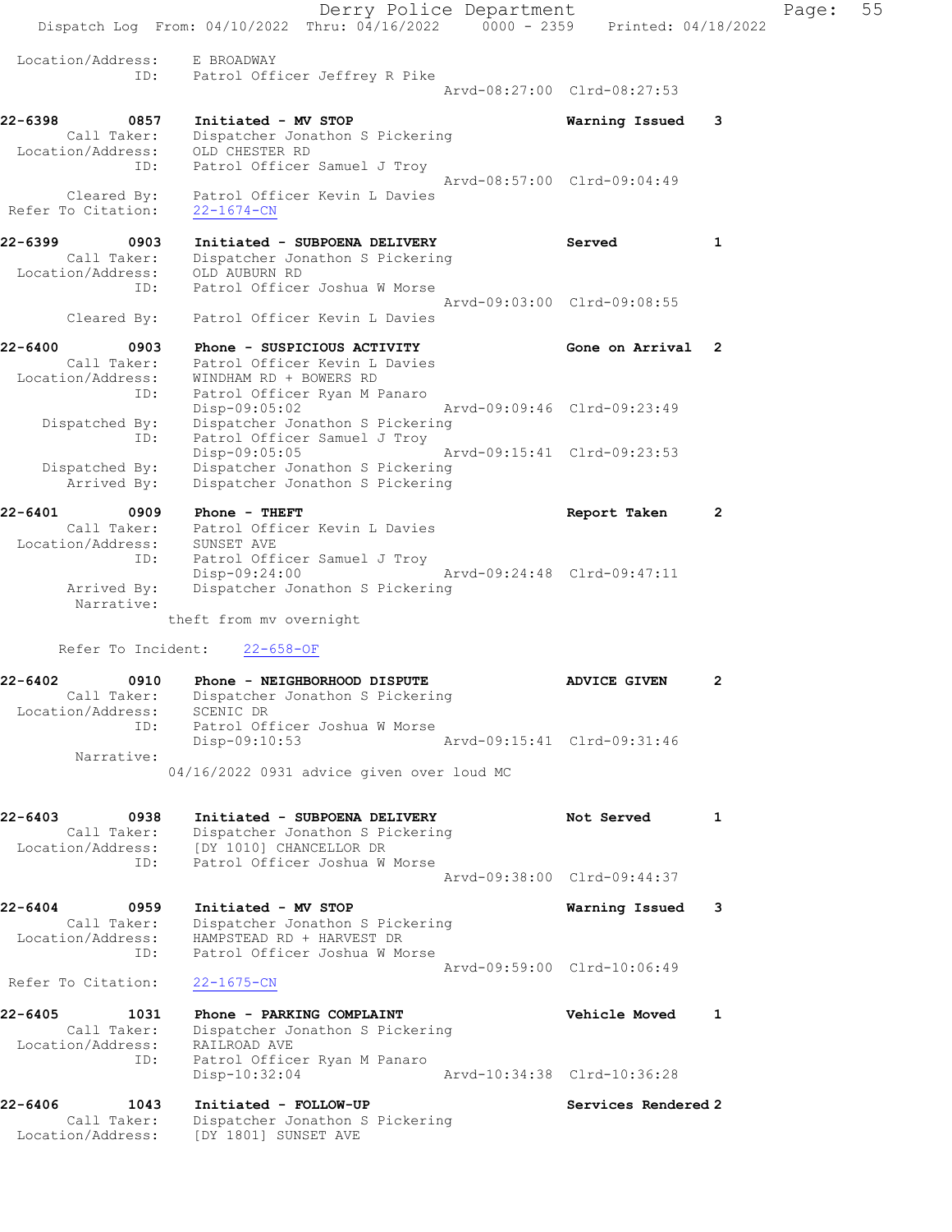Derry Police Department Controller Page: 55 Dispatch Log From: 04/10/2022 Thru: 04/16/2022 0000 - 2359 Printed: 04/18/2022 Location/Address: E BROADWAY ID: Patrol Officer Jeffrey R Pike Arvd-08:27:00 Clrd-08:27:53 22-6398 0857 Initiated - MV STOP Warning Issued 3 Call Taker: Dispatcher Jonathon S Pickering Location/Address: OLD CHESTER RD ID: Patrol Officer Samuel J Troy Arvd-08:57:00 Clrd-09:04:49 Cleared By: Patrol Officer Kevin L Davies Refer To Citation: 22-1674-CN 22-6399 0903 Initiated - SUBPOENA DELIVERY Served 1 Call Taker: Dispatcher Jonathon S Pickering Location/Address: OLD AUBURN RD ID: Patrol Officer Joshua W Morse Arvd-09:03:00 Clrd-09:08:55 Cleared By: Patrol Officer Kevin L Davies 22-6400 0903 Phone - SUSPICIOUS ACTIVITY 6one on Arrival 2 Call Taker: Patrol Officer Kevin L Davies Location/Address: WINDHAM RD + BOWERS RD ID: Patrol Officer Ryan M Panaro Disp-09:05:02 Arvd-09:09:46 Clrd-09:23:49 Dispatched By: Dispatcher Jonathon S Pickering ID: Patrol Officer Samuel J Troy Disp-09:05:05 Arvd-09:15:41 Clrd-09:23:53 Dispatched By: Dispatcher Jonathon S Pickering Arrived By: Dispatcher Jonathon S Pickering 22-6401 0909 Phone - THEFT **Report Taken** 2 Call Taker: Patrol Officer Kevin L Davies Location/Address: SUNSET AVE ID: Patrol Officer Samuel J Troy Disp-09:24:00 Arvd-09:24:48 Clrd-09:47:11 Arrived By: Dispatcher Jonathon S Pickering Narrative: theft from mv overnight Refer To Incident: 22-658-OF 22-6402 0910 Phone - NEIGHBORHOOD DISPUTE ADVICE GIVEN 2 Call Taker: Dispatcher Jonathon S Pickering Location/Address: SCENIC DR ID: Patrol Officer Joshua W Morse Disp-09:10:53 Narrative: 04/16/2022 0931 advice given over loud MC 22-6403 0938 Initiated - SUBPOENA DELIVERY Not Served 1 Call Taker: Dispatcher Jonathon S Pickering Location/Address: [DY 1010] CHANCELLOR DR ID: Patrol Officer Joshua W Morse Arvd-09:38:00 Clrd-09:44:37 22-6404 0959 Initiated - MV STOP Warning Issued 3 Call Taker: Dispatcher Jonathon S Pickering Location/Address: HAMPSTEAD RD + HARVEST DR ID: Patrol Officer Joshua W Morse Arvd-09:59:00 Clrd-10:06:49 Refer To Citation: 22-1675-CN 22-6405 1031 Phone - PARKING COMPLAINT Vehicle Moved 1 Call Taker: Dispatcher Jonathon S Pickering Location/Address: RAILROAD AVE ID: Patrol Officer Ryan M Panaro Disp-10:32:04 Arvd-10:34:38 Clrd-10:36:28 22-6406 1043 Initiated - FOLLOW-UP Services Rendered 2 Call Taker: Dispatcher Jonathon S Pickering Location/Address: [DY 1801] SUNSET AVE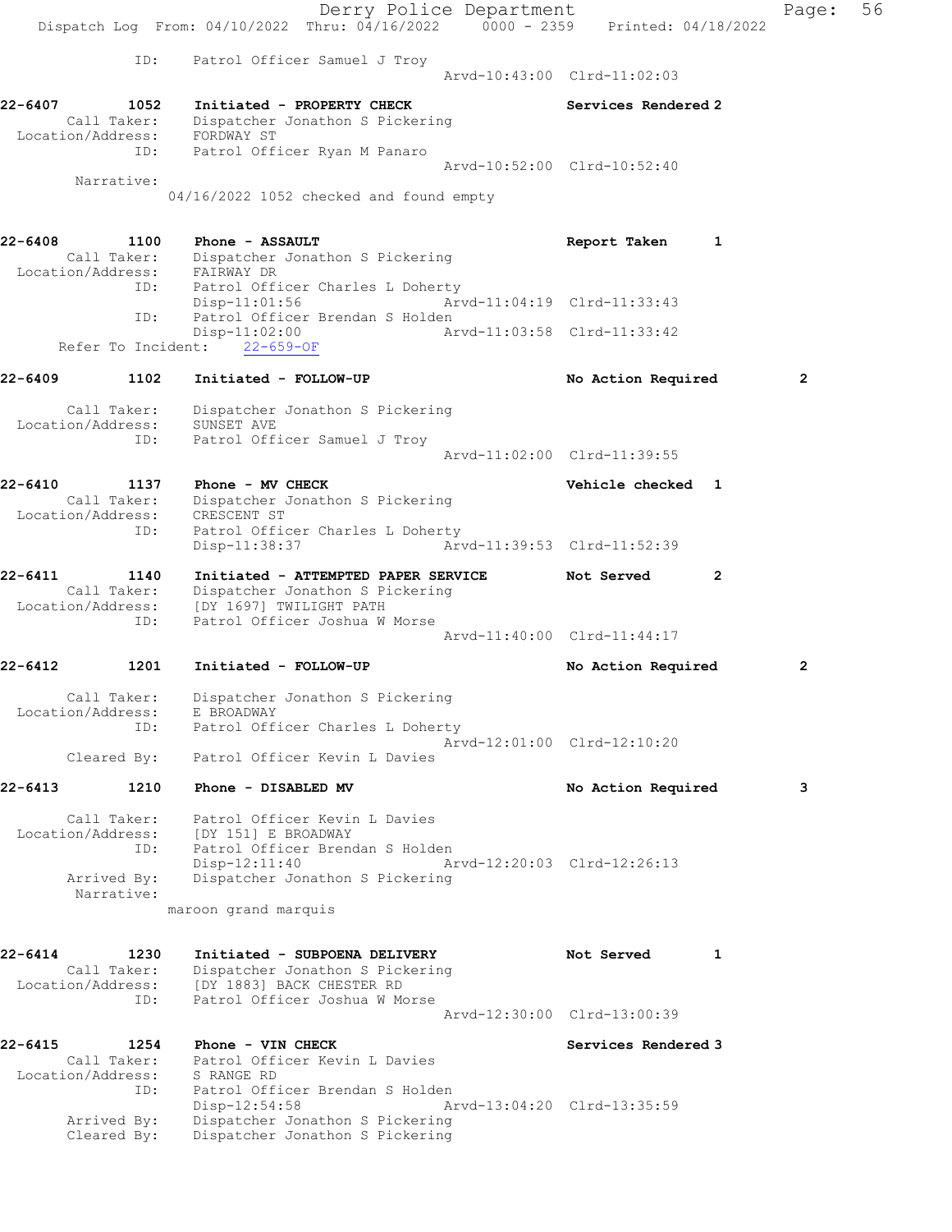Derry Police Department Fage: 56 Dispatch Log From: 04/10/2022 Thru: 04/16/2022 0000 - 2359 Printed: 04/18/2022 ID: Patrol Officer Samuel J Troy Arvd-10:43:00 Clrd-11:02:03 22-6407 1052 Initiated - PROPERTY CHECK Services Rendered 2 Call Taker: Dispatcher Jonathon S Pickering Location/Address: FORDWAY ST ID: Patrol Officer Ryan M Panaro Arvd-10:52:00 Clrd-10:52:40 Narrative: 04/16/2022 1052 checked and found empty 22-6408 1100 Phone - ASSAULT 1 22-6408 Report Taken 1 Call Taker: Dispatcher Jonathon S Pickering Location/Address: FAIRWAY DR ID: Patrol Officer Charles L Doherty Disp-11:01:56 Arvd-11:04:19 Clrd-11:33:43 ID: Patrol Officer Brendan S Holden Disp-11:02:00 Arvd-11:03:58 Clrd-11:33:42 Refer To Incident: 22-659-OF 22-6409 1102 Initiated - FOLLOW-UP No Action Required 2 Call Taker: Dispatcher Jonathon S Pickering Location/Address: SUNSET AVE ID: Patrol Officer Samuel J Troy Arvd-11:02:00 Clrd-11:39:55 22-6410 1137 Phone - MV CHECK 2008 22-6410 Vehicle checked 1 Call Taker: Dispatcher Jonathon S Pickering Location/Address: CRESCENT ST ID: Patrol Officer Charles L Doherty Disp-11:38:37 Arvd-11:39:53 Clrd-11:52:39 22-6411 1140 Initiated - ATTEMPTED PAPER SERVICE Not Served 2 Call Taker: Dispatcher Jonathon S Pickering Location/Address: [DY 1697] TWILIGHT PATH ID: Patrol Officer Joshua W Morse Arvd-11:40:00 Clrd-11:44:17 22-6412 1201 Initiated - FOLLOW-UP No Action Required 2 Call Taker: Dispatcher Jonathon S Pickering Location/Address: E BROADWAY ID: Patrol Officer Charles L Doherty Arvd-12:01:00 Clrd-12:10:20 Cleared By: Patrol Officer Kevin L Davies 22-6413 1210 Phone - DISABLED MV No Action Required 3 Call Taker: Patrol Officer Kevin L Davies Location/Address: [DY 151] E BROADWAY ID: Patrol Officer Brendan S Holden Disp-12:11:40 Arvd-12:20:03 Clrd-12:26:13 Arrived By: Dispatcher Jonathon S Pickering Narrative: maroon grand marquis 22-6414 1230 Initiated - SUBPOENA DELIVERY Not Served 1 Call Taker: Dispatcher Jonathon S Pickering Location/Address: [DY 1883] BACK CHESTER RD ID: Patrol Officer Joshua W Morse Arvd-12:30:00 Clrd-13:00:39 22-6415 1254 Phone - VIN CHECK Services Rendered 3 Call Taker: Patrol Officer Kevin L Davies Location/Address: S RANGE RD ID: Patrol Officer Brendan S Holden Disp-12:54:58 Arvd-13:04:20 Clrd-13:35:59 Arrived By: Dispatcher Jonathon S Pickering Cleared By: Dispatcher Jonathon S Pickering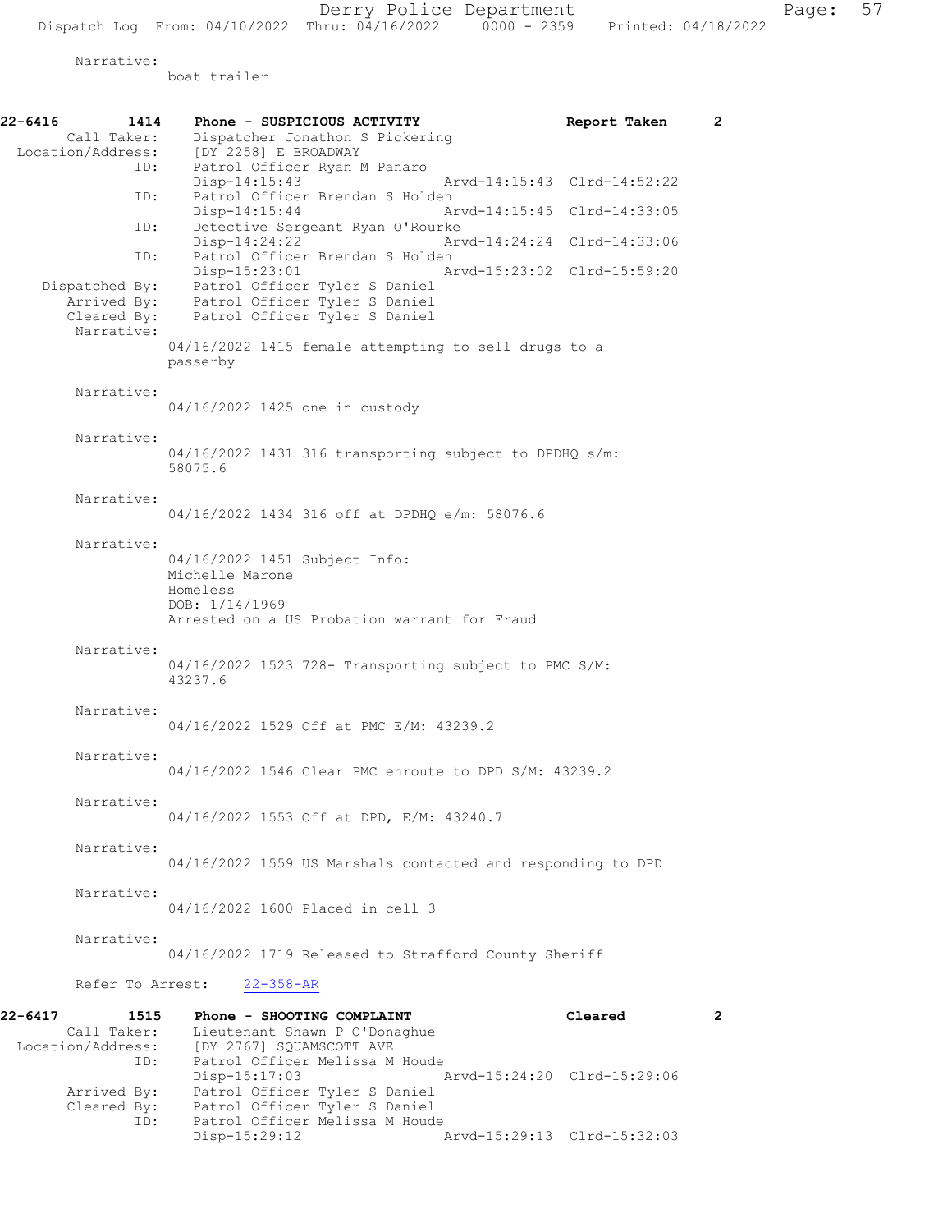Narrative:

boat trailer

| 22-6416 | 1414<br>Call Taker:                                        | Phone - SUSPICIOUS ACTIVITY<br>Dispatcher Jonathon S Pickering                                                                               | Report Taken                           | $\overline{2}$ |
|---------|------------------------------------------------------------|----------------------------------------------------------------------------------------------------------------------------------------------|----------------------------------------|----------------|
|         | Location/Address:                                          | [DY 2258] E BROADWAY                                                                                                                         |                                        |                |
|         | ID:                                                        | Patrol Officer Ryan M Panaro<br>Disp-14:15:43                                                                                                | Arvd-14:15:43 Clrd-14:52:22            |                |
|         | ID:                                                        | Patrol Officer Brendan S Holden<br>Disp-14:15:44                                                                                             | Arvd-14:15:45 Clrd-14:33:05            |                |
|         | ID:                                                        | Detective Sergeant Ryan O'Rourke<br>$Disp-14:24:22$                                                                                          | Arvd-14:24:24 Clrd-14:33:06            |                |
|         | ID:                                                        | Patrol Officer Brendan S Holden<br>Disp-15:23:01                                                                                             | Arvd-15:23:02 Clrd-15:59:20            |                |
|         | Dispatched By:<br>Arrived By:<br>Cleared By:<br>Narrative: | Patrol Officer Tyler S Daniel<br>Patrol Officer Tyler S Daniel<br>Patrol Officer Tyler S Daniel                                              |                                        |                |
|         |                                                            | 04/16/2022 1415 female attempting to sell drugs to a<br>passerby                                                                             |                                        |                |
|         | Narrative:                                                 | 04/16/2022 1425 one in custody                                                                                                               |                                        |                |
|         | Narrative:                                                 | 04/16/2022 1431 316 transporting subject to DPDHQ s/m:<br>58075.6                                                                            |                                        |                |
|         | Narrative:                                                 | 04/16/2022 1434 316 off at DPDHQ e/m: 58076.6                                                                                                |                                        |                |
|         | Narrative:                                                 | 04/16/2022 1451 Subject Info:<br>Michelle Marone<br>Homeless<br>DOB: 1/14/1969<br>Arrested on a US Probation warrant for Fraud               |                                        |                |
|         | Narrative:                                                 |                                                                                                                                              |                                        |                |
|         |                                                            | 04/16/2022 1523 728- Transporting subject to PMC S/M:<br>43237.6                                                                             |                                        |                |
|         | Narrative:                                                 | 04/16/2022 1529 Off at PMC E/M: 43239.2                                                                                                      |                                        |                |
|         | Narrative:                                                 | 04/16/2022 1546 Clear PMC enroute to DPD S/M: 43239.2                                                                                        |                                        |                |
|         | Narrative:                                                 | 04/16/2022 1553 Off at DPD, E/M: 43240.7                                                                                                     |                                        |                |
|         | Narrative:                                                 | 04/16/2022 1559 US Marshals contacted and responding to DPD                                                                                  |                                        |                |
|         | Narrative:                                                 | 04/16/2022 1600 Placed in cell 3                                                                                                             |                                        |                |
|         | Narrative:                                                 | 04/16/2022 1719 Released to Strafford County Sheriff                                                                                         |                                        |                |
|         | Refer To Arrest:                                           | $22 - 358 - AR$                                                                                                                              |                                        |                |
| 22-6417 | 1515<br>Call Taker:<br>Location/Address:<br>ID:            | Phone - SHOOTING COMPLAINT<br>Lieutenant Shawn P O'Donaghue<br>[DY 2767] SQUAMSCOTT AVE<br>Patrol Officer Melissa M Houde<br>$Disp-15:17:03$ | Cleared<br>Arvd-15:24:20 Clrd-15:29:06 | $\mathbf{2}$   |
|         | Arrived By:<br>Cleared By:<br>ID:                          | Patrol Officer Tyler S Daniel<br>Patrol Officer Tyler S Daniel<br>Patrol Officer Melissa M Houde                                             |                                        |                |

Disp-15:29:12 Arvd-15:29:13 Clrd-15:32:03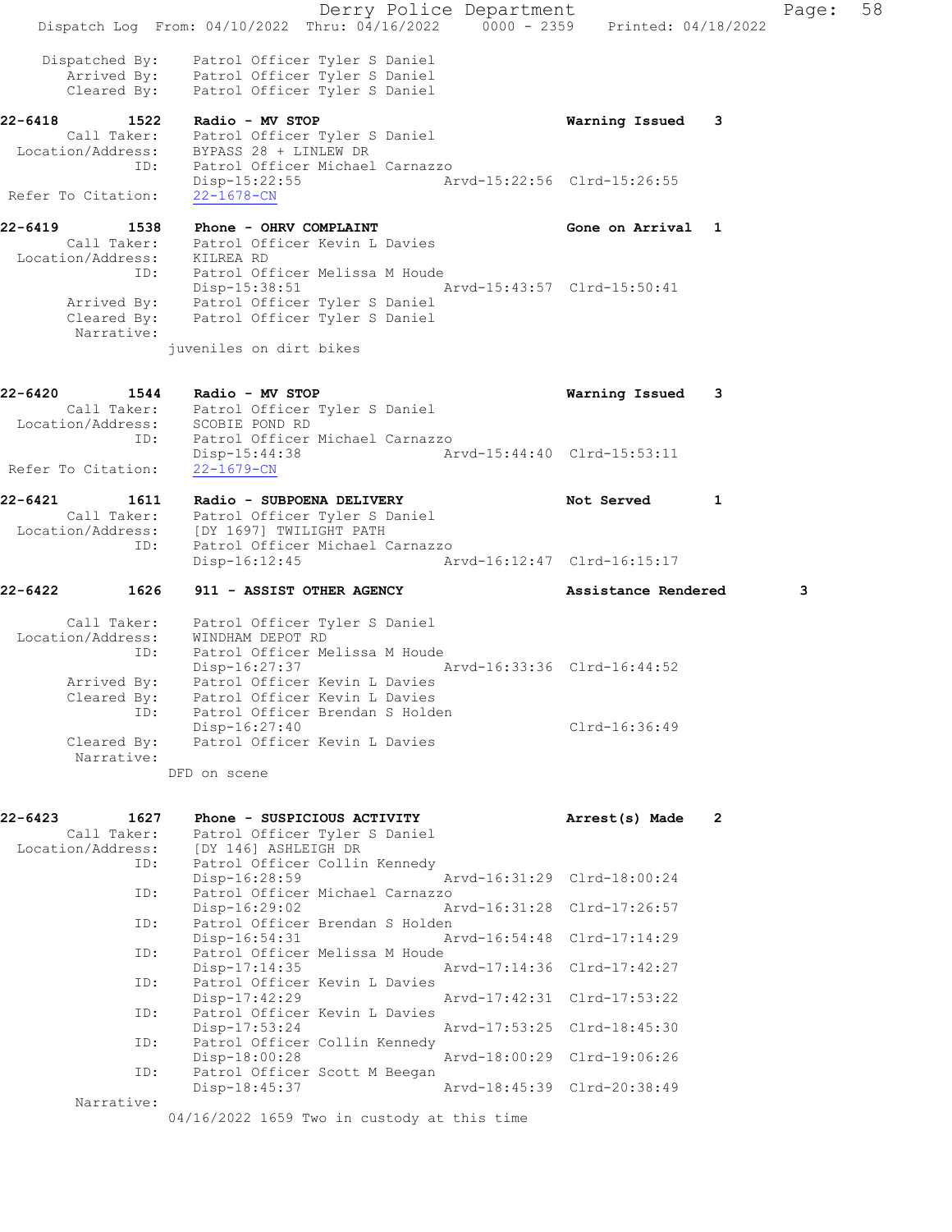Derry Police Department Fage: 58 Dispatch Log From: 04/10/2022 Thru: 04/16/2022 0000 - 2359 Printed: 04/18/2022 Dispatched By: Patrol Officer Tyler S Daniel Arrived By: Patrol Officer Tyler S Daniel Cleared By: Patrol Officer Tyler S Daniel 22-6418 1522 Radio - MV STOP Warning Issued 3 Call Taker: Patrol Officer Tyler S Daniel Location/Address: BYPASS 28 + LINLEW DR ID: Patrol Officer Michael Carnazzo Disp-15:22:55 Arvd-15:22:56 Clrd-15:26:55 Refer To Citation: 22-1678-CN 22-6419 1538 Phone - OHRV COMPLAINT Gone on Arrival 1 Call Taker: Patrol Officer Kevin L Davies Location/Address: KILREA RD ID: Patrol Officer Melissa M Houde Disp-15:38:51 Arvd-15:43:57 Clrd-15:50:41 Arrived By: Patrol Officer Tyler S Daniel Cleared By: Patrol Officer Tyler S Daniel Narrative: juveniles on dirt bikes 22-6420 1544 Radio - MV STOP Warning Issued 3 Call Taker: Patrol Officer Tyler S Daniel Location/Address: SCOBIE POND RD ID: Patrol Officer Michael Carnazzo Disp-15:44:38 Arvd-15:44:40 Clrd-15:53:11 Refer To Citation: 22-1679-CN 22-6421 1611 Radio - SUBPOENA DELIVERY Not Served 1 Call Taker: Patrol Officer Tyler S Daniel Location/Address: [DY 1697] TWILIGHT PATH ID: Patrol Officer Michael Carnazzo Disp-16:12:45 Arvd-16:12:47 Clrd-16:15:17 22-6422 1626 911 - ASSIST OTHER AGENCY Assistance Rendered 3 Call Taker: Patrol Officer Tyler S Daniel Location/Address: WINDHAM DEPOT RD ID: Patrol Officer Melissa M Houde Disp-16:27:37 Arvd-16:33:36 Clrd-16:44:52 Arrived By: Patrol Officer Kevin L Davies Cleared By: Patrol Officer Kevin L Davies ID: Patrol Officer Brendan S Holden Disp-16:27:40 Clrd-16:36:49 Cleared By: Patrol Officer Kevin L Davies Narrative: DFD on scene 22-6423 1627 Phone - SUSPICIOUS ACTIVITY Arrest(s) Made 2 Call Taker: Patrol Officer Tyler S Daniel Location/Address: [DY 146] ASHLEIGH DR ID: Patrol Officer Collin Kennedy Disp-16:28:59 Arvd-16:31:29 Clrd-18:00:24 ID: Patrol Officer Michael Carnazzo<br>Disp-16:29:02 Ar Arvd-16:31:28 Clrd-17:26:57 ID: Patrol Officer Brendan S Holden<br>Disp-16:54:31 A Disp-16:54:31 Arvd-16:54:48 Clrd-17:14:29<br>ID: Patrol Officer Melissa M Houde Patrol Officer Melissa M Houde<br>Disp-17:14:35 Disp-17:14:35 Arvd-17:14:36 Clrd-17:42:27<br>ID: Patrol Officer Kevin L Davies Patrol Officer Kevin L Davies<br>Disp-17:42:29 Disp-17:42:29 Arvd-17:42:31 Clrd-17:53:22 ID: Patrol Officer Kevin L Davies<br>Disp-17:53:24 Disp-17:53:24 Arvd-17:53:25 Clrd-18:45:30<br>ID: Patrol Officer Collin Kennedy Patrol Officer Collin Kennedy<br>Disp-18:00:28 Arvd-18:00:29 Clrd-19:06:26 Disp-18:00:28 ID: Patrol Officer Scott M Beegan<br>Disp-18:45:37 Arvd-18:45:39 Clrd-20:38:49 Disp-18:45:37 Narrative:

04/16/2022 1659 Two in custody at this time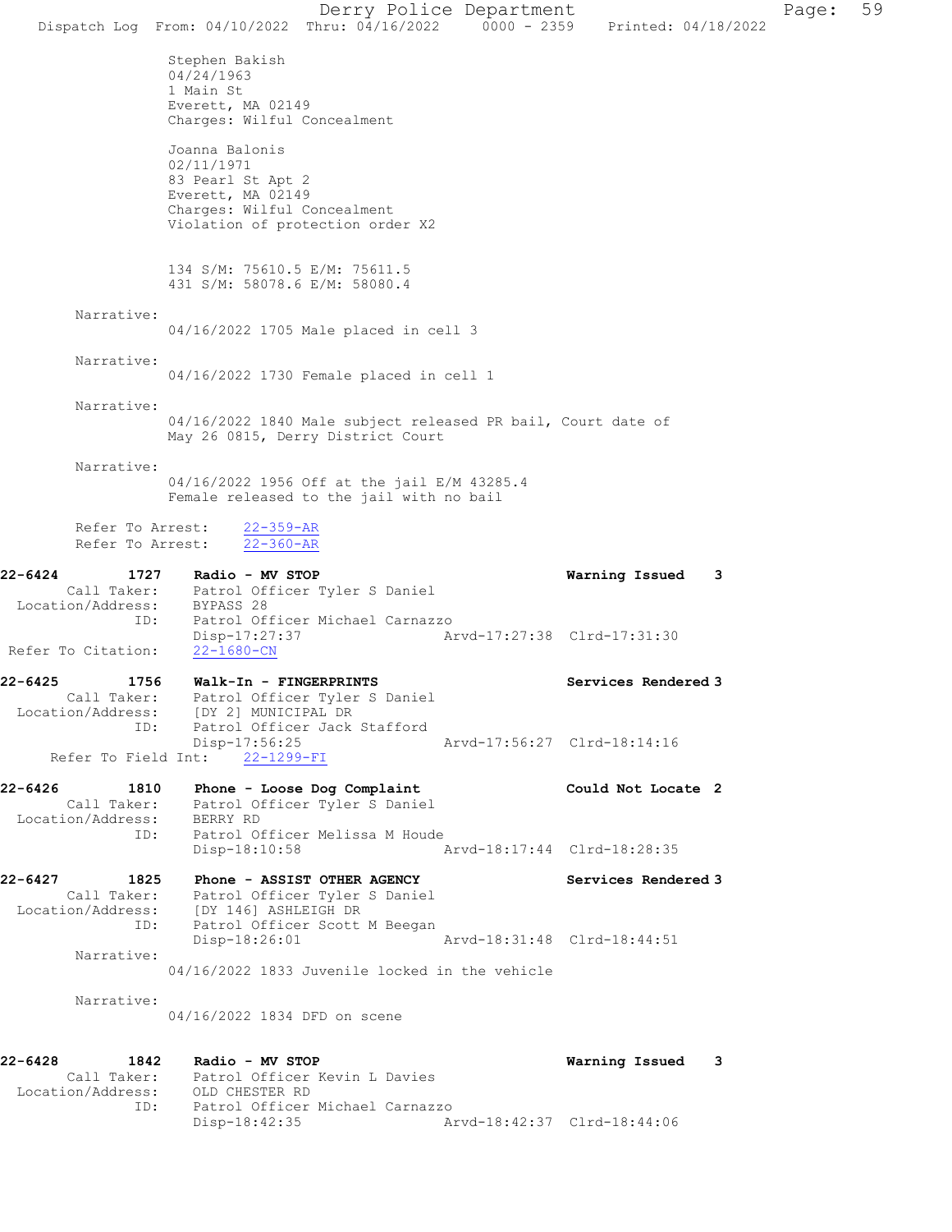Dispatch Log From: 04/10/2022 Thru: 04/16/2022 0000 - 2359 Printed: 04/18/2022 Stephen Bakish 04/24/1963 1 Main St Everett, MA 02149 Charges: Wilful Concealment Joanna Balonis 02/11/1971 83 Pearl St Apt 2 Everett, MA 02149 Charges: Wilful Concealment Violation of protection order X2 134 S/M: 75610.5 E/M: 75611.5 431 S/M: 58078.6 E/M: 58080.4 Narrative: 04/16/2022 1705 Male placed in cell 3 Narrative: 04/16/2022 1730 Female placed in cell 1 Narrative: 04/16/2022 1840 Male subject released PR bail, Court date of May 26 0815, Derry District Court Narrative: 04/16/2022 1956 Off at the jail E/M 43285.4 Female released to the jail with no bail Refer To Arrest: 22-359-AR Refer To Arrest: 22-360-AR 22-6424 1727 Radio - MV STOP Warning Issued 3 Call Taker: Patrol Officer Tyler S Daniel Location/Address: BYPASS 28 ID: Patrol Officer Michael Carnazzo<br>Disp-17:27:37 Ar Disp-17:27:37 Arvd-17:27:38 Clrd-17:31:30 Refer To Citation: 22-1680-CN 22-6425 1756 Walk-In - FINGERPRINTS Services Rendered 3 Call Taker: Patrol Officer Tyler S Daniel Location/Address: [DY 2] MUNICIPAL DR ID: Patrol Officer Jack Stafford<br>Disp-17:56:25 Disp-17:56:25 Arvd-17:56:27 Clrd-18:14:16 Refer To Field Int: 22-1299-FI 22-6426 1810 Phone - Loose Dog Complaint Could Not Locate 2 Call Taker: Patrol Officer Tyler S Daniel Location/Address: BERRY RD ID: Patrol Officer Melissa M Houde Arvd-18:17:44 Clrd-18:28:35 22-6427 1825 Phone - ASSIST OTHER AGENCY Services Rendered 3 Call Taker: Patrol Officer Tyler S Daniel Location/Address: [DY 146] ASHLEIGH DR ID: Patrol Officer Scott M Beegan Disp-18:26:01 Arvd-18:31:48 Clrd-18:44:51 Narrative: 04/16/2022 1833 Juvenile locked in the vehicle Narrative: 04/16/2022 1834 DFD on scene 22-6428 1842 Radio - MV STOP Warning Issued 3 Call Taker: Patrol Officer Kevin L Davies Location/Address: OLD CHESTER RD ID: Patrol Officer Michael Carnazzo Disp-18:42:35 Arvd-18:42:37 Clrd-18:44:06